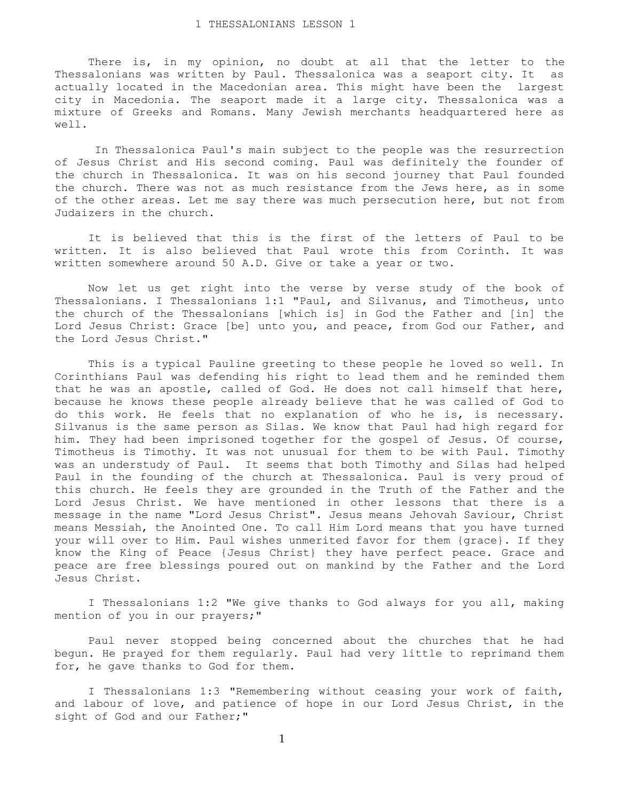There is, in my opinion, no doubt at all that the letter to the Thessalonians was written by Paul. Thessalonica was a seaport city. It as actually located in the Macedonian area. This might have been the largest city in Macedonia. The seaport made it a large city. Thessalonica was a mixture of Greeks and Romans. Many Jewish merchants headquartered here as well.

 In Thessalonica Paul's main subject to the people was the resurrection of Jesus Christ and His second coming. Paul was definitely the founder of the church in Thessalonica. It was on his second journey that Paul founded the church. There was not as much resistance from the Jews here, as in some of the other areas. Let me say there was much persecution here, but not from Judaizers in the church.

 It is believed that this is the first of the letters of Paul to be written. It is also believed that Paul wrote this from Corinth. It was written somewhere around 50 A.D. Give or take a year or two.

 Now let us get right into the verse by verse study of the book of Thessalonians. I Thessalonians 1:1 "Paul, and Silvanus, and Timotheus, unto the church of the Thessalonians [which is] in God the Father and [in] the Lord Jesus Christ: Grace [be] unto you, and peace, from God our Father, and the Lord Jesus Christ."

 This is a typical Pauline greeting to these people he loved so well. In Corinthians Paul was defending his right to lead them and he reminded them that he was an apostle, called of God. He does not call himself that here, because he knows these people already believe that he was called of God to do this work. He feels that no explanation of who he is, is necessary. Silvanus is the same person as Silas. We know that Paul had high regard for him. They had been imprisoned together for the gospel of Jesus. Of course, Timotheus is Timothy. It was not unusual for them to be with Paul. Timothy was an understudy of Paul. It seems that both Timothy and Silas had helped Paul in the founding of the church at Thessalonica. Paul is very proud of this church. He feels they are grounded in the Truth of the Father and the Lord Jesus Christ. We have mentioned in other lessons that there is a message in the name "Lord Jesus Christ". Jesus means Jehovah Saviour, Christ means Messiah, the Anointed One. To call Him Lord means that you have turned your will over to Him. Paul wishes unmerited favor for them {grace}. If they know the King of Peace {Jesus Christ} they have perfect peace. Grace and peace are free blessings poured out on mankind by the Father and the Lord Jesus Christ.

 I Thessalonians 1:2 "We give thanks to God always for you all, making mention of you in our prayers;"

 Paul never stopped being concerned about the churches that he had begun. He prayed for them regularly. Paul had very little to reprimand them for, he gave thanks to God for them.

 I Thessalonians 1:3 "Remembering without ceasing your work of faith, and labour of love, and patience of hope in our Lord Jesus Christ, in the sight of God and our Father;"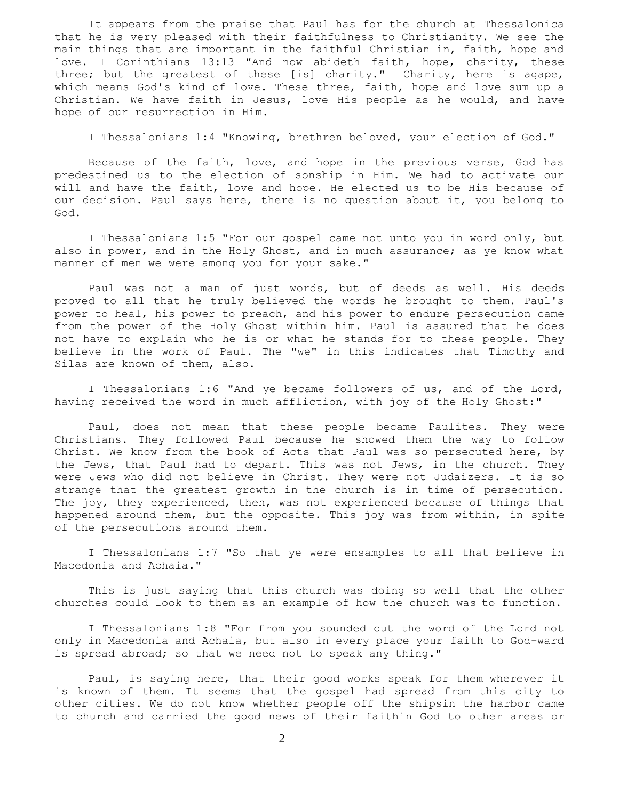It appears from the praise that Paul has for the church at Thessalonica that he is very pleased with their faithfulness to Christianity. We see the main things that are important in the faithful Christian in, faith, hope and love. I Corinthians 13:13 "And now abideth faith, hope, charity, these three; but the greatest of these [is] charity." Charity, here is agape, which means God's kind of love. These three, faith, hope and love sum up a Christian. We have faith in Jesus, love His people as he would, and have hope of our resurrection in Him.

I Thessalonians 1:4 "Knowing, brethren beloved, your election of God."

 Because of the faith, love, and hope in the previous verse, God has predestined us to the election of sonship in Him. We had to activate our will and have the faith, love and hope. He elected us to be His because of our decision. Paul says here, there is no question about it, you belong to God.

 I Thessalonians 1:5 "For our gospel came not unto you in word only, but also in power, and in the Holy Ghost, and in much assurance; as ye know what manner of men we were among you for your sake."

 Paul was not a man of just words, but of deeds as well. His deeds proved to all that he truly believed the words he brought to them. Paul's power to heal, his power to preach, and his power to endure persecution came from the power of the Holy Ghost within him. Paul is assured that he does not have to explain who he is or what he stands for to these people. They believe in the work of Paul. The "we" in this indicates that Timothy and Silas are known of them, also.

 I Thessalonians 1:6 "And ye became followers of us, and of the Lord, having received the word in much affliction, with joy of the Holy Ghost:"

 Paul, does not mean that these people became Paulites. They were Christians. They followed Paul because he showed them the way to follow Christ. We know from the book of Acts that Paul was so persecuted here, by the Jews, that Paul had to depart. This was not Jews, in the church. They were Jews who did not believe in Christ. They were not Judaizers. It is so strange that the greatest growth in the church is in time of persecution. The joy, they experienced, then, was not experienced because of things that happened around them, but the opposite. This joy was from within, in spite of the persecutions around them.

 I Thessalonians 1:7 "So that ye were ensamples to all that believe in Macedonia and Achaia."

 This is just saying that this church was doing so well that the other churches could look to them as an example of how the church was to function.

 I Thessalonians 1:8 "For from you sounded out the word of the Lord not only in Macedonia and Achaia, but also in every place your faith to God-ward is spread abroad; so that we need not to speak any thing."

 Paul, is saying here, that their good works speak for them wherever it is known of them. It seems that the gospel had spread from this city to other cities. We do not know whether people off the shipsin the harbor came to church and carried the good news of their faithin God to other areas or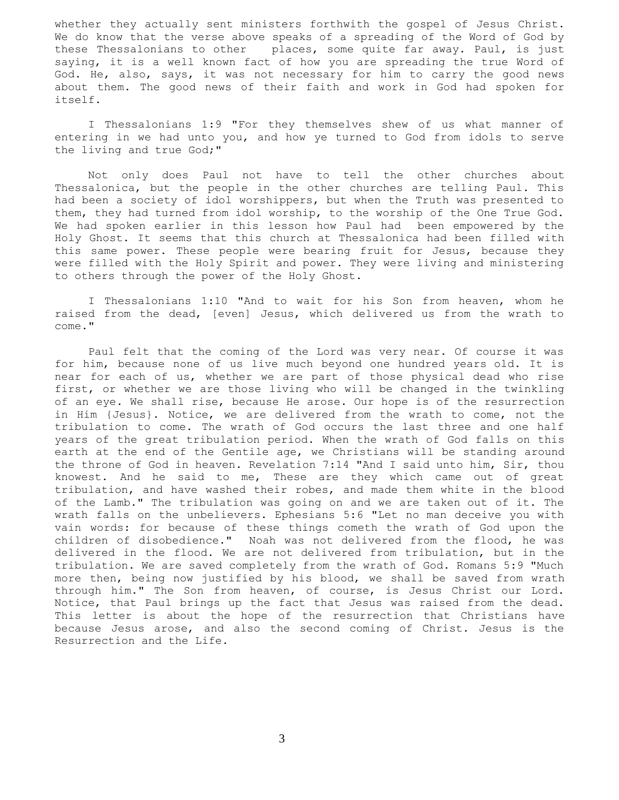whether they actually sent ministers forthwith the gospel of Jesus Christ. We do know that the verse above speaks of a spreading of the Word of God by these Thessalonians to other places, some quite far away. Paul, is just saying, it is a well known fact of how you are spreading the true Word of God. He, also, says, it was not necessary for him to carry the good news about them. The good news of their faith and work in God had spoken for itself.

 I Thessalonians 1:9 "For they themselves shew of us what manner of entering in we had unto you, and how ye turned to God from idols to serve the living and true God;"

 Not only does Paul not have to tell the other churches about Thessalonica, but the people in the other churches are telling Paul. This had been a society of idol worshippers, but when the Truth was presented to them, they had turned from idol worship, to the worship of the One True God. We had spoken earlier in this lesson how Paul had been empowered by the Holy Ghost. It seems that this church at Thessalonica had been filled with this same power. These people were bearing fruit for Jesus, because they were filled with the Holy Spirit and power. They were living and ministering to others through the power of the Holy Ghost.

 I Thessalonians 1:10 "And to wait for his Son from heaven, whom he raised from the dead, [even] Jesus, which delivered us from the wrath to come."

 Paul felt that the coming of the Lord was very near. Of course it was for him, because none of us live much beyond one hundred years old. It is near for each of us, whether we are part of those physical dead who rise first, or whether we are those living who will be changed in the twinkling of an eye. We shall rise, because He arose. Our hope is of the resurrection in Him {Jesus}. Notice, we are delivered from the wrath to come, not the tribulation to come. The wrath of God occurs the last three and one half years of the great tribulation period. When the wrath of God falls on this earth at the end of the Gentile age, we Christians will be standing around the throne of God in heaven. Revelation 7:14 "And I said unto him, Sir, thou knowest. And he said to me, These are they which came out of great tribulation, and have washed their robes, and made them white in the blood of the Lamb." The tribulation was going on and we are taken out of it. The wrath falls on the unbelievers. Ephesians 5:6 "Let no man deceive you with vain words: for because of these things cometh the wrath of God upon the children of disobedience." Noah was not delivered from the flood, he was delivered in the flood. We are not delivered from tribulation, but in the tribulation. We are saved completely from the wrath of God. Romans 5:9 "Much more then, being now justified by his blood, we shall be saved from wrath through him." The Son from heaven, of course, is Jesus Christ our Lord. Notice, that Paul brings up the fact that Jesus was raised from the dead. This letter is about the hope of the resurrection that Christians have because Jesus arose, and also the second coming of Christ. Jesus is the Resurrection and the Life.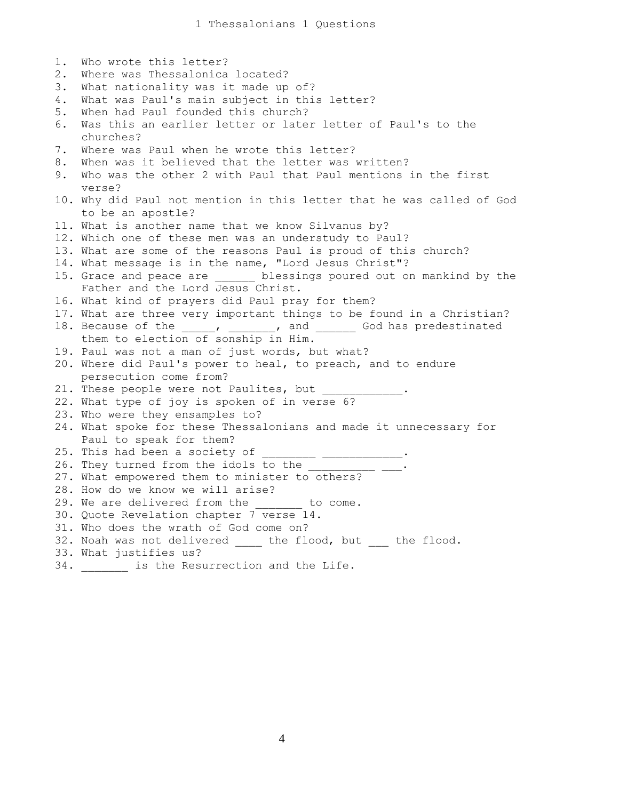1 Thessalonians 1 Questions

1. Who wrote this letter? 2. Where was Thessalonica located? 3. What nationality was it made up of? 4. What was Paul's main subject in this letter? 5. When had Paul founded this church? 6. Was this an earlier letter or later letter of Paul's to the churches? 7. Where was Paul when he wrote this letter? 8. When was it believed that the letter was written? 9. Who was the other 2 with Paul that Paul mentions in the first verse? 10. Why did Paul not mention in this letter that he was called of God to be an apostle? 11. What is another name that we know Silvanus by? 12. Which one of these men was an understudy to Paul? 13. What are some of the reasons Paul is proud of this church? 14. What message is in the name, "Lord Jesus Christ"? 15. Grace and peace are blessings poured out on mankind by the Father and the Lord Jesus Christ. 16. What kind of prayers did Paul pray for them? 17. What are three very important things to be found in a Christian? 18. Because of the \_\_\_\_\_, \_\_\_\_\_\_\_, and \_\_\_\_\_\_\_ God has predestinated them to election of sonship in Him. 19. Paul was not a man of just words, but what? 20. Where did Paul's power to heal, to preach, and to endure persecution come from? 21. These people were not Paulites, but \_\_\_\_\_ 22. What type of joy is spoken of in verse 6? 23. Who were they ensamples to? 24. What spoke for these Thessalonians and made it unnecessary for Paul to speak for them? 25. This had been a society of  $\overline{\phantom{a}}$ 26. They turned from the idols to the 27. What empowered them to minister to others? 28. How do we know we will arise? 29. We are delivered from the to come. 30. Quote Revelation chapter 7 verse 14. 31. Who does the wrath of God come on? 32. Noah was not delivered \_\_\_\_ the flood, but \_\_\_ the flood. 33. What justifies us? 34. \_\_\_\_\_\_\_ is the Resurrection and the Life.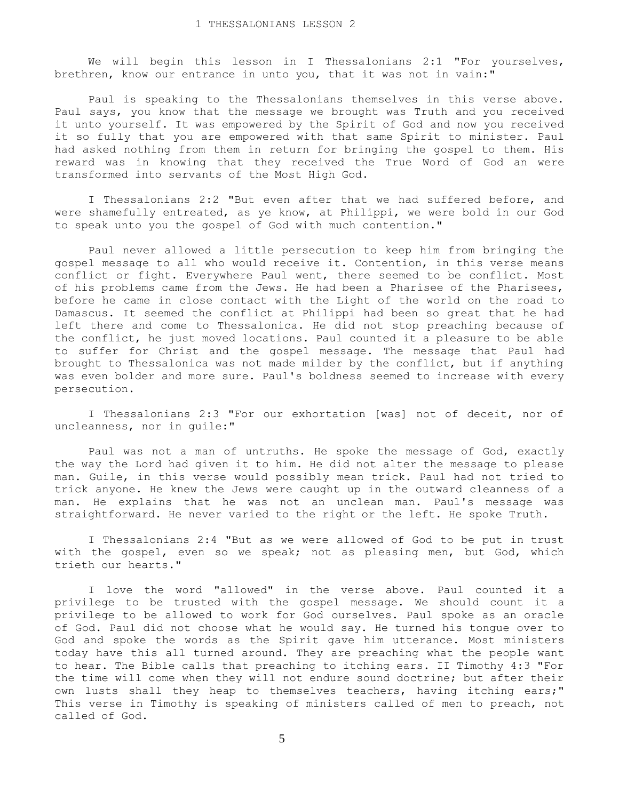We will begin this lesson in I Thessalonians 2:1 "For yourselves, brethren, know our entrance in unto you, that it was not in vain:"

 Paul is speaking to the Thessalonians themselves in this verse above. Paul says, you know that the message we brought was Truth and you received it unto yourself. It was empowered by the Spirit of God and now you received it so fully that you are empowered with that same Spirit to minister. Paul had asked nothing from them in return for bringing the gospel to them. His reward was in knowing that they received the True Word of God an were transformed into servants of the Most High God.

 I Thessalonians 2:2 "But even after that we had suffered before, and were shamefully entreated, as ye know, at Philippi, we were bold in our God to speak unto you the gospel of God with much contention."

 Paul never allowed a little persecution to keep him from bringing the gospel message to all who would receive it. Contention, in this verse means conflict or fight. Everywhere Paul went, there seemed to be conflict. Most of his problems came from the Jews. He had been a Pharisee of the Pharisees, before he came in close contact with the Light of the world on the road to Damascus. It seemed the conflict at Philippi had been so great that he had left there and come to Thessalonica. He did not stop preaching because of the conflict, he just moved locations. Paul counted it a pleasure to be able to suffer for Christ and the gospel message. The message that Paul had brought to Thessalonica was not made milder by the conflict, but if anything was even bolder and more sure. Paul's boldness seemed to increase with every persecution.

 I Thessalonians 2:3 "For our exhortation [was] not of deceit, nor of uncleanness, nor in guile:"

 Paul was not a man of untruths. He spoke the message of God, exactly the way the Lord had given it to him. He did not alter the message to please man. Guile, in this verse would possibly mean trick. Paul had not tried to trick anyone. He knew the Jews were caught up in the outward cleanness of a man. He explains that he was not an unclean man. Paul's message was straightforward. He never varied to the right or the left. He spoke Truth.

 I Thessalonians 2:4 "But as we were allowed of God to be put in trust with the gospel, even so we speak; not as pleasing men, but God, which trieth our hearts."

 I love the word "allowed" in the verse above. Paul counted it a privilege to be trusted with the gospel message. We should count it a privilege to be allowed to work for God ourselves. Paul spoke as an oracle of God. Paul did not choose what he would say. He turned his tongue over to God and spoke the words as the Spirit gave him utterance. Most ministers today have this all turned around. They are preaching what the people want to hear. The Bible calls that preaching to itching ears. II Timothy 4:3 "For the time will come when they will not endure sound doctrine; but after their own lusts shall they heap to themselves teachers, having itching ears;" This verse in Timothy is speaking of ministers called of men to preach, not called of God.

5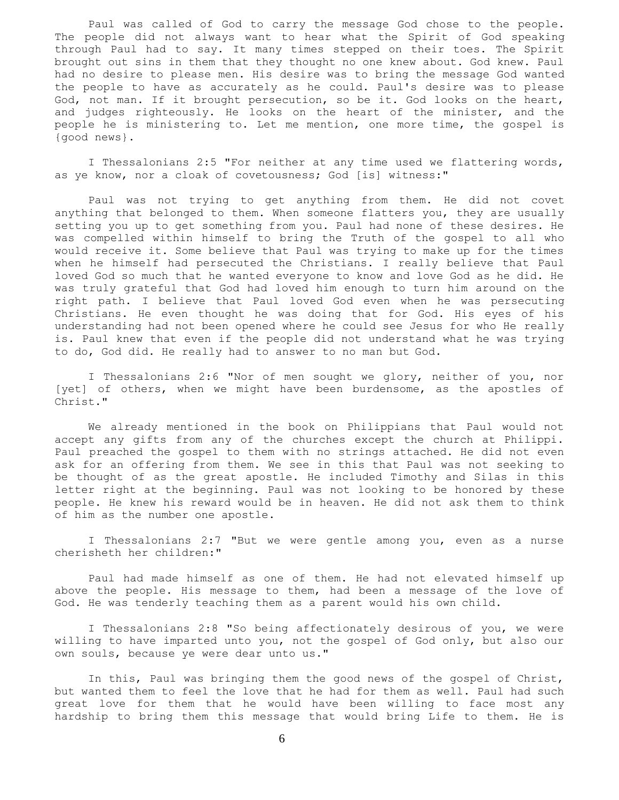Paul was called of God to carry the message God chose to the people. The people did not always want to hear what the Spirit of God speaking through Paul had to say. It many times stepped on their toes. The Spirit brought out sins in them that they thought no one knew about. God knew. Paul had no desire to please men. His desire was to bring the message God wanted the people to have as accurately as he could. Paul's desire was to please God, not man. If it brought persecution, so be it. God looks on the heart, and judges righteously. He looks on the heart of the minister, and the people he is ministering to. Let me mention, one more time, the gospel is {good news}.

 I Thessalonians 2:5 "For neither at any time used we flattering words, as ye know, nor a cloak of covetousness; God [is] witness:"

 Paul was not trying to get anything from them. He did not covet anything that belonged to them. When someone flatters you, they are usually setting you up to get something from you. Paul had none of these desires. He was compelled within himself to bring the Truth of the gospel to all who would receive it. Some believe that Paul was trying to make up for the times when he himself had persecuted the Christians. I really believe that Paul loved God so much that he wanted everyone to know and love God as he did. He was truly grateful that God had loved him enough to turn him around on the right path. I believe that Paul loved God even when he was persecuting Christians. He even thought he was doing that for God. His eyes of his understanding had not been opened where he could see Jesus for who He really is. Paul knew that even if the people did not understand what he was trying to do, God did. He really had to answer to no man but God.

 I Thessalonians 2:6 "Nor of men sought we glory, neither of you, nor [yet] of others, when we might have been burdensome, as the apostles of Christ."

 We already mentioned in the book on Philippians that Paul would not accept any gifts from any of the churches except the church at Philippi. Paul preached the gospel to them with no strings attached. He did not even ask for an offering from them. We see in this that Paul was not seeking to be thought of as the great apostle. He included Timothy and Silas in this letter right at the beginning. Paul was not looking to be honored by these people. He knew his reward would be in heaven. He did not ask them to think of him as the number one apostle.

 I Thessalonians 2:7 "But we were gentle among you, even as a nurse cherisheth her children:"

 Paul had made himself as one of them. He had not elevated himself up above the people. His message to them, had been a message of the love of God. He was tenderly teaching them as a parent would his own child.

I Thessalonians 2:8 "So being affectionately desirous of you, we were willing to have imparted unto you, not the gospel of God only, but also our own souls, because ye were dear unto us."

 In this, Paul was bringing them the good news of the gospel of Christ, but wanted them to feel the love that he had for them as well. Paul had such great love for them that he would have been willing to face most any hardship to bring them this message that would bring Life to them. He is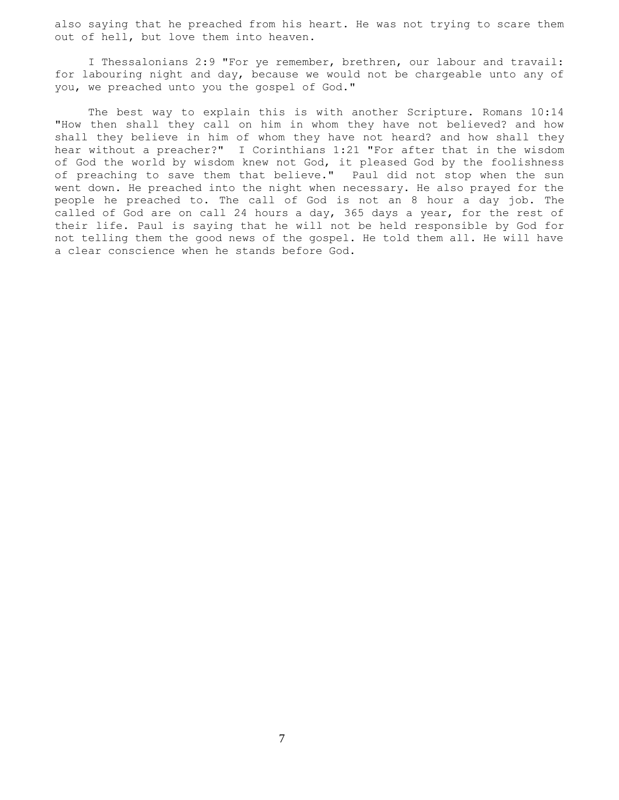also saying that he preached from his heart. He was not trying to scare them out of hell, but love them into heaven.

 I Thessalonians 2:9 "For ye remember, brethren, our labour and travail: for labouring night and day, because we would not be chargeable unto any of you, we preached unto you the gospel of God."

 The best way to explain this is with another Scripture. Romans 10:14 "How then shall they call on him in whom they have not believed? and how shall they believe in him of whom they have not heard? and how shall they hear without a preacher?" I Corinthians 1:21 "For after that in the wisdom of God the world by wisdom knew not God, it pleased God by the foolishness of preaching to save them that believe." Paul did not stop when the sun went down. He preached into the night when necessary. He also prayed for the people he preached to. The call of God is not an 8 hour a day job. The called of God are on call 24 hours a day, 365 days a year, for the rest of their life. Paul is saying that he will not be held responsible by God for not telling them the good news of the gospel. He told them all. He will have a clear conscience when he stands before God.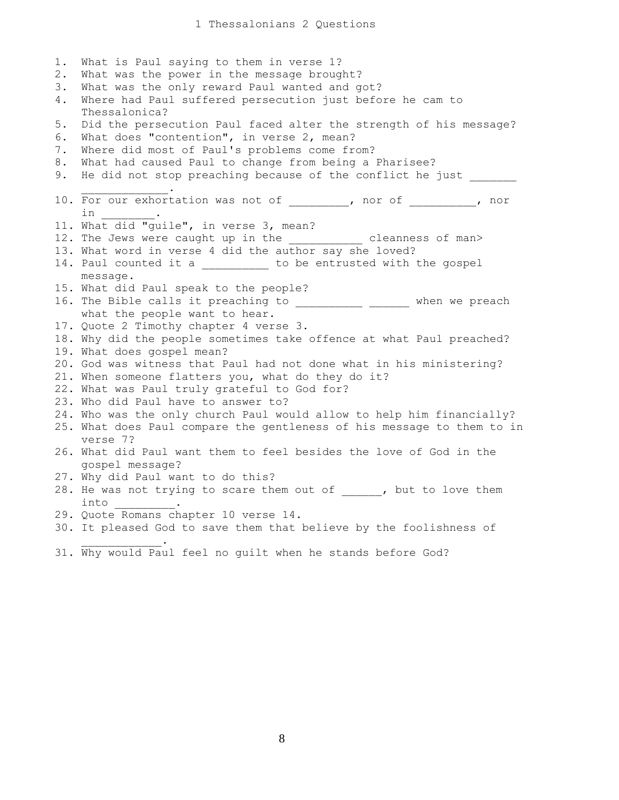1. What is Paul saying to them in verse 1? 2. What was the power in the message brought? 3. What was the only reward Paul wanted and got? 4. Where had Paul suffered persecution just before he cam to Thessalonica? 5. Did the persecution Paul faced alter the strength of his message? 6. What does "contention", in verse 2, mean? 7. Where did most of Paul's problems come from? 8. What had caused Paul to change from being a Pharisee? 9. He did not stop preaching because of the conflict he just  $\overline{\phantom{a}}$  ,  $\overline{\phantom{a}}$  ,  $\overline{\phantom{a}}$  ,  $\overline{\phantom{a}}$  ,  $\overline{\phantom{a}}$  ,  $\overline{\phantom{a}}$  ,  $\overline{\phantom{a}}$  ,  $\overline{\phantom{a}}$  ,  $\overline{\phantom{a}}$  ,  $\overline{\phantom{a}}$  ,  $\overline{\phantom{a}}$  ,  $\overline{\phantom{a}}$  ,  $\overline{\phantom{a}}$  ,  $\overline{\phantom{a}}$  ,  $\overline{\phantom{a}}$  ,  $\overline{\phantom{a}}$ 10. For our exhortation was not of \_\_\_\_\_\_\_, nor of \_\_\_\_\_\_\_\_, nor  $\verb"in"$ 11. What did "guile", in verse 3, mean? 12. The Jews were caught up in the \_\_\_\_\_\_\_\_\_\_\_ cleanness of man> 13. What word in verse 4 did the author say she loved? 14. Paul counted it a \_\_\_\_\_\_\_\_\_ to be entrusted with the gospel message. 15. What did Paul speak to the people? 16. The Bible calls it preaching to \_\_\_\_\_\_\_\_\_\_\_\_ \_\_\_\_\_\_ when we preach what the people want to hear. 17. Quote 2 Timothy chapter 4 verse 3. 18. Why did the people sometimes take offence at what Paul preached? 19. What does gospel mean? 20. God was witness that Paul had not done what in his ministering? 21. When someone flatters you, what do they do it? 22. What was Paul truly grateful to God for? 23. Who did Paul have to answer to? 24. Who was the only church Paul would allow to help him financially? 25. What does Paul compare the gentleness of his message to them to in verse 7? 26. What did Paul want them to feel besides the love of God in the gospel message? 27. Why did Paul want to do this? 28. He was not trying to scare them out of , but to love them into \_\_\_\_\_\_\_\_\_. 29. Quote Romans chapter 10 verse 14. 30. It pleased God to save them that believe by the foolishness of  $\mathcal{L}=\mathcal{L}=\mathcal{L}=\mathcal{L}=\mathcal{L}=\mathcal{L}=\mathcal{L}$ 

31. Why would Paul feel no guilt when he stands before God?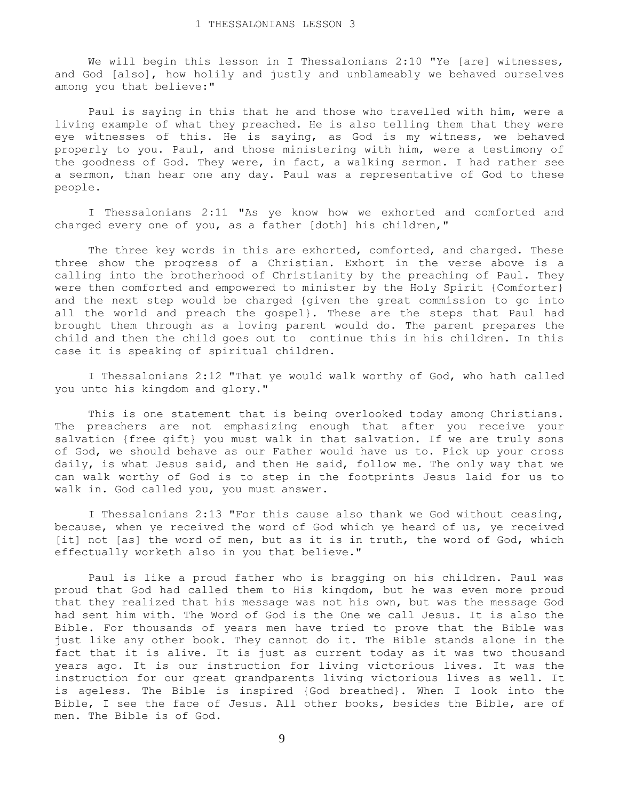We will begin this lesson in I Thessalonians 2:10 "Ye [are] witnesses, and God [also], how holily and justly and unblameably we behaved ourselves among you that believe:"

 Paul is saying in this that he and those who travelled with him, were a living example of what they preached. He is also telling them that they were eye witnesses of this. He is saying, as God is my witness, we behaved properly to you. Paul, and those ministering with him, were a testimony of the goodness of God. They were, in fact, a walking sermon. I had rather see a sermon, than hear one any day. Paul was a representative of God to these people.

 I Thessalonians 2:11 "As ye know how we exhorted and comforted and charged every one of you, as a father [doth] his children,"

The three key words in this are exhorted, comforted, and charged. These three show the progress of a Christian. Exhort in the verse above is a calling into the brotherhood of Christianity by the preaching of Paul. They were then comforted and empowered to minister by the Holy Spirit {Comforter} and the next step would be charged {given the great commission to go into all the world and preach the gospel}. These are the steps that Paul had brought them through as a loving parent would do. The parent prepares the child and then the child goes out to continue this in his children. In this case it is speaking of spiritual children.

 I Thessalonians 2:12 "That ye would walk worthy of God, who hath called you unto his kingdom and glory."

 This is one statement that is being overlooked today among Christians. The preachers are not emphasizing enough that after you receive your salvation {free gift} you must walk in that salvation. If we are truly sons of God, we should behave as our Father would have us to. Pick up your cross daily, is what Jesus said, and then He said, follow me. The only way that we can walk worthy of God is to step in the footprints Jesus laid for us to walk in. God called you, you must answer.

 I Thessalonians 2:13 "For this cause also thank we God without ceasing, because, when ye received the word of God which ye heard of us, ye received [it] not [as] the word of men, but as it is in truth, the word of God, which effectually worketh also in you that believe."

 Paul is like a proud father who is bragging on his children. Paul was proud that God had called them to His kingdom, but he was even more proud that they realized that his message was not his own, but was the message God had sent him with. The Word of God is the One we call Jesus. It is also the Bible. For thousands of years men have tried to prove that the Bible was just like any other book. They cannot do it. The Bible stands alone in the fact that it is alive. It is just as current today as it was two thousand years ago. It is our instruction for living victorious lives. It was the instruction for our great grandparents living victorious lives as well. It is ageless. The Bible is inspired {God breathed}. When I look into the Bible, I see the face of Jesus. All other books, besides the Bible, are of men. The Bible is of God.

9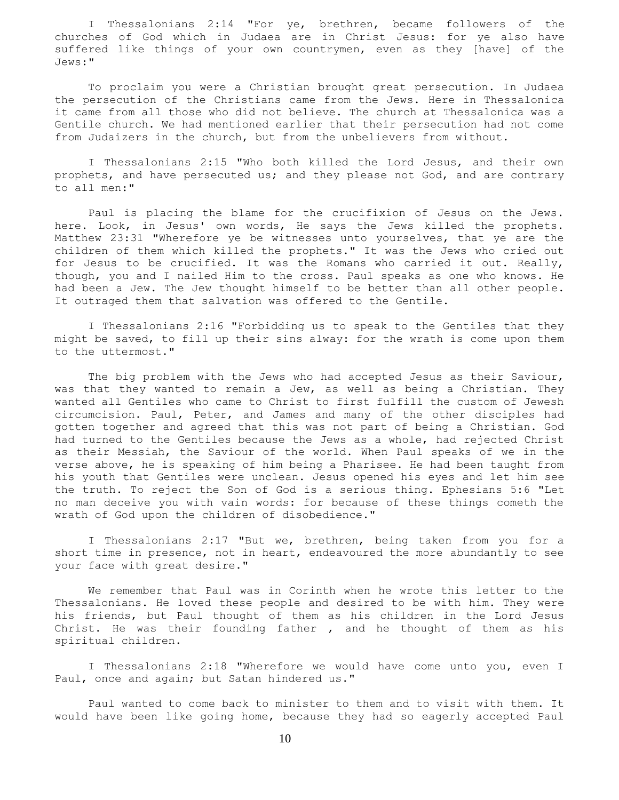I Thessalonians 2:14 "For ye, brethren, became followers of the churches of God which in Judaea are in Christ Jesus: for ye also have suffered like things of your own countrymen, even as they [have] of the Jews:"

 To proclaim you were a Christian brought great persecution. In Judaea the persecution of the Christians came from the Jews. Here in Thessalonica it came from all those who did not believe. The church at Thessalonica was a Gentile church. We had mentioned earlier that their persecution had not come from Judaizers in the church, but from the unbelievers from without.

 I Thessalonians 2:15 "Who both killed the Lord Jesus, and their own prophets, and have persecuted us; and they please not God, and are contrary to all men:"

 Paul is placing the blame for the crucifixion of Jesus on the Jews. here. Look, in Jesus' own words, He says the Jews killed the prophets. Matthew 23:31 "Wherefore ye be witnesses unto yourselves, that ye are the children of them which killed the prophets." It was the Jews who cried out for Jesus to be crucified. It was the Romans who carried it out. Really, though, you and I nailed Him to the cross. Paul speaks as one who knows. He had been a Jew. The Jew thought himself to be better than all other people. It outraged them that salvation was offered to the Gentile.

 I Thessalonians 2:16 "Forbidding us to speak to the Gentiles that they might be saved, to fill up their sins alway: for the wrath is come upon them to the uttermost."

 The big problem with the Jews who had accepted Jesus as their Saviour, was that they wanted to remain a Jew, as well as being a Christian. They wanted all Gentiles who came to Christ to first fulfill the custom of Jewesh circumcision. Paul, Peter, and James and many of the other disciples had gotten together and agreed that this was not part of being a Christian. God had turned to the Gentiles because the Jews as a whole, had rejected Christ as their Messiah, the Saviour of the world. When Paul speaks of we in the verse above, he is speaking of him being a Pharisee. He had been taught from his youth that Gentiles were unclean. Jesus opened his eyes and let him see the truth. To reject the Son of God is a serious thing. Ephesians 5:6 "Let no man deceive you with vain words: for because of these things cometh the wrath of God upon the children of disobedience."

 I Thessalonians 2:17 "But we, brethren, being taken from you for a short time in presence, not in heart, endeavoured the more abundantly to see your face with great desire."

 We remember that Paul was in Corinth when he wrote this letter to the Thessalonians. He loved these people and desired to be with him. They were his friends, but Paul thought of them as his children in the Lord Jesus Christ. He was their founding father , and he thought of them as his spiritual children.

I Thessalonians 2:18 "Wherefore we would have come unto you, even I Paul, once and again; but Satan hindered us."

 Paul wanted to come back to minister to them and to visit with them. It would have been like going home, because they had so eagerly accepted Paul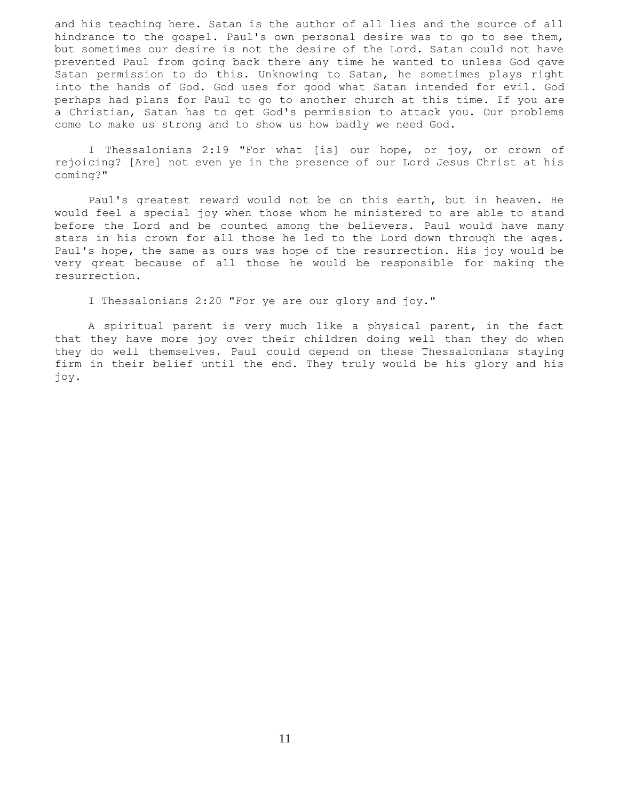and his teaching here. Satan is the author of all lies and the source of all hindrance to the gospel. Paul's own personal desire was to go to see them, but sometimes our desire is not the desire of the Lord. Satan could not have prevented Paul from going back there any time he wanted to unless God gave Satan permission to do this. Unknowing to Satan, he sometimes plays right into the hands of God. God uses for good what Satan intended for evil. God perhaps had plans for Paul to go to another church at this time. If you are a Christian, Satan has to get God's permission to attack you. Our problems come to make us strong and to show us how badly we need God.

 I Thessalonians 2:19 "For what [is] our hope, or joy, or crown of rejoicing? [Are] not even ye in the presence of our Lord Jesus Christ at his coming?"

 Paul's greatest reward would not be on this earth, but in heaven. He would feel a special joy when those whom he ministered to are able to stand before the Lord and be counted among the believers. Paul would have many stars in his crown for all those he led to the Lord down through the ages. Paul's hope, the same as ours was hope of the resurrection. His joy would be very great because of all those he would be responsible for making the resurrection.

I Thessalonians 2:20 "For ye are our glory and joy."

 A spiritual parent is very much like a physical parent, in the fact that they have more joy over their children doing well than they do when they do well themselves. Paul could depend on these Thessalonians staying firm in their belief until the end. They truly would be his glory and his joy.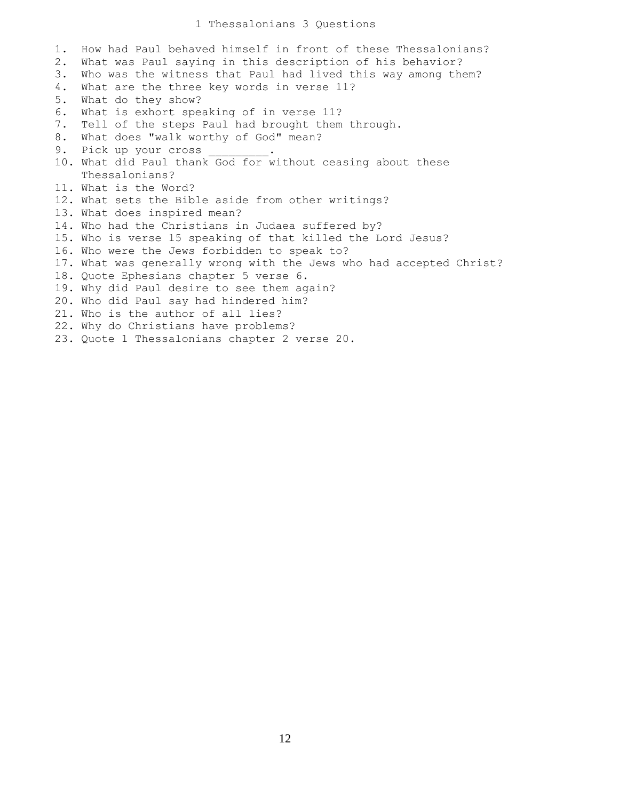## 1 Thessalonians 3 Questions

1. How had Paul behaved himself in front of these Thessalonians? 2. What was Paul saying in this description of his behavior? 3. Who was the witness that Paul had lived this way among them? 4. What are the three key words in verse 11? 5. What do they show? 6. What is exhort speaking of in verse 11? 7. Tell of the steps Paul had brought them through. 8. What does "walk worthy of God" mean? 9. Pick up your cross 10. What did Paul thank God for without ceasing about these Thessalonians? 11. What is the Word? 12. What sets the Bible aside from other writings? 13. What does inspired mean? 14. Who had the Christians in Judaea suffered by? 15. Who is verse 15 speaking of that killed the Lord Jesus? 16. Who were the Jews forbidden to speak to? 17. What was generally wrong with the Jews who had accepted Christ? 18. Quote Ephesians chapter 5 verse 6. 19. Why did Paul desire to see them again? 20. Who did Paul say had hindered him? 21. Who is the author of all lies? 22. Why do Christians have problems? 23. Quote 1 Thessalonians chapter 2 verse 20.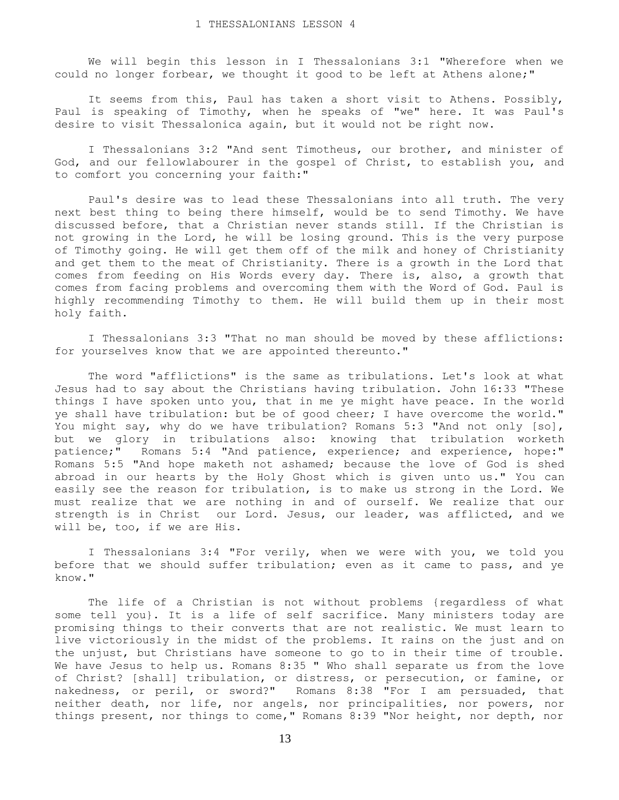We will begin this lesson in I Thessalonians 3:1 "Wherefore when we could no longer forbear, we thought it good to be left at Athens alone;"

 It seems from this, Paul has taken a short visit to Athens. Possibly, Paul is speaking of Timothy, when he speaks of "we" here. It was Paul's desire to visit Thessalonica again, but it would not be right now.

 I Thessalonians 3:2 "And sent Timotheus, our brother, and minister of God, and our fellowlabourer in the gospel of Christ, to establish you, and to comfort you concerning your faith:"

 Paul's desire was to lead these Thessalonians into all truth. The very next best thing to being there himself, would be to send Timothy. We have discussed before, that a Christian never stands still. If the Christian is not growing in the Lord, he will be losing ground. This is the very purpose of Timothy going. He will get them off of the milk and honey of Christianity and get them to the meat of Christianity. There is a growth in the Lord that comes from feeding on His Words every day. There is, also, a growth that comes from facing problems and overcoming them with the Word of God. Paul is highly recommending Timothy to them. He will build them up in their most holy faith.

 I Thessalonians 3:3 "That no man should be moved by these afflictions: for yourselves know that we are appointed thereunto."

 The word "afflictions" is the same as tribulations. Let's look at what Jesus had to say about the Christians having tribulation. John 16:33 "These things I have spoken unto you, that in me ye might have peace. In the world ye shall have tribulation: but be of good cheer; I have overcome the world." You might say, why do we have tribulation? Romans 5:3 "And not only [so], but we glory in tribulations also: knowing that tribulation worketh patience;" Romans 5:4 "And patience, experience; and experience, hope:" Romans 5:5 "And hope maketh not ashamed; because the love of God is shed abroad in our hearts by the Holy Ghost which is given unto us." You can easily see the reason for tribulation, is to make us strong in the Lord. We must realize that we are nothing in and of ourself. We realize that our strength is in Christ our Lord. Jesus, our leader, was afflicted, and we will be, too, if we are His.

 I Thessalonians 3:4 "For verily, when we were with you, we told you before that we should suffer tribulation; even as it came to pass, and ye know."

 The life of a Christian is not without problems {regardless of what some tell you}. It is a life of self sacrifice. Many ministers today are promising things to their converts that are not realistic. We must learn to live victoriously in the midst of the problems. It rains on the just and on the unjust, but Christians have someone to go to in their time of trouble. We have Jesus to help us. Romans 8:35 " Who shall separate us from the love of Christ? [shall] tribulation, or distress, or persecution, or famine, or nakedness, or peril, or sword?" Romans 8:38 "For I am persuaded, that neither death, nor life, nor angels, nor principalities, nor powers, nor things present, nor things to come," Romans 8:39 "Nor height, nor depth, nor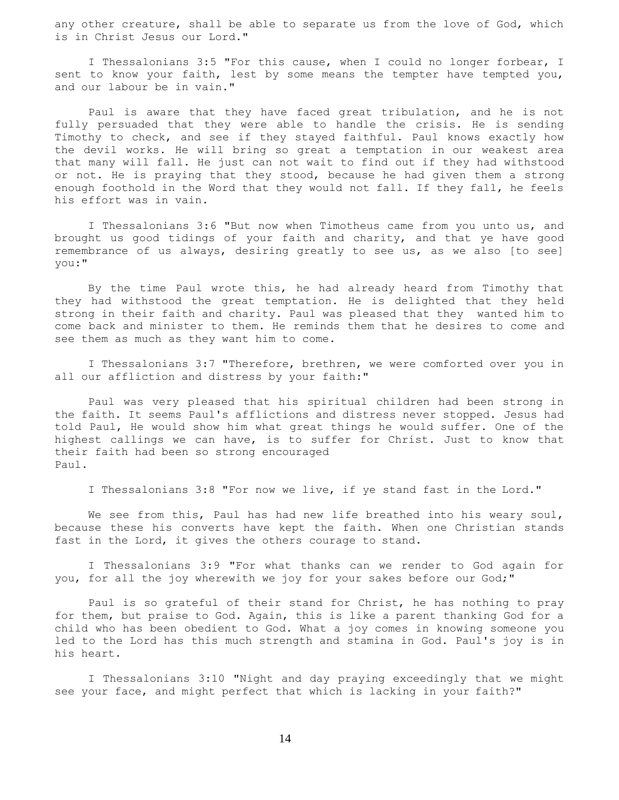any other creature, shall be able to separate us from the love of God, which is in Christ Jesus our Lord."

 I Thessalonians 3:5 "For this cause, when I could no longer forbear, I sent to know your faith, lest by some means the tempter have tempted you, and our labour be in vain."

 Paul is aware that they have faced great tribulation, and he is not fully persuaded that they were able to handle the crisis. He is sending Timothy to check, and see if they stayed faithful. Paul knows exactly how the devil works. He will bring so great a temptation in our weakest area that many will fall. He just can not wait to find out if they had withstood or not. He is praying that they stood, because he had given them a strong enough foothold in the Word that they would not fall. If they fall, he feels his effort was in vain.

 I Thessalonians 3:6 "But now when Timotheus came from you unto us, and brought us good tidings of your faith and charity, and that ye have good remembrance of us always, desiring greatly to see us, as we also [to see] you:"

 By the time Paul wrote this, he had already heard from Timothy that they had withstood the great temptation. He is delighted that they held strong in their faith and charity. Paul was pleased that they wanted him to come back and minister to them. He reminds them that he desires to come and see them as much as they want him to come.

 I Thessalonians 3:7 "Therefore, brethren, we were comforted over you in all our affliction and distress by your faith:"

 Paul was very pleased that his spiritual children had been strong in the faith. It seems Paul's afflictions and distress never stopped. Jesus had told Paul, He would show him what great things he would suffer. One of the highest callings we can have, is to suffer for Christ. Just to know that their faith had been so strong encouraged Paul.

I Thessalonians 3:8 "For now we live, if ye stand fast in the Lord."

We see from this, Paul has had new life breathed into his weary soul, because these his converts have kept the faith. When one Christian stands fast in the Lord, it gives the others courage to stand.

 I Thessalonians 3:9 "For what thanks can we render to God again for you, for all the joy wherewith we joy for your sakes before our God;"

 Paul is so grateful of their stand for Christ, he has nothing to pray for them, but praise to God. Again, this is like a parent thanking God for a child who has been obedient to God. What a joy comes in knowing someone you led to the Lord has this much strength and stamina in God. Paul's joy is in his heart.

 I Thessalonians 3:10 "Night and day praying exceedingly that we might see your face, and might perfect that which is lacking in your faith?"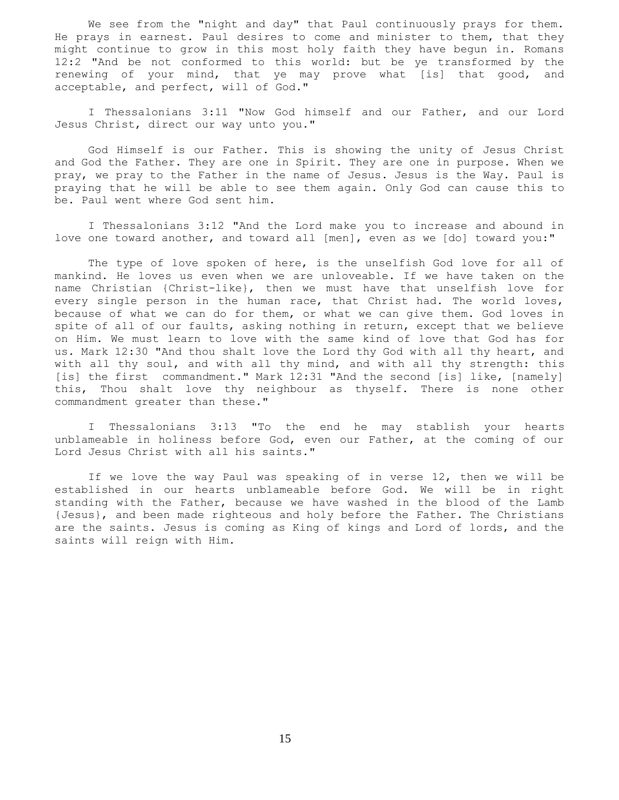We see from the "night and day" that Paul continuously prays for them. He prays in earnest. Paul desires to come and minister to them, that they might continue to grow in this most holy faith they have begun in. Romans 12:2 "And be not conformed to this world: but be ye transformed by the renewing of your mind, that ye may prove what [is] that good, and acceptable, and perfect, will of God."

 I Thessalonians 3:11 "Now God himself and our Father, and our Lord Jesus Christ, direct our way unto you."

 God Himself is our Father. This is showing the unity of Jesus Christ and God the Father. They are one in Spirit. They are one in purpose. When we pray, we pray to the Father in the name of Jesus. Jesus is the Way. Paul is praying that he will be able to see them again. Only God can cause this to be. Paul went where God sent him.

 I Thessalonians 3:12 "And the Lord make you to increase and abound in love one toward another, and toward all [men], even as we [do] toward you:"

The type of love spoken of here, is the unselfish God love for all of mankind. He loves us even when we are unloveable. If we have taken on the name Christian {Christ-like}, then we must have that unselfish love for every single person in the human race, that Christ had. The world loves, because of what we can do for them, or what we can give them. God loves in spite of all of our faults, asking nothing in return, except that we believe on Him. We must learn to love with the same kind of love that God has for us. Mark 12:30 "And thou shalt love the Lord thy God with all thy heart, and with all thy soul, and with all thy mind, and with all thy strength: this [is] the first commandment." Mark 12:31 "And the second [is] like, [namely] this, Thou shalt love thy neighbour as thyself. There is none other commandment greater than these."

 I Thessalonians 3:13 "To the end he may stablish your hearts unblameable in holiness before God, even our Father, at the coming of our Lord Jesus Christ with all his saints."

 If we love the way Paul was speaking of in verse 12, then we will be established in our hearts unblameable before God. We will be in right standing with the Father, because we have washed in the blood of the Lamb {Jesus}, and been made righteous and holy before the Father. The Christians are the saints. Jesus is coming as King of kings and Lord of lords, and the saints will reign with Him.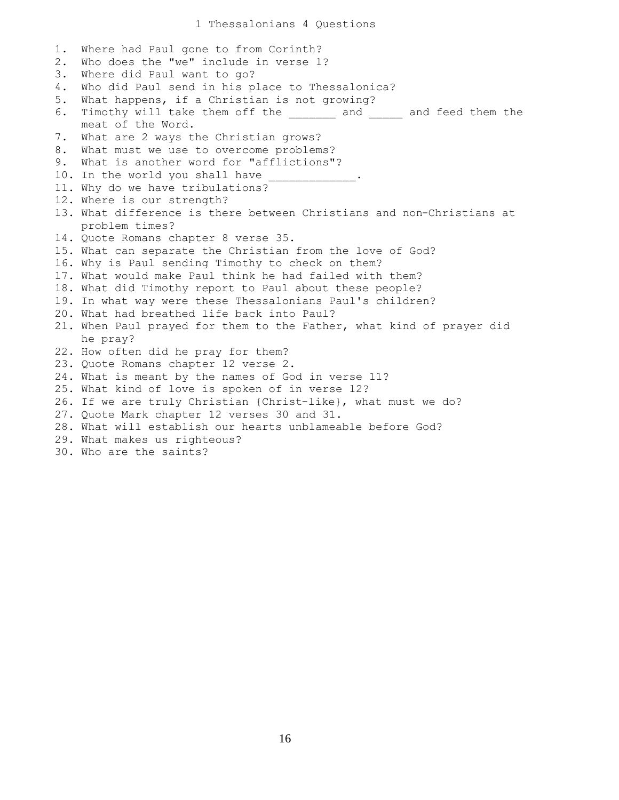| $1$ . | Where had Paul gone to from Corinth?                                  |
|-------|-----------------------------------------------------------------------|
| $2$ . | Who does the "we" include in verse 1?                                 |
| 3.    | Where did Paul want to go?                                            |
| 4.    | Who did Paul send in his place to Thessalonica?                       |
| 5.    | What happens, if a Christian is not growing?                          |
| 6.    | Timothy will take them off the _______ and _____ and feed them the    |
|       | meat of the Word.                                                     |
| 7.    | What are 2 ways the Christian grows?                                  |
| 8.    | What must we use to overcome problems?                                |
| 9.    | What is another word for "afflictions"?                               |
|       | 10. In the world you shall have _____________.                        |
|       | 11. Why do we have tribulations?                                      |
|       | 12. Where is our strength?                                            |
|       | 13. What difference is there between Christians and non-Christians at |
|       | problem times?                                                        |
|       | 14. Quote Romans chapter 8 verse 35.                                  |
|       | 15. What can separate the Christian from the love of God?             |
|       | 16. Why is Paul sending Timothy to check on them?                     |
|       | 17. What would make Paul think he had failed with them?               |
|       | 18. What did Timothy report to Paul about these people?               |
|       | 19. In what way were these Thessalonians Paul's children?             |
|       | 20. What had breathed life back into Paul?                            |
|       | 21. When Paul prayed for them to the Father, what kind of prayer did  |
|       | he pray?                                                              |
|       | 22. How often did he pray for them?                                   |
|       | 23. Quote Romans chapter 12 verse 2.                                  |
|       | 24. What is meant by the names of God in verse 11?                    |
|       | 25. What kind of love is spoken of in verse 12?                       |
|       | 26. If we are truly Christian {Christ-like}, what must we do?         |
|       | 27. Quote Mark chapter 12 verses 30 and 31.                           |
|       | 28. What will establish our hearts unblameable before God?            |
|       | 29. What makes us righteous?                                          |
|       | 30. Who are the saints?                                               |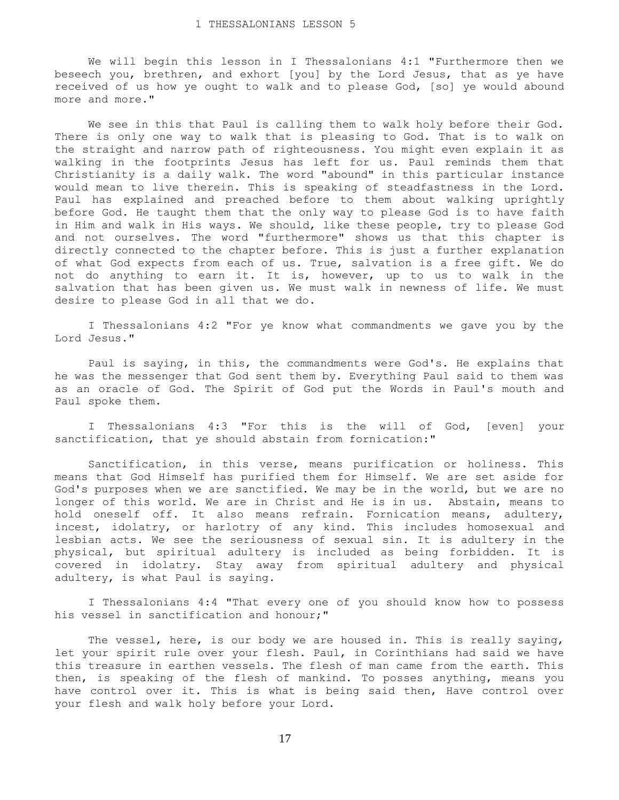We will begin this lesson in I Thessalonians 4:1 "Furthermore then we beseech you, brethren, and exhort [you] by the Lord Jesus, that as ye have received of us how ye ought to walk and to please God, [so] ye would abound more and more."

 We see in this that Paul is calling them to walk holy before their God. There is only one way to walk that is pleasing to God. That is to walk on the straight and narrow path of righteousness. You might even explain it as walking in the footprints Jesus has left for us. Paul reminds them that Christianity is a daily walk. The word "abound" in this particular instance would mean to live therein. This is speaking of steadfastness in the Lord. Paul has explained and preached before to them about walking uprightly before God. He taught them that the only way to please God is to have faith in Him and walk in His ways. We should, like these people, try to please God and not ourselves. The word "furthermore" shows us that this chapter is directly connected to the chapter before. This is just a further explanation of what God expects from each of us. True, salvation is a free gift. We do not do anything to earn it. It is, however, up to us to walk in the salvation that has been given us. We must walk in newness of life. We must desire to please God in all that we do.

 I Thessalonians 4:2 "For ye know what commandments we gave you by the Lord Jesus."

 Paul is saying, in this, the commandments were God's. He explains that he was the messenger that God sent them by. Everything Paul said to them was as an oracle of God. The Spirit of God put the Words in Paul's mouth and Paul spoke them.

 I Thessalonians 4:3 "For this is the will of God, [even] your sanctification, that ye should abstain from fornication:"

 Sanctification, in this verse, means purification or holiness. This means that God Himself has purified them for Himself. We are set aside for God's purposes when we are sanctified. We may be in the world, but we are no longer of this world. We are in Christ and He is in us. Abstain, means to hold oneself off. It also means refrain. Fornication means, adultery, incest, idolatry, or harlotry of any kind. This includes homosexual and lesbian acts. We see the seriousness of sexual sin. It is adultery in the physical, but spiritual adultery is included as being forbidden. It is covered in idolatry. Stay away from spiritual adultery and physical adultery, is what Paul is saying.

 I Thessalonians 4:4 "That every one of you should know how to possess his vessel in sanctification and honour;"

 The vessel, here, is our body we are housed in. This is really saying, let your spirit rule over your flesh. Paul, in Corinthians had said we have this treasure in earthen vessels. The flesh of man came from the earth. This then, is speaking of the flesh of mankind. To posses anything, means you have control over it. This is what is being said then, Have control over your flesh and walk holy before your Lord.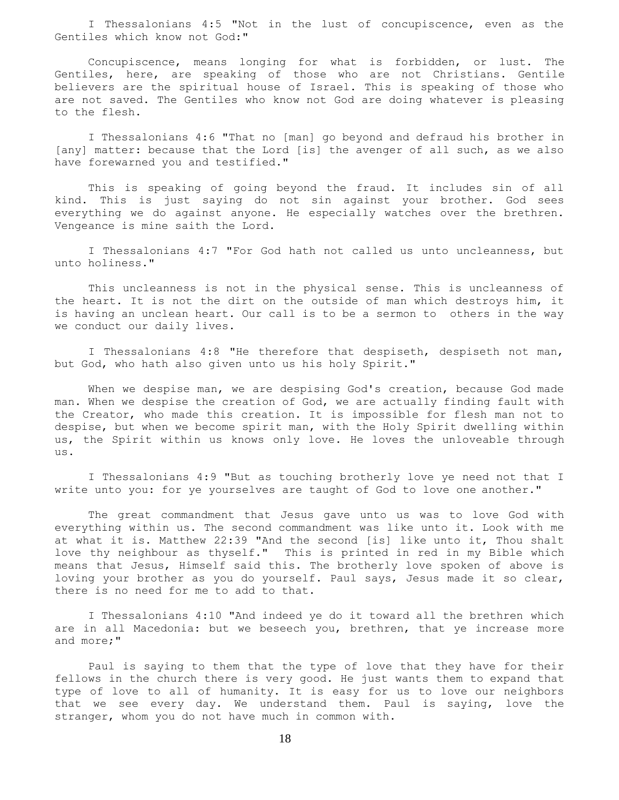I Thessalonians 4:5 "Not in the lust of concupiscence, even as the Gentiles which know not God:"

 Concupiscence, means longing for what is forbidden, or lust. The Gentiles, here, are speaking of those who are not Christians. Gentile believers are the spiritual house of Israel. This is speaking of those who are not saved. The Gentiles who know not God are doing whatever is pleasing to the flesh.

 I Thessalonians 4:6 "That no [man] go beyond and defraud his brother in [any] matter: because that the Lord [is] the avenger of all such, as we also have forewarned you and testified."

 This is speaking of going beyond the fraud. It includes sin of all kind. This is just saying do not sin against your brother. God sees everything we do against anyone. He especially watches over the brethren. Vengeance is mine saith the Lord.

 I Thessalonians 4:7 "For God hath not called us unto uncleanness, but unto holiness."

 This uncleanness is not in the physical sense. This is uncleanness of the heart. It is not the dirt on the outside of man which destroys him, it is having an unclean heart. Our call is to be a sermon to others in the way we conduct our daily lives.

I Thessalonians 4:8 "He therefore that despiseth, despiseth not man, but God, who hath also given unto us his holy Spirit."

 When we despise man, we are despising God's creation, because God made man. When we despise the creation of God, we are actually finding fault with the Creator, who made this creation. It is impossible for flesh man not to despise, but when we become spirit man, with the Holy Spirit dwelling within us, the Spirit within us knows only love. He loves the unloveable through us.

 I Thessalonians 4:9 "But as touching brotherly love ye need not that I write unto you: for ye yourselves are taught of God to love one another."

 The great commandment that Jesus gave unto us was to love God with everything within us. The second commandment was like unto it. Look with me at what it is. Matthew 22:39 "And the second [is] like unto it, Thou shalt love thy neighbour as thyself." This is printed in red in my Bible which means that Jesus, Himself said this. The brotherly love spoken of above is loving your brother as you do yourself. Paul says, Jesus made it so clear, there is no need for me to add to that.

 I Thessalonians 4:10 "And indeed ye do it toward all the brethren which are in all Macedonia: but we beseech you, brethren, that ye increase more and more;"

 Paul is saying to them that the type of love that they have for their fellows in the church there is very good. He just wants them to expand that type of love to all of humanity. It is easy for us to love our neighbors that we see every day. We understand them. Paul is saying, love the stranger, whom you do not have much in common with.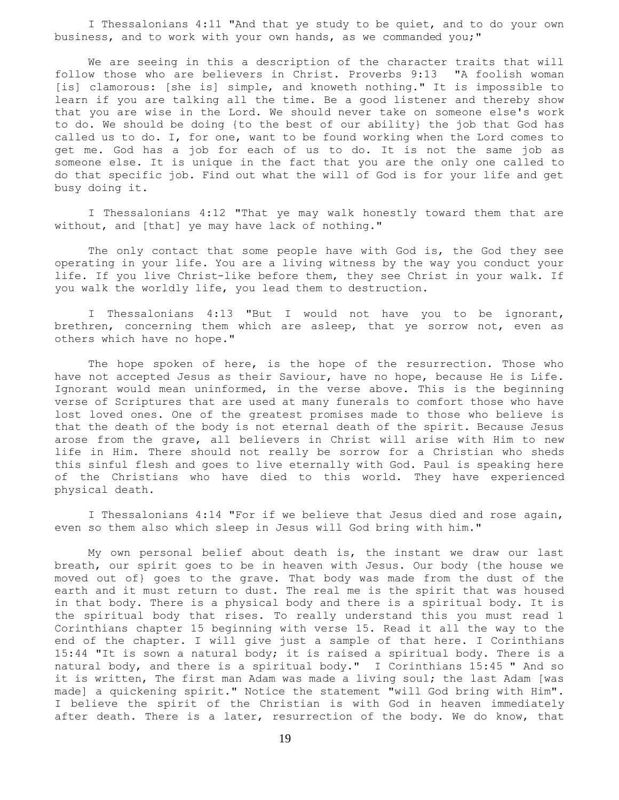I Thessalonians 4:11 "And that ye study to be quiet, and to do your own business, and to work with your own hands, as we commanded you;"

 We are seeing in this a description of the character traits that will follow those who are believers in Christ. Proverbs 9:13 "A foolish woman [is] clamorous: [she is] simple, and knoweth nothing." It is impossible to learn if you are talking all the time. Be a good listener and thereby show that you are wise in the Lord. We should never take on someone else's work to do. We should be doing {to the best of our ability} the job that God has called us to do. I, for one, want to be found working when the Lord comes to get me. God has a job for each of us to do. It is not the same job as someone else. It is unique in the fact that you are the only one called to do that specific job. Find out what the will of God is for your life and get busy doing it.

 I Thessalonians 4:12 "That ye may walk honestly toward them that are without, and [that] ye may have lack of nothing."

 The only contact that some people have with God is, the God they see operating in your life. You are a living witness by the way you conduct your life. If you live Christ-like before them, they see Christ in your walk. If you walk the worldly life, you lead them to destruction.

 I Thessalonians 4:13 "But I would not have you to be ignorant, brethren, concerning them which are asleep, that ye sorrow not, even as others which have no hope."

 The hope spoken of here, is the hope of the resurrection. Those who have not accepted Jesus as their Saviour, have no hope, because He is Life. Ignorant would mean uninformed, in the verse above. This is the beginning verse of Scriptures that are used at many funerals to comfort those who have lost loved ones. One of the greatest promises made to those who believe is that the death of the body is not eternal death of the spirit. Because Jesus arose from the grave, all believers in Christ will arise with Him to new life in Him. There should not really be sorrow for a Christian who sheds this sinful flesh and goes to live eternally with God. Paul is speaking here of the Christians who have died to this world. They have experienced physical death.

 I Thessalonians 4:14 "For if we believe that Jesus died and rose again, even so them also which sleep in Jesus will God bring with him."

 My own personal belief about death is, the instant we draw our last breath, our spirit goes to be in heaven with Jesus. Our body {the house we moved out of} goes to the grave. That body was made from the dust of the earth and it must return to dust. The real me is the spirit that was housed in that body. There is a physical body and there is a spiritual body. It is the spiritual body that rises. To really understand this you must read 1 Corinthians chapter 15 beginning with verse 15. Read it all the way to the end of the chapter. I will give just a sample of that here. I Corinthians 15:44 "It is sown a natural body; it is raised a spiritual body. There is a natural body, and there is a spiritual body." I Corinthians 15:45 " And so it is written, The first man Adam was made a living soul; the last Adam [was made] a quickening spirit." Notice the statement "will God bring with Him". I believe the spirit of the Christian is with God in heaven immediately after death. There is a later, resurrection of the body. We do know, that

19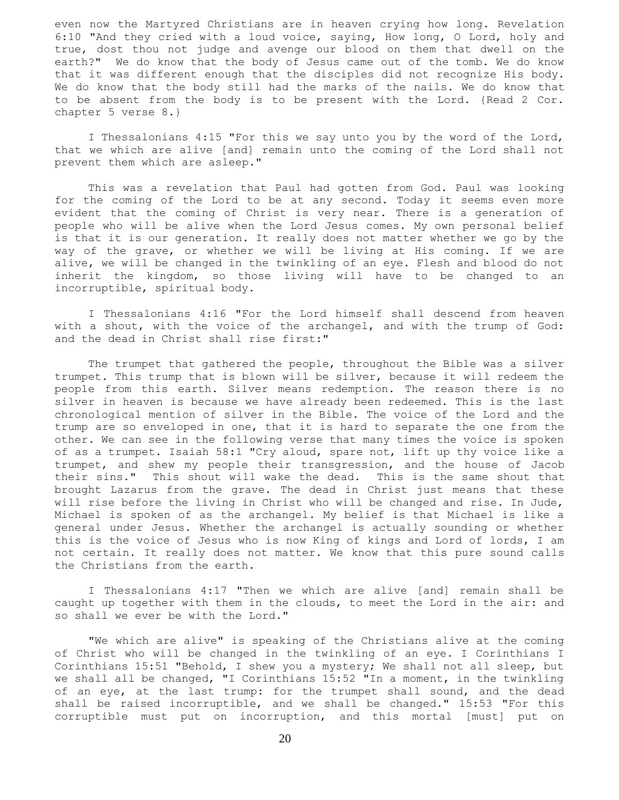even now the Martyred Christians are in heaven crying how long. Revelation 6:10 "And they cried with a loud voice, saying, How long, O Lord, holy and true, dost thou not judge and avenge our blood on them that dwell on the earth?" We do know that the body of Jesus came out of the tomb. We do know that it was different enough that the disciples did not recognize His body. We do know that the body still had the marks of the nails. We do know that to be absent from the body is to be present with the Lord. {Read 2 Cor. chapter 5 verse 8.}

 I Thessalonians 4:15 "For this we say unto you by the word of the Lord, that we which are alive [and] remain unto the coming of the Lord shall not prevent them which are asleep."

 This was a revelation that Paul had gotten from God. Paul was looking for the coming of the Lord to be at any second. Today it seems even more evident that the coming of Christ is very near. There is a generation of people who will be alive when the Lord Jesus comes. My own personal belief is that it is our generation. It really does not matter whether we go by the way of the grave, or whether we will be living at His coming. If we are alive, we will be changed in the twinkling of an eye. Flesh and blood do not inherit the kingdom, so those living will have to be changed to an incorruptible, spiritual body.

 I Thessalonians 4:16 "For the Lord himself shall descend from heaven with a shout, with the voice of the archangel, and with the trump of God: and the dead in Christ shall rise first:"

 The trumpet that gathered the people, throughout the Bible was a silver trumpet. This trump that is blown will be silver, because it will redeem the people from this earth. Silver means redemption. The reason there is no silver in heaven is because we have already been redeemed. This is the last chronological mention of silver in the Bible. The voice of the Lord and the trump are so enveloped in one, that it is hard to separate the one from the other. We can see in the following verse that many times the voice is spoken of as a trumpet. Isaiah 58:1 "Cry aloud, spare not, lift up thy voice like a trumpet, and shew my people their transgression, and the house of Jacob their sins." This shout will wake the dead. This is the same shout that brought Lazarus from the grave. The dead in Christ just means that these will rise before the living in Christ who will be changed and rise. In Jude, Michael is spoken of as the archangel. My belief is that Michael is like a general under Jesus. Whether the archangel is actually sounding or whether this is the voice of Jesus who is now King of kings and Lord of lords, I am not certain. It really does not matter. We know that this pure sound calls the Christians from the earth.

 I Thessalonians 4:17 "Then we which are alive [and] remain shall be caught up together with them in the clouds, to meet the Lord in the air: and so shall we ever be with the Lord."

 "We which are alive" is speaking of the Christians alive at the coming of Christ who will be changed in the twinkling of an eye. I Corinthians I Corinthians 15:51 "Behold, I shew you a mystery; We shall not all sleep, but we shall all be changed, "I Corinthians 15:52 "In a moment, in the twinkling of an eye, at the last trump: for the trumpet shall sound, and the dead shall be raised incorruptible, and we shall be changed." 15:53 "For this corruptible must put on incorruption, and this mortal [must] put on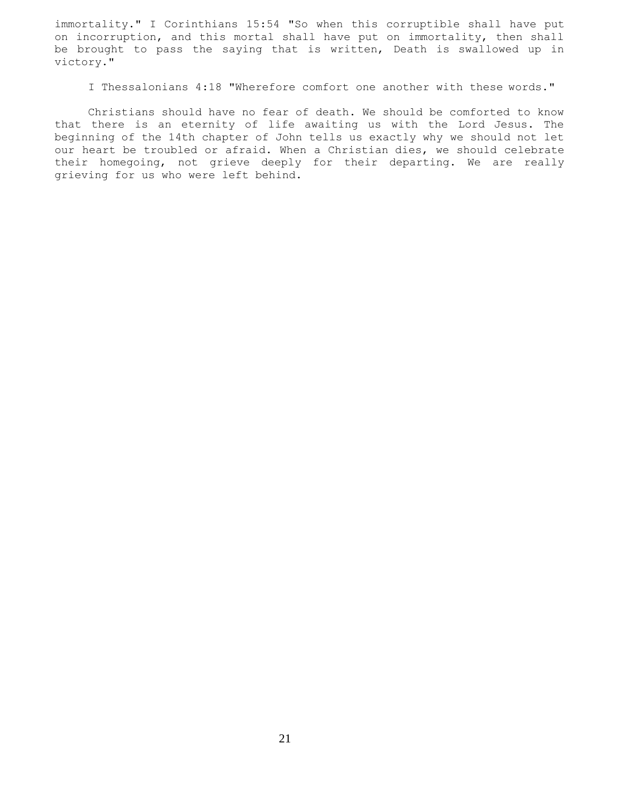immortality." I Corinthians 15:54 "So when this corruptible shall have put on incorruption, and this mortal shall have put on immortality, then shall be brought to pass the saying that is written, Death is swallowed up in victory."

I Thessalonians 4:18 "Wherefore comfort one another with these words."

 Christians should have no fear of death. We should be comforted to know that there is an eternity of life awaiting us with the Lord Jesus. The beginning of the 14th chapter of John tells us exactly why we should not let our heart be troubled or afraid. When a Christian dies, we should celebrate their homegoing, not grieve deeply for their departing. We are really grieving for us who were left behind.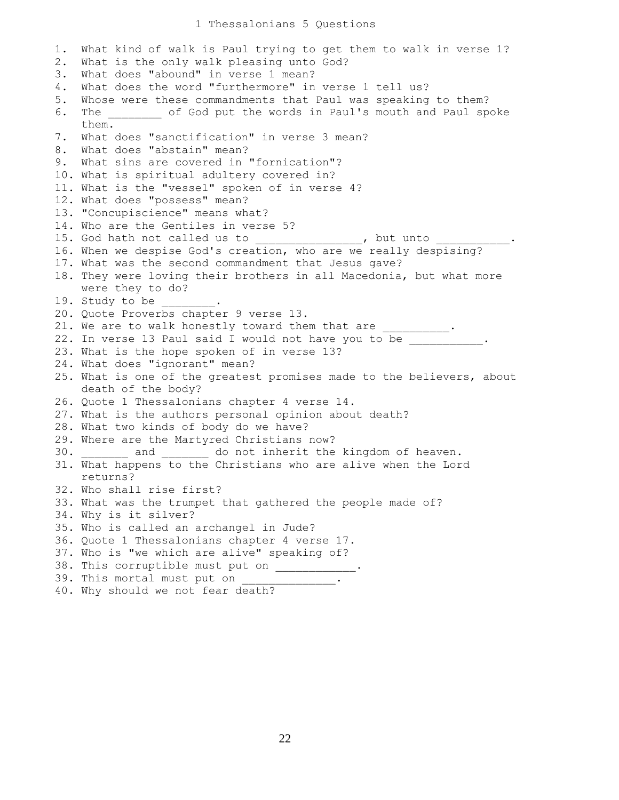## 1 Thessalonians 5 Questions

```
1. What kind of walk is Paul trying to get them to walk in verse 1?
2. What is the only walk pleasing unto God?
3. What does "abound" in verse 1 mean?
4. What does the word "furthermore" in verse 1 tell us?
5. Whose were these commandments that Paul was speaking to them?
6. The ________ of God put the words in Paul's mouth and Paul spoke
    them.
7. What does "sanctification" in verse 3 mean?
8. What does "abstain" mean?
9. What sins are covered in "fornication"?
10. What is spiritual adultery covered in?
11. What is the "vessel" spoken of in verse 4?
12. What does "possess" mean?
13. "Concupiscience" means what?
14. Who are the Gentiles in verse 5?
15. God hath not called us to _______________, but unto ____________.
16. When we despise God's creation, who are we really despising?
17. What was the second commandment that Jesus gave?
18. They were loving their brothers in all Macedonia, but what more
    were they to do?
19. Study to be
20. Quote Proverbs chapter 9 verse 13.
21. We are to walk honestly toward them that are ___________.
22. In verse 13 Paul said I would not have you to be
23. What is the hope spoken of in verse 13?
24. What does "ignorant" mean?
25. What is one of the greatest promises made to the believers, about
    death of the body?
26. Quote 1 Thessalonians chapter 4 verse 14.
27. What is the authors personal opinion about death?
28. What two kinds of body do we have?
29. Where are the Martyred Christians now?
30. _______ and _______ do not inherit the kingdom of heaven.
31. What happens to the Christians who are alive when the Lord
    returns?
32. Who shall rise first?
33. What was the trumpet that gathered the people made of?
34. Why is it silver?
35. Who is called an archangel in Jude?
36. Quote 1 Thessalonians chapter 4 verse 17.
37. Who is "we which are alive" speaking of?
38. This corruptible must put on ___________
39. This mortal must put on \frac{1}{2} \frac{1}{2}.
40. Why should we not fear death?
```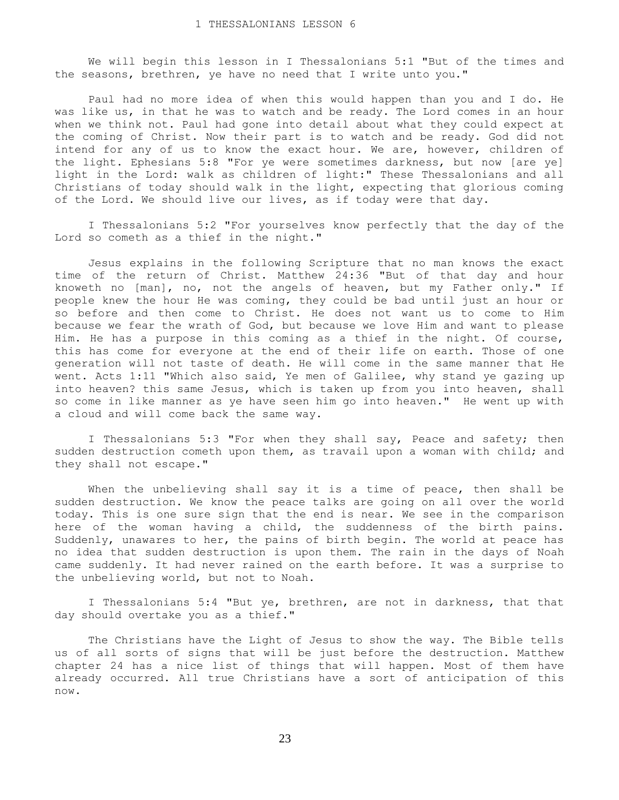We will begin this lesson in I Thessalonians 5:1 "But of the times and the seasons, brethren, ye have no need that I write unto you."

 Paul had no more idea of when this would happen than you and I do. He was like us, in that he was to watch and be ready. The Lord comes in an hour when we think not. Paul had gone into detail about what they could expect at the coming of Christ. Now their part is to watch and be ready. God did not intend for any of us to know the exact hour. We are, however, children of the light. Ephesians 5:8 "For ye were sometimes darkness, but now [are ye] light in the Lord: walk as children of light:" These Thessalonians and all Christians of today should walk in the light, expecting that glorious coming of the Lord. We should live our lives, as if today were that day.

 I Thessalonians 5:2 "For yourselves know perfectly that the day of the Lord so cometh as a thief in the night."

 Jesus explains in the following Scripture that no man knows the exact time of the return of Christ. Matthew 24:36 "But of that day and hour knoweth no [man], no, not the angels of heaven, but my Father only." If people knew the hour He was coming, they could be bad until just an hour or so before and then come to Christ. He does not want us to come to Him because we fear the wrath of God, but because we love Him and want to please Him. He has a purpose in this coming as a thief in the night. Of course, this has come for everyone at the end of their life on earth. Those of one generation will not taste of death. He will come in the same manner that He went. Acts 1:11 "Which also said, Ye men of Galilee, why stand ye gazing up into heaven? this same Jesus, which is taken up from you into heaven, shall so come in like manner as ye have seen him go into heaven." He went up with a cloud and will come back the same way.

 I Thessalonians 5:3 "For when they shall say, Peace and safety; then sudden destruction cometh upon them, as travail upon a woman with child; and they shall not escape."

 When the unbelieving shall say it is a time of peace, then shall be sudden destruction. We know the peace talks are going on all over the world today. This is one sure sign that the end is near. We see in the comparison here of the woman having a child, the suddenness of the birth pains. Suddenly, unawares to her, the pains of birth begin. The world at peace has no idea that sudden destruction is upon them. The rain in the days of Noah came suddenly. It had never rained on the earth before. It was a surprise to the unbelieving world, but not to Noah.

 I Thessalonians 5:4 "But ye, brethren, are not in darkness, that that day should overtake you as a thief."

 The Christians have the Light of Jesus to show the way. The Bible tells us of all sorts of signs that will be just before the destruction. Matthew chapter 24 has a nice list of things that will happen. Most of them have already occurred. All true Christians have a sort of anticipation of this now.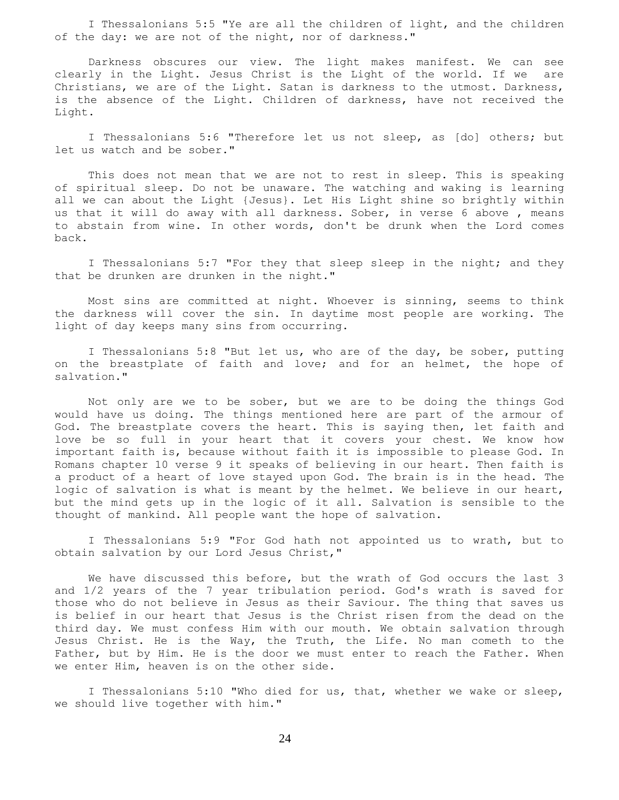I Thessalonians 5:5 "Ye are all the children of light, and the children of the day: we are not of the night, nor of darkness."

 Darkness obscures our view. The light makes manifest. We can see clearly in the Light. Jesus Christ is the Light of the world. If we are Christians, we are of the Light. Satan is darkness to the utmost. Darkness, is the absence of the Light. Children of darkness, have not received the Light.

 I Thessalonians 5:6 "Therefore let us not sleep, as [do] others; but let us watch and be sober."

 This does not mean that we are not to rest in sleep. This is speaking of spiritual sleep. Do not be unaware. The watching and waking is learning all we can about the Light {Jesus}. Let His Light shine so brightly within us that it will do away with all darkness. Sober, in verse 6 above , means to abstain from wine. In other words, don't be drunk when the Lord comes back.

 I Thessalonians 5:7 "For they that sleep sleep in the night; and they that be drunken are drunken in the night."

 Most sins are committed at night. Whoever is sinning, seems to think the darkness will cover the sin. In daytime most people are working. The light of day keeps many sins from occurring.

 I Thessalonians 5:8 "But let us, who are of the day, be sober, putting on the breastplate of faith and love; and for an helmet, the hope of salvation."

 Not only are we to be sober, but we are to be doing the things God would have us doing. The things mentioned here are part of the armour of God. The breastplate covers the heart. This is saying then, let faith and love be so full in your heart that it covers your chest. We know how important faith is, because without faith it is impossible to please God. In Romans chapter 10 verse 9 it speaks of believing in our heart. Then faith is a product of a heart of love stayed upon God. The brain is in the head. The logic of salvation is what is meant by the helmet. We believe in our heart, but the mind gets up in the logic of it all. Salvation is sensible to the thought of mankind. All people want the hope of salvation.

 I Thessalonians 5:9 "For God hath not appointed us to wrath, but to obtain salvation by our Lord Jesus Christ,"

We have discussed this before, but the wrath of God occurs the last 3 and 1/2 years of the 7 year tribulation period. God's wrath is saved for those who do not believe in Jesus as their Saviour. The thing that saves us is belief in our heart that Jesus is the Christ risen from the dead on the third day. We must confess Him with our mouth. We obtain salvation through Jesus Christ. He is the Way, the Truth, the Life. No man cometh to the Father, but by Him. He is the door we must enter to reach the Father. When we enter Him, heaven is on the other side.

 I Thessalonians 5:10 "Who died for us, that, whether we wake or sleep, we should live together with him."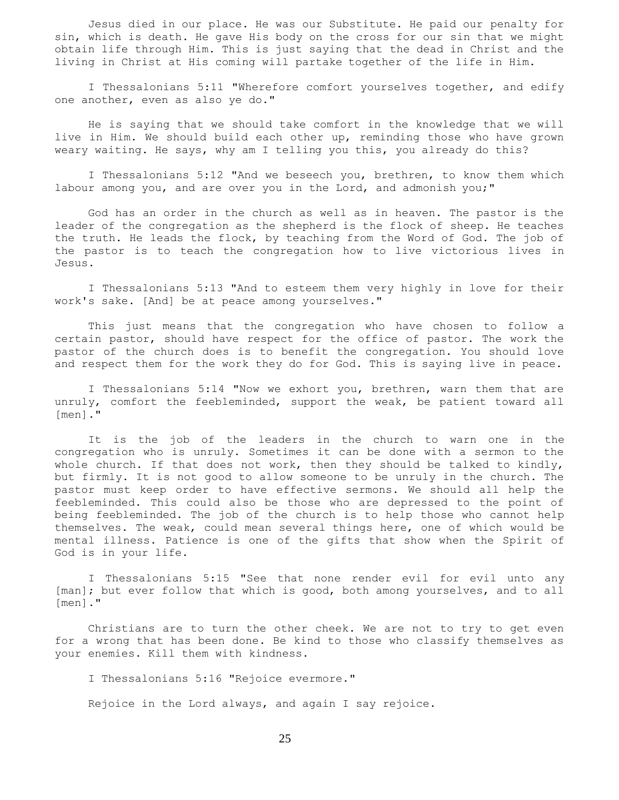Jesus died in our place. He was our Substitute. He paid our penalty for sin, which is death. He gave His body on the cross for our sin that we might obtain life through Him. This is just saying that the dead in Christ and the living in Christ at His coming will partake together of the life in Him.

 I Thessalonians 5:11 "Wherefore comfort yourselves together, and edify one another, even as also ye do."

 He is saying that we should take comfort in the knowledge that we will live in Him. We should build each other up, reminding those who have grown weary waiting. He says, why am I telling you this, you already do this?

I Thessalonians 5:12 "And we beseech you, brethren, to know them which labour among you, and are over you in the Lord, and admonish you;"

 God has an order in the church as well as in heaven. The pastor is the leader of the congregation as the shepherd is the flock of sheep. He teaches the truth. He leads the flock, by teaching from the Word of God. The job of the pastor is to teach the congregation how to live victorious lives in Jesus.

 I Thessalonians 5:13 "And to esteem them very highly in love for their work's sake. [And] be at peace among yourselves."

 This just means that the congregation who have chosen to follow a certain pastor, should have respect for the office of pastor. The work the pastor of the church does is to benefit the congregation. You should love and respect them for the work they do for God. This is saying live in peace.

 I Thessalonians 5:14 "Now we exhort you, brethren, warn them that are unruly, comfort the feebleminded, support the weak, be patient toward all [men]."

 It is the job of the leaders in the church to warn one in the congregation who is unruly. Sometimes it can be done with a sermon to the whole church. If that does not work, then they should be talked to kindly, but firmly. It is not good to allow someone to be unruly in the church. The pastor must keep order to have effective sermons. We should all help the feebleminded. This could also be those who are depressed to the point of being feebleminded. The job of the church is to help those who cannot help themselves. The weak, could mean several things here, one of which would be mental illness. Patience is one of the gifts that show when the Spirit of God is in your life.

 I Thessalonians 5:15 "See that none render evil for evil unto any [man]; but ever follow that which is good, both among yourselves, and to all [men]."

 Christians are to turn the other cheek. We are not to try to get even for a wrong that has been done. Be kind to those who classify themselves as your enemies. Kill them with kindness.

I Thessalonians 5:16 "Rejoice evermore."

Rejoice in the Lord always, and again I say rejoice.

25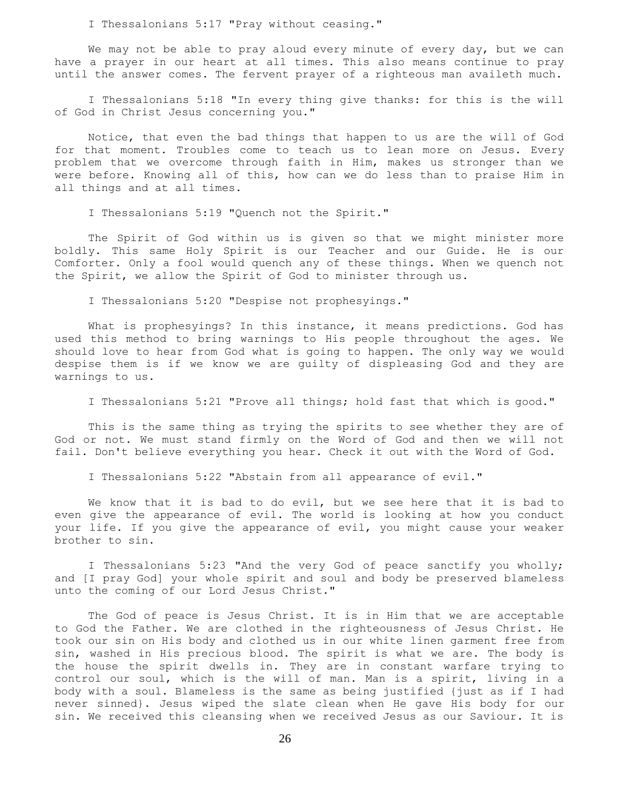I Thessalonians 5:17 "Pray without ceasing."

 We may not be able to pray aloud every minute of every day, but we can have a prayer in our heart at all times. This also means continue to pray until the answer comes. The fervent prayer of a righteous man availeth much.

 I Thessalonians 5:18 "In every thing give thanks: for this is the will of God in Christ Jesus concerning you."

 Notice, that even the bad things that happen to us are the will of God for that moment. Troubles come to teach us to lean more on Jesus. Every problem that we overcome through faith in Him, makes us stronger than we were before. Knowing all of this, how can we do less than to praise Him in all things and at all times.

I Thessalonians 5:19 "Quench not the Spirit."

 The Spirit of God within us is given so that we might minister more boldly. This same Holy Spirit is our Teacher and our Guide. He is our Comforter. Only a fool would quench any of these things. When we quench not the Spirit, we allow the Spirit of God to minister through us.

I Thessalonians 5:20 "Despise not prophesyings."

 What is prophesyings? In this instance, it means predictions. God has used this method to bring warnings to His people throughout the ages. We should love to hear from God what is going to happen. The only way we would despise them is if we know we are guilty of displeasing God and they are warnings to us.

I Thessalonians 5:21 "Prove all things; hold fast that which is good."

 This is the same thing as trying the spirits to see whether they are of God or not. We must stand firmly on the Word of God and then we will not fail. Don't believe everything you hear. Check it out with the Word of God.

I Thessalonians 5:22 "Abstain from all appearance of evil."

 We know that it is bad to do evil, but we see here that it is bad to even give the appearance of evil. The world is looking at how you conduct your life. If you give the appearance of evil, you might cause your weaker brother to sin.

 I Thessalonians 5:23 "And the very God of peace sanctify you wholly; and [I pray God] your whole spirit and soul and body be preserved blameless unto the coming of our Lord Jesus Christ."

 The God of peace is Jesus Christ. It is in Him that we are acceptable to God the Father. We are clothed in the righteousness of Jesus Christ. He took our sin on His body and clothed us in our white linen garment free from sin, washed in His precious blood. The spirit is what we are. The body is the house the spirit dwells in. They are in constant warfare trying to control our soul, which is the will of man. Man is a spirit, living in a body with a soul. Blameless is the same as being justified {just as if I had never sinned}. Jesus wiped the slate clean when He gave His body for our sin. We received this cleansing when we received Jesus as our Saviour. It is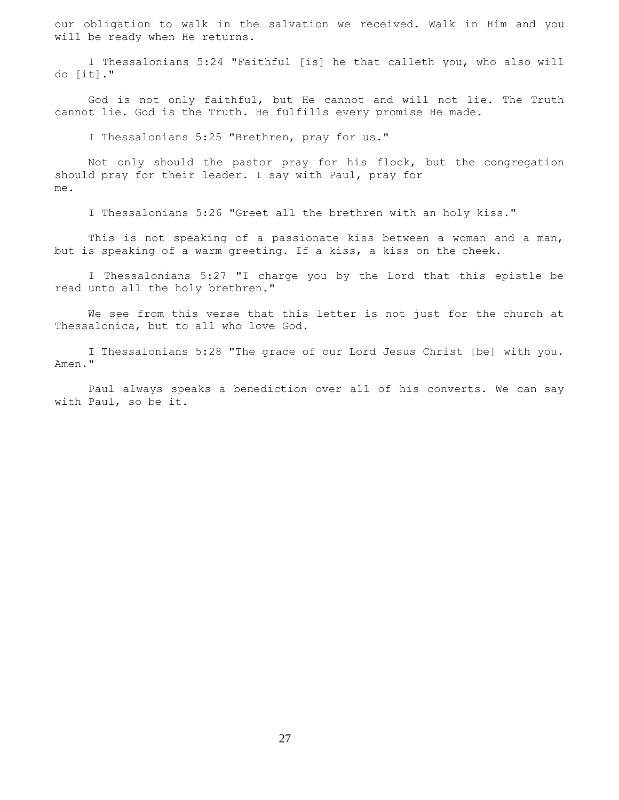our obligation to walk in the salvation we received. Walk in Him and you will be ready when He returns.

 I Thessalonians 5:24 "Faithful [is] he that calleth you, who also will do [it]."

 God is not only faithful, but He cannot and will not lie. The Truth cannot lie. God is the Truth. He fulfills every promise He made.

I Thessalonians 5:25 "Brethren, pray for us."

 Not only should the pastor pray for his flock, but the congregation should pray for their leader. I say with Paul, pray for me.

I Thessalonians 5:26 "Greet all the brethren with an holy kiss."

 This is not speaking of a passionate kiss between a woman and a man, but is speaking of a warm greeting. If a kiss, a kiss on the cheek.

 I Thessalonians 5:27 "I charge you by the Lord that this epistle be read unto all the holy brethren."

 We see from this verse that this letter is not just for the church at Thessalonica, but to all who love God.

 I Thessalonians 5:28 "The grace of our Lord Jesus Christ [be] with you. Amen."

 Paul always speaks a benediction over all of his converts. We can say with Paul, so be it.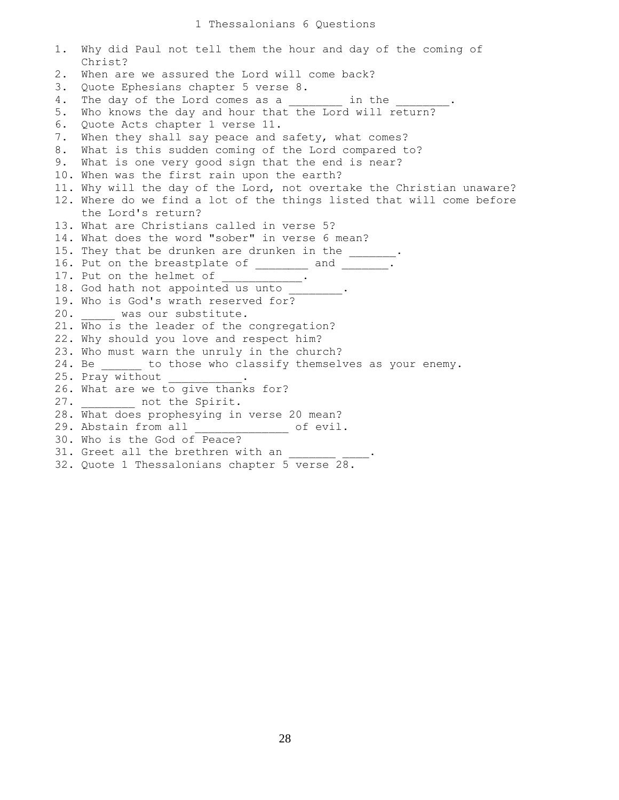1. Why did Paul not tell them the hour and day of the coming of Christ? 2. When are we assured the Lord will come back? 3. Quote Ephesians chapter 5 verse 8. 4. The day of the Lord comes as a \_\_\_\_\_\_\_ in the \_\_\_\_\_\_\_. 5. Who knows the day and hour that the Lord will return? 6. Quote Acts chapter 1 verse 11. 7. When they shall say peace and safety, what comes? 8. What is this sudden coming of the Lord compared to? 9. What is one very good sign that the end is near? 10. When was the first rain upon the earth? 11. Why will the day of the Lord, not overtake the Christian unaware? 12. Where do we find a lot of the things listed that will come before the Lord's return? 13. What are Christians called in verse 5? 14. What does the word "sober" in verse 6 mean? 15. They that be drunken are drunken in the \_\_\_\_\_\_. 16. Put on the breastplate of \_\_\_\_\_\_\_ and \_\_\_\_\_\_\_. 17. Put on the helmet of \_\_\_\_\_\_\_\_\_\_. 18. God hath not appointed us unto 19. Who is God's wrath reserved for? 20. \_\_\_\_\_ was our substitute. 21. Who is the leader of the congregation? 22. Why should you love and respect him? 23. Who must warn the unruly in the church? 24. Be \_\_\_\_\_\_ to those who classify themselves as your enemy. 25. Pray without 26. What are we to give thanks for? 27. \_\_\_\_\_\_\_\_ not the Spirit. 28. What does prophesying in verse 20 mean? 29. Abstain from all \_\_\_\_\_\_\_\_\_\_\_\_\_\_ of evil. 30. Who is the God of Peace? 31. Greet all the brethren with an 32. Quote 1 Thessalonians chapter 5 verse 28.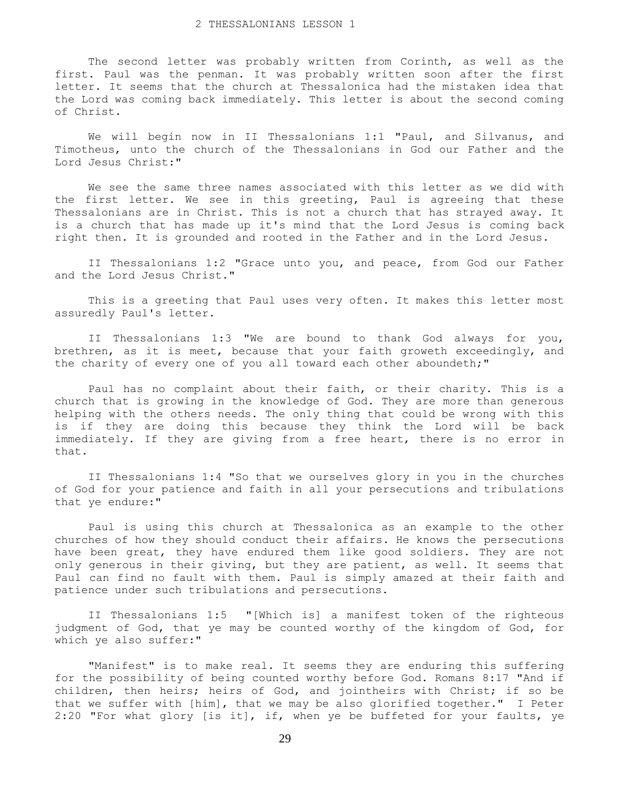The second letter was probably written from Corinth, as well as the first. Paul was the penman. It was probably written soon after the first letter. It seems that the church at Thessalonica had the mistaken idea that the Lord was coming back immediately. This letter is about the second coming of Christ.

 We will begin now in II Thessalonians 1:1 "Paul, and Silvanus, and Timotheus, unto the church of the Thessalonians in God our Father and the Lord Jesus Christ:"

 We see the same three names associated with this letter as we did with the first letter. We see in this greeting, Paul is agreeing that these Thessalonians are in Christ. This is not a church that has strayed away. It is a church that has made up it's mind that the Lord Jesus is coming back right then. It is grounded and rooted in the Father and in the Lord Jesus.

 II Thessalonians 1:2 "Grace unto you, and peace, from God our Father and the Lord Jesus Christ."

 This is a greeting that Paul uses very often. It makes this letter most assuredly Paul's letter.

 II Thessalonians 1:3 "We are bound to thank God always for you, brethren, as it is meet, because that your faith groweth exceedingly, and the charity of every one of you all toward each other aboundeth;"

 Paul has no complaint about their faith, or their charity. This is a church that is growing in the knowledge of God. They are more than generous helping with the others needs. The only thing that could be wrong with this is if they are doing this because they think the Lord will be back immediately. If they are giving from a free heart, there is no error in that.

 II Thessalonians 1:4 "So that we ourselves glory in you in the churches of God for your patience and faith in all your persecutions and tribulations that ye endure:"

 Paul is using this church at Thessalonica as an example to the other churches of how they should conduct their affairs. He knows the persecutions have been great, they have endured them like good soldiers. They are not only generous in their giving, but they are patient, as well. It seems that Paul can find no fault with them. Paul is simply amazed at their faith and patience under such tribulations and persecutions.

 II Thessalonians 1:5 "[Which is] a manifest token of the righteous judgment of God, that ye may be counted worthy of the kingdom of God, for which ye also suffer:"

 "Manifest" is to make real. It seems they are enduring this suffering for the possibility of being counted worthy before God. Romans 8:17 "And if children, then heirs; heirs of God, and jointheirs with Christ; if so be that we suffer with [him], that we may be also glorified together." I Peter 2:20 "For what glory [is it], if, when ye be buffeted for your faults, ye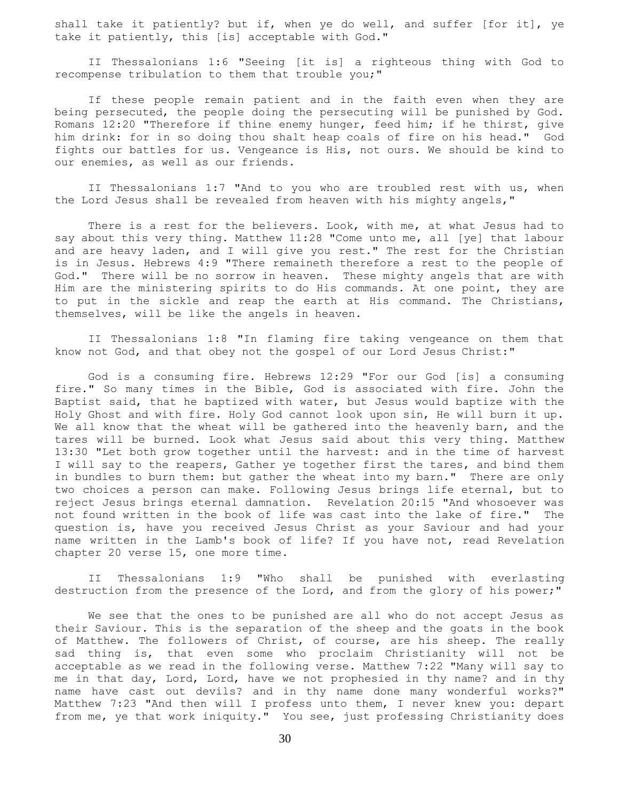shall take it patiently? but if, when ye do well, and suffer [for it], ye take it patiently, this [is] acceptable with God."

 II Thessalonians 1:6 "Seeing [it is] a righteous thing with God to recompense tribulation to them that trouble you;"

 If these people remain patient and in the faith even when they are being persecuted, the people doing the persecuting will be punished by God. Romans 12:20 "Therefore if thine enemy hunger, feed him; if he thirst, give him drink: for in so doing thou shalt heap coals of fire on his head." God fights our battles for us. Vengeance is His, not ours. We should be kind to our enemies, as well as our friends.

 II Thessalonians 1:7 "And to you who are troubled rest with us, when the Lord Jesus shall be revealed from heaven with his mighty angels,"

 There is a rest for the believers. Look, with me, at what Jesus had to say about this very thing. Matthew 11:28 "Come unto me, all [ye] that labour and are heavy laden, and I will give you rest." The rest for the Christian is in Jesus. Hebrews 4:9 "There remaineth therefore a rest to the people of God." There will be no sorrow in heaven. These mighty angels that are with Him are the ministering spirits to do His commands. At one point, they are to put in the sickle and reap the earth at His command. The Christians, themselves, will be like the angels in heaven.

 II Thessalonians 1:8 "In flaming fire taking vengeance on them that know not God, and that obey not the gospel of our Lord Jesus Christ:"

 God is a consuming fire. Hebrews 12:29 "For our God [is] a consuming fire." So many times in the Bible, God is associated with fire. John the Baptist said, that he baptized with water, but Jesus would baptize with the Holy Ghost and with fire. Holy God cannot look upon sin, He will burn it up. We all know that the wheat will be gathered into the heavenly barn, and the tares will be burned. Look what Jesus said about this very thing. Matthew 13:30 "Let both grow together until the harvest: and in the time of harvest I will say to the reapers, Gather ye together first the tares, and bind them in bundles to burn them: but gather the wheat into my barn." There are only two choices a person can make. Following Jesus brings life eternal, but to reject Jesus brings eternal damnation. Revelation 20:15 "And whosoever was not found written in the book of life was cast into the lake of fire." The question is, have you received Jesus Christ as your Saviour and had your name written in the Lamb's book of life? If you have not, read Revelation chapter 20 verse 15, one more time.

 II Thessalonians 1:9 "Who shall be punished with everlasting destruction from the presence of the Lord, and from the glory of his power;"

 We see that the ones to be punished are all who do not accept Jesus as their Saviour. This is the separation of the sheep and the goats in the book of Matthew. The followers of Christ, of course, are his sheep. The really sad thing is, that even some who proclaim Christianity will not be acceptable as we read in the following verse. Matthew 7:22 "Many will say to me in that day, Lord, Lord, have we not prophesied in thy name? and in thy name have cast out devils? and in thy name done many wonderful works?" Matthew 7:23 "And then will I profess unto them, I never knew you: depart from me, ye that work iniquity." You see, just professing Christianity does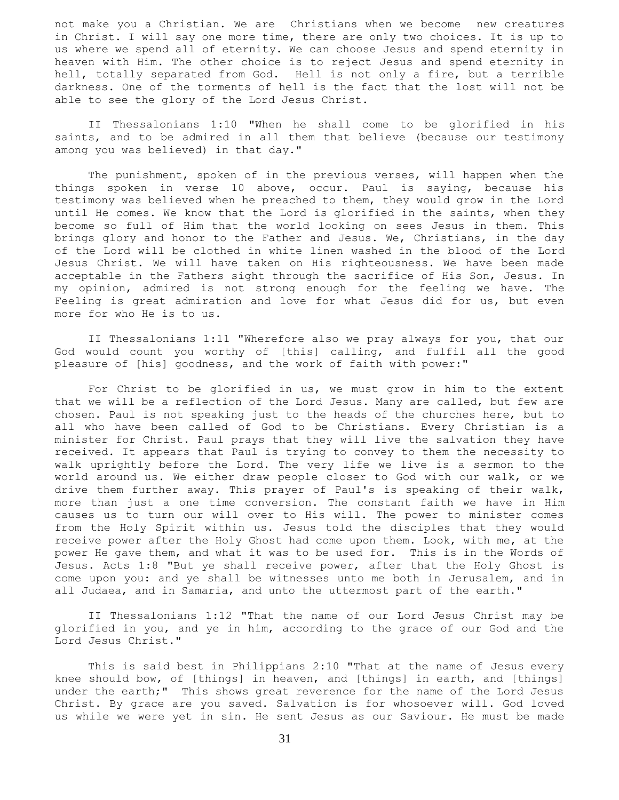not make you a Christian. We are Christians when we become new creatures in Christ. I will say one more time, there are only two choices. It is up to us where we spend all of eternity. We can choose Jesus and spend eternity in heaven with Him. The other choice is to reject Jesus and spend eternity in hell, totally separated from God. Hell is not only a fire, but a terrible darkness. One of the torments of hell is the fact that the lost will not be able to see the glory of the Lord Jesus Christ.

 II Thessalonians 1:10 "When he shall come to be glorified in his saints, and to be admired in all them that believe (because our testimony among you was believed) in that day."

 The punishment, spoken of in the previous verses, will happen when the things spoken in verse 10 above, occur. Paul is saying, because his testimony was believed when he preached to them, they would grow in the Lord until He comes. We know that the Lord is glorified in the saints, when they become so full of Him that the world looking on sees Jesus in them. This brings glory and honor to the Father and Jesus. We, Christians, in the day of the Lord will be clothed in white linen washed in the blood of the Lord Jesus Christ. We will have taken on His righteousness. We have been made acceptable in the Fathers sight through the sacrifice of His Son, Jesus. In my opinion, admired is not strong enough for the feeling we have. The Feeling is great admiration and love for what Jesus did for us, but even more for who He is to us.

 II Thessalonians 1:11 "Wherefore also we pray always for you, that our God would count you worthy of [this] calling, and fulfil all the good pleasure of [his] goodness, and the work of faith with power:"

 For Christ to be glorified in us, we must grow in him to the extent that we will be a reflection of the Lord Jesus. Many are called, but few are chosen. Paul is not speaking just to the heads of the churches here, but to all who have been called of God to be Christians. Every Christian is a minister for Christ. Paul prays that they will live the salvation they have received. It appears that Paul is trying to convey to them the necessity to walk uprightly before the Lord. The very life we live is a sermon to the world around us. We either draw people closer to God with our walk, or we drive them further away. This prayer of Paul's is speaking of their walk, more than just a one time conversion. The constant faith we have in Him causes us to turn our will over to His will. The power to minister comes from the Holy Spirit within us. Jesus told the disciples that they would receive power after the Holy Ghost had come upon them. Look, with me, at the power He gave them, and what it was to be used for. This is in the Words of Jesus. Acts 1:8 "But ye shall receive power, after that the Holy Ghost is come upon you: and ye shall be witnesses unto me both in Jerusalem, and in all Judaea, and in Samaria, and unto the uttermost part of the earth."

 II Thessalonians 1:12 "That the name of our Lord Jesus Christ may be glorified in you, and ye in him, according to the grace of our God and the Lord Jesus Christ."

 This is said best in Philippians 2:10 "That at the name of Jesus every knee should bow, of [things] in heaven, and [things] in earth, and [things] under the earth;" This shows great reverence for the name of the Lord Jesus Christ. By grace are you saved. Salvation is for whosoever will. God loved us while we were yet in sin. He sent Jesus as our Saviour. He must be made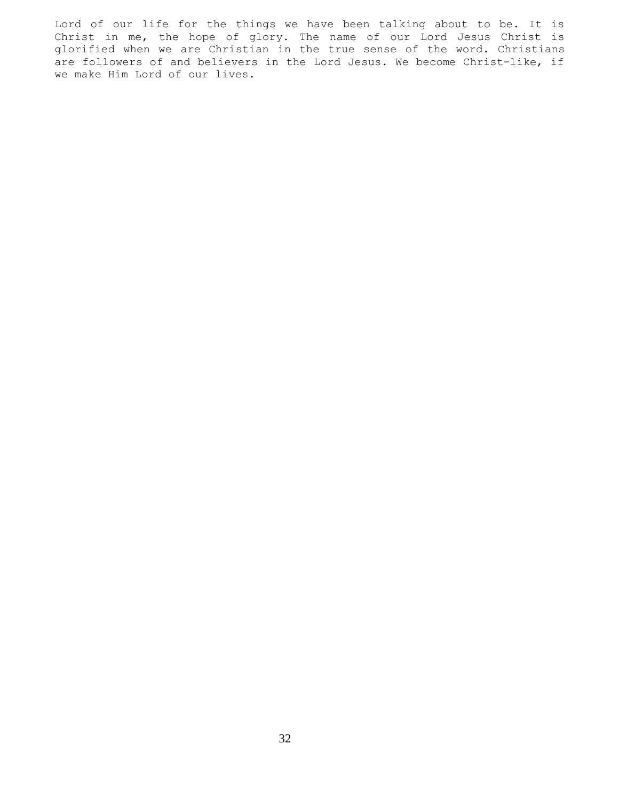Lord of our life for the things we have been talking about to be. It is Christ in me, the hope of glory. The name of our Lord Jesus Christ is glorified when we are Christian in the true sense of the word. Christians are followers of and believers in the Lord Jesus. We become Christ-like, if we make Him Lord of our lives.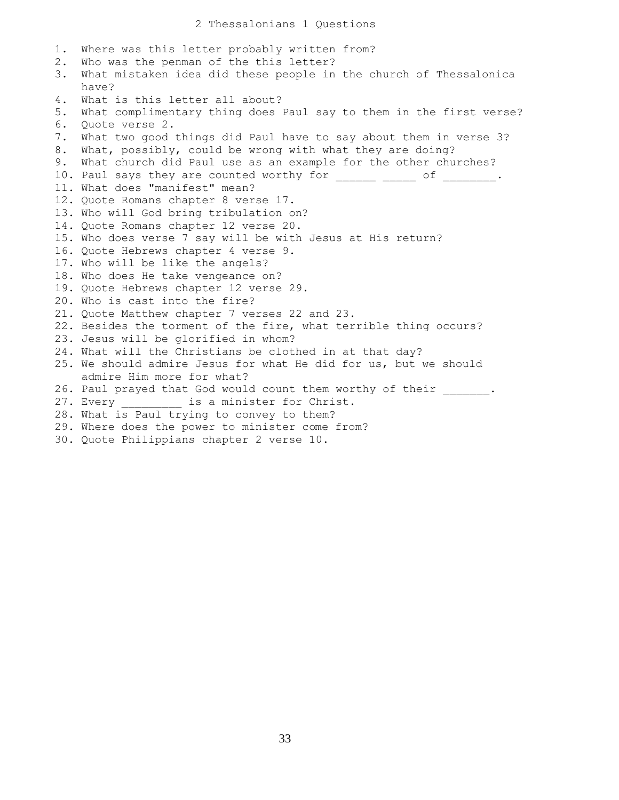1. Where was this letter probably written from? 2. Who was the penman of the this letter? 3. What mistaken idea did these people in the church of Thessalonica have? 4. What is this letter all about? 5. What complimentary thing does Paul say to them in the first verse? 6. Quote verse 2. 7. What two good things did Paul have to say about them in verse 3? 8. What, possibly, could be wrong with what they are doing? 9. What church did Paul use as an example for the other churches? 10. Paul says they are counted worthy for \_\_\_\_\_\_\_ \_\_\_\_\_ of \_\_\_\_\_\_\_\_. 11. What does "manifest" mean? 12. Quote Romans chapter 8 verse 17. 13. Who will God bring tribulation on? 14. Quote Romans chapter 12 verse 20. 15. Who does verse 7 say will be with Jesus at His return? 16. Quote Hebrews chapter 4 verse 9. 17. Who will be like the angels? 18. Who does He take vengeance on? 19. Quote Hebrews chapter 12 verse 29. 20. Who is cast into the fire? 21. Quote Matthew chapter 7 verses 22 and 23. 22. Besides the torment of the fire, what terrible thing occurs? 23. Jesus will be glorified in whom? 24. What will the Christians be clothed in at that day? 25. We should admire Jesus for what He did for us, but we should admire Him more for what? 26. Paul prayed that God would count them worthy of their . 27. Every \_\_\_\_\_\_\_\_\_\_ is a minister for Christ. 28. What is Paul trying to convey to them? 29. Where does the power to minister come from? 30. Quote Philippians chapter 2 verse 10.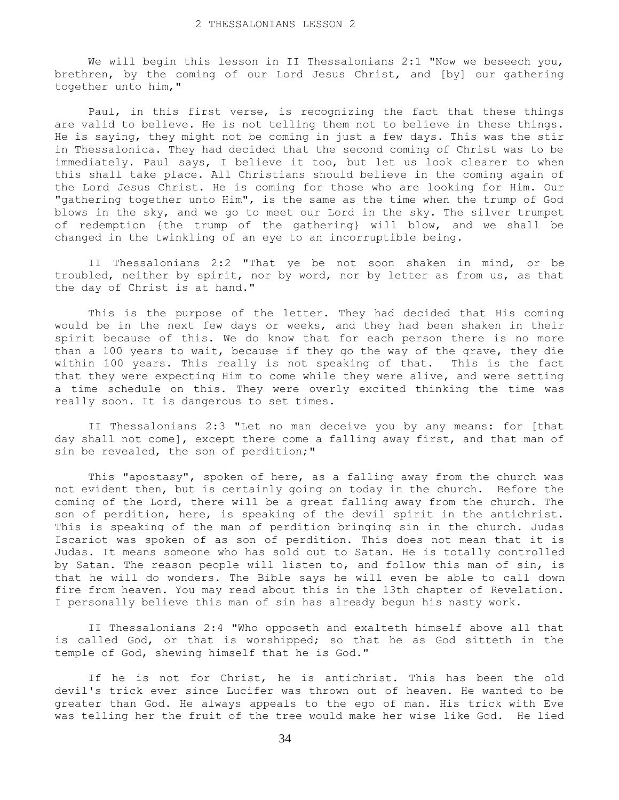We will begin this lesson in II Thessalonians 2:1 "Now we beseech you, brethren, by the coming of our Lord Jesus Christ, and [by] our gathering together unto him,"

 Paul, in this first verse, is recognizing the fact that these things are valid to believe. He is not telling them not to believe in these things. He is saying, they might not be coming in just a few days. This was the stir in Thessalonica. They had decided that the second coming of Christ was to be immediately. Paul says, I believe it too, but let us look clearer to when this shall take place. All Christians should believe in the coming again of the Lord Jesus Christ. He is coming for those who are looking for Him. Our "gathering together unto Him", is the same as the time when the trump of God blows in the sky, and we go to meet our Lord in the sky. The silver trumpet of redemption {the trump of the gathering} will blow, and we shall be changed in the twinkling of an eye to an incorruptible being.

 II Thessalonians 2:2 "That ye be not soon shaken in mind, or be troubled, neither by spirit, nor by word, nor by letter as from us, as that the day of Christ is at hand."

 This is the purpose of the letter. They had decided that His coming would be in the next few days or weeks, and they had been shaken in their spirit because of this. We do know that for each person there is no more than a 100 years to wait, because if they go the way of the grave, they die within 100 years. This really is not speaking of that. This is the fact that they were expecting Him to come while they were alive, and were setting a time schedule on this. They were overly excited thinking the time was really soon. It is dangerous to set times.

 II Thessalonians 2:3 "Let no man deceive you by any means: for [that day shall not come], except there come a falling away first, and that man of sin be revealed, the son of perdition;"

 This "apostasy", spoken of here, as a falling away from the church was not evident then, but is certainly going on today in the church. Before the coming of the Lord, there will be a great falling away from the church. The son of perdition, here, is speaking of the devil spirit in the antichrist. This is speaking of the man of perdition bringing sin in the church. Judas Iscariot was spoken of as son of perdition. This does not mean that it is Judas. It means someone who has sold out to Satan. He is totally controlled by Satan. The reason people will listen to, and follow this man of sin, is that he will do wonders. The Bible says he will even be able to call down fire from heaven. You may read about this in the 13th chapter of Revelation. I personally believe this man of sin has already begun his nasty work.

 II Thessalonians 2:4 "Who opposeth and exalteth himself above all that is called God, or that is worshipped; so that he as God sitteth in the temple of God, shewing himself that he is God."

 If he is not for Christ, he is antichrist. This has been the old devil's trick ever since Lucifer was thrown out of heaven. He wanted to be greater than God. He always appeals to the ego of man. His trick with Eve was telling her the fruit of the tree would make her wise like God. He lied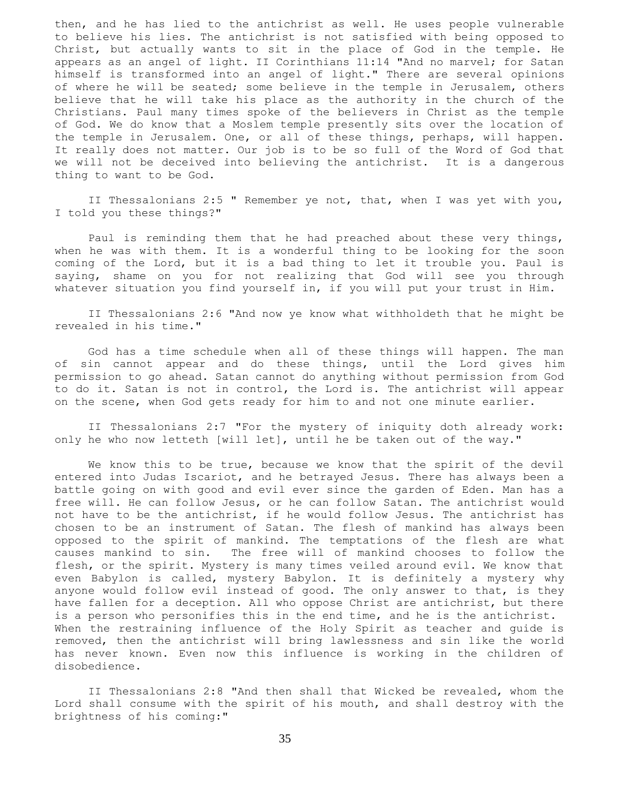then, and he has lied to the antichrist as well. He uses people vulnerable to believe his lies. The antichrist is not satisfied with being opposed to Christ, but actually wants to sit in the place of God in the temple. He appears as an angel of light. II Corinthians 11:14 "And no marvel; for Satan himself is transformed into an angel of light." There are several opinions of where he will be seated; some believe in the temple in Jerusalem, others believe that he will take his place as the authority in the church of the Christians. Paul many times spoke of the believers in Christ as the temple of God. We do know that a Moslem temple presently sits over the location of the temple in Jerusalem. One, or all of these things, perhaps, will happen. It really does not matter. Our job is to be so full of the Word of God that we will not be deceived into believing the antichrist. It is a dangerous thing to want to be God.

 II Thessalonians 2:5 " Remember ye not, that, when I was yet with you, I told you these things?"

 Paul is reminding them that he had preached about these very things, when he was with them. It is a wonderful thing to be looking for the soon coming of the Lord, but it is a bad thing to let it trouble you. Paul is saying, shame on you for not realizing that God will see you through whatever situation you find yourself in, if you will put your trust in Him.

 II Thessalonians 2:6 "And now ye know what withholdeth that he might be revealed in his time."

 God has a time schedule when all of these things will happen. The man of sin cannot appear and do these things, until the Lord gives him permission to go ahead. Satan cannot do anything without permission from God to do it. Satan is not in control, the Lord is. The antichrist will appear on the scene, when God gets ready for him to and not one minute earlier.

 II Thessalonians 2:7 "For the mystery of iniquity doth already work: only he who now letteth [will let], until he be taken out of the way."

 We know this to be true, because we know that the spirit of the devil entered into Judas Iscariot, and he betrayed Jesus. There has always been a battle going on with good and evil ever since the garden of Eden. Man has a free will. He can follow Jesus, or he can follow Satan. The antichrist would not have to be the antichrist, if he would follow Jesus. The antichrist has chosen to be an instrument of Satan. The flesh of mankind has always been opposed to the spirit of mankind. The temptations of the flesh are what causes mankind to sin. The free will of mankind chooses to follow the flesh, or the spirit. Mystery is many times veiled around evil. We know that even Babylon is called, mystery Babylon. It is definitely a mystery why anyone would follow evil instead of good. The only answer to that, is they have fallen for a deception. All who oppose Christ are antichrist, but there is a person who personifies this in the end time, and he is the antichrist. When the restraining influence of the Holy Spirit as teacher and guide is removed, then the antichrist will bring lawlessness and sin like the world has never known. Even now this influence is working in the children of disobedience.

 II Thessalonians 2:8 "And then shall that Wicked be revealed, whom the Lord shall consume with the spirit of his mouth, and shall destroy with the brightness of his coming:"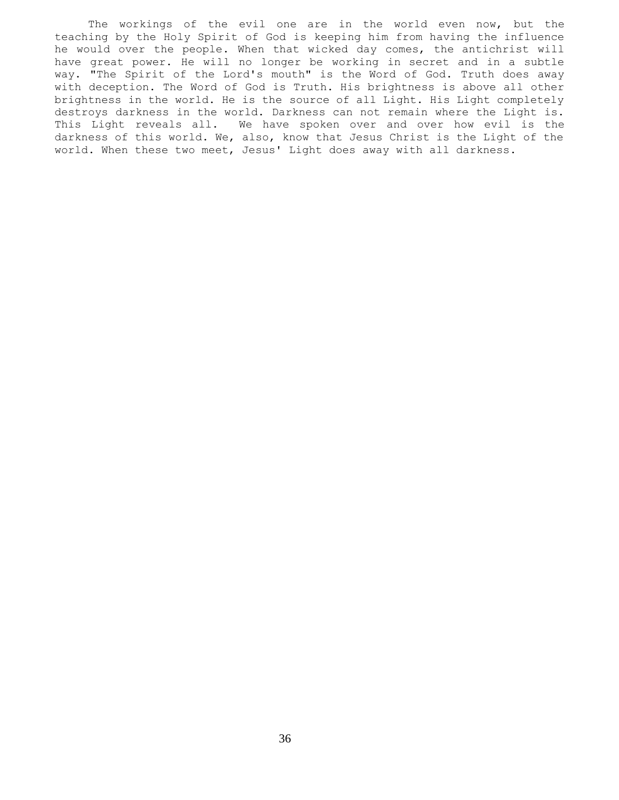The workings of the evil one are in the world even now, but the teaching by the Holy Spirit of God is keeping him from having the influence he would over the people. When that wicked day comes, the antichrist will have great power. He will no longer be working in secret and in a subtle way. "The Spirit of the Lord's mouth" is the Word of God. Truth does away with deception. The Word of God is Truth. His brightness is above all other brightness in the world. He is the source of all Light. His Light completely destroys darkness in the world. Darkness can not remain where the Light is. This Light reveals all. We have spoken over and over how evil is the darkness of this world. We, also, know that Jesus Christ is the Light of the world. When these two meet, Jesus' Light does away with all darkness.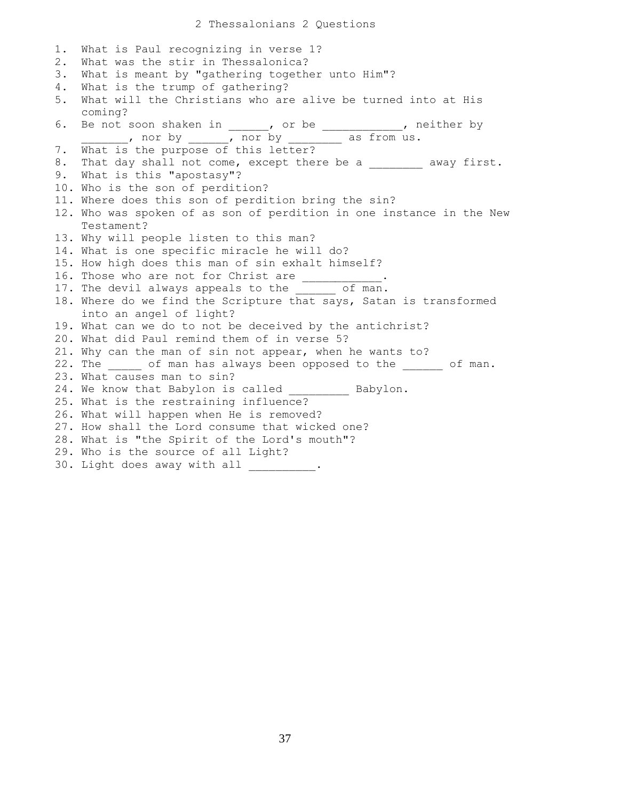1. What is Paul recognizing in verse 1? 2. What was the stir in Thessalonica? 3. What is meant by "gathering together unto Him"? 4. What is the trump of gathering? 5. What will the Christians who are alive be turned into at His coming? 6. Be not soon shaken in \_\_\_\_\_, or be \_\_\_\_\_\_\_\_\_\_, neither by \_\_\_\_\_\_, nor by \_\_\_\_\_\_, nor by \_\_\_\_\_\_\_\_ as from us. 7. What is the purpose of this letter? 8. That day shall not come, except there be a \_\_\_\_\_\_\_\_ away first. 9. What is this "apostasy"? 10. Who is the son of perdition? 11. Where does this son of perdition bring the sin? 12. Who was spoken of as son of perdition in one instance in the New Testament? 13. Why will people listen to this man? 14. What is one specific miracle he will do? 15. How high does this man of sin exhalt himself? 16. Those who are not for Christ are \_\_\_\_\_\_\_ 17. The devil always appeals to the of man. 18. Where do we find the Scripture that says, Satan is transformed into an angel of light? 19. What can we do to not be deceived by the antichrist? 20. What did Paul remind them of in verse 5? 21. Why can the man of sin not appear, when he wants to? 22. The of man has always been opposed to the of man. 23. What causes man to sin? 24. We know that Babylon is called Babylon. 25. What is the restraining influence? 26. What will happen when He is removed? 27. How shall the Lord consume that wicked one? 28. What is "the Spirit of the Lord's mouth"? 29. Who is the source of all Light? 30. Light does away with all \_\_\_\_\_\_\_\_\_.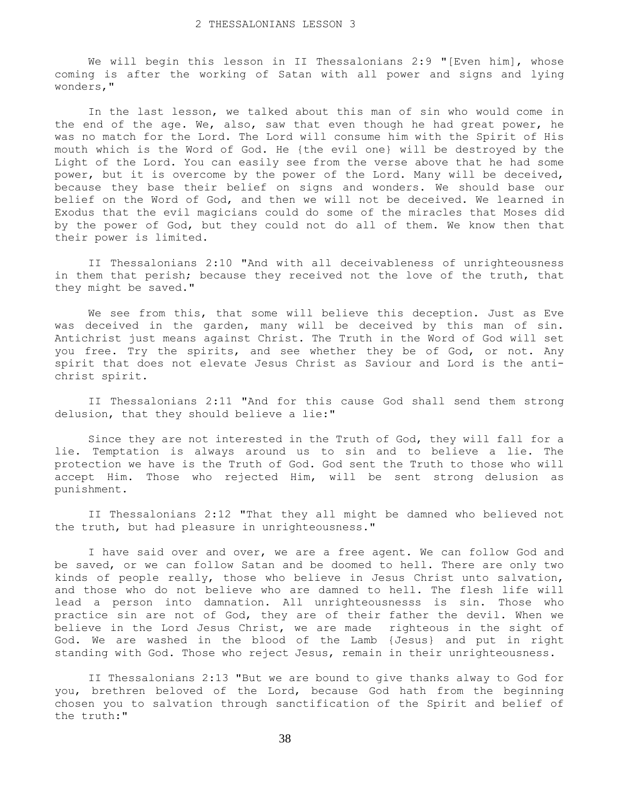We will begin this lesson in II Thessalonians 2:9 "[Even him], whose coming is after the working of Satan with all power and signs and lying wonders,"

 In the last lesson, we talked about this man of sin who would come in the end of the age. We, also, saw that even though he had great power, he was no match for the Lord. The Lord will consume him with the Spirit of His mouth which is the Word of God. He {the evil one} will be destroyed by the Light of the Lord. You can easily see from the verse above that he had some power, but it is overcome by the power of the Lord. Many will be deceived, because they base their belief on signs and wonders. We should base our belief on the Word of God, and then we will not be deceived. We learned in Exodus that the evil magicians could do some of the miracles that Moses did by the power of God, but they could not do all of them. We know then that their power is limited.

 II Thessalonians 2:10 "And with all deceivableness of unrighteousness in them that perish; because they received not the love of the truth, that they might be saved."

 We see from this, that some will believe this deception. Just as Eve was deceived in the garden, many will be deceived by this man of sin. Antichrist just means against Christ. The Truth in the Word of God will set you free. Try the spirits, and see whether they be of God, or not. Any spirit that does not elevate Jesus Christ as Saviour and Lord is the antichrist spirit.

 II Thessalonians 2:11 "And for this cause God shall send them strong delusion, that they should believe a lie:"

 Since they are not interested in the Truth of God, they will fall for a lie. Temptation is always around us to sin and to believe a lie. The protection we have is the Truth of God. God sent the Truth to those who will accept Him. Those who rejected Him, will be sent strong delusion as punishment.

 II Thessalonians 2:12 "That they all might be damned who believed not the truth, but had pleasure in unrighteousness."

 I have said over and over, we are a free agent. We can follow God and be saved, or we can follow Satan and be doomed to hell. There are only two kinds of people really, those who believe in Jesus Christ unto salvation, and those who do not believe who are damned to hell. The flesh life will lead a person into damnation. All unrighteousnesss is sin. Those who practice sin are not of God, they are of their father the devil. When we believe in the Lord Jesus Christ, we are made righteous in the sight of God. We are washed in the blood of the Lamb {Jesus} and put in right standing with God. Those who reject Jesus, remain in their unrighteousness.

 II Thessalonians 2:13 "But we are bound to give thanks alway to God for you, brethren beloved of the Lord, because God hath from the beginning chosen you to salvation through sanctification of the Spirit and belief of the truth:"

38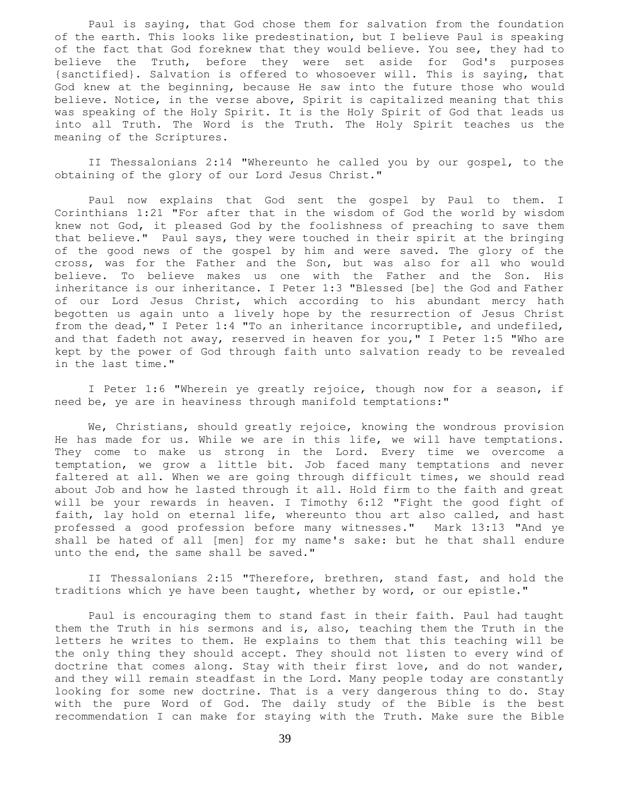Paul is saying, that God chose them for salvation from the foundation of the earth. This looks like predestination, but I believe Paul is speaking of the fact that God foreknew that they would believe. You see, they had to believe the Truth, before they were set aside for God's purposes {sanctified}. Salvation is offered to whosoever will. This is saying, that God knew at the beginning, because He saw into the future those who would believe. Notice, in the verse above, Spirit is capitalized meaning that this was speaking of the Holy Spirit. It is the Holy Spirit of God that leads us into all Truth. The Word is the Truth. The Holy Spirit teaches us the meaning of the Scriptures.

 II Thessalonians 2:14 "Whereunto he called you by our gospel, to the obtaining of the glory of our Lord Jesus Christ."

 Paul now explains that God sent the gospel by Paul to them. I Corinthians 1:21 "For after that in the wisdom of God the world by wisdom knew not God, it pleased God by the foolishness of preaching to save them that believe." Paul says, they were touched in their spirit at the bringing of the good news of the gospel by him and were saved. The glory of the cross, was for the Father and the Son, but was also for all who would believe. To believe makes us one with the Father and the Son. His inheritance is our inheritance. I Peter 1:3 "Blessed [be] the God and Father of our Lord Jesus Christ, which according to his abundant mercy hath begotten us again unto a lively hope by the resurrection of Jesus Christ from the dead," I Peter 1:4 "To an inheritance incorruptible, and undefiled, and that fadeth not away, reserved in heaven for you," I Peter 1:5 "Who are kept by the power of God through faith unto salvation ready to be revealed in the last time."

 I Peter 1:6 "Wherein ye greatly rejoice, though now for a season, if need be, ye are in heaviness through manifold temptations:"

 We, Christians, should greatly rejoice, knowing the wondrous provision He has made for us. While we are in this life, we will have temptations. They come to make us strong in the Lord. Every time we overcome a temptation, we grow a little bit. Job faced many temptations and never faltered at all. When we are going through difficult times, we should read about Job and how he lasted through it all. Hold firm to the faith and great will be your rewards in heaven. I Timothy 6:12 "Fight the good fight of faith, lay hold on eternal life, whereunto thou art also called, and hast professed a good profession before many witnesses." Mark 13:13 "And ye shall be hated of all [men] for my name's sake: but he that shall endure unto the end, the same shall be saved."

 II Thessalonians 2:15 "Therefore, brethren, stand fast, and hold the traditions which ye have been taught, whether by word, or our epistle."

 Paul is encouraging them to stand fast in their faith. Paul had taught them the Truth in his sermons and is, also, teaching them the Truth in the letters he writes to them. He explains to them that this teaching will be the only thing they should accept. They should not listen to every wind of doctrine that comes along. Stay with their first love, and do not wander, and they will remain steadfast in the Lord. Many people today are constantly looking for some new doctrine. That is a very dangerous thing to do. Stay with the pure Word of God. The daily study of the Bible is the best recommendation I can make for staying with the Truth. Make sure the Bible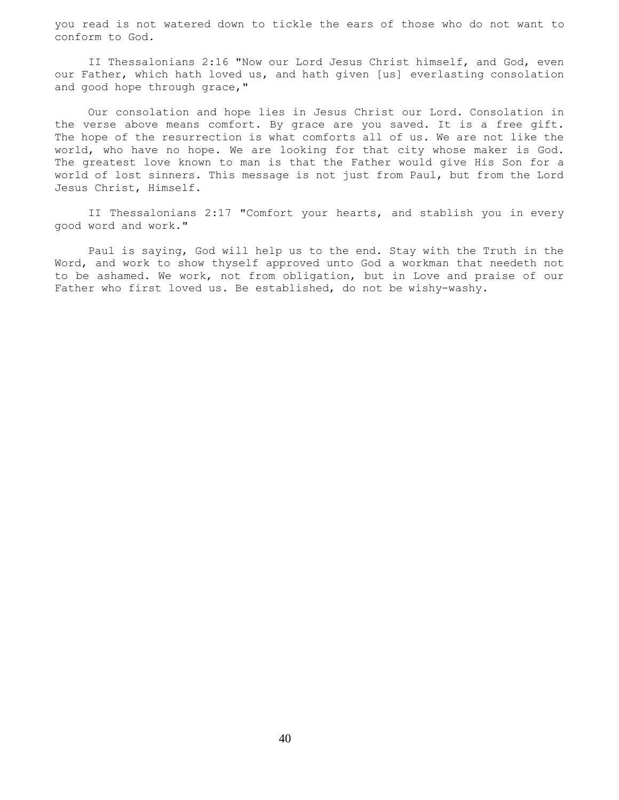you read is not watered down to tickle the ears of those who do not want to conform to God.

 II Thessalonians 2:16 "Now our Lord Jesus Christ himself, and God, even our Father, which hath loved us, and hath given [us] everlasting consolation and good hope through grace,"

 Our consolation and hope lies in Jesus Christ our Lord. Consolation in the verse above means comfort. By grace are you saved. It is a free gift. The hope of the resurrection is what comforts all of us. We are not like the world, who have no hope. We are looking for that city whose maker is God. The greatest love known to man is that the Father would give His Son for a world of lost sinners. This message is not just from Paul, but from the Lord Jesus Christ, Himself.

 II Thessalonians 2:17 "Comfort your hearts, and stablish you in every good word and work."

 Paul is saying, God will help us to the end. Stay with the Truth in the Word, and work to show thyself approved unto God a workman that needeth not to be ashamed. We work, not from obligation, but in Love and praise of our Father who first loved us. Be established, do not be wishy-washy.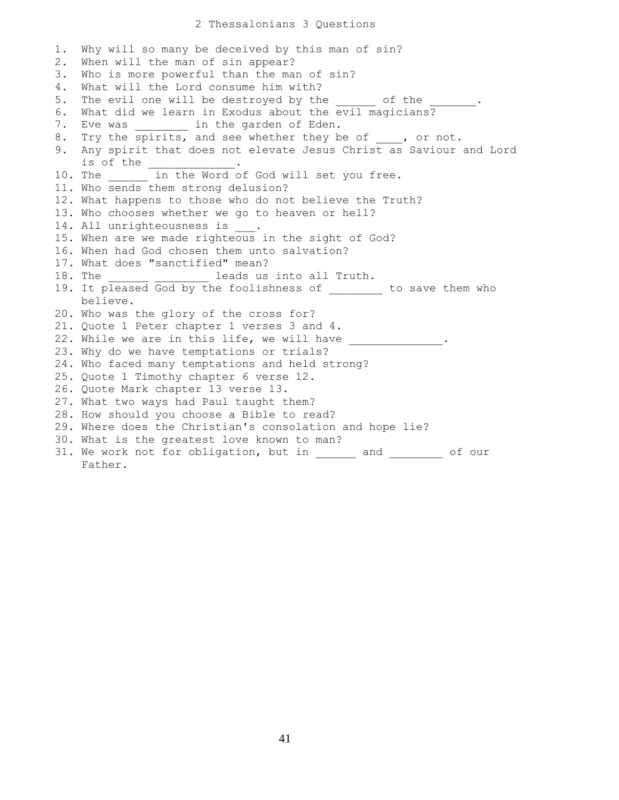## 2 Thessalonians 3 Questions

1. Why will so many be deceived by this man of sin? 2. When will the man of sin appear? 3. Who is more powerful than the man of sin? 4. What will the Lord consume him with? 5. The evil one will be destroyed by the watch of the 6. What did we learn in Exodus about the evil magicians? 7. Eve was \_\_\_\_\_\_\_\_ in the garden of Eden. 8. Try the spirits, and see whether they be of \_\_\_\_, or not. 9. Any spirit that does not elevate Jesus Christ as Saviour and Lord is of the \_ 10. The \_\_\_\_\_\_ in the Word of God will set you free. 11. Who sends them strong delusion? 12. What happens to those who do not believe the Truth? 13. Who chooses whether we go to heaven or hell? 14. All unrighteousness is \_\_\_. 15. When are we made righteous in the sight of God? 16. When had God chosen them unto salvation? 17. What does "sanctified" mean? 18. The leads us into all Truth. 19. It pleased God by the foolishness of to save them who believe. 20. Who was the glory of the cross for? 21. Quote 1 Peter chapter 1 verses 3 and 4. 22. While we are in this life, we will have 23. Why do we have temptations or trials? 24. Who faced many temptations and held strong? 25. Quote 1 Timothy chapter 6 verse 12. 26. Quote Mark chapter 13 verse 13. 27. What two ways had Paul taught them? 28. How should you choose a Bible to read? 29. Where does the Christian's consolation and hope lie? 30. What is the greatest love known to man? 31. We work not for obligation, but in \_\_\_\_\_\_ and \_\_\_\_\_\_\_\_ of our Father.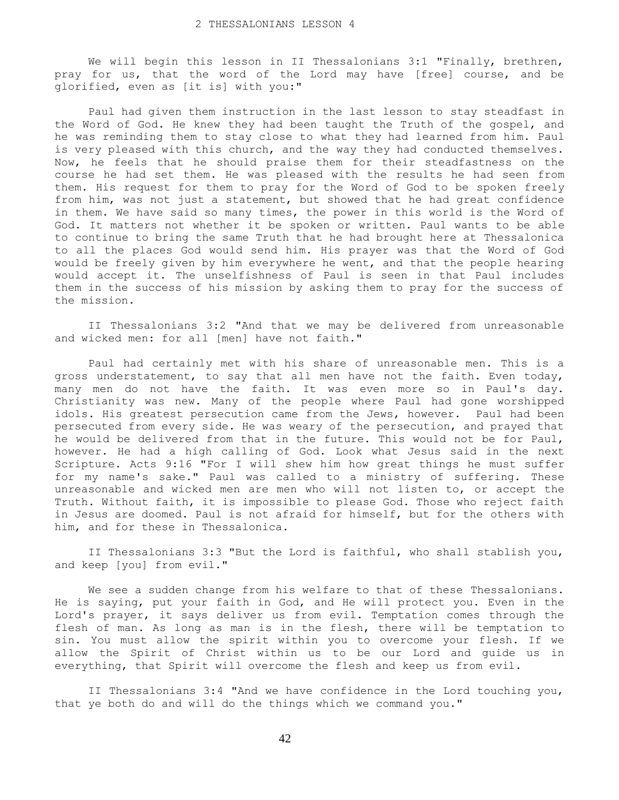We will begin this lesson in II Thessalonians 3:1 "Finally, brethren, pray for us, that the word of the Lord may have [free] course, and be glorified, even as [it is] with you:"

 Paul had given them instruction in the last lesson to stay steadfast in the Word of God. He knew they had been taught the Truth of the gospel, and he was reminding them to stay close to what they had learned from him. Paul is very pleased with this church, and the way they had conducted themselves. Now, he feels that he should praise them for their steadfastness on the course he had set them. He was pleased with the results he had seen from them. His request for them to pray for the Word of God to be spoken freely from him, was not just a statement, but showed that he had great confidence in them. We have said so many times, the power in this world is the Word of God. It matters not whether it be spoken or written. Paul wants to be able to continue to bring the same Truth that he had brought here at Thessalonica to all the places God would send him. His prayer was that the Word of God would be freely given by him everywhere he went, and that the people hearing would accept it. The unselfishness of Paul is seen in that Paul includes them in the success of his mission by asking them to pray for the success of the mission.

 II Thessalonians 3:2 "And that we may be delivered from unreasonable and wicked men: for all [men] have not faith."

 Paul had certainly met with his share of unreasonable men. This is a gross understatement, to say that all men have not the faith. Even today, many men do not have the faith. It was even more so in Paul's day. Christianity was new. Many of the people where Paul had gone worshipped idols. His greatest persecution came from the Jews, however. Paul had been persecuted from every side. He was weary of the persecution, and prayed that he would be delivered from that in the future. This would not be for Paul, however. He had a high calling of God. Look what Jesus said in the next Scripture. Acts 9:16 "For I will shew him how great things he must suffer for my name's sake." Paul was called to a ministry of suffering. These unreasonable and wicked men are men who will not listen to, or accept the Truth. Without faith, it is impossible to please God. Those who reject faith in Jesus are doomed. Paul is not afraid for himself, but for the others with him, and for these in Thessalonica.

 II Thessalonians 3:3 "But the Lord is faithful, who shall stablish you, and keep [you] from evil."

 We see a sudden change from his welfare to that of these Thessalonians. He is saying, put your faith in God, and He will protect you. Even in the Lord's prayer, it says deliver us from evil. Temptation comes through the flesh of man. As long as man is in the flesh, there will be temptation to sin. You must allow the spirit within you to overcome your flesh. If we allow the Spirit of Christ within us to be our Lord and guide us in everything, that Spirit will overcome the flesh and keep us from evil.

 II Thessalonians 3:4 "And we have confidence in the Lord touching you, that ye both do and will do the things which we command you."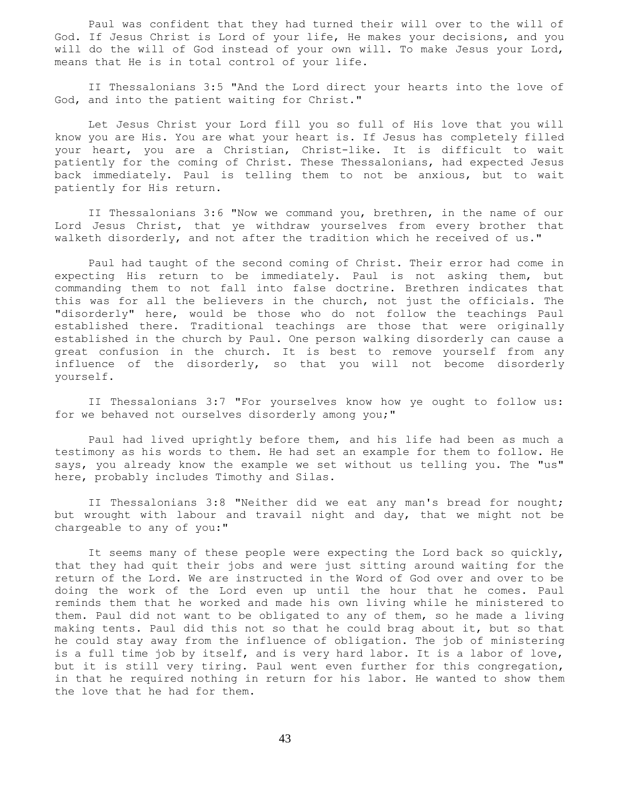Paul was confident that they had turned their will over to the will of God. If Jesus Christ is Lord of your life, He makes your decisions, and you will do the will of God instead of your own will. To make Jesus your Lord, means that He is in total control of your life.

 II Thessalonians 3:5 "And the Lord direct your hearts into the love of God, and into the patient waiting for Christ."

 Let Jesus Christ your Lord fill you so full of His love that you will know you are His. You are what your heart is. If Jesus has completely filled your heart, you are a Christian, Christ-like. It is difficult to wait patiently for the coming of Christ. These Thessalonians, had expected Jesus back immediately. Paul is telling them to not be anxious, but to wait patiently for His return.

 II Thessalonians 3:6 "Now we command you, brethren, in the name of our Lord Jesus Christ, that ye withdraw yourselves from every brother that walketh disorderly, and not after the tradition which he received of us."

 Paul had taught of the second coming of Christ. Their error had come in expecting His return to be immediately. Paul is not asking them, but commanding them to not fall into false doctrine. Brethren indicates that this was for all the believers in the church, not just the officials. The "disorderly" here, would be those who do not follow the teachings Paul established there. Traditional teachings are those that were originally established in the church by Paul. One person walking disorderly can cause a great confusion in the church. It is best to remove yourself from any influence of the disorderly, so that you will not become disorderly yourself.

 II Thessalonians 3:7 "For yourselves know how ye ought to follow us: for we behaved not ourselves disorderly among you;"

 Paul had lived uprightly before them, and his life had been as much a testimony as his words to them. He had set an example for them to follow. He says, you already know the example we set without us telling you. The "us" here, probably includes Timothy and Silas.

 II Thessalonians 3:8 "Neither did we eat any man's bread for nought; but wrought with labour and travail night and day, that we might not be chargeable to any of you:"

 It seems many of these people were expecting the Lord back so quickly, that they had quit their jobs and were just sitting around waiting for the return of the Lord. We are instructed in the Word of God over and over to be doing the work of the Lord even up until the hour that he comes. Paul reminds them that he worked and made his own living while he ministered to them. Paul did not want to be obligated to any of them, so he made a living making tents. Paul did this not so that he could brag about it, but so that he could stay away from the influence of obligation. The job of ministering is a full time job by itself, and is very hard labor. It is a labor of love, but it is still very tiring. Paul went even further for this congregation, in that he required nothing in return for his labor. He wanted to show them the love that he had for them.

43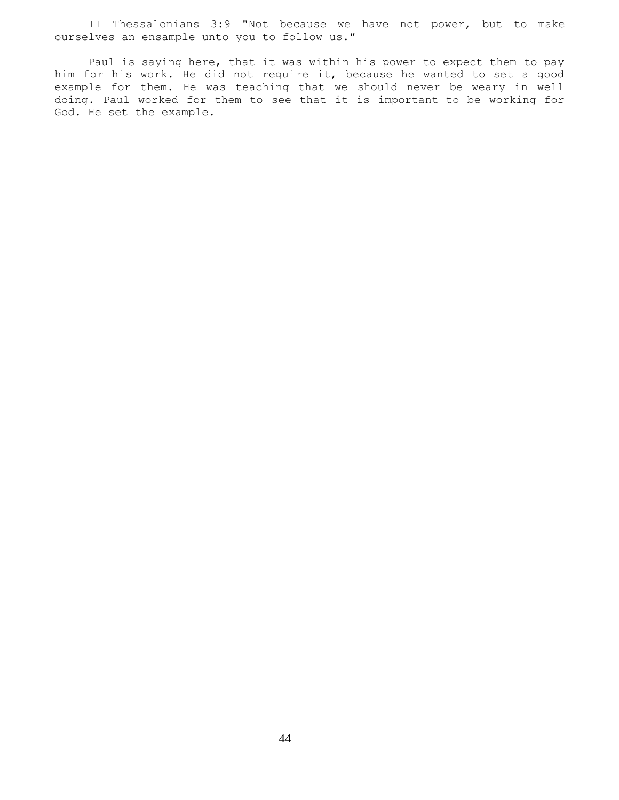II Thessalonians 3:9 "Not because we have not power, but to make ourselves an ensample unto you to follow us."

 Paul is saying here, that it was within his power to expect them to pay him for his work. He did not require it, because he wanted to set a good example for them. He was teaching that we should never be weary in well doing. Paul worked for them to see that it is important to be working for God. He set the example.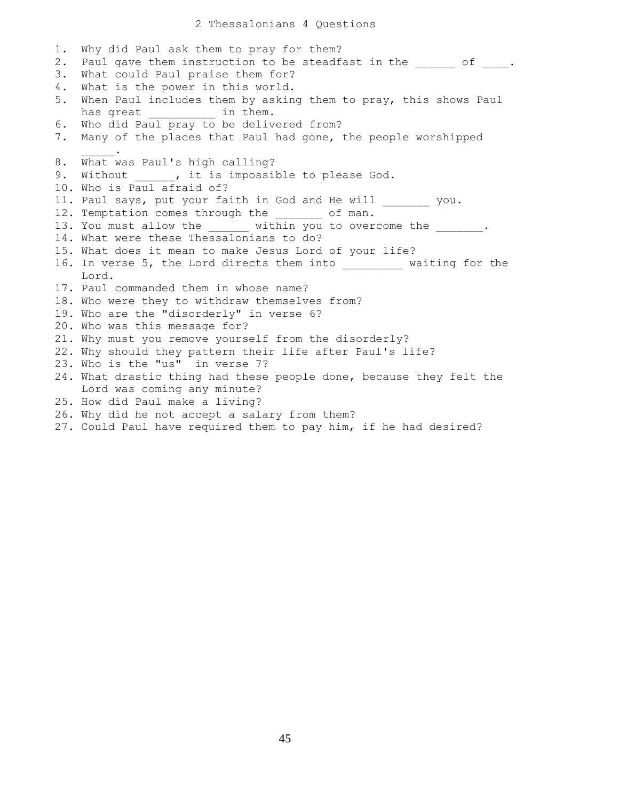1. Why did Paul ask them to pray for them? 2. Paul gave them instruction to be steadfast in the  $\qquad \qquad$  of  $\qquad$ . 3. What could Paul praise them for? 4. What is the power in this world. 5. When Paul includes them by asking them to pray, this shows Paul has great \_\_\_\_\_\_\_\_\_\_\_\_\_ in them. 6. Who did Paul pray to be delivered from? 7. Many of the places that Paul had gone, the people worshipped  $\sim$   $\sim$   $\sim$   $\sim$   $\sim$ 8. What was Paul's high calling? 9. Without \_\_\_\_\_, it is impossible to please God. 10. Who is Paul afraid of? 11. Paul says, put your faith in God and He will you. 12. Temptation comes through the \_\_\_\_\_\_ of man. 13. You must allow the \_\_\_\_\_\_ within you to overcome the \_\_\_\_\_\_. 14. What were these Thessalonians to do? 15. What does it mean to make Jesus Lord of your life? 16. In verse 5, the Lord directs them into \_\_\_\_\_\_\_\_\_ waiting for the Lord. 17. Paul commanded them in whose name? 18. Who were they to withdraw themselves from? 19. Who are the "disorderly" in verse 6? 20. Who was this message for? 21. Why must you remove yourself from the disorderly? 22. Why should they pattern their life after Paul's life? 23. Who is the "us" in verse 7? 24. What drastic thing had these people done, because they felt the Lord was coming any minute? 25. How did Paul make a living? 26. Why did he not accept a salary from them? 27. Could Paul have required them to pay him, if he had desired?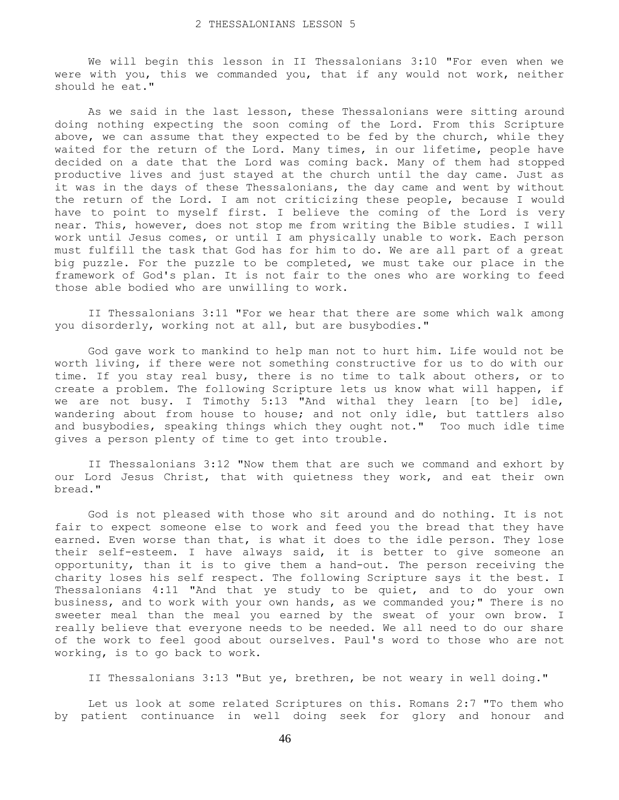We will begin this lesson in II Thessalonians 3:10 "For even when we were with you, this we commanded you, that if any would not work, neither should he eat."

 As we said in the last lesson, these Thessalonians were sitting around doing nothing expecting the soon coming of the Lord. From this Scripture above, we can assume that they expected to be fed by the church, while they waited for the return of the Lord. Many times, in our lifetime, people have decided on a date that the Lord was coming back. Many of them had stopped productive lives and just stayed at the church until the day came. Just as it was in the days of these Thessalonians, the day came and went by without the return of the Lord. I am not criticizing these people, because I would have to point to myself first. I believe the coming of the Lord is very near. This, however, does not stop me from writing the Bible studies. I will work until Jesus comes, or until I am physically unable to work. Each person must fulfill the task that God has for him to do. We are all part of a great big puzzle. For the puzzle to be completed, we must take our place in the framework of God's plan. It is not fair to the ones who are working to feed those able bodied who are unwilling to work.

 II Thessalonians 3:11 "For we hear that there are some which walk among you disorderly, working not at all, but are busybodies."

 God gave work to mankind to help man not to hurt him. Life would not be worth living, if there were not something constructive for us to do with our time. If you stay real busy, there is no time to talk about others, or to create a problem. The following Scripture lets us know what will happen, if we are not busy. I Timothy 5:13 "And withal they learn [to be] idle, wandering about from house to house; and not only idle, but tattlers also and busybodies, speaking things which they ought not." Too much idle time gives a person plenty of time to get into trouble.

 II Thessalonians 3:12 "Now them that are such we command and exhort by our Lord Jesus Christ, that with quietness they work, and eat their own bread."

 God is not pleased with those who sit around and do nothing. It is not fair to expect someone else to work and feed you the bread that they have earned. Even worse than that, is what it does to the idle person. They lose their self-esteem. I have always said, it is better to give someone an opportunity, than it is to give them a hand-out. The person receiving the charity loses his self respect. The following Scripture says it the best. I Thessalonians 4:11 "And that ye study to be quiet, and to do your own business, and to work with your own hands, as we commanded you;" There is no sweeter meal than the meal you earned by the sweat of your own brow. I really believe that everyone needs to be needed. We all need to do our share of the work to feel good about ourselves. Paul's word to those who are not working, is to go back to work.

II Thessalonians 3:13 "But ye, brethren, be not weary in well doing."

 Let us look at some related Scriptures on this. Romans 2:7 "To them who by patient continuance in well doing seek for glory and honour and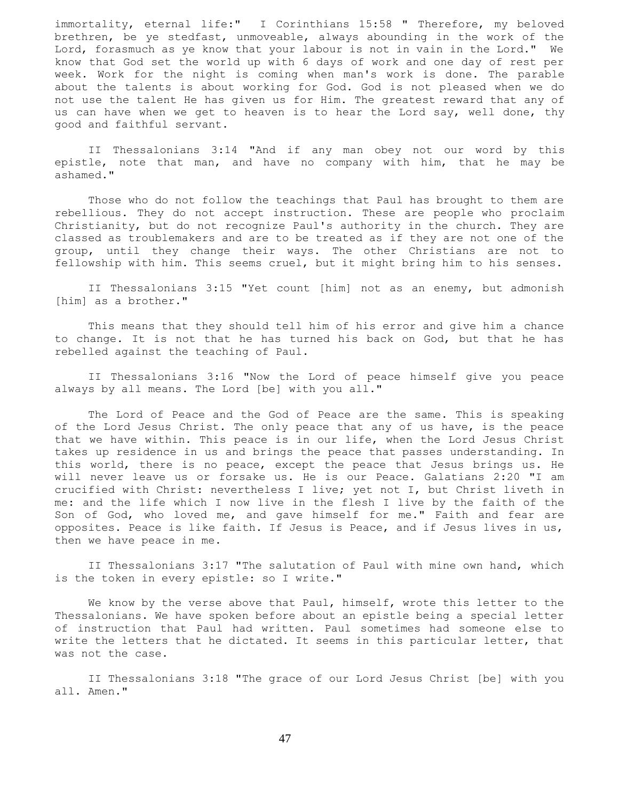immortality, eternal life:" I Corinthians 15:58 " Therefore, my beloved brethren, be ye stedfast, unmoveable, always abounding in the work of the Lord, forasmuch as ye know that your labour is not in vain in the Lord." We know that God set the world up with 6 days of work and one day of rest per week. Work for the night is coming when man's work is done. The parable about the talents is about working for God. God is not pleased when we do not use the talent He has given us for Him. The greatest reward that any of us can have when we get to heaven is to hear the Lord say, well done, thy good and faithful servant.

 II Thessalonians 3:14 "And if any man obey not our word by this epistle, note that man, and have no company with him, that he may be ashamed."

 Those who do not follow the teachings that Paul has brought to them are rebellious. They do not accept instruction. These are people who proclaim Christianity, but do not recognize Paul's authority in the church. They are classed as troublemakers and are to be treated as if they are not one of the group, until they change their ways. The other Christians are not to fellowship with him. This seems cruel, but it might bring him to his senses.

 II Thessalonians 3:15 "Yet count [him] not as an enemy, but admonish [him] as a brother."

 This means that they should tell him of his error and give him a chance to change. It is not that he has turned his back on God, but that he has rebelled against the teaching of Paul.

 II Thessalonians 3:16 "Now the Lord of peace himself give you peace always by all means. The Lord [be] with you all."

 The Lord of Peace and the God of Peace are the same. This is speaking of the Lord Jesus Christ. The only peace that any of us have, is the peace that we have within. This peace is in our life, when the Lord Jesus Christ takes up residence in us and brings the peace that passes understanding. In this world, there is no peace, except the peace that Jesus brings us. He will never leave us or forsake us. He is our Peace. Galatians 2:20 "I am crucified with Christ: nevertheless I live; yet not I, but Christ liveth in me: and the life which I now live in the flesh I live by the faith of the Son of God, who loved me, and gave himself for me." Faith and fear are opposites. Peace is like faith. If Jesus is Peace, and if Jesus lives in us, then we have peace in me.

 II Thessalonians 3:17 "The salutation of Paul with mine own hand, which is the token in every epistle: so I write."

 We know by the verse above that Paul, himself, wrote this letter to the Thessalonians. We have spoken before about an epistle being a special letter of instruction that Paul had written. Paul sometimes had someone else to write the letters that he dictated. It seems in this particular letter, that was not the case.

 II Thessalonians 3:18 "The grace of our Lord Jesus Christ [be] with you all. Amen."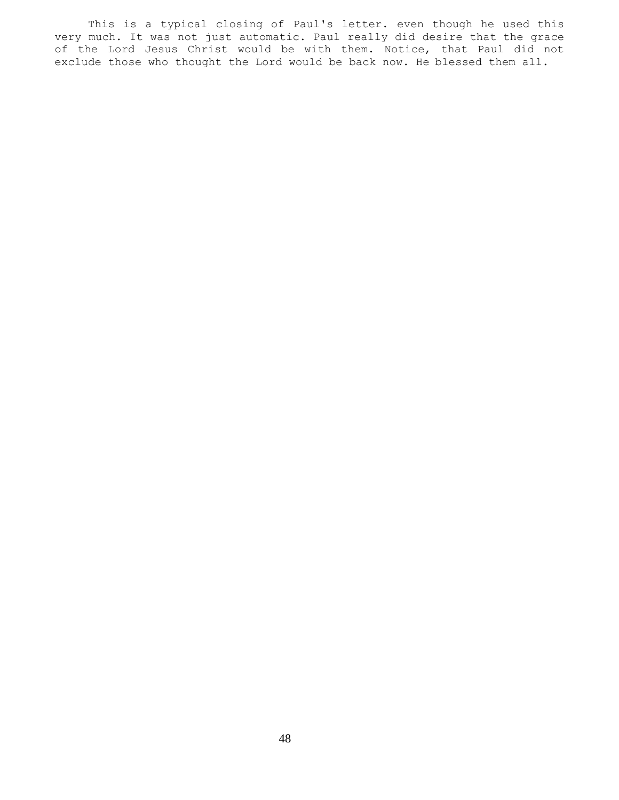This is a typical closing of Paul's letter. even though he used this very much. It was not just automatic. Paul really did desire that the grace of the Lord Jesus Christ would be with them. Notice, that Paul did not exclude those who thought the Lord would be back now. He blessed them all.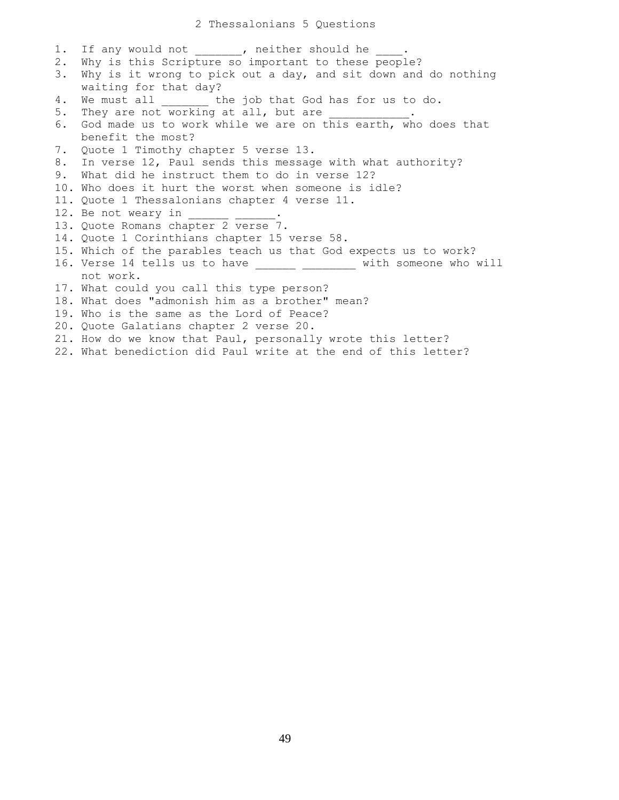1. If any would not \_\_\_\_\_\_, neither should he \_\_\_\_. 2. Why is this Scripture so important to these people? 3. Why is it wrong to pick out a day, and sit down and do nothing waiting for that day? 4. We must all \_\_\_\_\_\_\_ the job that God has for us to do. 5. They are not working at all, but are \_\_\_\_\_\_\_\_\_\_. 6. God made us to work while we are on this earth, who does that benefit the most? 7. Quote 1 Timothy chapter 5 verse 13. 8. In verse 12, Paul sends this message with what authority? 9. What did he instruct them to do in verse 12? 10. Who does it hurt the worst when someone is idle? 11. Quote 1 Thessalonians chapter 4 verse 11. 12. Be not weary in 13. Quote Romans chapter 2 verse 7. 14. Quote 1 Corinthians chapter 15 verse 58. 15. Which of the parables teach us that God expects us to work? 16. Verse 14 tells us to have \_\_\_\_\_\_ \_\_\_\_\_\_\_\_ with someone who will not work. 17. What could you call this type person? 18. What does "admonish him as a brother" mean? 19. Who is the same as the Lord of Peace? 20. Quote Galatians chapter 2 verse 20. 21. How do we know that Paul, personally wrote this letter? 22. What benediction did Paul write at the end of this letter?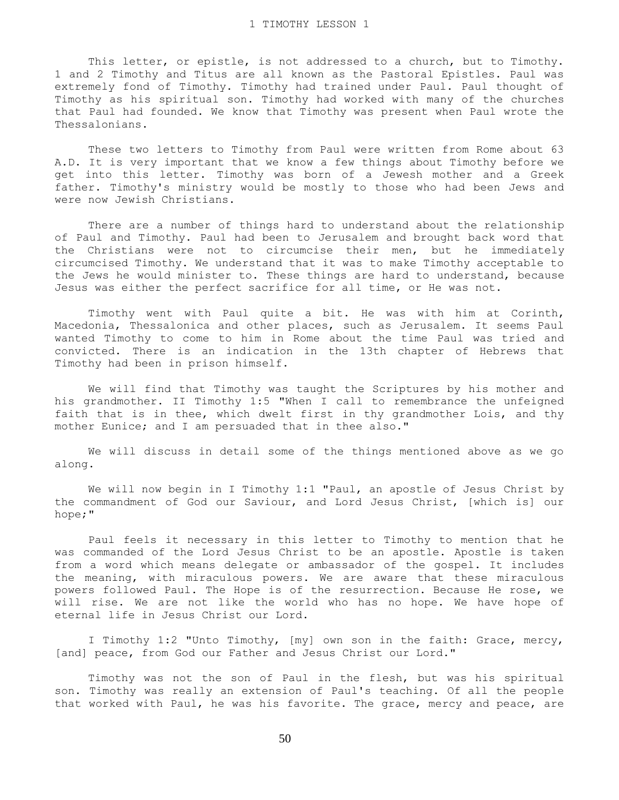This letter, or epistle, is not addressed to a church, but to Timothy. 1 and 2 Timothy and Titus are all known as the Pastoral Epistles. Paul was extremely fond of Timothy. Timothy had trained under Paul. Paul thought of Timothy as his spiritual son. Timothy had worked with many of the churches that Paul had founded. We know that Timothy was present when Paul wrote the Thessalonians.

 These two letters to Timothy from Paul were written from Rome about 63 A.D. It is very important that we know a few things about Timothy before we get into this letter. Timothy was born of a Jewesh mother and a Greek father. Timothy's ministry would be mostly to those who had been Jews and were now Jewish Christians.

 There are a number of things hard to understand about the relationship of Paul and Timothy. Paul had been to Jerusalem and brought back word that the Christians were not to circumcise their men, but he immediately circumcised Timothy. We understand that it was to make Timothy acceptable to the Jews he would minister to. These things are hard to understand, because Jesus was either the perfect sacrifice for all time, or He was not.

 Timothy went with Paul quite a bit. He was with him at Corinth, Macedonia, Thessalonica and other places, such as Jerusalem. It seems Paul wanted Timothy to come to him in Rome about the time Paul was tried and convicted. There is an indication in the 13th chapter of Hebrews that Timothy had been in prison himself.

 We will find that Timothy was taught the Scriptures by his mother and his grandmother. II Timothy 1:5 "When I call to remembrance the unfeigned faith that is in thee, which dwelt first in thy grandmother Lois, and thy mother Eunice; and I am persuaded that in thee also."

 We will discuss in detail some of the things mentioned above as we go along.

We will now begin in I Timothy 1:1 "Paul, an apostle of Jesus Christ by the commandment of God our Saviour, and Lord Jesus Christ, [which is] our hope;"

 Paul feels it necessary in this letter to Timothy to mention that he was commanded of the Lord Jesus Christ to be an apostle. Apostle is taken from a word which means delegate or ambassador of the gospel. It includes the meaning, with miraculous powers. We are aware that these miraculous powers followed Paul. The Hope is of the resurrection. Because He rose, we will rise. We are not like the world who has no hope. We have hope of eternal life in Jesus Christ our Lord.

 I Timothy 1:2 "Unto Timothy, [my] own son in the faith: Grace, mercy, [and] peace, from God our Father and Jesus Christ our Lord."

 Timothy was not the son of Paul in the flesh, but was his spiritual son. Timothy was really an extension of Paul's teaching. Of all the people that worked with Paul, he was his favorite. The grace, mercy and peace, are

50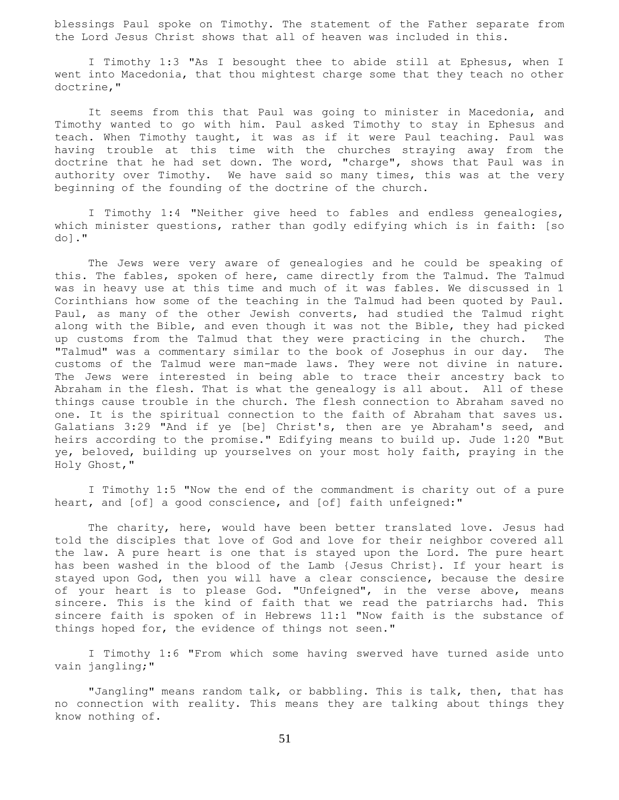blessings Paul spoke on Timothy. The statement of the Father separate from the Lord Jesus Christ shows that all of heaven was included in this.

 I Timothy 1:3 "As I besought thee to abide still at Ephesus, when I went into Macedonia, that thou mightest charge some that they teach no other doctrine,"

 It seems from this that Paul was going to minister in Macedonia, and Timothy wanted to go with him. Paul asked Timothy to stay in Ephesus and teach. When Timothy taught, it was as if it were Paul teaching. Paul was having trouble at this time with the churches straying away from the doctrine that he had set down. The word, "charge", shows that Paul was in authority over Timothy. We have said so many times, this was at the very beginning of the founding of the doctrine of the church.

 I Timothy 1:4 "Neither give heed to fables and endless genealogies, which minister questions, rather than godly edifying which is in faith: [so do]."

 The Jews were very aware of genealogies and he could be speaking of this. The fables, spoken of here, came directly from the Talmud. The Talmud was in heavy use at this time and much of it was fables. We discussed in 1 Corinthians how some of the teaching in the Talmud had been quoted by Paul. Paul, as many of the other Jewish converts, had studied the Talmud right along with the Bible, and even though it was not the Bible, they had picked up customs from the Talmud that they were practicing in the church. The "Talmud" was a commentary similar to the book of Josephus in our day. The customs of the Talmud were man-made laws. They were not divine in nature. The Jews were interested in being able to trace their ancestry back to Abraham in the flesh. That is what the genealogy is all about. All of these things cause trouble in the church. The flesh connection to Abraham saved no one. It is the spiritual connection to the faith of Abraham that saves us. Galatians 3:29 "And if ye [be] Christ's, then are ye Abraham's seed, and heirs according to the promise." Edifying means to build up. Jude 1:20 "But ye, beloved, building up yourselves on your most holy faith, praying in the Holy Ghost,"

 I Timothy 1:5 "Now the end of the commandment is charity out of a pure heart, and [of] a good conscience, and [of] faith unfeigned:"

The charity, here, would have been better translated love. Jesus had told the disciples that love of God and love for their neighbor covered all the law. A pure heart is one that is stayed upon the Lord. The pure heart has been washed in the blood of the Lamb {Jesus Christ}. If your heart is stayed upon God, then you will have a clear conscience, because the desire of your heart is to please God. "Unfeigned", in the verse above, means sincere. This is the kind of faith that we read the patriarchs had. This sincere faith is spoken of in Hebrews 11:1 "Now faith is the substance of things hoped for, the evidence of things not seen."

 I Timothy 1:6 "From which some having swerved have turned aside unto vain jangling;"

 "Jangling" means random talk, or babbling. This is talk, then, that has no connection with reality. This means they are talking about things they know nothing of.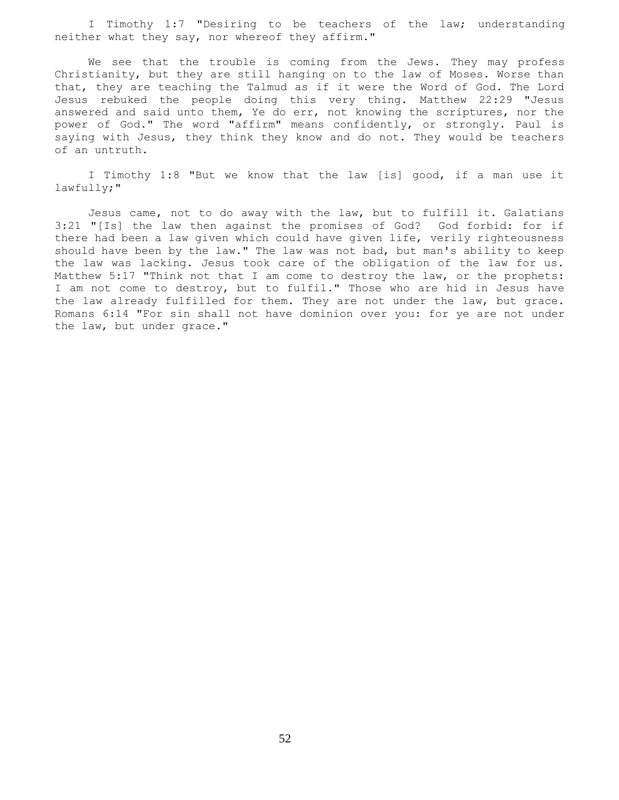I Timothy 1:7 "Desiring to be teachers of the law; understanding neither what they say, nor whereof they affirm."

 We see that the trouble is coming from the Jews. They may profess Christianity, but they are still hanging on to the law of Moses. Worse than that, they are teaching the Talmud as if it were the Word of God. The Lord Jesus rebuked the people doing this very thing. Matthew 22:29 "Jesus answered and said unto them, Ye do err, not knowing the scriptures, nor the power of God." The word "affirm" means confidently, or strongly. Paul is saying with Jesus, they think they know and do not. They would be teachers of an untruth.

 I Timothy 1:8 "But we know that the law [is] good, if a man use it lawfully;"

 Jesus came, not to do away with the law, but to fulfill it. Galatians 3:21 "[Is] the law then against the promises of God? God forbid: for if there had been a law given which could have given life, verily righteousness should have been by the law." The law was not bad, but man's ability to keep the law was lacking. Jesus took care of the obligation of the law for us. Matthew 5:17 "Think not that I am come to destroy the law, or the prophets: I am not come to destroy, but to fulfil." Those who are hid in Jesus have the law already fulfilled for them. They are not under the law, but grace. Romans 6:14 "For sin shall not have dominion over you: for ye are not under the law, but under grace."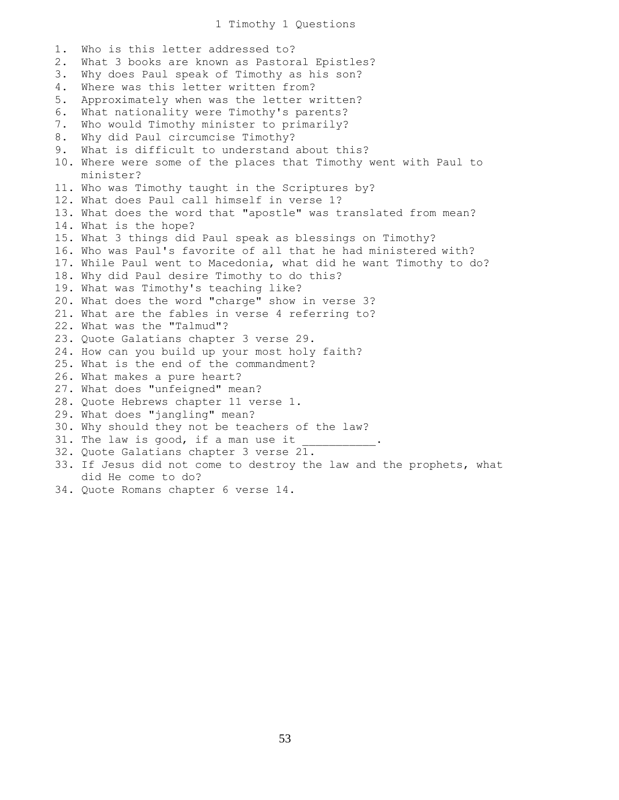## 1 Timothy 1 Questions

1. Who is this letter addressed to? 2. What 3 books are known as Pastoral Epistles? 3. Why does Paul speak of Timothy as his son? 4. Where was this letter written from? 5. Approximately when was the letter written? 6. What nationality were Timothy's parents? 7. Who would Timothy minister to primarily? 8. Why did Paul circumcise Timothy? 9. What is difficult to understand about this? 10. Where were some of the places that Timothy went with Paul to minister? 11. Who was Timothy taught in the Scriptures by? 12. What does Paul call himself in verse 1? 13. What does the word that "apostle" was translated from mean? 14. What is the hope? 15. What 3 things did Paul speak as blessings on Timothy? 16. Who was Paul's favorite of all that he had ministered with? 17. While Paul went to Macedonia, what did he want Timothy to do? 18. Why did Paul desire Timothy to do this? 19. What was Timothy's teaching like? 20. What does the word "charge" show in verse 3? 21. What are the fables in verse 4 referring to? 22. What was the "Talmud"? 23. Quote Galatians chapter 3 verse 29. 24. How can you build up your most holy faith? 25. What is the end of the commandment? 26. What makes a pure heart? 27. What does "unfeigned" mean? 28. Quote Hebrews chapter 11 verse 1. 29. What does "jangling" mean? 30. Why should they not be teachers of the law? 31. The law is good, if a man use it 32. Quote Galatians chapter 3 verse 21. 33. If Jesus did not come to destroy the law and the prophets, what did He come to do?

34. Quote Romans chapter 6 verse 14.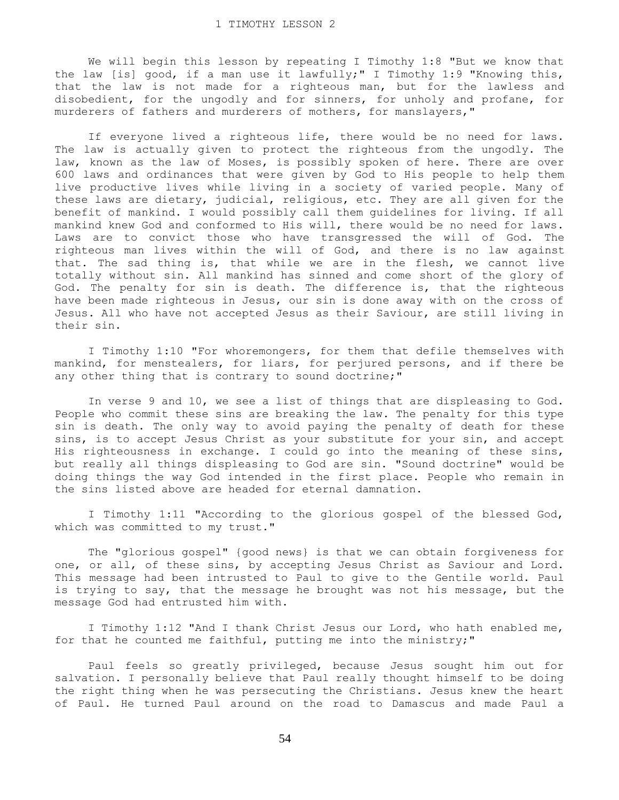We will begin this lesson by repeating I Timothy 1:8 "But we know that the law [is] good, if a man use it lawfully;" I Timothy 1:9 "Knowing this, that the law is not made for a righteous man, but for the lawless and disobedient, for the ungodly and for sinners, for unholy and profane, for murderers of fathers and murderers of mothers, for manslayers,"

 If everyone lived a righteous life, there would be no need for laws. The law is actually given to protect the righteous from the ungodly. The law, known as the law of Moses, is possibly spoken of here. There are over 600 laws and ordinances that were given by God to His people to help them live productive lives while living in a society of varied people. Many of these laws are dietary, judicial, religious, etc. They are all given for the benefit of mankind. I would possibly call them guidelines for living. If all mankind knew God and conformed to His will, there would be no need for laws. Laws are to convict those who have transgressed the will of God. The righteous man lives within the will of God, and there is no law against that. The sad thing is, that while we are in the flesh, we cannot live totally without sin. All mankind has sinned and come short of the glory of God. The penalty for sin is death. The difference is, that the righteous have been made righteous in Jesus, our sin is done away with on the cross of Jesus. All who have not accepted Jesus as their Saviour, are still living in their sin.

 I Timothy 1:10 "For whoremongers, for them that defile themselves with mankind, for menstealers, for liars, for perjured persons, and if there be any other thing that is contrary to sound doctrine;"

 In verse 9 and 10, we see a list of things that are displeasing to God. People who commit these sins are breaking the law. The penalty for this type sin is death. The only way to avoid paying the penalty of death for these sins, is to accept Jesus Christ as your substitute for your sin, and accept His righteousness in exchange. I could go into the meaning of these sins, but really all things displeasing to God are sin. "Sound doctrine" would be doing things the way God intended in the first place. People who remain in the sins listed above are headed for eternal damnation.

 I Timothy 1:11 "According to the glorious gospel of the blessed God, which was committed to my trust."

 The "glorious gospel" {good news} is that we can obtain forgiveness for one, or all, of these sins, by accepting Jesus Christ as Saviour and Lord. This message had been intrusted to Paul to give to the Gentile world. Paul is trying to say, that the message he brought was not his message, but the message God had entrusted him with.

 I Timothy 1:12 "And I thank Christ Jesus our Lord, who hath enabled me, for that he counted me faithful, putting me into the ministry;"

 Paul feels so greatly privileged, because Jesus sought him out for salvation. I personally believe that Paul really thought himself to be doing the right thing when he was persecuting the Christians. Jesus knew the heart of Paul. He turned Paul around on the road to Damascus and made Paul a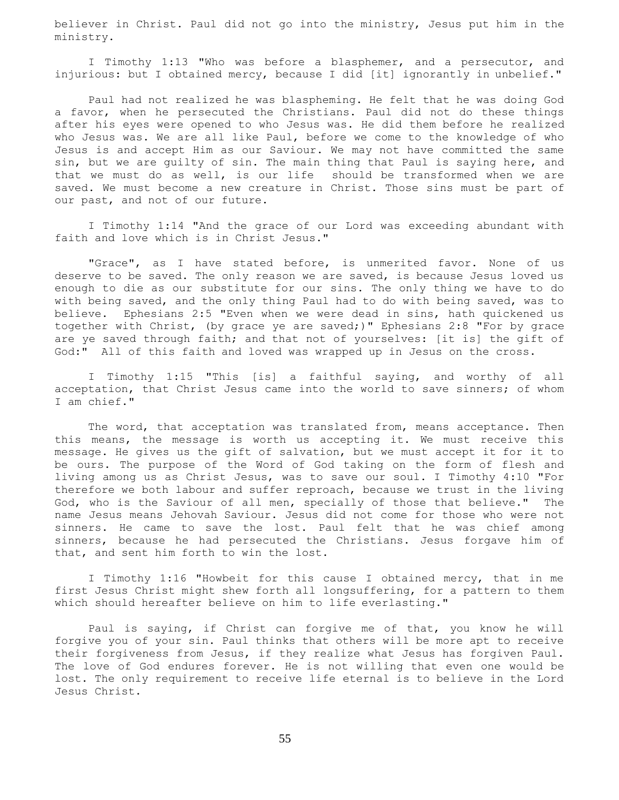believer in Christ. Paul did not go into the ministry, Jesus put him in the ministry.

 I Timothy 1:13 "Who was before a blasphemer, and a persecutor, and injurious: but I obtained mercy, because I did [it] ignorantly in unbelief."

 Paul had not realized he was blaspheming. He felt that he was doing God a favor, when he persecuted the Christians. Paul did not do these things after his eyes were opened to who Jesus was. He did them before he realized who Jesus was. We are all like Paul, before we come to the knowledge of who Jesus is and accept Him as our Saviour. We may not have committed the same sin, but we are guilty of sin. The main thing that Paul is saying here, and that we must do as well, is our life should be transformed when we are saved. We must become a new creature in Christ. Those sins must be part of our past, and not of our future.

 I Timothy 1:14 "And the grace of our Lord was exceeding abundant with faith and love which is in Christ Jesus."

 "Grace", as I have stated before, is unmerited favor. None of us deserve to be saved. The only reason we are saved, is because Jesus loved us enough to die as our substitute for our sins. The only thing we have to do with being saved, and the only thing Paul had to do with being saved, was to believe. Ephesians 2:5 "Even when we were dead in sins, hath quickened us together with Christ, (by grace ye are saved;)" Ephesians 2:8 "For by grace are ye saved through faith; and that not of yourselves: [it is] the gift of God:" All of this faith and loved was wrapped up in Jesus on the cross.

 I Timothy 1:15 "This [is] a faithful saying, and worthy of all acceptation, that Christ Jesus came into the world to save sinners; of whom I am chief."

 The word, that acceptation was translated from, means acceptance. Then this means, the message is worth us accepting it. We must receive this message. He gives us the gift of salvation, but we must accept it for it to be ours. The purpose of the Word of God taking on the form of flesh and living among us as Christ Jesus, was to save our soul. I Timothy 4:10 "For therefore we both labour and suffer reproach, because we trust in the living God, who is the Saviour of all men, specially of those that believe." The name Jesus means Jehovah Saviour. Jesus did not come for those who were not sinners. He came to save the lost. Paul felt that he was chief among sinners, because he had persecuted the Christians. Jesus forgave him of that, and sent him forth to win the lost.

 I Timothy 1:16 "Howbeit for this cause I obtained mercy, that in me first Jesus Christ might shew forth all longsuffering, for a pattern to them which should hereafter believe on him to life everlasting."

 Paul is saying, if Christ can forgive me of that, you know he will forgive you of your sin. Paul thinks that others will be more apt to receive their forgiveness from Jesus, if they realize what Jesus has forgiven Paul. The love of God endures forever. He is not willing that even one would be lost. The only requirement to receive life eternal is to believe in the Lord Jesus Christ.

55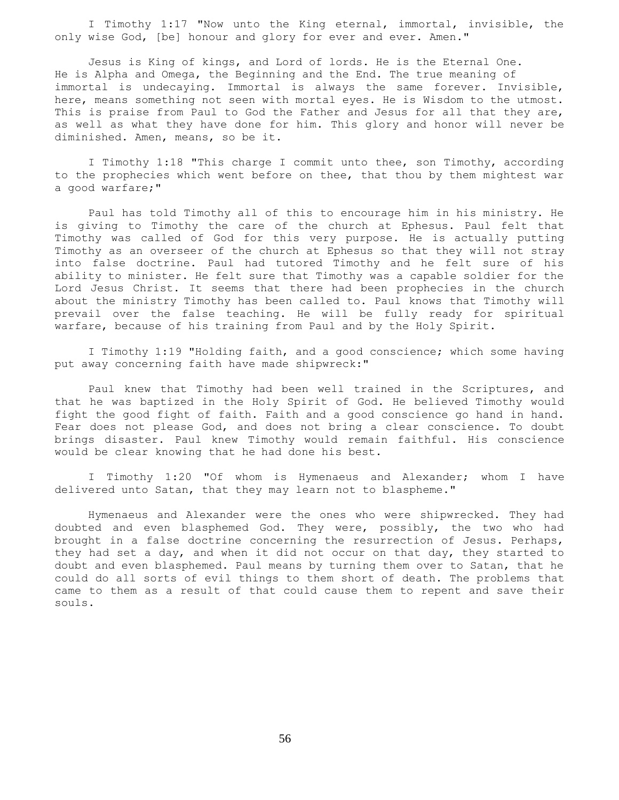I Timothy 1:17 "Now unto the King eternal, immortal, invisible, the only wise God, [be] honour and glory for ever and ever. Amen."

 Jesus is King of kings, and Lord of lords. He is the Eternal One. He is Alpha and Omega, the Beginning and the End. The true meaning of immortal is undecaying. Immortal is always the same forever. Invisible, here, means something not seen with mortal eyes. He is Wisdom to the utmost. This is praise from Paul to God the Father and Jesus for all that they are, as well as what they have done for him. This glory and honor will never be diminished. Amen, means, so be it.

I Timothy 1:18 "This charge I commit unto thee, son Timothy, according to the prophecies which went before on thee, that thou by them mightest war a good warfare;"

 Paul has told Timothy all of this to encourage him in his ministry. He is giving to Timothy the care of the church at Ephesus. Paul felt that Timothy was called of God for this very purpose. He is actually putting Timothy as an overseer of the church at Ephesus so that they will not stray into false doctrine. Paul had tutored Timothy and he felt sure of his ability to minister. He felt sure that Timothy was a capable soldier for the Lord Jesus Christ. It seems that there had been prophecies in the church about the ministry Timothy has been called to. Paul knows that Timothy will prevail over the false teaching. He will be fully ready for spiritual warfare, because of his training from Paul and by the Holy Spirit.

 I Timothy 1:19 "Holding faith, and a good conscience; which some having put away concerning faith have made shipwreck:"

 Paul knew that Timothy had been well trained in the Scriptures, and that he was baptized in the Holy Spirit of God. He believed Timothy would fight the good fight of faith. Faith and a good conscience go hand in hand. Fear does not please God, and does not bring a clear conscience. To doubt brings disaster. Paul knew Timothy would remain faithful. His conscience would be clear knowing that he had done his best.

 I Timothy 1:20 "Of whom is Hymenaeus and Alexander; whom I have delivered unto Satan, that they may learn not to blaspheme."

 Hymenaeus and Alexander were the ones who were shipwrecked. They had doubted and even blasphemed God. They were, possibly, the two who had brought in a false doctrine concerning the resurrection of Jesus. Perhaps, they had set a day, and when it did not occur on that day, they started to doubt and even blasphemed. Paul means by turning them over to Satan, that he could do all sorts of evil things to them short of death. The problems that came to them as a result of that could cause them to repent and save their souls.

56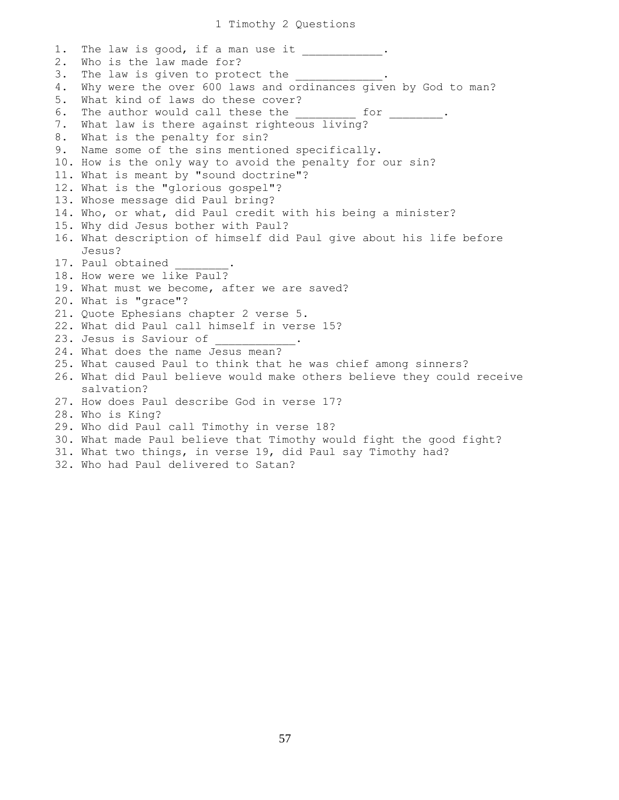1. The law is good, if a man use it . 2. Who is the law made for? 3. The law is given to protect the 4. Why were the over 600 laws and ordinances given by God to man? 5. What kind of laws do these cover? 6. The author would call these the for the state of  $\sim$ 7. What law is there against righteous living? 8. What is the penalty for sin? 9. Name some of the sins mentioned specifically. 10. How is the only way to avoid the penalty for our sin? 11. What is meant by "sound doctrine"? 12. What is the "glorious gospel"? 13. Whose message did Paul bring? 14. Who, or what, did Paul credit with his being a minister? 15. Why did Jesus bother with Paul? 16. What description of himself did Paul give about his life before Jesus? 17. Paul obtained 18. How were we like Paul? 19. What must we become, after we are saved? 20. What is "grace"? 21. Quote Ephesians chapter 2 verse 5. 22. What did Paul call himself in verse 15? 23. Jesus is Saviour of 24. What does the name Jesus mean? 25. What caused Paul to think that he was chief among sinners? 26. What did Paul believe would make others believe they could receive salvation? 27. How does Paul describe God in verse 17? 28. Who is King? 29. Who did Paul call Timothy in verse 18? 30. What made Paul believe that Timothy would fight the good fight? 31. What two things, in verse 19, did Paul say Timothy had?

32. Who had Paul delivered to Satan?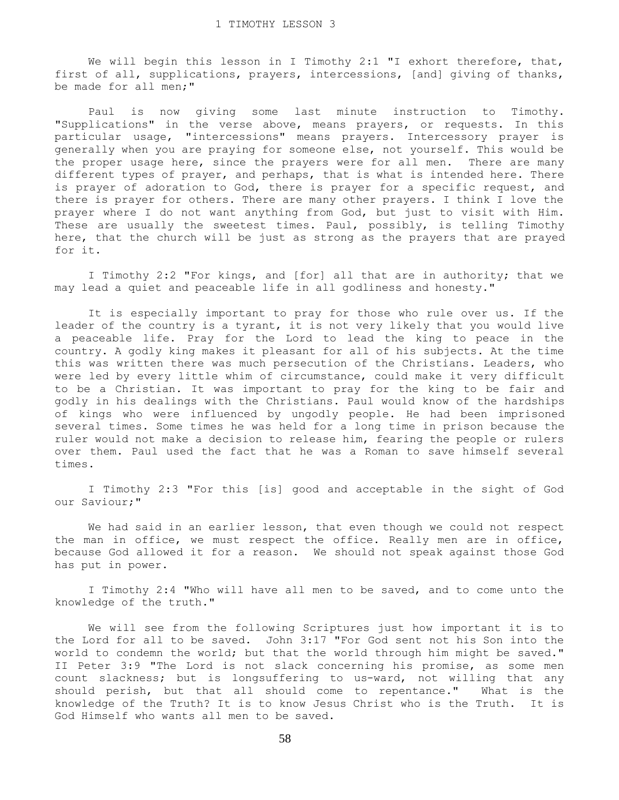We will begin this lesson in I Timothy 2:1 "I exhort therefore, that, first of all, supplications, prayers, intercessions, [and] giving of thanks, be made for all men;"

 Paul is now giving some last minute instruction to Timothy. "Supplications" in the verse above, means prayers, or requests. In this particular usage, "intercessions" means prayers. Intercessory prayer is generally when you are praying for someone else, not yourself. This would be the proper usage here, since the prayers were for all men. There are many different types of prayer, and perhaps, that is what is intended here. There is prayer of adoration to God, there is prayer for a specific request, and there is prayer for others. There are many other prayers. I think I love the prayer where I do not want anything from God, but just to visit with Him. These are usually the sweetest times. Paul, possibly, is telling Timothy here, that the church will be just as strong as the prayers that are prayed for it.

 I Timothy 2:2 "For kings, and [for] all that are in authority; that we may lead a quiet and peaceable life in all godliness and honesty."

 It is especially important to pray for those who rule over us. If the leader of the country is a tyrant, it is not very likely that you would live a peaceable life. Pray for the Lord to lead the king to peace in the country. A godly king makes it pleasant for all of his subjects. At the time this was written there was much persecution of the Christians. Leaders, who were led by every little whim of circumstance, could make it very difficult to be a Christian. It was important to pray for the king to be fair and godly in his dealings with the Christians. Paul would know of the hardships of kings who were influenced by ungodly people. He had been imprisoned several times. Some times he was held for a long time in prison because the ruler would not make a decision to release him, fearing the people or rulers over them. Paul used the fact that he was a Roman to save himself several times.

 I Timothy 2:3 "For this [is] good and acceptable in the sight of God our Saviour;"

 We had said in an earlier lesson, that even though we could not respect the man in office, we must respect the office. Really men are in office, because God allowed it for a reason. We should not speak against those God has put in power.

 I Timothy 2:4 "Who will have all men to be saved, and to come unto the knowledge of the truth."

 We will see from the following Scriptures just how important it is to the Lord for all to be saved. John 3:17 "For God sent not his Son into the world to condemn the world; but that the world through him might be saved." II Peter 3:9 "The Lord is not slack concerning his promise, as some men count slackness; but is longsuffering to us-ward, not willing that any should perish, but that all should come to repentance." What is the knowledge of the Truth? It is to know Jesus Christ who is the Truth. It is God Himself who wants all men to be saved.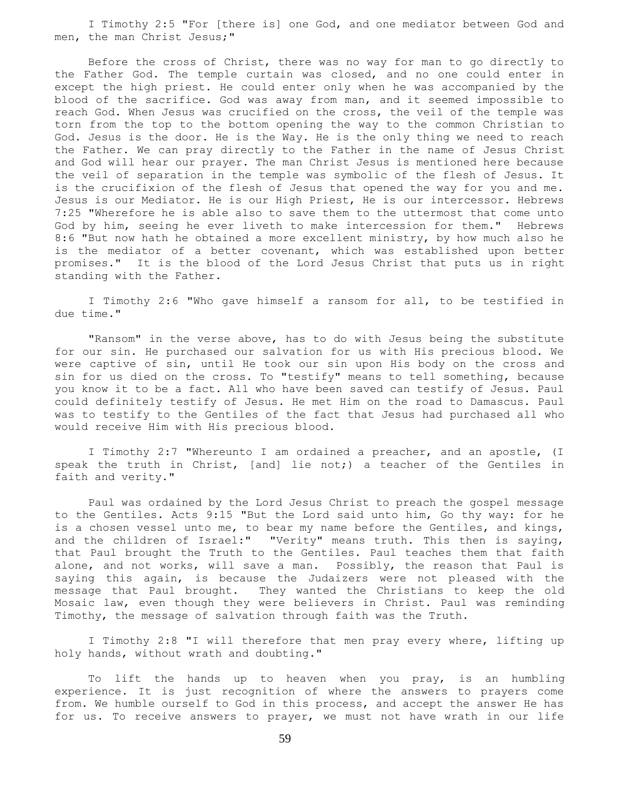I Timothy 2:5 "For [there is] one God, and one mediator between God and men, the man Christ Jesus;"

 Before the cross of Christ, there was no way for man to go directly to the Father God. The temple curtain was closed, and no one could enter in except the high priest. He could enter only when he was accompanied by the blood of the sacrifice. God was away from man, and it seemed impossible to reach God. When Jesus was crucified on the cross, the veil of the temple was torn from the top to the bottom opening the way to the common Christian to God. Jesus is the door. He is the Way. He is the only thing we need to reach the Father. We can pray directly to the Father in the name of Jesus Christ and God will hear our prayer. The man Christ Jesus is mentioned here because the veil of separation in the temple was symbolic of the flesh of Jesus. It is the crucifixion of the flesh of Jesus that opened the way for you and me. Jesus is our Mediator. He is our High Priest, He is our intercessor. Hebrews 7:25 "Wherefore he is able also to save them to the uttermost that come unto God by him, seeing he ever liveth to make intercession for them." Hebrews 8:6 "But now hath he obtained a more excellent ministry, by how much also he is the mediator of a better covenant, which was established upon better promises." It is the blood of the Lord Jesus Christ that puts us in right standing with the Father.

 I Timothy 2:6 "Who gave himself a ransom for all, to be testified in due time."

 "Ransom" in the verse above, has to do with Jesus being the substitute for our sin. He purchased our salvation for us with His precious blood. We were captive of sin, until He took our sin upon His body on the cross and sin for us died on the cross. To "testify" means to tell something, because you know it to be a fact. All who have been saved can testify of Jesus. Paul could definitely testify of Jesus. He met Him on the road to Damascus. Paul was to testify to the Gentiles of the fact that Jesus had purchased all who would receive Him with His precious blood.

 I Timothy 2:7 "Whereunto I am ordained a preacher, and an apostle, (I speak the truth in Christ, [and] lie not;) a teacher of the Gentiles in faith and verity."

 Paul was ordained by the Lord Jesus Christ to preach the gospel message to the Gentiles. Acts 9:15 "But the Lord said unto him, Go thy way: for he is a chosen vessel unto me, to bear my name before the Gentiles, and kings, and the children of Israel:" "Verity" means truth. This then is saying, that Paul brought the Truth to the Gentiles. Paul teaches them that faith alone, and not works, will save a man. Possibly, the reason that Paul is saying this again, is because the Judaizers were not pleased with the message that Paul brought. They wanted the Christians to keep the old Mosaic law, even though they were believers in Christ. Paul was reminding Timothy, the message of salvation through faith was the Truth.

 I Timothy 2:8 "I will therefore that men pray every where, lifting up holy hands, without wrath and doubting."

 To lift the hands up to heaven when you pray, is an humbling experience. It is just recognition of where the answers to prayers come from. We humble ourself to God in this process, and accept the answer He has for us. To receive answers to prayer, we must not have wrath in our life

59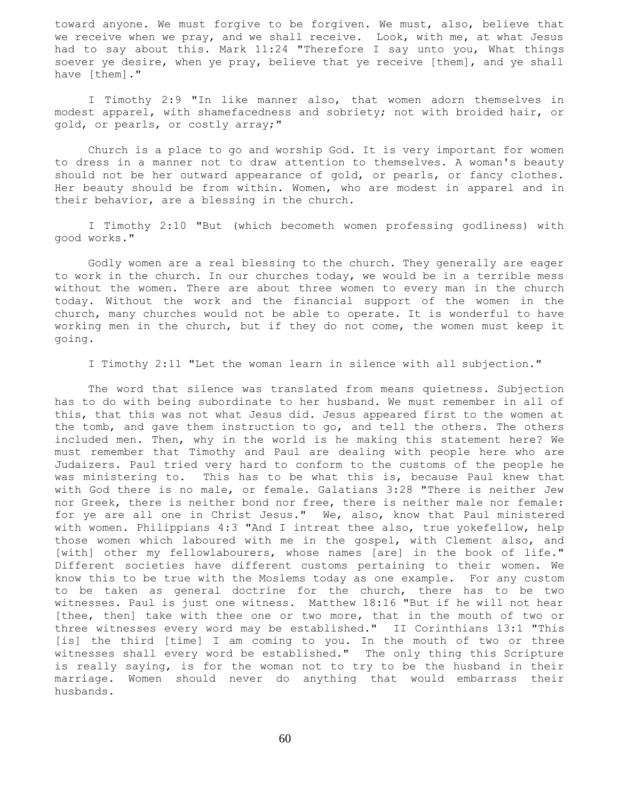toward anyone. We must forgive to be forgiven. We must, also, believe that we receive when we pray, and we shall receive. Look, with me, at what Jesus had to say about this. Mark 11:24 "Therefore I say unto you, What things soever ye desire, when ye pray, believe that ye receive [them], and ye shall have [them]."

 I Timothy 2:9 "In like manner also, that women adorn themselves in modest apparel, with shamefacedness and sobriety; not with broided hair, or gold, or pearls, or costly array;"

 Church is a place to go and worship God. It is very important for women to dress in a manner not to draw attention to themselves. A woman's beauty should not be her outward appearance of gold, or pearls, or fancy clothes. Her beauty should be from within. Women, who are modest in apparel and in their behavior, are a blessing in the church.

 I Timothy 2:10 "But (which becometh women professing godliness) with good works."

 Godly women are a real blessing to the church. They generally are eager to work in the church. In our churches today, we would be in a terrible mess without the women. There are about three women to every man in the church today. Without the work and the financial support of the women in the church, many churches would not be able to operate. It is wonderful to have working men in the church, but if they do not come, the women must keep it going.

I Timothy 2:11 "Let the woman learn in silence with all subjection."

 The word that silence was translated from means quietness. Subjection has to do with being subordinate to her husband. We must remember in all of this, that this was not what Jesus did. Jesus appeared first to the women at the tomb, and gave them instruction to go, and tell the others. The others included men. Then, why in the world is he making this statement here? We must remember that Timothy and Paul are dealing with people here who are Judaizers. Paul tried very hard to conform to the customs of the people he was ministering to. This has to be what this is, because Paul knew that with God there is no male, or female. Galatians 3:28 "There is neither Jew nor Greek, there is neither bond nor free, there is neither male nor female: for ye are all one in Christ Jesus." We, also, know that Paul ministered with women. Philippians 4:3 "And I intreat thee also, true yokefellow, help those women which laboured with me in the gospel, with Clement also, and [with] other my fellowlabourers, whose names [are] in the book of life." Different societies have different customs pertaining to their women. We know this to be true with the Moslems today as one example. For any custom to be taken as general doctrine for the church, there has to be two witnesses. Paul is just one witness. Matthew 18:16 "But if he will not hear [thee, then] take with thee one or two more, that in the mouth of two or three witnesses every word may be established." II Corinthians 13:1 "This [is] the third [time] I am coming to you. In the mouth of two or three witnesses shall every word be established." The only thing this Scripture is really saying, is for the woman not to try to be the husband in their marriage. Women should never do anything that would embarrass their husbands.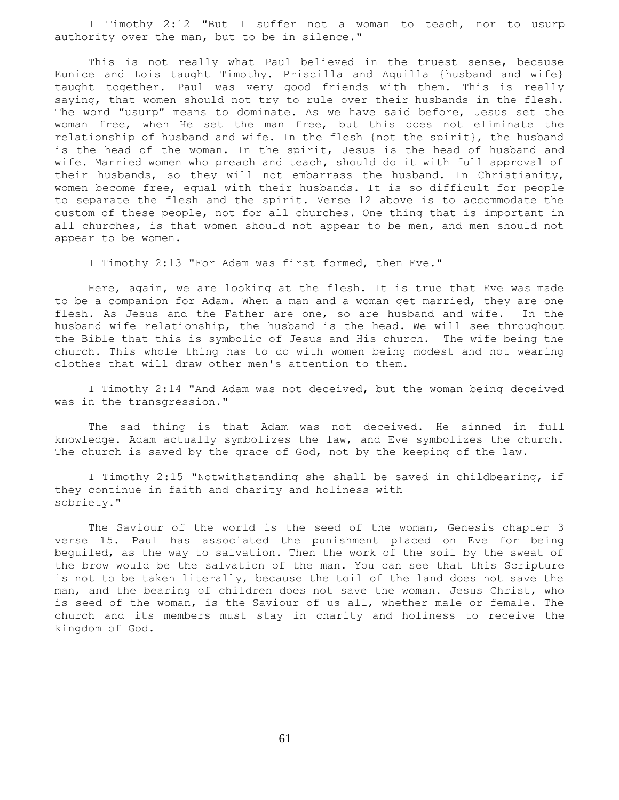I Timothy 2:12 "But I suffer not a woman to teach, nor to usurp authority over the man, but to be in silence."

 This is not really what Paul believed in the truest sense, because Eunice and Lois taught Timothy. Priscilla and Aquilla {husband and wife} taught together. Paul was very good friends with them. This is really saying, that women should not try to rule over their husbands in the flesh. The word "usurp" means to dominate. As we have said before, Jesus set the woman free, when He set the man free, but this does not eliminate the relationship of husband and wife. In the flesh {not the spirit}, the husband is the head of the woman. In the spirit, Jesus is the head of husband and wife. Married women who preach and teach, should do it with full approval of their husbands, so they will not embarrass the husband. In Christianity, women become free, equal with their husbands. It is so difficult for people to separate the flesh and the spirit. Verse 12 above is to accommodate the custom of these people, not for all churches. One thing that is important in all churches, is that women should not appear to be men, and men should not appear to be women.

I Timothy 2:13 "For Adam was first formed, then Eve."

 Here, again, we are looking at the flesh. It is true that Eve was made to be a companion for Adam. When a man and a woman get married, they are one flesh. As Jesus and the Father are one, so are husband and wife. In the husband wife relationship, the husband is the head. We will see throughout the Bible that this is symbolic of Jesus and His church. The wife being the church. This whole thing has to do with women being modest and not wearing clothes that will draw other men's attention to them.

 I Timothy 2:14 "And Adam was not deceived, but the woman being deceived was in the transgression."

 The sad thing is that Adam was not deceived. He sinned in full knowledge. Adam actually symbolizes the law, and Eve symbolizes the church. The church is saved by the grace of God, not by the keeping of the law.

 I Timothy 2:15 "Notwithstanding she shall be saved in childbearing, if they continue in faith and charity and holiness with sobriety."

 The Saviour of the world is the seed of the woman, Genesis chapter 3 verse 15. Paul has associated the punishment placed on Eve for being beguiled, as the way to salvation. Then the work of the soil by the sweat of the brow would be the salvation of the man. You can see that this Scripture is not to be taken literally, because the toil of the land does not save the man, and the bearing of children does not save the woman. Jesus Christ, who is seed of the woman, is the Saviour of us all, whether male or female. The church and its members must stay in charity and holiness to receive the kingdom of God.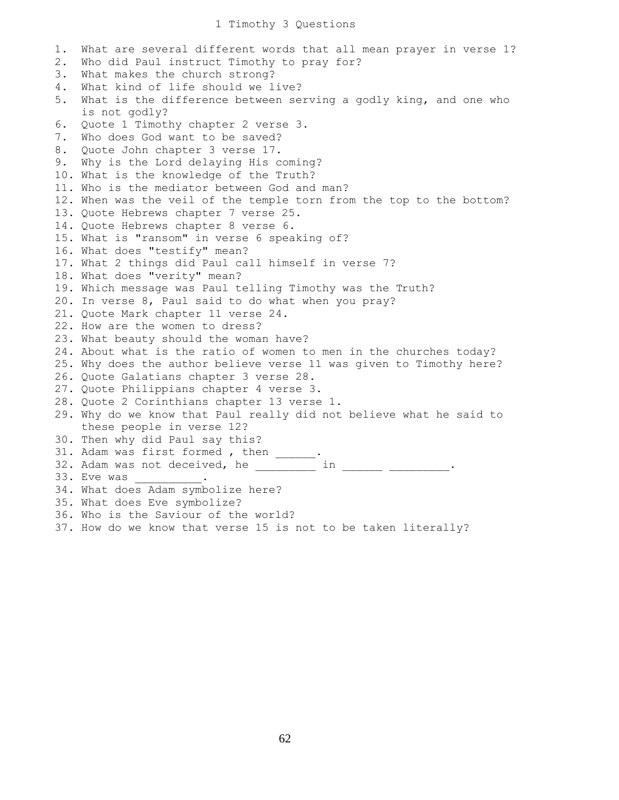1. What are several different words that all mean prayer in verse 1? 2. Who did Paul instruct Timothy to pray for? 3. What makes the church strong? 4. What kind of life should we live? 5. What is the difference between serving a godly king, and one who is not godly? 6. Quote 1 Timothy chapter 2 verse 3. 7. Who does God want to be saved? 8. Quote John chapter 3 verse 17. 9. Why is the Lord delaying His coming? 10. What is the knowledge of the Truth? 11. Who is the mediator between God and man? 12. When was the veil of the temple torn from the top to the bottom? 13. Quote Hebrews chapter 7 verse 25. 14. Quote Hebrews chapter 8 verse 6. 15. What is "ransom" in verse 6 speaking of? 16. What does "testify" mean? 17. What 2 things did Paul call himself in verse 7? 18. What does "verity" mean? 19. Which message was Paul telling Timothy was the Truth? 20. In verse 8, Paul said to do what when you pray? 21. Quote Mark chapter 11 verse 24. 22. How are the women to dress? 23. What beauty should the woman have? 24. About what is the ratio of women to men in the churches today? 25. Why does the author believe verse 11 was given to Timothy here? 26. Quote Galatians chapter 3 verse 28. 27. Quote Philippians chapter 4 verse 3. 28. Quote 2 Corinthians chapter 13 verse 1. 29. Why do we know that Paul really did not believe what he said to these people in verse 12? 30. Then why did Paul say this? 31. Adam was first formed, then \_\_\_\_\_\_. 32. Adam was not deceived, he \_\_\_\_\_\_\_\_\_ in \_\_\_\_\_\_\_ \_\_\_\_\_\_\_\_\_. 33. Eve was \_\_\_\_\_\_\_\_. 34. What does Adam symbolize here? 35. What does Eve symbolize? 36. Who is the Saviour of the world? 37. How do we know that verse 15 is not to be taken literally?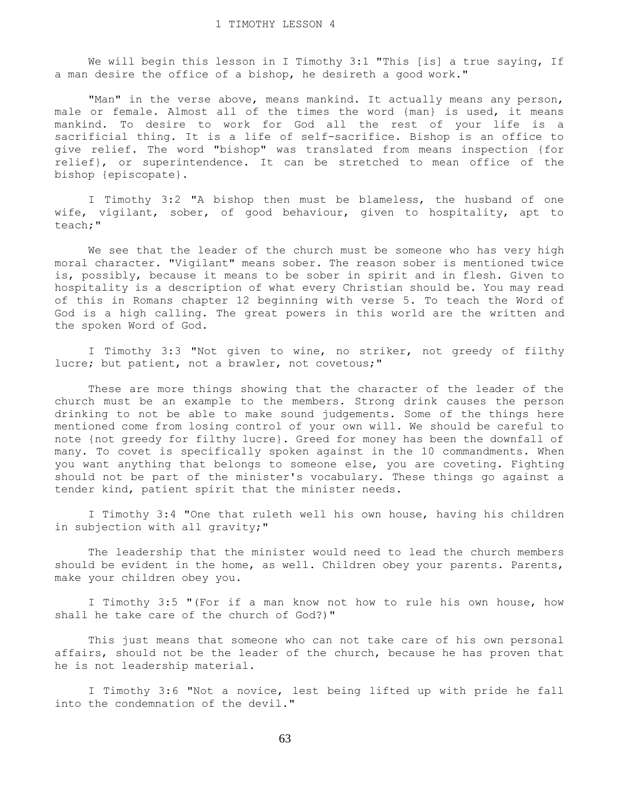We will begin this lesson in I Timothy 3:1 "This [is] a true saying, If a man desire the office of a bishop, he desireth a good work."

"Man" in the verse above, means mankind. It actually means any person, male or female. Almost all of the times the word {man} is used, it means mankind. To desire to work for God all the rest of your life is a sacrificial thing. It is a life of self-sacrifice. Bishop is an office to give relief. The word "bishop" was translated from means inspection {for relief}, or superintendence. It can be stretched to mean office of the bishop {episcopate}.

 I Timothy 3:2 "A bishop then must be blameless, the husband of one wife, vigilant, sober, of good behaviour, given to hospitality, apt to teach;"

 We see that the leader of the church must be someone who has very high moral character. "Vigilant" means sober. The reason sober is mentioned twice is, possibly, because it means to be sober in spirit and in flesh. Given to hospitality is a description of what every Christian should be. You may read of this in Romans chapter 12 beginning with verse 5. To teach the Word of God is a high calling. The great powers in this world are the written and the spoken Word of God.

 I Timothy 3:3 "Not given to wine, no striker, not greedy of filthy lucre; but patient, not a brawler, not covetous;"

 These are more things showing that the character of the leader of the church must be an example to the members. Strong drink causes the person drinking to not be able to make sound judgements. Some of the things here mentioned come from losing control of your own will. We should be careful to note {not greedy for filthy lucre}. Greed for money has been the downfall of many. To covet is specifically spoken against in the 10 commandments. When you want anything that belongs to someone else, you are coveting. Fighting should not be part of the minister's vocabulary. These things go against a tender kind, patient spirit that the minister needs.

 I Timothy 3:4 "One that ruleth well his own house, having his children in subjection with all gravity;"

 The leadership that the minister would need to lead the church members should be evident in the home, as well. Children obey your parents. Parents, make your children obey you.

 I Timothy 3:5 "(For if a man know not how to rule his own house, how shall he take care of the church of God?)"

 This just means that someone who can not take care of his own personal affairs, should not be the leader of the church, because he has proven that he is not leadership material.

 I Timothy 3:6 "Not a novice, lest being lifted up with pride he fall into the condemnation of the devil."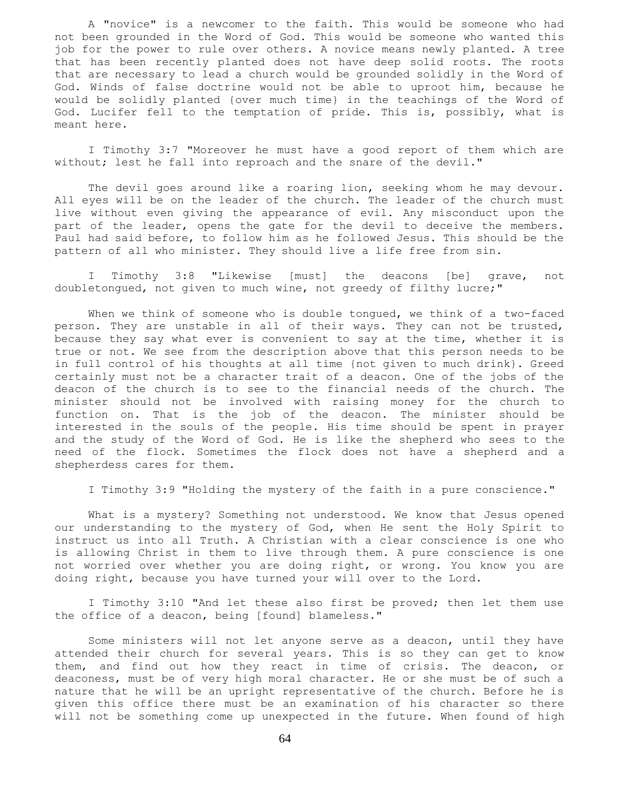A "novice" is a newcomer to the faith. This would be someone who had not been grounded in the Word of God. This would be someone who wanted this job for the power to rule over others. A novice means newly planted. A tree that has been recently planted does not have deep solid roots. The roots that are necessary to lead a church would be grounded solidly in the Word of God. Winds of false doctrine would not be able to uproot him, because he would be solidly planted {over much time} in the teachings of the Word of God. Lucifer fell to the temptation of pride. This is, possibly, what is meant here.

 I Timothy 3:7 "Moreover he must have a good report of them which are without; lest he fall into reproach and the snare of the devil."

 The devil goes around like a roaring lion, seeking whom he may devour. All eyes will be on the leader of the church. The leader of the church must live without even giving the appearance of evil. Any misconduct upon the part of the leader, opens the gate for the devil to deceive the members. Paul had said before, to follow him as he followed Jesus. This should be the pattern of all who minister. They should live a life free from sin.

 I Timothy 3:8 "Likewise [must] the deacons [be] grave, not doubletongued, not given to much wine, not greedy of filthy lucre;"

When we think of someone who is double tongued, we think of a two-faced person. They are unstable in all of their ways. They can not be trusted, because they say what ever is convenient to say at the time, whether it is true or not. We see from the description above that this person needs to be in full control of his thoughts at all time {not given to much drink}. Greed certainly must not be a character trait of a deacon. One of the jobs of the deacon of the church is to see to the financial needs of the church. The minister should not be involved with raising money for the church to function on. That is the job of the deacon. The minister should be interested in the souls of the people. His time should be spent in prayer and the study of the Word of God. He is like the shepherd who sees to the need of the flock. Sometimes the flock does not have a shepherd and a shepherdess cares for them.

I Timothy 3:9 "Holding the mystery of the faith in a pure conscience."

 What is a mystery? Something not understood. We know that Jesus opened our understanding to the mystery of God, when He sent the Holy Spirit to instruct us into all Truth. A Christian with a clear conscience is one who is allowing Christ in them to live through them. A pure conscience is one not worried over whether you are doing right, or wrong. You know you are doing right, because you have turned your will over to the Lord.

 I Timothy 3:10 "And let these also first be proved; then let them use the office of a deacon, being [found] blameless."

 Some ministers will not let anyone serve as a deacon, until they have attended their church for several years. This is so they can get to know them, and find out how they react in time of crisis. The deacon, or deaconess, must be of very high moral character. He or she must be of such a nature that he will be an upright representative of the church. Before he is given this office there must be an examination of his character so there will not be something come up unexpected in the future. When found of high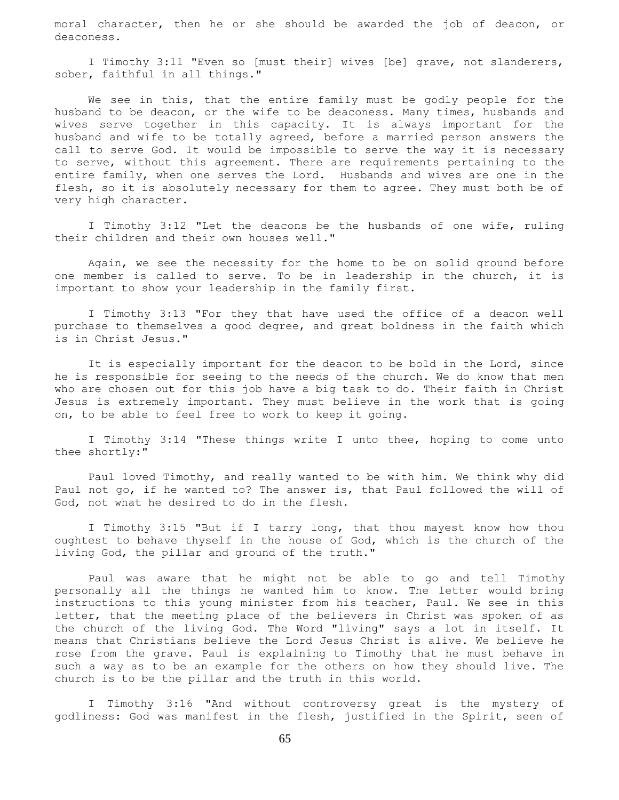moral character, then he or she should be awarded the job of deacon, or deaconess.

 I Timothy 3:11 "Even so [must their] wives [be] grave, not slanderers, sober, faithful in all things."

We see in this, that the entire family must be godly people for the husband to be deacon, or the wife to be deaconess. Many times, husbands and wives serve together in this capacity. It is always important for the husband and wife to be totally agreed, before a married person answers the call to serve God. It would be impossible to serve the way it is necessary to serve, without this agreement. There are requirements pertaining to the entire family, when one serves the Lord. Husbands and wives are one in the flesh, so it is absolutely necessary for them to agree. They must both be of very high character.

 I Timothy 3:12 "Let the deacons be the husbands of one wife, ruling their children and their own houses well."

 Again, we see the necessity for the home to be on solid ground before one member is called to serve. To be in leadership in the church, it is important to show your leadership in the family first.

 I Timothy 3:13 "For they that have used the office of a deacon well purchase to themselves a good degree, and great boldness in the faith which is in Christ Jesus."

 It is especially important for the deacon to be bold in the Lord, since he is responsible for seeing to the needs of the church. We do know that men who are chosen out for this job have a big task to do. Their faith in Christ Jesus is extremely important. They must believe in the work that is going on, to be able to feel free to work to keep it going.

 I Timothy 3:14 "These things write I unto thee, hoping to come unto thee shortly:"

 Paul loved Timothy, and really wanted to be with him. We think why did Paul not go, if he wanted to? The answer is, that Paul followed the will of God, not what he desired to do in the flesh.

 I Timothy 3:15 "But if I tarry long, that thou mayest know how thou oughtest to behave thyself in the house of God, which is the church of the living God, the pillar and ground of the truth."

 Paul was aware that he might not be able to go and tell Timothy personally all the things he wanted him to know. The letter would bring instructions to this young minister from his teacher, Paul. We see in this letter, that the meeting place of the believers in Christ was spoken of as the church of the living God. The Word "living" says a lot in itself. It means that Christians believe the Lord Jesus Christ is alive. We believe he rose from the grave. Paul is explaining to Timothy that he must behave in such a way as to be an example for the others on how they should live. The church is to be the pillar and the truth in this world.

 I Timothy 3:16 "And without controversy great is the mystery of godliness: God was manifest in the flesh, justified in the Spirit, seen of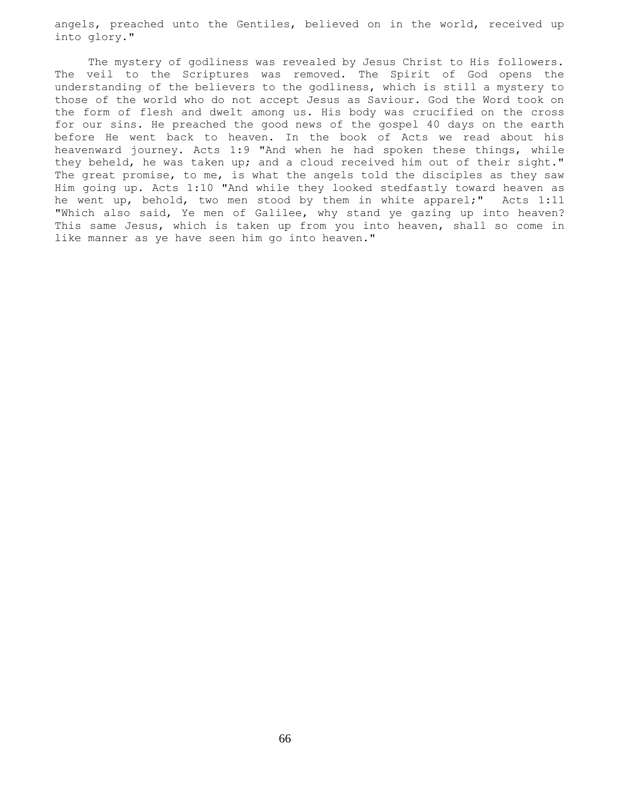angels, preached unto the Gentiles, believed on in the world, received up into glory."

 The mystery of godliness was revealed by Jesus Christ to His followers. The veil to the Scriptures was removed. The Spirit of God opens the understanding of the believers to the godliness, which is still a mystery to those of the world who do not accept Jesus as Saviour. God the Word took on the form of flesh and dwelt among us. His body was crucified on the cross for our sins. He preached the good news of the gospel 40 days on the earth before He went back to heaven. In the book of Acts we read about his heavenward journey. Acts 1:9 "And when he had spoken these things, while they beheld, he was taken up; and a cloud received him out of their sight." The great promise, to me, is what the angels told the disciples as they saw Him going up. Acts 1:10 "And while they looked stedfastly toward heaven as he went up, behold, two men stood by them in white apparel;" Acts 1:11 "Which also said, Ye men of Galilee, why stand ye gazing up into heaven? This same Jesus, which is taken up from you into heaven, shall so come in like manner as ye have seen him go into heaven."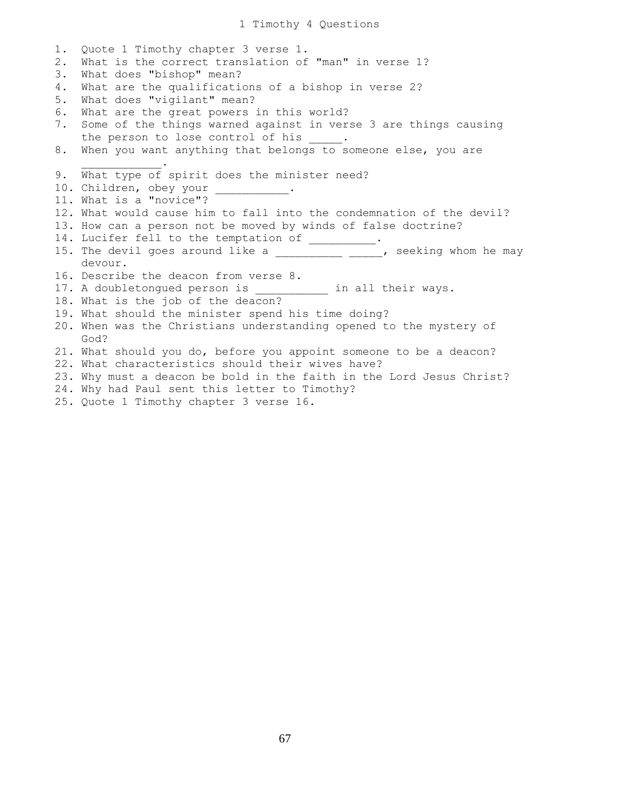1. Quote 1 Timothy chapter 3 verse 1. 2. What is the correct translation of "man" in verse 1? 3. What does "bishop" mean? 4. What are the qualifications of a bishop in verse 2? 5. What does "vigilant" mean? 6. What are the great powers in this world? 7. Some of the things warned against in verse 3 are things causing the person to lose control of his 8. When you want anything that belongs to someone else, you are  $\mathcal{L}=\mathcal{L}=\mathcal{L}=\mathcal{L}=\mathcal{L}=\mathcal{L}=\mathcal{L}$ 9. What type of spirit does the minister need? 10. Children, obey your \_\_\_\_\_\_\_\_\_\_. 11. What is a "novice"? 12. What would cause him to fall into the condemnation of the devil? 13. How can a person not be moved by winds of false doctrine? 14. Lucifer fell to the temptation of \_\_\_\_\_\_\_\_\_. 15. The devil goes around like a \_\_\_\_\_\_\_\_\_\_\_ \_\_\_\_, seeking whom he may devour. 16. Describe the deacon from verse 8. 17. A doubletongued person is **their ways.** 18. What is the job of the deacon? 19. What should the minister spend his time doing? 20. When was the Christians understanding opened to the mystery of God? 21. What should you do, before you appoint someone to be a deacon? 22. What characteristics should their wives have? 23. Why must a deacon be bold in the faith in the Lord Jesus Christ? 24. Why had Paul sent this letter to Timothy?

25. Quote 1 Timothy chapter 3 verse 16.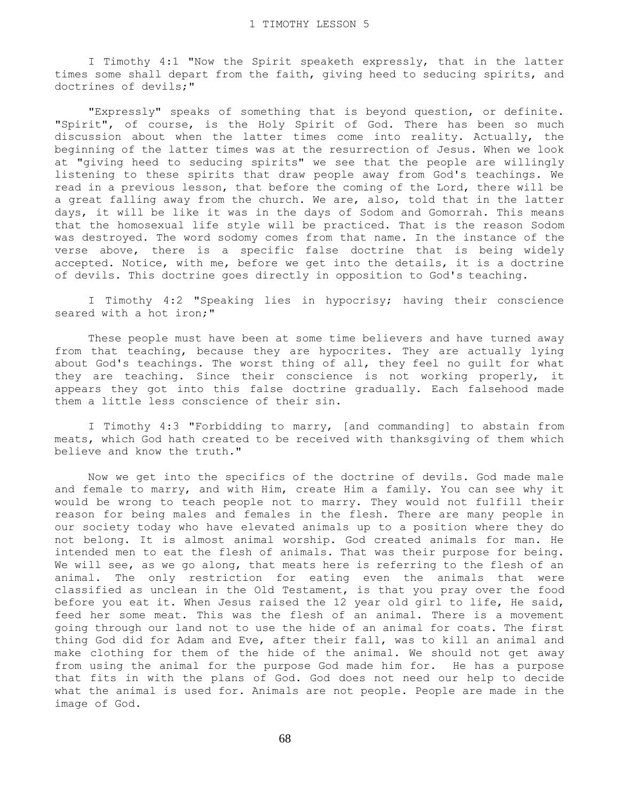I Timothy 4:1 "Now the Spirit speaketh expressly, that in the latter times some shall depart from the faith, giving heed to seducing spirits, and doctrines of devils;"

 "Expressly" speaks of something that is beyond question, or definite. "Spirit", of course, is the Holy Spirit of God. There has been so much discussion about when the latter times come into reality. Actually, the beginning of the latter times was at the resurrection of Jesus. When we look at "giving heed to seducing spirits" we see that the people are willingly listening to these spirits that draw people away from God's teachings. We read in a previous lesson, that before the coming of the Lord, there will be a great falling away from the church. We are, also, told that in the latter days, it will be like it was in the days of Sodom and Gomorrah. This means that the homosexual life style will be practiced. That is the reason Sodom was destroyed. The word sodomy comes from that name. In the instance of the verse above, there is a specific false doctrine that is being widely accepted. Notice, with me, before we get into the details, it is a doctrine of devils. This doctrine goes directly in opposition to God's teaching.

 I Timothy 4:2 "Speaking lies in hypocrisy; having their conscience seared with a hot iron;"

 These people must have been at some time believers and have turned away from that teaching, because they are hypocrites. They are actually lying about God's teachings. The worst thing of all, they feel no guilt for what they are teaching. Since their conscience is not working properly, it appears they got into this false doctrine gradually. Each falsehood made them a little less conscience of their sin.

 I Timothy 4:3 "Forbidding to marry, [and commanding] to abstain from meats, which God hath created to be received with thanksgiving of them which believe and know the truth."

 Now we get into the specifics of the doctrine of devils. God made male and female to marry, and with Him, create Him a family. You can see why it would be wrong to teach people not to marry. They would not fulfill their reason for being males and females in the flesh. There are many people in our society today who have elevated animals up to a position where they do not belong. It is almost animal worship. God created animals for man. He intended men to eat the flesh of animals. That was their purpose for being. We will see, as we go along, that meats here is referring to the flesh of an animal. The only restriction for eating even the animals that were classified as unclean in the Old Testament, is that you pray over the food before you eat it. When Jesus raised the 12 year old girl to life, He said, feed her some meat. This was the flesh of an animal. There is a movement going through our land not to use the hide of an animal for coats. The first thing God did for Adam and Eve, after their fall, was to kill an animal and make clothing for them of the hide of the animal. We should not get away from using the animal for the purpose God made him for. He has a purpose that fits in with the plans of God. God does not need our help to decide what the animal is used for. Animals are not people. People are made in the image of God.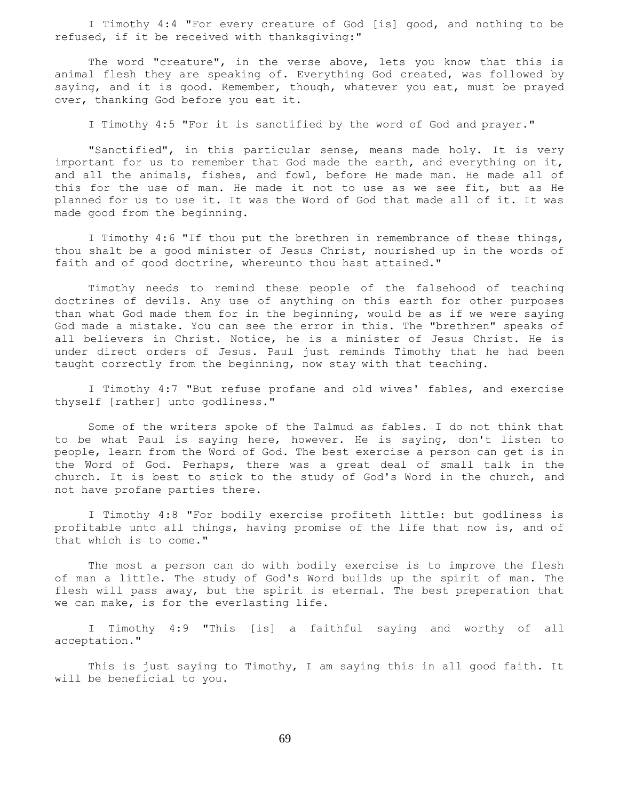I Timothy 4:4 "For every creature of God [is] good, and nothing to be refused, if it be received with thanksgiving:"

 The word "creature", in the verse above, lets you know that this is animal flesh they are speaking of. Everything God created, was followed by saying, and it is good. Remember, though, whatever you eat, must be prayed over, thanking God before you eat it.

I Timothy 4:5 "For it is sanctified by the word of God and prayer."

"Sanctified", in this particular sense, means made holy. It is very important for us to remember that God made the earth, and everything on it, and all the animals, fishes, and fowl, before He made man. He made all of this for the use of man. He made it not to use as we see fit, but as He planned for us to use it. It was the Word of God that made all of it. It was made good from the beginning.

 I Timothy 4:6 "If thou put the brethren in remembrance of these things, thou shalt be a good minister of Jesus Christ, nourished up in the words of faith and of good doctrine, whereunto thou hast attained."

 Timothy needs to remind these people of the falsehood of teaching doctrines of devils. Any use of anything on this earth for other purposes than what God made them for in the beginning, would be as if we were saying God made a mistake. You can see the error in this. The "brethren" speaks of all believers in Christ. Notice, he is a minister of Jesus Christ. He is under direct orders of Jesus. Paul just reminds Timothy that he had been taught correctly from the beginning, now stay with that teaching.

 I Timothy 4:7 "But refuse profane and old wives' fables, and exercise thyself [rather] unto godliness."

 Some of the writers spoke of the Talmud as fables. I do not think that to be what Paul is saying here, however. He is saying, don't listen to people, learn from the Word of God. The best exercise a person can get is in the Word of God. Perhaps, there was a great deal of small talk in the church. It is best to stick to the study of God's Word in the church, and not have profane parties there.

 I Timothy 4:8 "For bodily exercise profiteth little: but godliness is profitable unto all things, having promise of the life that now is, and of that which is to come."

 The most a person can do with bodily exercise is to improve the flesh of man a little. The study of God's Word builds up the spirit of man. The flesh will pass away, but the spirit is eternal. The best preperation that we can make, is for the everlasting life.

 I Timothy 4:9 "This [is] a faithful saying and worthy of all acceptation."

 This is just saying to Timothy, I am saying this in all good faith. It will be beneficial to you.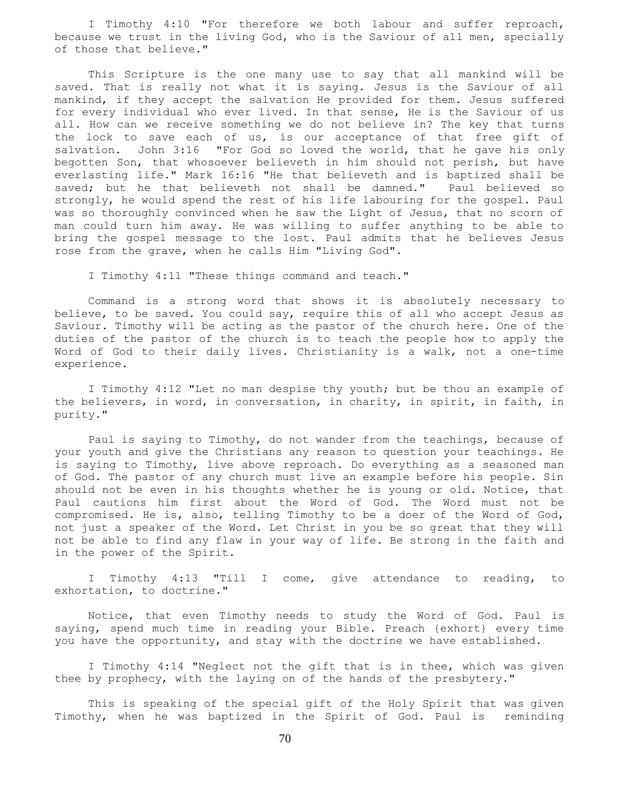I Timothy 4:10 "For therefore we both labour and suffer reproach, because we trust in the living God, who is the Saviour of all men, specially of those that believe."

 This Scripture is the one many use to say that all mankind will be saved. That is really not what it is saying. Jesus is the Saviour of all mankind, if they accept the salvation He provided for them. Jesus suffered for every individual who ever lived. In that sense, He is the Saviour of us all. How can we receive something we do not believe in? The key that turns the lock to save each of us, is our acceptance of that free gift of salvation. John 3:16 "For God so loved the world, that he gave his only begotten Son, that whosoever believeth in him should not perish, but have everlasting life." Mark 16:16 "He that believeth and is baptized shall be saved; but he that believeth not shall be damned." Paul believed so strongly, he would spend the rest of his life labouring for the gospel. Paul was so thoroughly convinced when he saw the Light of Jesus, that no scorn of man could turn him away. He was willing to suffer anything to be able to bring the gospel message to the lost. Paul admits that he believes Jesus rose from the grave, when he calls Him "Living God".

I Timothy 4:11 "These things command and teach."

 Command is a strong word that shows it is absolutely necessary to believe, to be saved. You could say, require this of all who accept Jesus as Saviour. Timothy will be acting as the pastor of the church here. One of the duties of the pastor of the church is to teach the people how to apply the Word of God to their daily lives. Christianity is a walk, not a one-time experience.

 I Timothy 4:12 "Let no man despise thy youth; but be thou an example of the believers, in word, in conversation, in charity, in spirit, in faith, in purity."

 Paul is saying to Timothy, do not wander from the teachings, because of your youth and give the Christians any reason to question your teachings. He is saying to Timothy, live above reproach. Do everything as a seasoned man of God. The pastor of any church must live an example before his people. Sin should not be even in his thoughts whether he is young or old. Notice, that Paul cautions him first about the Word of God. The Word must not be compromised. He is, also, telling Timothy to be a doer of the Word of God, not just a speaker of the Word. Let Christ in you be so great that they will not be able to find any flaw in your way of life. Be strong in the faith and in the power of the Spirit.

 I Timothy 4:13 "Till I come, give attendance to reading, to exhortation, to doctrine."

 Notice, that even Timothy needs to study the Word of God. Paul is saying, spend much time in reading your Bible. Preach {exhort} every time you have the opportunity, and stay with the doctrine we have established.

 I Timothy 4:14 "Neglect not the gift that is in thee, which was given thee by prophecy, with the laying on of the hands of the presbytery."

 This is speaking of the special gift of the Holy Spirit that was given Timothy, when he was baptized in the Spirit of God. Paul is reminding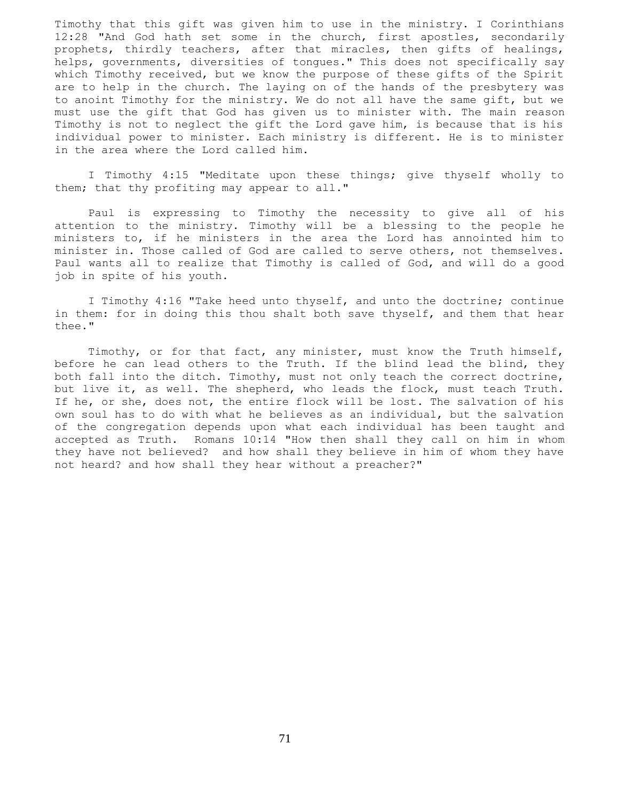Timothy that this gift was given him to use in the ministry. I Corinthians 12:28 "And God hath set some in the church, first apostles, secondarily prophets, thirdly teachers, after that miracles, then gifts of healings, helps, governments, diversities of tongues." This does not specifically say which Timothy received, but we know the purpose of these gifts of the Spirit are to help in the church. The laying on of the hands of the presbytery was to anoint Timothy for the ministry. We do not all have the same gift, but we must use the gift that God has given us to minister with. The main reason Timothy is not to neglect the gift the Lord gave him, is because that is his individual power to minister. Each ministry is different. He is to minister in the area where the Lord called him.

 I Timothy 4:15 "Meditate upon these things; give thyself wholly to them; that thy profiting may appear to all."

 Paul is expressing to Timothy the necessity to give all of his attention to the ministry. Timothy will be a blessing to the people he ministers to, if he ministers in the area the Lord has annointed him to minister in. Those called of God are called to serve others, not themselves. Paul wants all to realize that Timothy is called of God, and will do a good job in spite of his youth.

 I Timothy 4:16 "Take heed unto thyself, and unto the doctrine; continue in them: for in doing this thou shalt both save thyself, and them that hear thee."

 Timothy, or for that fact, any minister, must know the Truth himself, before he can lead others to the Truth. If the blind lead the blind, they both fall into the ditch. Timothy, must not only teach the correct doctrine, but live it, as well. The shepherd, who leads the flock, must teach Truth. If he, or she, does not, the entire flock will be lost. The salvation of his own soul has to do with what he believes as an individual, but the salvation of the congregation depends upon what each individual has been taught and accepted as Truth. Romans 10:14 "How then shall they call on him in whom they have not believed? and how shall they believe in him of whom they have not heard? and how shall they hear without a preacher?"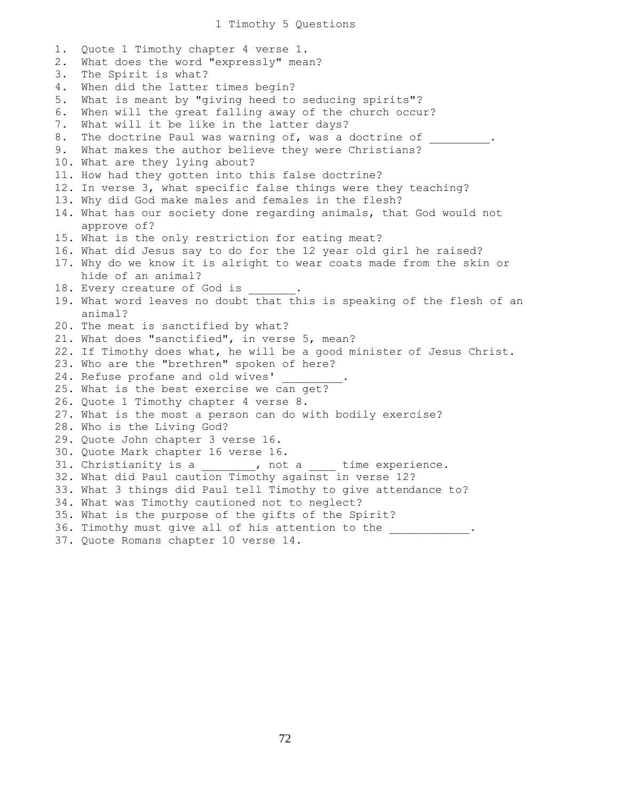1. Quote 1 Timothy chapter 4 verse 1. 2. What does the word "expressly" mean? 3. The Spirit is what? 4. When did the latter times begin? 5. What is meant by "giving heed to seducing spirits"? 6. When will the great falling away of the church occur? 7. What will it be like in the latter days? 8. The doctrine Paul was warning of, was a doctrine of 9. What makes the author believe they were Christians? 10. What are they lying about? 11. How had they gotten into this false doctrine? 12. In verse 3, what specific false things were they teaching? 13. Why did God make males and females in the flesh? 14. What has our society done regarding animals, that God would not approve of? 15. What is the only restriction for eating meat? 16. What did Jesus say to do for the 12 year old girl he raised? 17. Why do we know it is alright to wear coats made from the skin or hide of an animal? 18. Every creature of God is 19. What word leaves no doubt that this is speaking of the flesh of an animal? 20. The meat is sanctified by what? 21. What does "sanctified", in verse 5, mean? 22. If Timothy does what, he will be a good minister of Jesus Christ. 23. Who are the "brethren" spoken of here? 24. Refuse profane and old wives' 25. What is the best exercise we can get? 26. Quote 1 Timothy chapter 4 verse 8. 27. What is the most a person can do with bodily exercise? 28. Who is the Living God? 29. Quote John chapter 3 verse 16. 30. Quote Mark chapter 16 verse 16. 31. Christianity is a  $\qquad \qquad$ , not a  $\qquad$  time experience. 32. What did Paul caution Timothy against in verse 12? 33. What 3 things did Paul tell Timothy to give attendance to? 34. What was Timothy cautioned not to neglect? 35. What is the purpose of the gifts of the Spirit? 36. Timothy must give all of his attention to the 37. Quote Romans chapter 10 verse 14.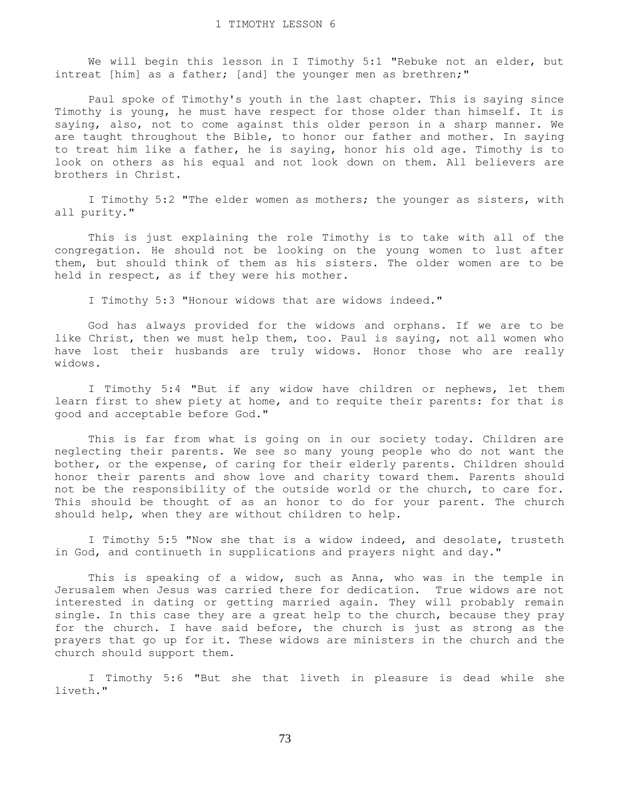We will begin this lesson in I Timothy 5:1 "Rebuke not an elder, but intreat [him] as a father; [and] the younger men as brethren;"

 Paul spoke of Timothy's youth in the last chapter. This is saying since Timothy is young, he must have respect for those older than himself. It is saying, also, not to come against this older person in a sharp manner. We are taught throughout the Bible, to honor our father and mother. In saying to treat him like a father, he is saying, honor his old age. Timothy is to look on others as his equal and not look down on them. All believers are brothers in Christ.

 I Timothy 5:2 "The elder women as mothers; the younger as sisters, with all purity."

 This is just explaining the role Timothy is to take with all of the congregation. He should not be looking on the young women to lust after them, but should think of them as his sisters. The older women are to be held in respect, as if they were his mother.

I Timothy 5:3 "Honour widows that are widows indeed."

 God has always provided for the widows and orphans. If we are to be like Christ, then we must help them, too. Paul is saying, not all women who have lost their husbands are truly widows. Honor those who are really widows.

 I Timothy 5:4 "But if any widow have children or nephews, let them learn first to shew piety at home, and to requite their parents: for that is good and acceptable before God."

 This is far from what is going on in our society today. Children are neglecting their parents. We see so many young people who do not want the bother, or the expense, of caring for their elderly parents. Children should honor their parents and show love and charity toward them. Parents should not be the responsibility of the outside world or the church, to care for. This should be thought of as an honor to do for your parent. The church should help, when they are without children to help.

 I Timothy 5:5 "Now she that is a widow indeed, and desolate, trusteth in God, and continueth in supplications and prayers night and day."

 This is speaking of a widow, such as Anna, who was in the temple in Jerusalem when Jesus was carried there for dedication. True widows are not interested in dating or getting married again. They will probably remain single. In this case they are a great help to the church, because they pray for the church. I have said before, the church is just as strong as the prayers that go up for it. These widows are ministers in the church and the church should support them.

 I Timothy 5:6 "But she that liveth in pleasure is dead while she liveth."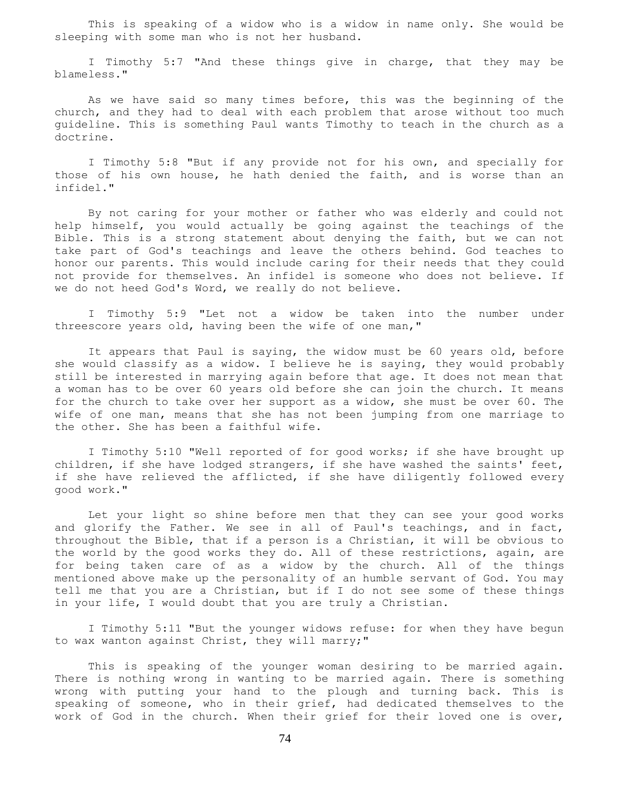This is speaking of a widow who is a widow in name only. She would be sleeping with some man who is not her husband.

 I Timothy 5:7 "And these things give in charge, that they may be blameless."

 As we have said so many times before, this was the beginning of the church, and they had to deal with each problem that arose without too much guideline. This is something Paul wants Timothy to teach in the church as a doctrine.

 I Timothy 5:8 "But if any provide not for his own, and specially for those of his own house, he hath denied the faith, and is worse than an infidel."

 By not caring for your mother or father who was elderly and could not help himself, you would actually be going against the teachings of the Bible. This is a strong statement about denying the faith, but we can not take part of God's teachings and leave the others behind. God teaches to honor our parents. This would include caring for their needs that they could not provide for themselves. An infidel is someone who does not believe. If we do not heed God's Word, we really do not believe.

 I Timothy 5:9 "Let not a widow be taken into the number under threescore years old, having been the wife of one man,"

It appears that Paul is saying, the widow must be 60 years old, before she would classify as a widow. I believe he is saying, they would probably still be interested in marrying again before that age. It does not mean that a woman has to be over 60 years old before she can join the church. It means for the church to take over her support as a widow, she must be over 60. The wife of one man, means that she has not been jumping from one marriage to the other. She has been a faithful wife.

 I Timothy 5:10 "Well reported of for good works; if she have brought up children, if she have lodged strangers, if she have washed the saints' feet, if she have relieved the afflicted, if she have diligently followed every good work."

 Let your light so shine before men that they can see your good works and glorify the Father. We see in all of Paul's teachings, and in fact, throughout the Bible, that if a person is a Christian, it will be obvious to the world by the good works they do. All of these restrictions, again, are for being taken care of as a widow by the church. All of the things mentioned above make up the personality of an humble servant of God. You may tell me that you are a Christian, but if I do not see some of these things in your life, I would doubt that you are truly a Christian.

 I Timothy 5:11 "But the younger widows refuse: for when they have begun to wax wanton against Christ, they will marry;"

 This is speaking of the younger woman desiring to be married again. There is nothing wrong in wanting to be married again. There is something wrong with putting your hand to the plough and turning back. This is speaking of someone, who in their grief, had dedicated themselves to the work of God in the church. When their grief for their loved one is over,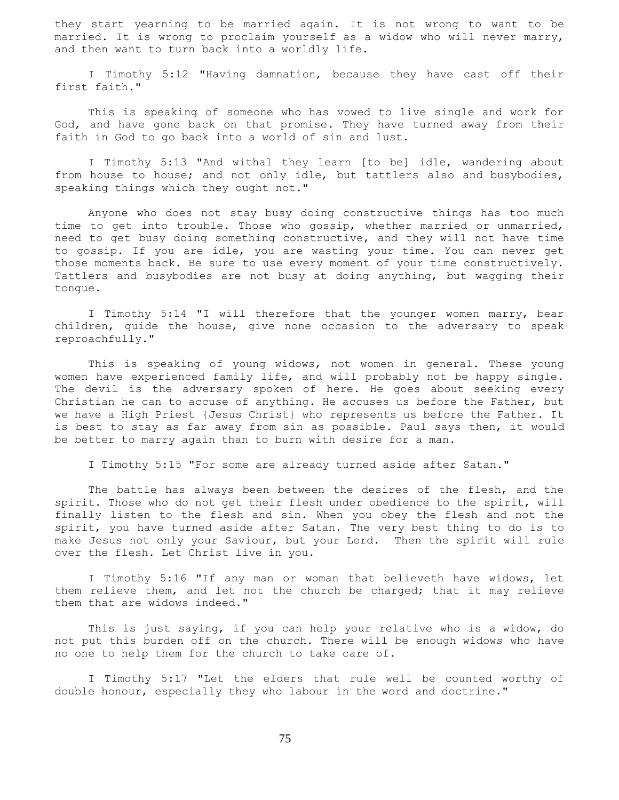they start yearning to be married again. It is not wrong to want to be married. It is wrong to proclaim yourself as a widow who will never marry, and then want to turn back into a worldly life.

 I Timothy 5:12 "Having damnation, because they have cast off their first faith."

 This is speaking of someone who has vowed to live single and work for God, and have gone back on that promise. They have turned away from their faith in God to go back into a world of sin and lust.

 I Timothy 5:13 "And withal they learn [to be] idle, wandering about from house to house; and not only idle, but tattlers also and busybodies, speaking things which they ought not."

 Anyone who does not stay busy doing constructive things has too much time to get into trouble. Those who gossip, whether married or unmarried, need to get busy doing something constructive, and they will not have time to gossip. If you are idle, you are wasting your time. You can never get those moments back. Be sure to use every moment of your time constructively. Tattlers and busybodies are not busy at doing anything, but wagging their tongue.

 I Timothy 5:14 "I will therefore that the younger women marry, bear children, guide the house, give none occasion to the adversary to speak reproachfully."

 This is speaking of young widows, not women in general. These young women have experienced family life, and will probably not be happy single. The devil is the adversary spoken of here. He goes about seeking every Christian he can to accuse of anything. He accuses us before the Father, but we have a High Priest {Jesus Christ} who represents us before the Father. It is best to stay as far away from sin as possible. Paul says then, it would be better to marry again than to burn with desire for a man.

I Timothy 5:15 "For some are already turned aside after Satan."

 The battle has always been between the desires of the flesh, and the spirit. Those who do not get their flesh under obedience to the spirit, will finally listen to the flesh and sin. When you obey the flesh and not the spirit, you have turned aside after Satan. The very best thing to do is to make Jesus not only your Saviour, but your Lord. Then the spirit will rule over the flesh. Let Christ live in you.

 I Timothy 5:16 "If any man or woman that believeth have widows, let them relieve them, and let not the church be charged; that it may relieve them that are widows indeed."

 This is just saying, if you can help your relative who is a widow, do not put this burden off on the church. There will be enough widows who have no one to help them for the church to take care of.

 I Timothy 5:17 "Let the elders that rule well be counted worthy of double honour, especially they who labour in the word and doctrine."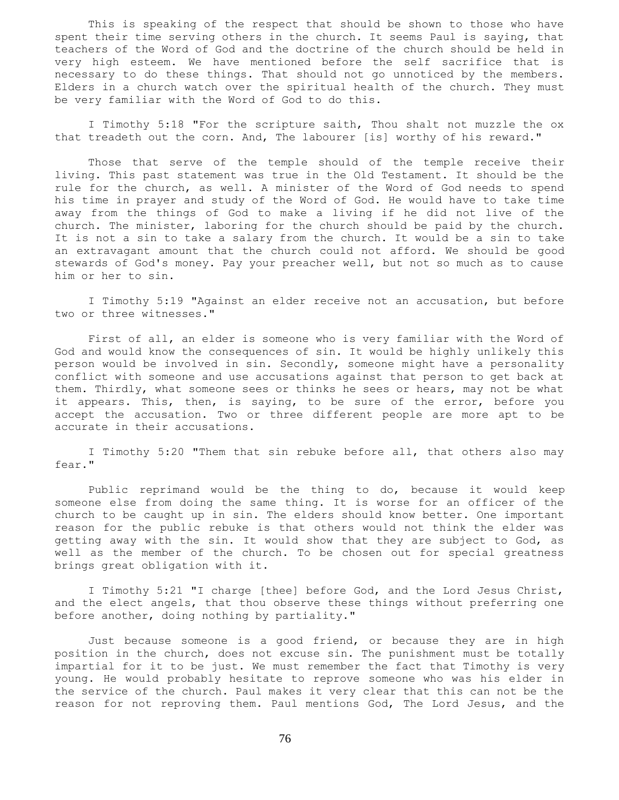This is speaking of the respect that should be shown to those who have spent their time serving others in the church. It seems Paul is saying, that teachers of the Word of God and the doctrine of the church should be held in very high esteem. We have mentioned before the self sacrifice that is necessary to do these things. That should not go unnoticed by the members. Elders in a church watch over the spiritual health of the church. They must be very familiar with the Word of God to do this.

 I Timothy 5:18 "For the scripture saith, Thou shalt not muzzle the ox that treadeth out the corn. And, The labourer [is] worthy of his reward."

 Those that serve of the temple should of the temple receive their living. This past statement was true in the Old Testament. It should be the rule for the church, as well. A minister of the Word of God needs to spend his time in prayer and study of the Word of God. He would have to take time away from the things of God to make a living if he did not live of the church. The minister, laboring for the church should be paid by the church. It is not a sin to take a salary from the church. It would be a sin to take an extravagant amount that the church could not afford. We should be good stewards of God's money. Pay your preacher well, but not so much as to cause him or her to sin.

 I Timothy 5:19 "Against an elder receive not an accusation, but before two or three witnesses."

 First of all, an elder is someone who is very familiar with the Word of God and would know the consequences of sin. It would be highly unlikely this person would be involved in sin. Secondly, someone might have a personality conflict with someone and use accusations against that person to get back at them. Thirdly, what someone sees or thinks he sees or hears, may not be what it appears. This, then, is saying, to be sure of the error, before you accept the accusation. Two or three different people are more apt to be accurate in their accusations.

 I Timothy 5:20 "Them that sin rebuke before all, that others also may fear."

 Public reprimand would be the thing to do, because it would keep someone else from doing the same thing. It is worse for an officer of the church to be caught up in sin. The elders should know better. One important reason for the public rebuke is that others would not think the elder was getting away with the sin. It would show that they are subject to God, as well as the member of the church. To be chosen out for special greatness brings great obligation with it.

 I Timothy 5:21 "I charge [thee] before God, and the Lord Jesus Christ, and the elect angels, that thou observe these things without preferring one before another, doing nothing by partiality."

 Just because someone is a good friend, or because they are in high position in the church, does not excuse sin. The punishment must be totally impartial for it to be just. We must remember the fact that Timothy is very young. He would probably hesitate to reprove someone who was his elder in the service of the church. Paul makes it very clear that this can not be the reason for not reproving them. Paul mentions God, The Lord Jesus, and the

76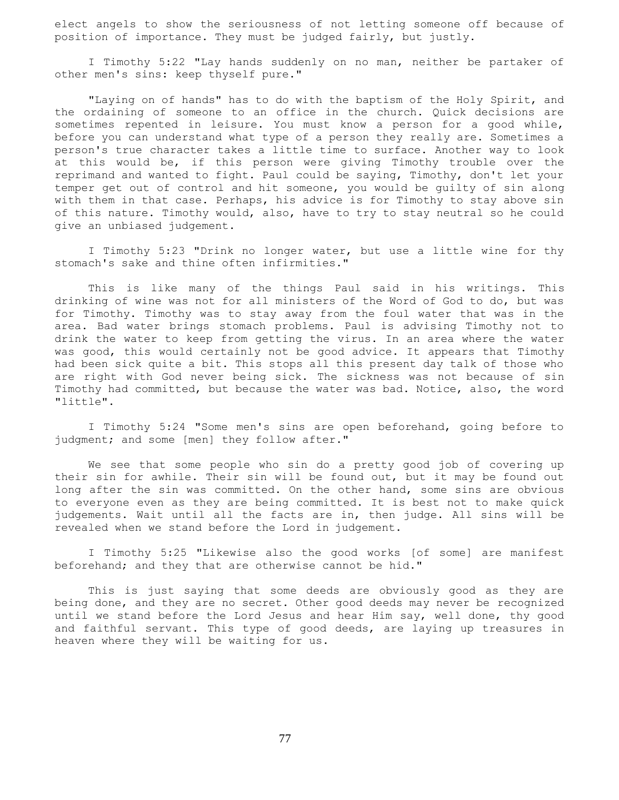elect angels to show the seriousness of not letting someone off because of position of importance. They must be judged fairly, but justly.

 I Timothy 5:22 "Lay hands suddenly on no man, neither be partaker of other men's sins: keep thyself pure."

 "Laying on of hands" has to do with the baptism of the Holy Spirit, and the ordaining of someone to an office in the church. Quick decisions are sometimes repented in leisure. You must know a person for a good while, before you can understand what type of a person they really are. Sometimes a person's true character takes a little time to surface. Another way to look at this would be, if this person were giving Timothy trouble over the reprimand and wanted to fight. Paul could be saying, Timothy, don't let your temper get out of control and hit someone, you would be guilty of sin along with them in that case. Perhaps, his advice is for Timothy to stay above sin of this nature. Timothy would, also, have to try to stay neutral so he could give an unbiased judgement.

 I Timothy 5:23 "Drink no longer water, but use a little wine for thy stomach's sake and thine often infirmities."

 This is like many of the things Paul said in his writings. This drinking of wine was not for all ministers of the Word of God to do, but was for Timothy. Timothy was to stay away from the foul water that was in the area. Bad water brings stomach problems. Paul is advising Timothy not to drink the water to keep from getting the virus. In an area where the water was good, this would certainly not be good advice. It appears that Timothy had been sick quite a bit. This stops all this present day talk of those who are right with God never being sick. The sickness was not because of sin Timothy had committed, but because the water was bad. Notice, also, the word "little".

 I Timothy 5:24 "Some men's sins are open beforehand, going before to judgment; and some [men] they follow after."

 We see that some people who sin do a pretty good job of covering up their sin for awhile. Their sin will be found out, but it may be found out long after the sin was committed. On the other hand, some sins are obvious to everyone even as they are being committed. It is best not to make quick judgements. Wait until all the facts are in, then judge. All sins will be revealed when we stand before the Lord in judgement.

 I Timothy 5:25 "Likewise also the good works [of some] are manifest beforehand; and they that are otherwise cannot be hid."

 This is just saying that some deeds are obviously good as they are being done, and they are no secret. Other good deeds may never be recognized until we stand before the Lord Jesus and hear Him say, well done, thy good and faithful servant. This type of good deeds, are laying up treasures in heaven where they will be waiting for us.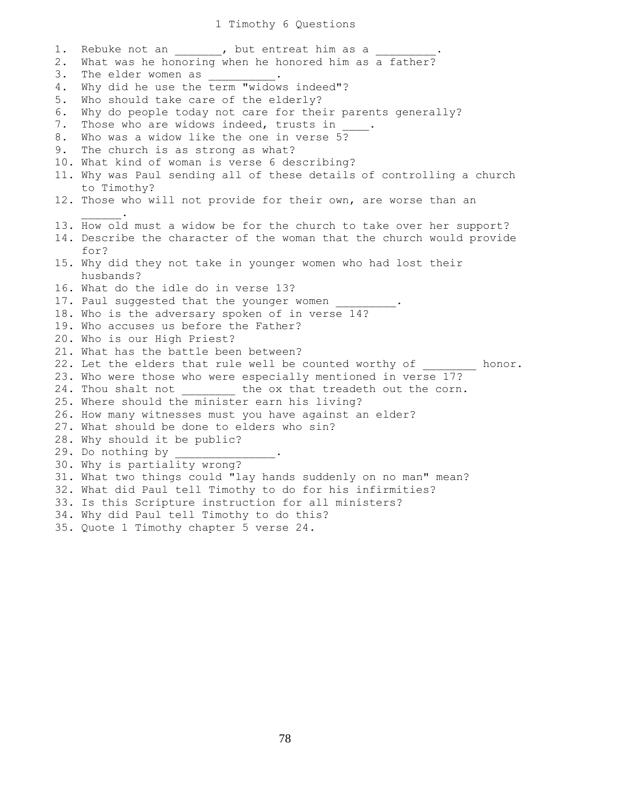1. Rebuke not an 1. but entreat him as a 2. What was he honoring when he honored him as a father? 3. The elder women as 4. Why did he use the term "widows indeed"? 5. Who should take care of the elderly? 6. Why do people today not care for their parents generally? 7. Those who are widows indeed, trusts in 8. Who was a widow like the one in verse 5? 9. The church is as strong as what? 10. What kind of woman is verse 6 describing? 11. Why was Paul sending all of these details of controlling a church to Timothy? 12. Those who will not provide for their own, are worse than an  $\mathcal{L}=\mathcal{L}^{\mathcal{L}}$ 13. How old must a widow be for the church to take over her support? 14. Describe the character of the woman that the church would provide for? 15. Why did they not take in younger women who had lost their husbands? 16. What do the idle do in verse 13? 17. Paul suggested that the younger women 18. Who is the adversary spoken of in verse 14? 19. Who accuses us before the Father? 20. Who is our High Priest? 21. What has the battle been between? 22. Let the elders that rule well be counted worthy of honor. 23. Who were those who were especially mentioned in verse 17? 24. Thou shalt not the ox that treadeth out the corn. 25. Where should the minister earn his living? 26. How many witnesses must you have against an elder? 27. What should be done to elders who sin? 28. Why should it be public? 29. Do nothing by 30. Why is partiality wrong? 31. What two things could "lay hands suddenly on no man" mean? 32. What did Paul tell Timothy to do for his infirmities? 33. Is this Scripture instruction for all ministers? 34. Why did Paul tell Timothy to do this? 35. Quote 1 Timothy chapter 5 verse 24.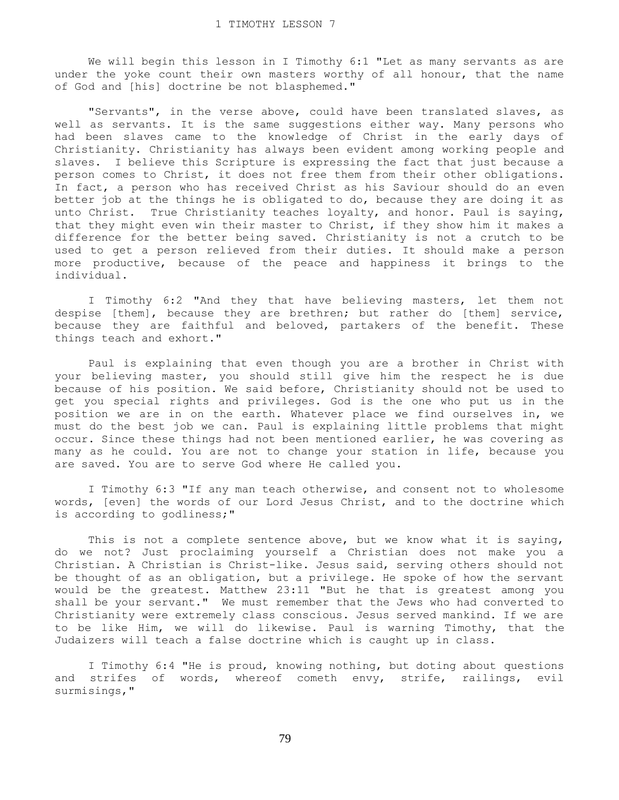We will begin this lesson in I Timothy 6:1 "Let as many servants as are under the yoke count their own masters worthy of all honour, that the name of God and [his] doctrine be not blasphemed."

 "Servants", in the verse above, could have been translated slaves, as well as servants. It is the same suggestions either way. Many persons who had been slaves came to the knowledge of Christ in the early days of Christianity. Christianity has always been evident among working people and slaves. I believe this Scripture is expressing the fact that just because a person comes to Christ, it does not free them from their other obligations. In fact, a person who has received Christ as his Saviour should do an even better job at the things he is obligated to do, because they are doing it as unto Christ. True Christianity teaches loyalty, and honor. Paul is saying, that they might even win their master to Christ, if they show him it makes a difference for the better being saved. Christianity is not a crutch to be used to get a person relieved from their duties. It should make a person more productive, because of the peace and happiness it brings to the individual.

 I Timothy 6:2 "And they that have believing masters, let them not despise [them], because they are brethren; but rather do [them] service, because they are faithful and beloved, partakers of the benefit. These things teach and exhort."

 Paul is explaining that even though you are a brother in Christ with your believing master, you should still give him the respect he is due because of his position. We said before, Christianity should not be used to get you special rights and privileges. God is the one who put us in the position we are in on the earth. Whatever place we find ourselves in, we must do the best job we can. Paul is explaining little problems that might occur. Since these things had not been mentioned earlier, he was covering as many as he could. You are not to change your station in life, because you are saved. You are to serve God where He called you.

 I Timothy 6:3 "If any man teach otherwise, and consent not to wholesome words, [even] the words of our Lord Jesus Christ, and to the doctrine which is according to godliness;"

This is not a complete sentence above, but we know what it is saying, do we not? Just proclaiming yourself a Christian does not make you a Christian. A Christian is Christ-like. Jesus said, serving others should not be thought of as an obligation, but a privilege. He spoke of how the servant would be the greatest. Matthew 23:11 "But he that is greatest among you shall be your servant." We must remember that the Jews who had converted to Christianity were extremely class conscious. Jesus served mankind. If we are to be like Him, we will do likewise. Paul is warning Timothy, that the Judaizers will teach a false doctrine which is caught up in class.

 I Timothy 6:4 "He is proud, knowing nothing, but doting about questions and strifes of words, whereof cometh envy, strife, railings, evil surmisings,"

79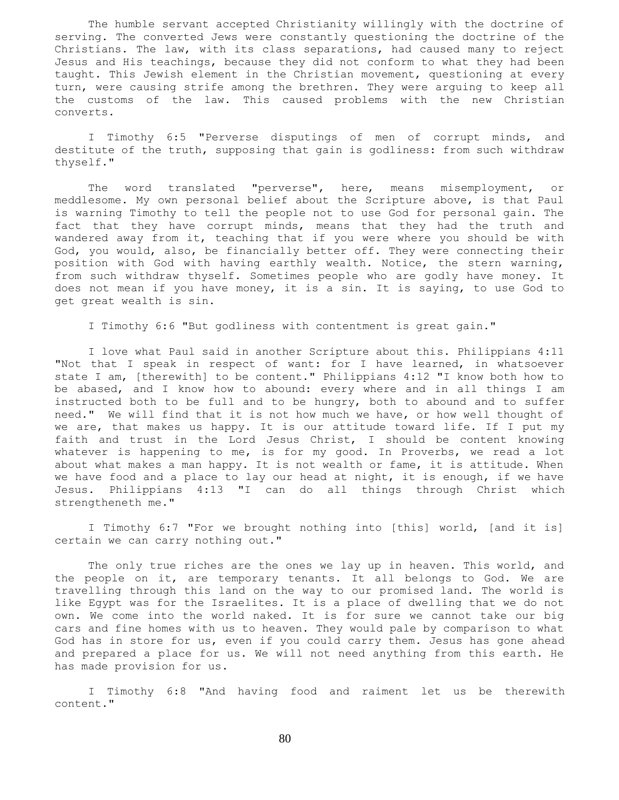The humble servant accepted Christianity willingly with the doctrine of serving. The converted Jews were constantly questioning the doctrine of the Christians. The law, with its class separations, had caused many to reject Jesus and His teachings, because they did not conform to what they had been taught. This Jewish element in the Christian movement, questioning at every turn, were causing strife among the brethren. They were arguing to keep all the customs of the law. This caused problems with the new Christian converts.

 I Timothy 6:5 "Perverse disputings of men of corrupt minds, and destitute of the truth, supposing that gain is godliness: from such withdraw thyself."

 The word translated "perverse", here, means misemployment, or meddlesome. My own personal belief about the Scripture above, is that Paul is warning Timothy to tell the people not to use God for personal gain. The fact that they have corrupt minds, means that they had the truth and wandered away from it, teaching that if you were where you should be with God, you would, also, be financially better off. They were connecting their position with God with having earthly wealth. Notice, the stern warning, from such withdraw thyself. Sometimes people who are godly have money. It does not mean if you have money, it is a sin. It is saying, to use God to get great wealth is sin.

I Timothy 6:6 "But godliness with contentment is great gain."

 I love what Paul said in another Scripture about this. Philippians 4:11 "Not that I speak in respect of want: for I have learned, in whatsoever state I am, [therewith] to be content." Philippians 4:12 "I know both how to be abased, and I know how to abound: every where and in all things I am instructed both to be full and to be hungry, both to abound and to suffer need." We will find that it is not how much we have, or how well thought of we are, that makes us happy. It is our attitude toward life. If I put my faith and trust in the Lord Jesus Christ, I should be content knowing whatever is happening to me, is for my good. In Proverbs, we read a lot about what makes a man happy. It is not wealth or fame, it is attitude. When we have food and a place to lay our head at night, it is enough, if we have Jesus. Philippians 4:13 "I can do all things through Christ which strengtheneth me."

 I Timothy 6:7 "For we brought nothing into [this] world, [and it is] certain we can carry nothing out."

The only true riches are the ones we lay up in heaven. This world, and the people on it, are temporary tenants. It all belongs to God. We are travelling through this land on the way to our promised land. The world is like Egypt was for the Israelites. It is a place of dwelling that we do not own. We come into the world naked. It is for sure we cannot take our big cars and fine homes with us to heaven. They would pale by comparison to what God has in store for us, even if you could carry them. Jesus has gone ahead and prepared a place for us. We will not need anything from this earth. He has made provision for us.

 I Timothy 6:8 "And having food and raiment let us be therewith content."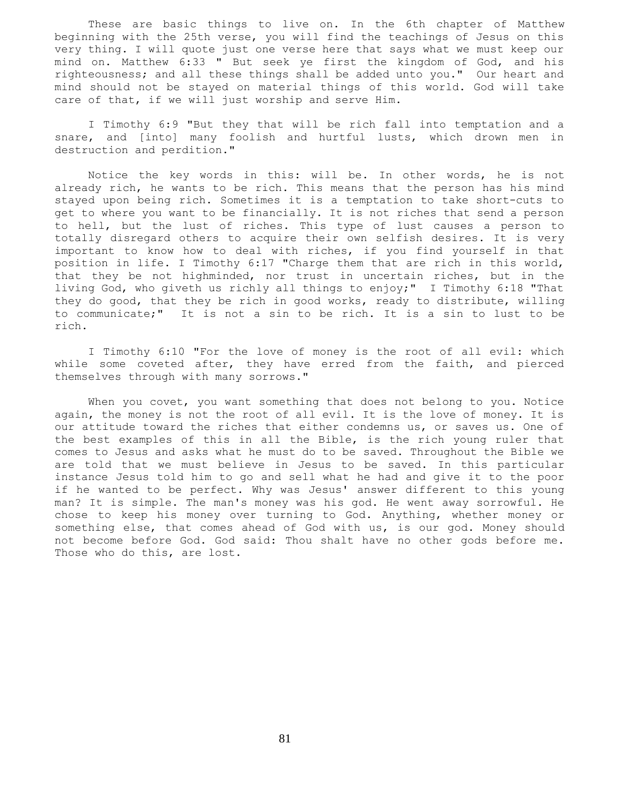These are basic things to live on. In the 6th chapter of Matthew beginning with the 25th verse, you will find the teachings of Jesus on this very thing. I will quote just one verse here that says what we must keep our mind on. Matthew 6:33 " But seek ye first the kingdom of God, and his righteousness; and all these things shall be added unto you." Our heart and mind should not be stayed on material things of this world. God will take care of that, if we will just worship and serve Him.

 I Timothy 6:9 "But they that will be rich fall into temptation and a snare, and [into] many foolish and hurtful lusts, which drown men in destruction and perdition."

 Notice the key words in this: will be. In other words, he is not already rich, he wants to be rich. This means that the person has his mind stayed upon being rich. Sometimes it is a temptation to take short-cuts to get to where you want to be financially. It is not riches that send a person to hell, but the lust of riches. This type of lust causes a person to totally disregard others to acquire their own selfish desires. It is very important to know how to deal with riches, if you find yourself in that position in life. I Timothy 6:17 "Charge them that are rich in this world, that they be not highminded, nor trust in uncertain riches, but in the living God, who giveth us richly all things to enjoy;" I Timothy 6:18 "That they do good, that they be rich in good works, ready to distribute, willing to communicate;" It is not a sin to be rich. It is a sin to lust to be rich.

 I Timothy 6:10 "For the love of money is the root of all evil: which while some coveted after, they have erred from the faith, and pierced themselves through with many sorrows."

When you covet, you want something that does not belong to you. Notice again, the money is not the root of all evil. It is the love of money. It is our attitude toward the riches that either condemns us, or saves us. One of the best examples of this in all the Bible, is the rich young ruler that comes to Jesus and asks what he must do to be saved. Throughout the Bible we are told that we must believe in Jesus to be saved. In this particular instance Jesus told him to go and sell what he had and give it to the poor if he wanted to be perfect. Why was Jesus' answer different to this young man? It is simple. The man's money was his god. He went away sorrowful. He chose to keep his money over turning to God. Anything, whether money or something else, that comes ahead of God with us, is our god. Money should not become before God. God said: Thou shalt have no other gods before me. Those who do this, are lost.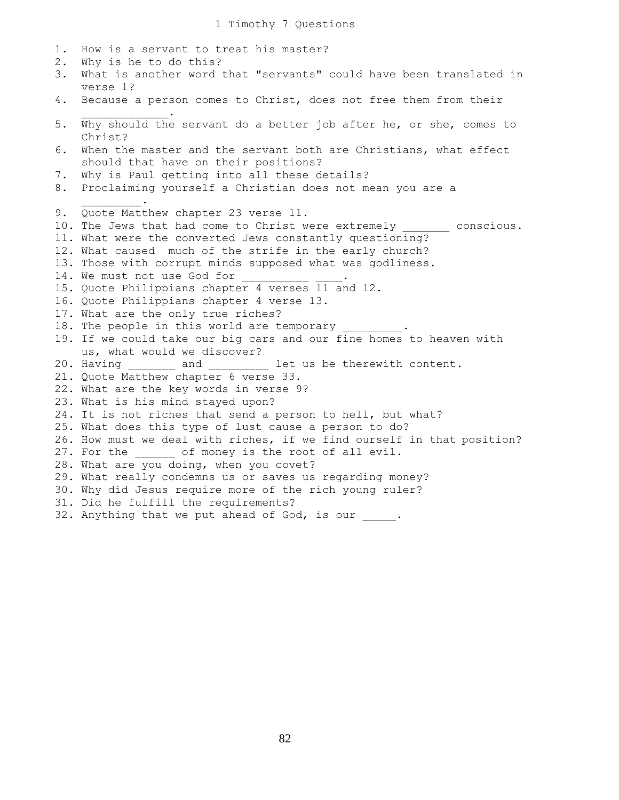1. How is a servant to treat his master? 2. Why is he to do this? 3. What is another word that "servants" could have been translated in verse 1? 4. Because a person comes to Christ, does not free them from their  $\mathcal{L}=\mathcal{L}=\mathcal{L}=\mathcal{L}=\mathcal{L}=\mathcal{L}=\mathcal{L}$ 5. Why should the servant do a better job after he, or she, comes to Christ? 6. When the master and the servant both are Christians, what effect should that have on their positions? 7. Why is Paul getting into all these details? 8. Proclaiming yourself a Christian does not mean you are a  $\mathcal{L}=\mathcal{L}^{\mathcal{L}}$ 9. Quote Matthew chapter 23 verse 11. 10. The Jews that had come to Christ were extremely \_\_\_\_\_\_\_\_ conscious. 11. What were the converted Jews constantly questioning? 12. What caused much of the strife in the early church? 13. Those with corrupt minds supposed what was godliness. 14. We must not use God for 15. Quote Philippians chapter 4 verses 11 and 12. 16. Quote Philippians chapter 4 verse 13. 17. What are the only true riches? 18. The people in this world are temporary 19. If we could take our big cars and our fine homes to heaven with us, what would we discover? 20. Having and let us be therewith content. 21. Quote Matthew chapter 6 verse 33. 22. What are the key words in verse 9? 23. What is his mind stayed upon? 24. It is not riches that send a person to hell, but what? 25. What does this type of lust cause a person to do? 26. How must we deal with riches, if we find ourself in that position? 27. For the \_\_\_\_\_\_\_ of money is the root of all evil. 28. What are you doing, when you covet? 29. What really condemns us or saves us regarding money? 30. Why did Jesus require more of the rich young ruler? 31. Did he fulfill the requirements? 32. Anything that we put ahead of God, is our .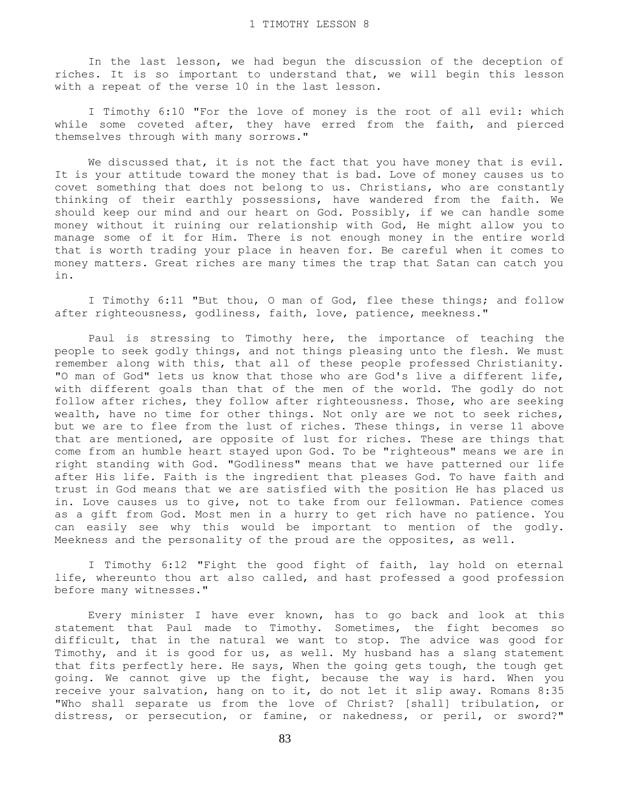In the last lesson, we had begun the discussion of the deception of riches. It is so important to understand that, we will begin this lesson with a repeat of the verse 10 in the last lesson.

 I Timothy 6:10 "For the love of money is the root of all evil: which while some coveted after, they have erred from the faith, and pierced themselves through with many sorrows."

 We discussed that, it is not the fact that you have money that is evil. It is your attitude toward the money that is bad. Love of money causes us to covet something that does not belong to us. Christians, who are constantly thinking of their earthly possessions, have wandered from the faith. We should keep our mind and our heart on God. Possibly, if we can handle some money without it ruining our relationship with God, He might allow you to manage some of it for Him. There is not enough money in the entire world that is worth trading your place in heaven for. Be careful when it comes to money matters. Great riches are many times the trap that Satan can catch you in.

 I Timothy 6:11 "But thou, O man of God, flee these things; and follow after righteousness, godliness, faith, love, patience, meekness."

 Paul is stressing to Timothy here, the importance of teaching the people to seek godly things, and not things pleasing unto the flesh. We must remember along with this, that all of these people professed Christianity. "O man of God" lets us know that those who are God's live a different life, with different goals than that of the men of the world. The godly do not follow after riches, they follow after righteousness. Those, who are seeking wealth, have no time for other things. Not only are we not to seek riches, but we are to flee from the lust of riches. These things, in verse 11 above that are mentioned, are opposite of lust for riches. These are things that come from an humble heart stayed upon God. To be "righteous" means we are in right standing with God. "Godliness" means that we have patterned our life after His life. Faith is the ingredient that pleases God. To have faith and trust in God means that we are satisfied with the position He has placed us in. Love causes us to give, not to take from our fellowman. Patience comes as a gift from God. Most men in a hurry to get rich have no patience. You can easily see why this would be important to mention of the godly. Meekness and the personality of the proud are the opposites, as well.

 I Timothy 6:12 "Fight the good fight of faith, lay hold on eternal life, whereunto thou art also called, and hast professed a good profession before many witnesses."

 Every minister I have ever known, has to go back and look at this statement that Paul made to Timothy. Sometimes, the fight becomes so difficult, that in the natural we want to stop. The advice was good for Timothy, and it is good for us, as well. My husband has a slang statement that fits perfectly here. He says, When the going gets tough, the tough get going. We cannot give up the fight, because the way is hard. When you receive your salvation, hang on to it, do not let it slip away. Romans 8:35 "Who shall separate us from the love of Christ? [shall] tribulation, or distress, or persecution, or famine, or nakedness, or peril, or sword?"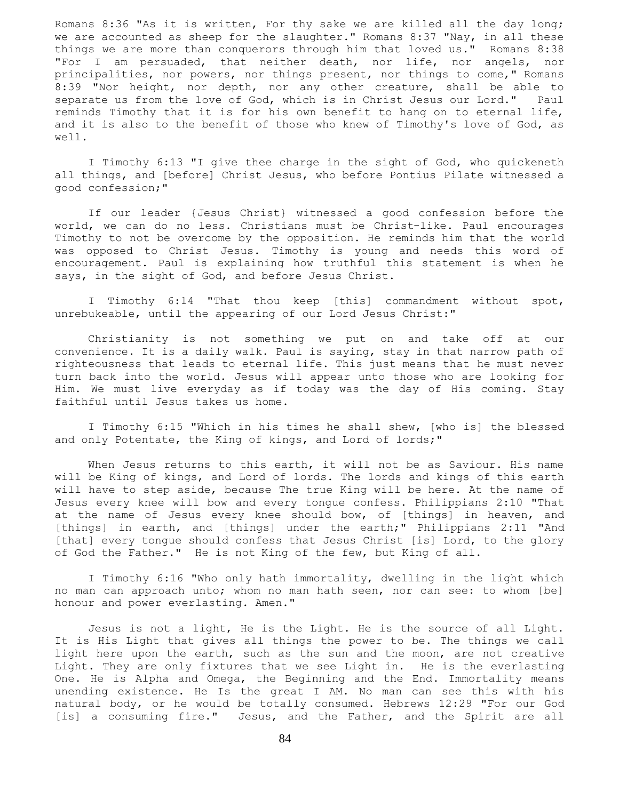Romans 8:36 "As it is written, For thy sake we are killed all the day long; we are accounted as sheep for the slaughter." Romans 8:37 "Nay, in all these things we are more than conquerors through him that loved us." Romans 8:38 "For I am persuaded, that neither death, nor life, nor angels, nor principalities, nor powers, nor things present, nor things to come," Romans 8:39 "Nor height, nor depth, nor any other creature, shall be able to separate us from the love of God, which is in Christ Jesus our Lord." Paul reminds Timothy that it is for his own benefit to hang on to eternal life, and it is also to the benefit of those who knew of Timothy's love of God, as well.

 I Timothy 6:13 "I give thee charge in the sight of God, who quickeneth all things, and [before] Christ Jesus, who before Pontius Pilate witnessed a good confession;"

 If our leader {Jesus Christ} witnessed a good confession before the world, we can do no less. Christians must be Christ-like. Paul encourages Timothy to not be overcome by the opposition. He reminds him that the world was opposed to Christ Jesus. Timothy is young and needs this word of encouragement. Paul is explaining how truthful this statement is when he says, in the sight of God, and before Jesus Christ.

 I Timothy 6:14 "That thou keep [this] commandment without spot, unrebukeable, until the appearing of our Lord Jesus Christ:"

 Christianity is not something we put on and take off at our convenience. It is a daily walk. Paul is saying, stay in that narrow path of righteousness that leads to eternal life. This just means that he must never turn back into the world. Jesus will appear unto those who are looking for Him. We must live everyday as if today was the day of His coming. Stay faithful until Jesus takes us home.

 I Timothy 6:15 "Which in his times he shall shew, [who is] the blessed and only Potentate, the King of kings, and Lord of lords;"

 When Jesus returns to this earth, it will not be as Saviour. His name will be King of kings, and Lord of lords. The lords and kings of this earth will have to step aside, because The true King will be here. At the name of Jesus every knee will bow and every tongue confess. Philippians 2:10 "That at the name of Jesus every knee should bow, of [things] in heaven, and [things] in earth, and [things] under the earth;" Philippians 2:11 "And [that] every tongue should confess that Jesus Christ [is] Lord, to the glory of God the Father." He is not King of the few, but King of all.

 I Timothy 6:16 "Who only hath immortality, dwelling in the light which no man can approach unto; whom no man hath seen, nor can see: to whom [be] honour and power everlasting. Amen."

 Jesus is not a light, He is the Light. He is the source of all Light. It is His Light that gives all things the power to be. The things we call light here upon the earth, such as the sun and the moon, are not creative Light. They are only fixtures that we see Light in. He is the everlasting One. He is Alpha and Omega, the Beginning and the End. Immortality means unending existence. He Is the great I AM. No man can see this with his natural body, or he would be totally consumed. Hebrews 12:29 "For our God [is] a consuming fire." Jesus, and the Father, and the Spirit are all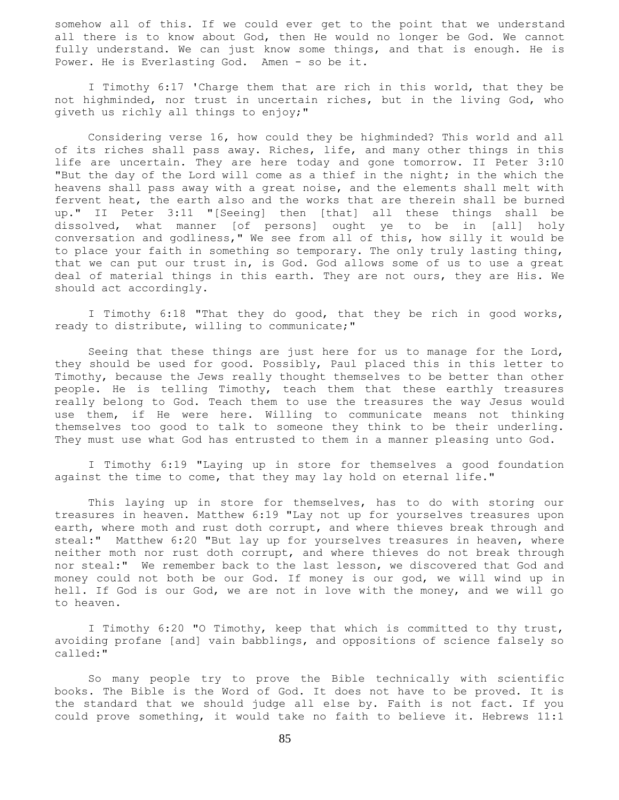somehow all of this. If we could ever get to the point that we understand all there is to know about God, then He would no longer be God. We cannot fully understand. We can just know some things, and that is enough. He is Power. He is Everlasting God. Amen - so be it.

 I Timothy 6:17 'Charge them that are rich in this world, that they be not highminded, nor trust in uncertain riches, but in the living God, who giveth us richly all things to enjoy;"

 Considering verse 16, how could they be highminded? This world and all of its riches shall pass away. Riches, life, and many other things in this life are uncertain. They are here today and gone tomorrow. II Peter 3:10 "But the day of the Lord will come as a thief in the night; in the which the heavens shall pass away with a great noise, and the elements shall melt with fervent heat, the earth also and the works that are therein shall be burned up." II Peter 3:11 "[Seeing] then [that] all these things shall be dissolved, what manner [of persons] ought ye to be in [all] holy conversation and godliness," We see from all of this, how silly it would be to place your faith in something so temporary. The only truly lasting thing, that we can put our trust in, is God. God allows some of us to use a great deal of material things in this earth. They are not ours, they are His. We should act accordingly.

 I Timothy 6:18 "That they do good, that they be rich in good works, ready to distribute, willing to communicate;"

 Seeing that these things are just here for us to manage for the Lord, they should be used for good. Possibly, Paul placed this in this letter to Timothy, because the Jews really thought themselves to be better than other people. He is telling Timothy, teach them that these earthly treasures really belong to God. Teach them to use the treasures the way Jesus would use them, if He were here. Willing to communicate means not thinking themselves too good to talk to someone they think to be their underling. They must use what God has entrusted to them in a manner pleasing unto God.

 I Timothy 6:19 "Laying up in store for themselves a good foundation against the time to come, that they may lay hold on eternal life."

 This laying up in store for themselves, has to do with storing our treasures in heaven. Matthew 6:19 "Lay not up for yourselves treasures upon earth, where moth and rust doth corrupt, and where thieves break through and steal:" Matthew 6:20 "But lay up for yourselves treasures in heaven, where neither moth nor rust doth corrupt, and where thieves do not break through nor steal:" We remember back to the last lesson, we discovered that God and money could not both be our God. If money is our god, we will wind up in hell. If God is our God, we are not in love with the money, and we will go to heaven.

 I Timothy 6:20 "O Timothy, keep that which is committed to thy trust, avoiding profane [and] vain babblings, and oppositions of science falsely so called:"

 So many people try to prove the Bible technically with scientific books. The Bible is the Word of God. It does not have to be proved. It is the standard that we should judge all else by. Faith is not fact. If you could prove something, it would take no faith to believe it. Hebrews 11:1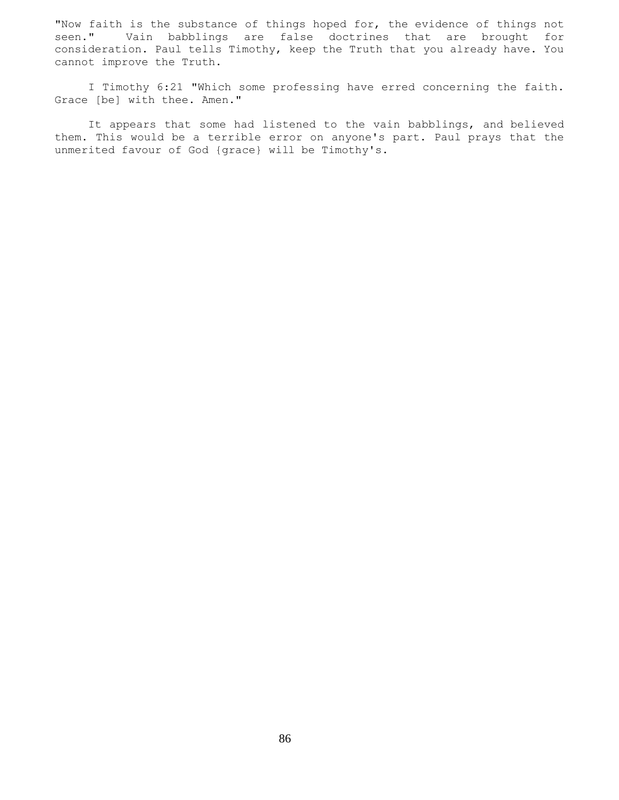"Now faith is the substance of things hoped for, the evidence of things not seen." Vain babblings are false doctrines that are brought for consideration. Paul tells Timothy, keep the Truth that you already have. You cannot improve the Truth.

 I Timothy 6:21 "Which some professing have erred concerning the faith. Grace [be] with thee. Amen."

 It appears that some had listened to the vain babblings, and believed them. This would be a terrible error on anyone's part. Paul prays that the unmerited favour of God {grace} will be Timothy's.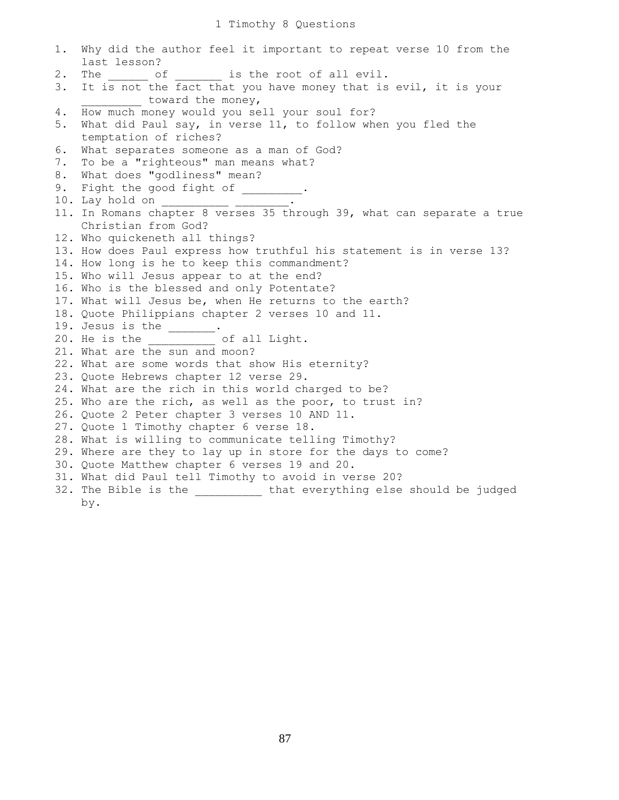| 1. | Why did the author feel it important to repeat verse 10 from the       |
|----|------------------------------------------------------------------------|
|    | last lesson?                                                           |
| 2. | The ________ of ________ is the root of all evil.                      |
| 3. | It is not the fact that you have money that is evil, it is your        |
|    | toward the money,                                                      |
| 4. | How much money would you sell your soul for?                           |
| 5. | What did Paul say, in verse 11, to follow when you fled the            |
|    | temptation of riches?                                                  |
| 6. | What separates someone as a man of God?                                |
| 7. | To be a "righteous" man means what?                                    |
| 8. | What does "godliness" mean?                                            |
| 9. | Fight the good fight of ________.                                      |
|    |                                                                        |
|    | 11. In Romans chapter 8 verses 35 through 39, what can separate a true |
|    | Christian from God?                                                    |
|    | 12. Who quickeneth all things?                                         |
|    | 13. How does Paul express how truthful his statement is in verse 13?   |
|    | 14. How long is he to keep this commandment?                           |
|    | 15. Who will Jesus appear to at the end?                               |
|    | 16. Who is the blessed and only Potentate?                             |
|    | 17. What will Jesus be, when He returns to the earth?                  |
|    | 18. Quote Philippians chapter 2 verses 10 and 11.                      |
|    | 19. Jesus is the $\_\_$ .                                              |
|    | 20. He is the _____________ of all Light.                              |
|    | 21. What are the sun and moon?                                         |
|    | 22. What are some words that show His eternity?                        |
|    | 23. Quote Hebrews chapter 12 verse 29.                                 |
|    | 24. What are the rich in this world charged to be?                     |
|    | 25. Who are the rich, as well as the poor, to trust in?                |
|    | 26. Quote 2 Peter chapter 3 verses 10 AND 11.                          |
|    | 27. Quote 1 Timothy chapter 6 verse 18.                                |
|    | 28. What is willing to communicate telling Timothy?                    |
|    | 29. Where are they to lay up in store for the days to come?            |
|    | 30. Quote Matthew chapter 6 verses 19 and 20.                          |
|    | 31. What did Paul tell Timothy to avoid in verse 20?                   |
|    | 32. The Bible is the __________ that everything else should be judged  |
|    | by.                                                                    |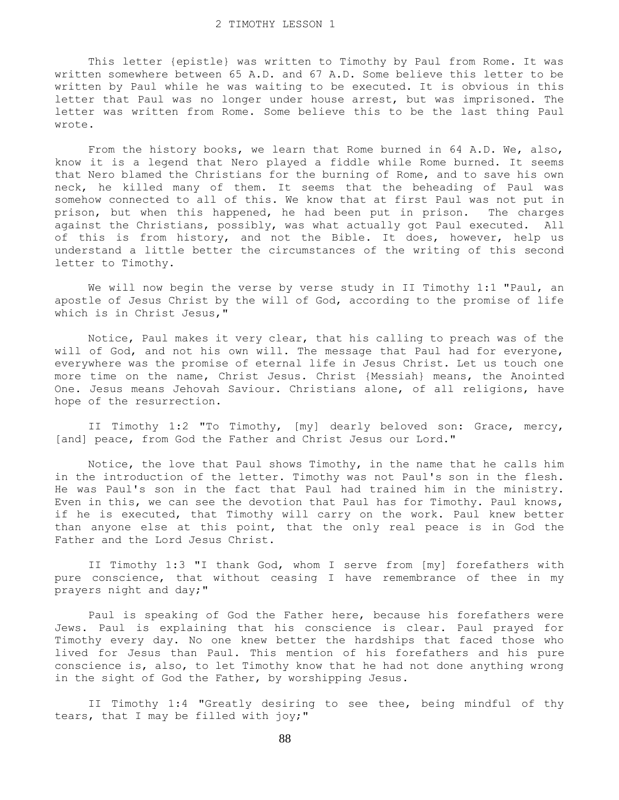This letter {epistle} was written to Timothy by Paul from Rome. It was written somewhere between 65 A.D. and 67 A.D. Some believe this letter to be written by Paul while he was waiting to be executed. It is obvious in this letter that Paul was no longer under house arrest, but was imprisoned. The letter was written from Rome. Some believe this to be the last thing Paul wrote.

 From the history books, we learn that Rome burned in 64 A.D. We, also, know it is a legend that Nero played a fiddle while Rome burned. It seems that Nero blamed the Christians for the burning of Rome, and to save his own neck, he killed many of them. It seems that the beheading of Paul was somehow connected to all of this. We know that at first Paul was not put in prison, but when this happened, he had been put in prison. The charges against the Christians, possibly, was what actually got Paul executed. All of this is from history, and not the Bible. It does, however, help us understand a little better the circumstances of the writing of this second letter to Timothy.

We will now begin the verse by verse study in II Timothy 1:1 "Paul, an apostle of Jesus Christ by the will of God, according to the promise of life which is in Christ Jesus,"

 Notice, Paul makes it very clear, that his calling to preach was of the will of God, and not his own will. The message that Paul had for everyone, everywhere was the promise of eternal life in Jesus Christ. Let us touch one more time on the name, Christ Jesus. Christ {Messiah} means, the Anointed One. Jesus means Jehovah Saviour. Christians alone, of all religions, have hope of the resurrection.

 II Timothy 1:2 "To Timothy, [my] dearly beloved son: Grace, mercy, [and] peace, from God the Father and Christ Jesus our Lord."

 Notice, the love that Paul shows Timothy, in the name that he calls him in the introduction of the letter. Timothy was not Paul's son in the flesh. He was Paul's son in the fact that Paul had trained him in the ministry. Even in this, we can see the devotion that Paul has for Timothy. Paul knows, if he is executed, that Timothy will carry on the work. Paul knew better than anyone else at this point, that the only real peace is in God the Father and the Lord Jesus Christ.

 II Timothy 1:3 "I thank God, whom I serve from [my] forefathers with pure conscience, that without ceasing I have remembrance of thee in my prayers night and day;"

 Paul is speaking of God the Father here, because his forefathers were Jews. Paul is explaining that his conscience is clear. Paul prayed for Timothy every day. No one knew better the hardships that faced those who lived for Jesus than Paul. This mention of his forefathers and his pure conscience is, also, to let Timothy know that he had not done anything wrong in the sight of God the Father, by worshipping Jesus.

 II Timothy 1:4 "Greatly desiring to see thee, being mindful of thy tears, that I may be filled with joy;"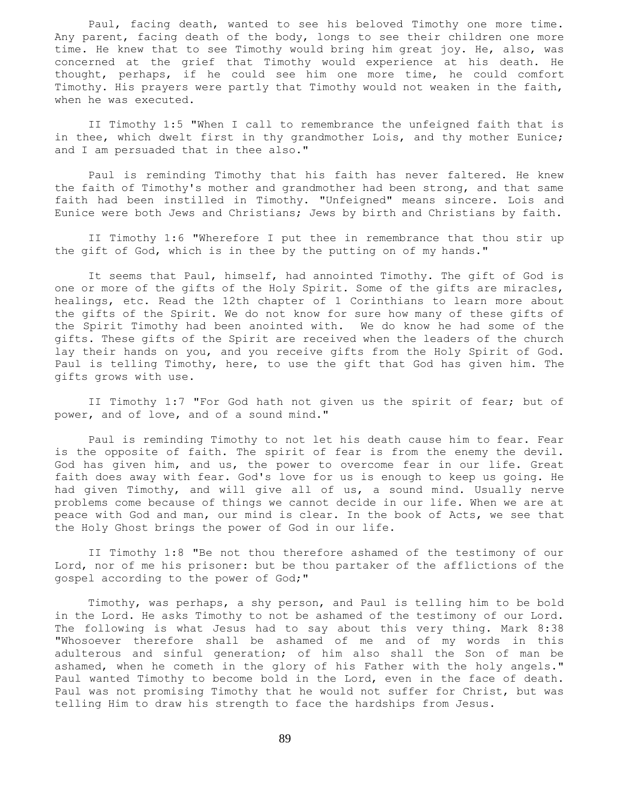Paul, facing death, wanted to see his beloved Timothy one more time. Any parent, facing death of the body, longs to see their children one more time. He knew that to see Timothy would bring him great joy. He, also, was concerned at the grief that Timothy would experience at his death. He thought, perhaps, if he could see him one more time, he could comfort Timothy. His prayers were partly that Timothy would not weaken in the faith, when he was executed.

 II Timothy 1:5 "When I call to remembrance the unfeigned faith that is in thee, which dwelt first in thy grandmother Lois, and thy mother Eunice; and I am persuaded that in thee also."

 Paul is reminding Timothy that his faith has never faltered. He knew the faith of Timothy's mother and grandmother had been strong, and that same faith had been instilled in Timothy. "Unfeigned" means sincere. Lois and Eunice were both Jews and Christians; Jews by birth and Christians by faith.

 II Timothy 1:6 "Wherefore I put thee in remembrance that thou stir up the gift of God, which is in thee by the putting on of my hands."

 It seems that Paul, himself, had annointed Timothy. The gift of God is one or more of the gifts of the Holy Spirit. Some of the gifts are miracles, healings, etc. Read the 12th chapter of 1 Corinthians to learn more about the gifts of the Spirit. We do not know for sure how many of these gifts of the Spirit Timothy had been anointed with. We do know he had some of the gifts. These gifts of the Spirit are received when the leaders of the church lay their hands on you, and you receive gifts from the Holy Spirit of God. Paul is telling Timothy, here, to use the gift that God has given him. The gifts grows with use.

 II Timothy 1:7 "For God hath not given us the spirit of fear; but of power, and of love, and of a sound mind."

 Paul is reminding Timothy to not let his death cause him to fear. Fear is the opposite of faith. The spirit of fear is from the enemy the devil. God has given him, and us, the power to overcome fear in our life. Great faith does away with fear. God's love for us is enough to keep us going. He had given Timothy, and will give all of us, a sound mind. Usually nerve problems come because of things we cannot decide in our life. When we are at peace with God and man, our mind is clear. In the book of Acts, we see that the Holy Ghost brings the power of God in our life.

 II Timothy 1:8 "Be not thou therefore ashamed of the testimony of our Lord, nor of me his prisoner: but be thou partaker of the afflictions of the gospel according to the power of God;"

 Timothy, was perhaps, a shy person, and Paul is telling him to be bold in the Lord. He asks Timothy to not be ashamed of the testimony of our Lord. The following is what Jesus had to say about this very thing. Mark 8:38 "Whosoever therefore shall be ashamed of me and of my words in this adulterous and sinful generation; of him also shall the Son of man be ashamed, when he cometh in the glory of his Father with the holy angels." Paul wanted Timothy to become bold in the Lord, even in the face of death. Paul was not promising Timothy that he would not suffer for Christ, but was telling Him to draw his strength to face the hardships from Jesus.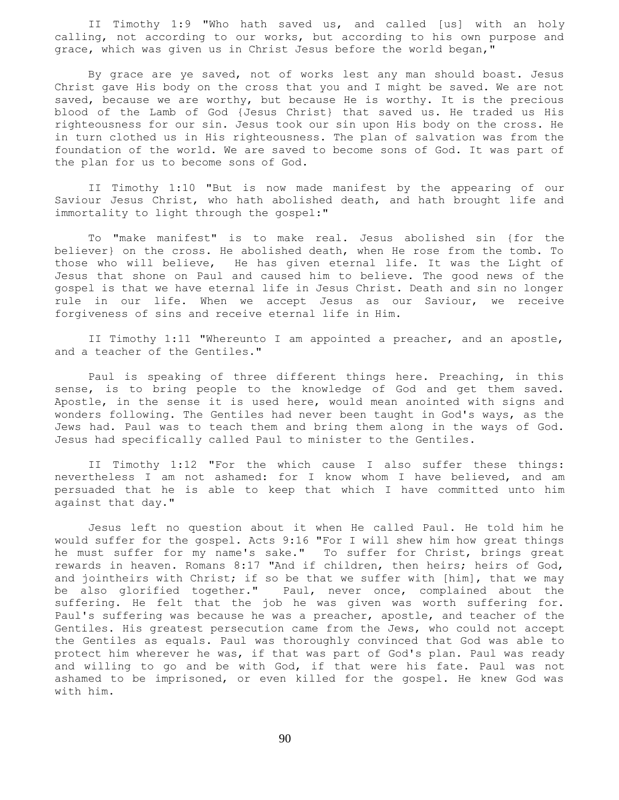II Timothy 1:9 "Who hath saved us, and called [us] with an holy calling, not according to our works, but according to his own purpose and grace, which was given us in Christ Jesus before the world began,"

 By grace are ye saved, not of works lest any man should boast. Jesus Christ gave His body on the cross that you and I might be saved. We are not saved, because we are worthy, but because He is worthy. It is the precious blood of the Lamb of God {Jesus Christ} that saved us. He traded us His righteousness for our sin. Jesus took our sin upon His body on the cross. He in turn clothed us in His righteousness. The plan of salvation was from the foundation of the world. We are saved to become sons of God. It was part of the plan for us to become sons of God.

 II Timothy 1:10 "But is now made manifest by the appearing of our Saviour Jesus Christ, who hath abolished death, and hath brought life and immortality to light through the gospel:"

 To "make manifest" is to make real. Jesus abolished sin {for the believer} on the cross. He abolished death, when He rose from the tomb. To those who will believe, He has given eternal life. It was the Light of Jesus that shone on Paul and caused him to believe. The good news of the gospel is that we have eternal life in Jesus Christ. Death and sin no longer rule in our life. When we accept Jesus as our Saviour, we receive forgiveness of sins and receive eternal life in Him.

 II Timothy 1:11 "Whereunto I am appointed a preacher, and an apostle, and a teacher of the Gentiles."

 Paul is speaking of three different things here. Preaching, in this sense, is to bring people to the knowledge of God and get them saved. Apostle, in the sense it is used here, would mean anointed with signs and wonders following. The Gentiles had never been taught in God's ways, as the Jews had. Paul was to teach them and bring them along in the ways of God. Jesus had specifically called Paul to minister to the Gentiles.

 II Timothy 1:12 "For the which cause I also suffer these things: nevertheless I am not ashamed: for I know whom I have believed, and am persuaded that he is able to keep that which I have committed unto him against that day."

 Jesus left no question about it when He called Paul. He told him he would suffer for the gospel. Acts 9:16 "For I will shew him how great things he must suffer for my name's sake." To suffer for Christ, brings great rewards in heaven. Romans 8:17 "And if children, then heirs; heirs of God, and jointheirs with Christ; if so be that we suffer with [him], that we may be also glorified together." Paul, never once, complained about the suffering. He felt that the job he was given was worth suffering for. Paul's suffering was because he was a preacher, apostle, and teacher of the Gentiles. His greatest persecution came from the Jews, who could not accept the Gentiles as equals. Paul was thoroughly convinced that God was able to protect him wherever he was, if that was part of God's plan. Paul was ready and willing to go and be with God, if that were his fate. Paul was not ashamed to be imprisoned, or even killed for the gospel. He knew God was with him.

90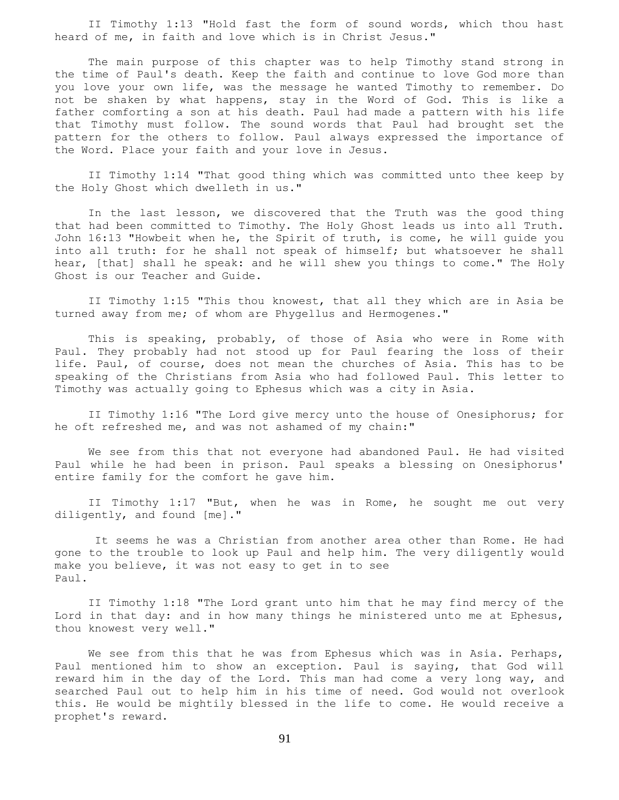II Timothy 1:13 "Hold fast the form of sound words, which thou hast heard of me, in faith and love which is in Christ Jesus."

 The main purpose of this chapter was to help Timothy stand strong in the time of Paul's death. Keep the faith and continue to love God more than you love your own life, was the message he wanted Timothy to remember. Do not be shaken by what happens, stay in the Word of God. This is like a father comforting a son at his death. Paul had made a pattern with his life that Timothy must follow. The sound words that Paul had brought set the pattern for the others to follow. Paul always expressed the importance of the Word. Place your faith and your love in Jesus.

 II Timothy 1:14 "That good thing which was committed unto thee keep by the Holy Ghost which dwelleth in us."

 In the last lesson, we discovered that the Truth was the good thing that had been committed to Timothy. The Holy Ghost leads us into all Truth. John 16:13 "Howbeit when he, the Spirit of truth, is come, he will guide you into all truth: for he shall not speak of himself; but whatsoever he shall hear, [that] shall he speak: and he will shew you things to come." The Holy Ghost is our Teacher and Guide.

 II Timothy 1:15 "This thou knowest, that all they which are in Asia be turned away from me; of whom are Phygellus and Hermogenes."

 This is speaking, probably, of those of Asia who were in Rome with Paul. They probably had not stood up for Paul fearing the loss of their life. Paul, of course, does not mean the churches of Asia. This has to be speaking of the Christians from Asia who had followed Paul. This letter to Timothy was actually going to Ephesus which was a city in Asia.

 II Timothy 1:16 "The Lord give mercy unto the house of Onesiphorus; for he oft refreshed me, and was not ashamed of my chain:"

 We see from this that not everyone had abandoned Paul. He had visited Paul while he had been in prison. Paul speaks a blessing on Onesiphorus' entire family for the comfort he gave him.

 II Timothy 1:17 "But, when he was in Rome, he sought me out very diligently, and found [me]."

 It seems he was a Christian from another area other than Rome. He had gone to the trouble to look up Paul and help him. The very diligently would make you believe, it was not easy to get in to see Paul.

 II Timothy 1:18 "The Lord grant unto him that he may find mercy of the Lord in that day: and in how many things he ministered unto me at Ephesus, thou knowest very well."

We see from this that he was from Ephesus which was in Asia. Perhaps, Paul mentioned him to show an exception. Paul is saying, that God will reward him in the day of the Lord. This man had come a very long way, and searched Paul out to help him in his time of need. God would not overlook this. He would be mightily blessed in the life to come. He would receive a prophet's reward.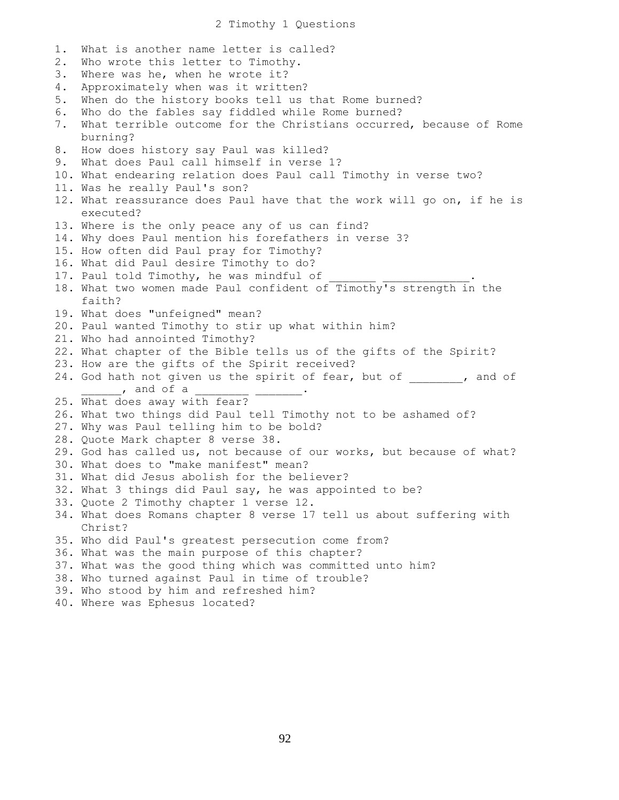2 Timothy 1 Questions

1. What is another name letter is called? 2. Who wrote this letter to Timothy. 3. Where was he, when he wrote it? 4. Approximately when was it written? 5. When do the history books tell us that Rome burned? 6. Who do the fables say fiddled while Rome burned? 7. What terrible outcome for the Christians occurred, because of Rome burning? 8. How does history say Paul was killed? 9. What does Paul call himself in verse 1? 10. What endearing relation does Paul call Timothy in verse two? 11. Was he really Paul's son? 12. What reassurance does Paul have that the work will go on, if he is executed? 13. Where is the only peace any of us can find? 14. Why does Paul mention his forefathers in verse 3? 15. How often did Paul pray for Timothy? 16. What did Paul desire Timothy to do? 17. Paul told Timothy, he was mindful of 18. What two women made Paul confident of Timothy's strength in the faith? 19. What does "unfeigned" mean? 20. Paul wanted Timothy to stir up what within him? 21. Who had annointed Timothy? 22. What chapter of the Bible tells us of the gifts of the Spirit? 23. How are the gifts of the Spirit received? 24. God hath not given us the spirit of fear, but of \_\_\_\_\_\_, and of  $\overline{\phantom{a}}$ , and of a 25. What does away with fear? 26. What two things did Paul tell Timothy not to be ashamed of? 27. Why was Paul telling him to be bold? 28. Quote Mark chapter 8 verse 38. 29. God has called us, not because of our works, but because of what? 30. What does to "make manifest" mean? 31. What did Jesus abolish for the believer? 32. What 3 things did Paul say, he was appointed to be? 33. Quote 2 Timothy chapter 1 verse 12. 34. What does Romans chapter 8 verse 17 tell us about suffering with Christ? 35. Who did Paul's greatest persecution come from? 36. What was the main purpose of this chapter? 37. What was the good thing which was committed unto him? 38. Who turned against Paul in time of trouble? 39. Who stood by him and refreshed him? 40. Where was Ephesus located?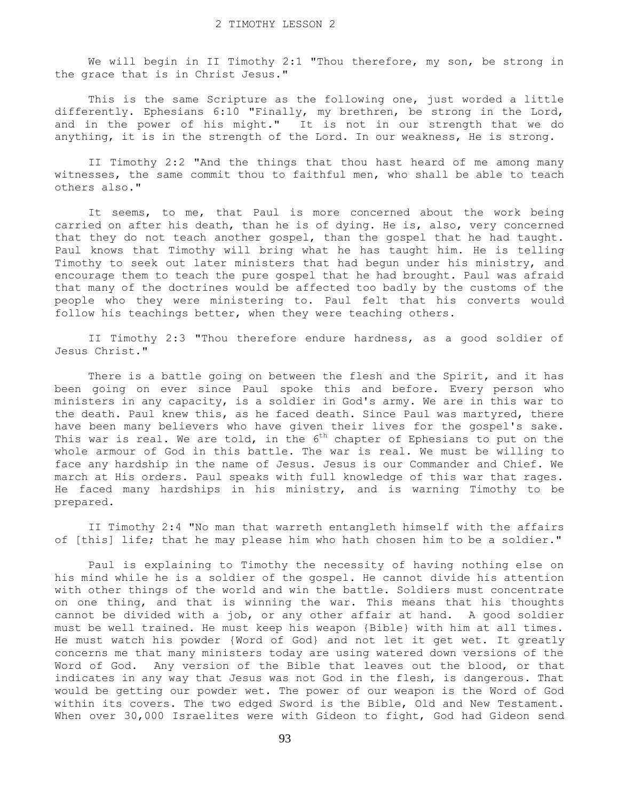We will begin in II Timothy 2:1 "Thou therefore, my son, be strong in the grace that is in Christ Jesus."

 This is the same Scripture as the following one, just worded a little differently. Ephesians 6:10 "Finally, my brethren, be strong in the Lord, and in the power of his might." It is not in our strength that we do anything, it is in the strength of the Lord. In our weakness, He is strong.

 II Timothy 2:2 "And the things that thou hast heard of me among many witnesses, the same commit thou to faithful men, who shall be able to teach others also."

 It seems, to me, that Paul is more concerned about the work being carried on after his death, than he is of dying. He is, also, very concerned that they do not teach another gospel, than the gospel that he had taught. Paul knows that Timothy will bring what he has taught him. He is telling Timothy to seek out later ministers that had begun under his ministry, and encourage them to teach the pure gospel that he had brought. Paul was afraid that many of the doctrines would be affected too badly by the customs of the people who they were ministering to. Paul felt that his converts would follow his teachings better, when they were teaching others.

 II Timothy 2:3 "Thou therefore endure hardness, as a good soldier of Jesus Christ."

 There is a battle going on between the flesh and the Spirit, and it has been going on ever since Paul spoke this and before. Every person who ministers in any capacity, is a soldier in God's army. We are in this war to the death. Paul knew this, as he faced death. Since Paul was martyred, there have been many believers who have given their lives for the gospel's sake. This war is real. We are told, in the  $6<sup>th</sup>$  chapter of Ephesians to put on the whole armour of God in this battle. The war is real. We must be willing to face any hardship in the name of Jesus. Jesus is our Commander and Chief. We march at His orders. Paul speaks with full knowledge of this war that rages. He faced many hardships in his ministry, and is warning Timothy to be prepared.

 II Timothy 2:4 "No man that warreth entangleth himself with the affairs of [this] life; that he may please him who hath chosen him to be a soldier."

 Paul is explaining to Timothy the necessity of having nothing else on his mind while he is a soldier of the gospel. He cannot divide his attention with other things of the world and win the battle. Soldiers must concentrate on one thing, and that is winning the war. This means that his thoughts cannot be divided with a job, or any other affair at hand. A good soldier must be well trained. He must keep his weapon {Bible} with him at all times. He must watch his powder {Word of God} and not let it get wet. It greatly concerns me that many ministers today are using watered down versions of the Word of God. Any version of the Bible that leaves out the blood, or that indicates in any way that Jesus was not God in the flesh, is dangerous. That would be getting our powder wet. The power of our weapon is the Word of God within its covers. The two edged Sword is the Bible, Old and New Testament. When over 30,000 Israelites were with Gideon to fight, God had Gideon send

93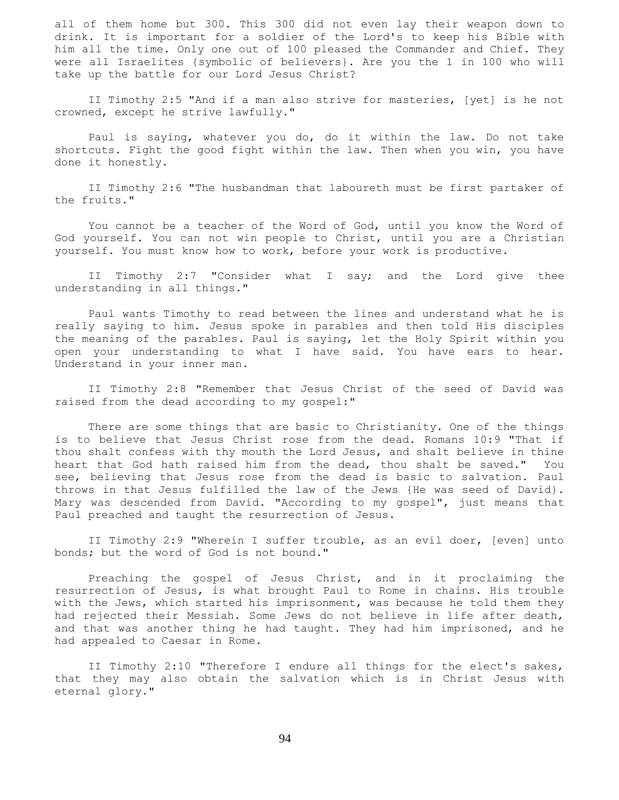all of them home but 300. This 300 did not even lay their weapon down to drink. It is important for a soldier of the Lord's to keep his Bible with him all the time. Only one out of 100 pleased the Commander and Chief. They were all Israelites {symbolic of believers}. Are you the 1 in 100 who will take up the battle for our Lord Jesus Christ?

 II Timothy 2:5 "And if a man also strive for masteries, [yet] is he not crowned, except he strive lawfully."

 Paul is saying, whatever you do, do it within the law. Do not take shortcuts. Fight the good fight within the law. Then when you win, you have done it honestly.

 II Timothy 2:6 "The husbandman that laboureth must be first partaker of the fruits."

 You cannot be a teacher of the Word of God, until you know the Word of God yourself. You can not win people to Christ, until you are a Christian yourself. You must know how to work, before your work is productive.

 II Timothy 2:7 "Consider what I say; and the Lord give thee understanding in all things."

 Paul wants Timothy to read between the lines and understand what he is really saying to him. Jesus spoke in parables and then told His disciples the meaning of the parables. Paul is saying, let the Holy Spirit within you open your understanding to what I have said. You have ears to hear. Understand in your inner man.

 II Timothy 2:8 "Remember that Jesus Christ of the seed of David was raised from the dead according to my gospel:"

 There are some things that are basic to Christianity. One of the things is to believe that Jesus Christ rose from the dead. Romans 10:9 "That if thou shalt confess with thy mouth the Lord Jesus, and shalt believe in thine heart that God hath raised him from the dead, thou shalt be saved." You see, believing that Jesus rose from the dead is basic to salvation. Paul throws in that Jesus fulfilled the law of the Jews {He was seed of David}. Mary was descended from David. "According to my gospel", just means that Paul preached and taught the resurrection of Jesus.

 II Timothy 2:9 "Wherein I suffer trouble, as an evil doer, [even] unto bonds; but the word of God is not bound."

 Preaching the gospel of Jesus Christ, and in it proclaiming the resurrection of Jesus, is what brought Paul to Rome in chains. His trouble with the Jews, which started his imprisonment, was because he told them they had rejected their Messiah. Some Jews do not believe in life after death, and that was another thing he had taught. They had him imprisoned, and he had appealed to Caesar in Rome.

 II Timothy 2:10 "Therefore I endure all things for the elect's sakes, that they may also obtain the salvation which is in Christ Jesus with eternal glory."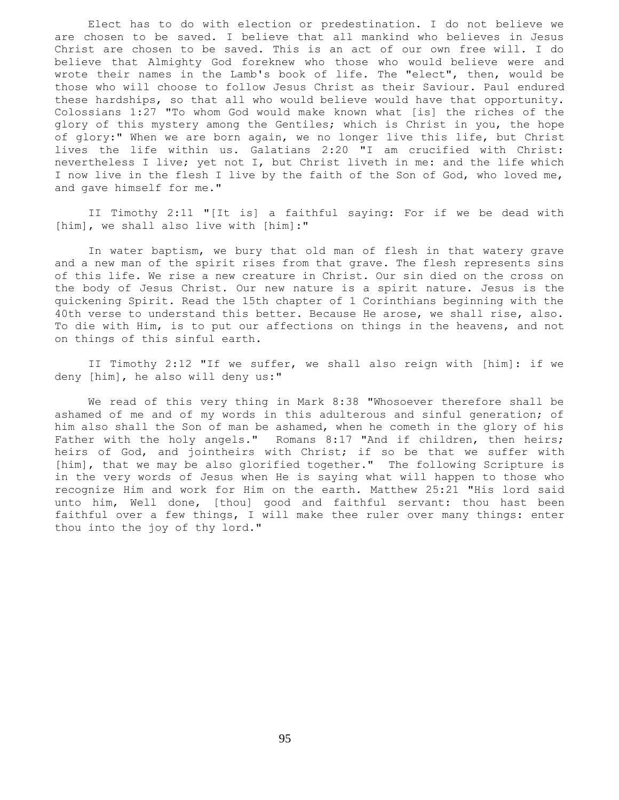Elect has to do with election or predestination. I do not believe we are chosen to be saved. I believe that all mankind who believes in Jesus Christ are chosen to be saved. This is an act of our own free will. I do believe that Almighty God foreknew who those who would believe were and wrote their names in the Lamb's book of life. The "elect", then, would be those who will choose to follow Jesus Christ as their Saviour. Paul endured these hardships, so that all who would believe would have that opportunity. Colossians 1:27 "To whom God would make known what [is] the riches of the glory of this mystery among the Gentiles; which is Christ in you, the hope of glory:" When we are born again, we no longer live this life, but Christ lives the life within us. Galatians 2:20 "I am crucified with Christ: nevertheless I live; yet not I, but Christ liveth in me: and the life which I now live in the flesh I live by the faith of the Son of God, who loved me, and gave himself for me."

 II Timothy 2:11 "[It is] a faithful saying: For if we be dead with [him], we shall also live with [him]:"

 In water baptism, we bury that old man of flesh in that watery grave and a new man of the spirit rises from that grave. The flesh represents sins of this life. We rise a new creature in Christ. Our sin died on the cross on the body of Jesus Christ. Our new nature is a spirit nature. Jesus is the quickening Spirit. Read the 15th chapter of 1 Corinthians beginning with the 40th verse to understand this better. Because He arose, we shall rise, also. To die with Him, is to put our affections on things in the heavens, and not on things of this sinful earth.

 II Timothy 2:12 "If we suffer, we shall also reign with [him]: if we deny [him], he also will deny us:"

 We read of this very thing in Mark 8:38 "Whosoever therefore shall be ashamed of me and of my words in this adulterous and sinful generation; of him also shall the Son of man be ashamed, when he cometh in the glory of his Father with the holy angels." Romans 8:17 "And if children, then heirs; heirs of God, and jointheirs with Christ; if so be that we suffer with [him], that we may be also glorified together." The following Scripture is in the very words of Jesus when He is saying what will happen to those who recognize Him and work for Him on the earth. Matthew 25:21 "His lord said unto him, Well done, [thou] good and faithful servant: thou hast been faithful over a few things, I will make thee ruler over many things: enter thou into the joy of thy lord."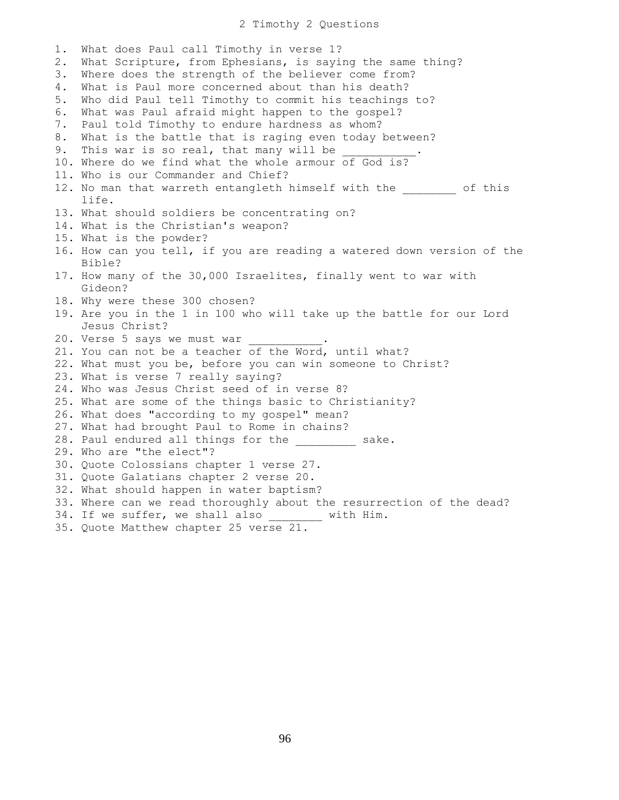2 Timothy 2 Questions

1. What does Paul call Timothy in verse 1? 2. What Scripture, from Ephesians, is saying the same thing? 3. Where does the strength of the believer come from? 4. What is Paul more concerned about than his death? 5. Who did Paul tell Timothy to commit his teachings to? 6. What was Paul afraid might happen to the gospel? 7. Paul told Timothy to endure hardness as whom? 8. What is the battle that is raging even today between? 9. This war is so real, that many will be 10. Where do we find what the whole armour of God is? 11. Who is our Commander and Chief? 12. No man that warreth entangleth himself with the  $\qquad \qquad$  of this life. 13. What should soldiers be concentrating on? 14. What is the Christian's weapon? 15. What is the powder? 16. How can you tell, if you are reading a watered down version of the Bible? 17. How many of the 30,000 Israelites, finally went to war with Gideon? 18. Why were these 300 chosen? 19. Are you in the 1 in 100 who will take up the battle for our Lord Jesus Christ? 20. Verse 5 says we must war 21. You can not be a teacher of the Word, until what? 22. What must you be, before you can win someone to Christ? 23. What is verse 7 really saying? 24. Who was Jesus Christ seed of in verse 8? 25. What are some of the things basic to Christianity? 26. What does "according to my gospel" mean? 27. What had brought Paul to Rome in chains? 28. Paul endured all things for the sake. 29. Who are "the elect"? 30. Quote Colossians chapter 1 verse 27. 31. Quote Galatians chapter 2 verse 20. 32. What should happen in water baptism? 33. Where can we read thoroughly about the resurrection of the dead? 34. If we suffer, we shall also \_\_\_\_\_\_\_\_ with Him. 35. Quote Matthew chapter 25 verse 21.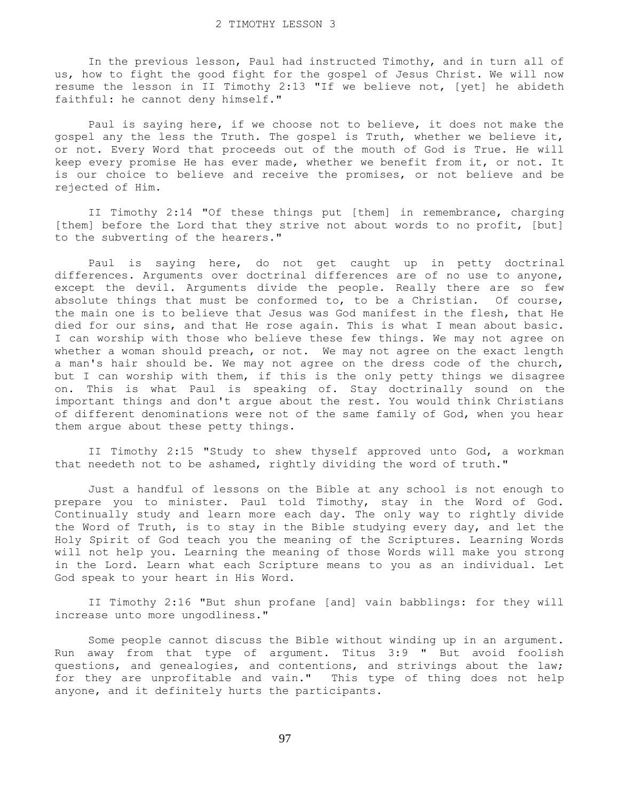In the previous lesson, Paul had instructed Timothy, and in turn all of us, how to fight the good fight for the gospel of Jesus Christ. We will now resume the lesson in II Timothy 2:13 "If we believe not, [yet] he abideth faithful: he cannot deny himself."

 Paul is saying here, if we choose not to believe, it does not make the gospel any the less the Truth. The gospel is Truth, whether we believe it, or not. Every Word that proceeds out of the mouth of God is True. He will keep every promise He has ever made, whether we benefit from it, or not. It is our choice to believe and receive the promises, or not believe and be rejected of Him.

 II Timothy 2:14 "Of these things put [them] in remembrance, charging [them] before the Lord that they strive not about words to no profit, [but] to the subverting of the hearers."

 Paul is saying here, do not get caught up in petty doctrinal differences. Arguments over doctrinal differences are of no use to anyone, except the devil. Arguments divide the people. Really there are so few absolute things that must be conformed to, to be a Christian. Of course, the main one is to believe that Jesus was God manifest in the flesh, that He died for our sins, and that He rose again. This is what I mean about basic. I can worship with those who believe these few things. We may not agree on whether a woman should preach, or not. We may not agree on the exact length a man's hair should be. We may not agree on the dress code of the church, but I can worship with them, if this is the only petty things we disagree on. This is what Paul is speaking of. Stay doctrinally sound on the important things and don't argue about the rest. You would think Christians of different denominations were not of the same family of God, when you hear them argue about these petty things.

 II Timothy 2:15 "Study to shew thyself approved unto God, a workman that needeth not to be ashamed, rightly dividing the word of truth."

 Just a handful of lessons on the Bible at any school is not enough to prepare you to minister. Paul told Timothy, stay in the Word of God. Continually study and learn more each day. The only way to rightly divide the Word of Truth, is to stay in the Bible studying every day, and let the Holy Spirit of God teach you the meaning of the Scriptures. Learning Words will not help you. Learning the meaning of those Words will make you strong in the Lord. Learn what each Scripture means to you as an individual. Let God speak to your heart in His Word.

 II Timothy 2:16 "But shun profane [and] vain babblings: for they will increase unto more ungodliness."

 Some people cannot discuss the Bible without winding up in an argument. Run away from that type of argument. Titus 3:9 " But avoid foolish questions, and genealogies, and contentions, and strivings about the law; for they are unprofitable and vain." This type of thing does not help anyone, and it definitely hurts the participants.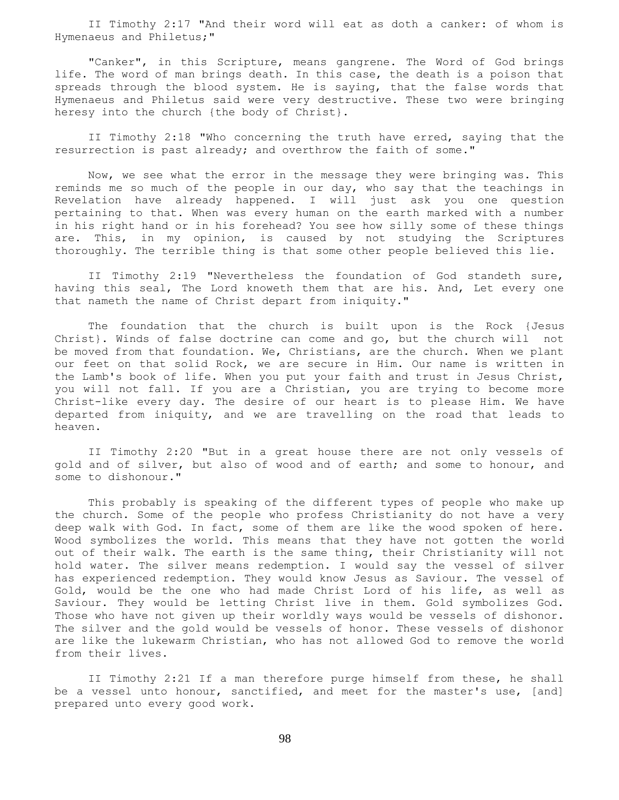II Timothy 2:17 "And their word will eat as doth a canker: of whom is Hymenaeus and Philetus;"

 "Canker", in this Scripture, means gangrene. The Word of God brings life. The word of man brings death. In this case, the death is a poison that spreads through the blood system. He is saying, that the false words that Hymenaeus and Philetus said were very destructive. These two were bringing heresy into the church {the body of Christ}.

 II Timothy 2:18 "Who concerning the truth have erred, saying that the resurrection is past already; and overthrow the faith of some."

 Now, we see what the error in the message they were bringing was. This reminds me so much of the people in our day, who say that the teachings in Revelation have already happened. I will just ask you one question pertaining to that. When was every human on the earth marked with a number in his right hand or in his forehead? You see how silly some of these things are. This, in my opinion, is caused by not studying the Scriptures thoroughly. The terrible thing is that some other people believed this lie.

 II Timothy 2:19 "Nevertheless the foundation of God standeth sure, having this seal, The Lord knoweth them that are his. And, Let every one that nameth the name of Christ depart from iniquity."

 The foundation that the church is built upon is the Rock {Jesus Christ}. Winds of false doctrine can come and go, but the church will not be moved from that foundation. We, Christians, are the church. When we plant our feet on that solid Rock, we are secure in Him. Our name is written in the Lamb's book of life. When you put your faith and trust in Jesus Christ, you will not fall. If you are a Christian, you are trying to become more Christ-like every day. The desire of our heart is to please Him. We have departed from iniquity, and we are travelling on the road that leads to heaven.

 II Timothy 2:20 "But in a great house there are not only vessels of gold and of silver, but also of wood and of earth; and some to honour, and some to dishonour."

 This probably is speaking of the different types of people who make up the church. Some of the people who profess Christianity do not have a very deep walk with God. In fact, some of them are like the wood spoken of here. Wood symbolizes the world. This means that they have not gotten the world out of their walk. The earth is the same thing, their Christianity will not hold water. The silver means redemption. I would say the vessel of silver has experienced redemption. They would know Jesus as Saviour. The vessel of Gold, would be the one who had made Christ Lord of his life, as well as Saviour. They would be letting Christ live in them. Gold symbolizes God. Those who have not given up their worldly ways would be vessels of dishonor. The silver and the gold would be vessels of honor. These vessels of dishonor are like the lukewarm Christian, who has not allowed God to remove the world from their lives.

 II Timothy 2:21 If a man therefore purge himself from these, he shall be a vessel unto honour, sanctified, and meet for the master's use, [and] prepared unto every good work.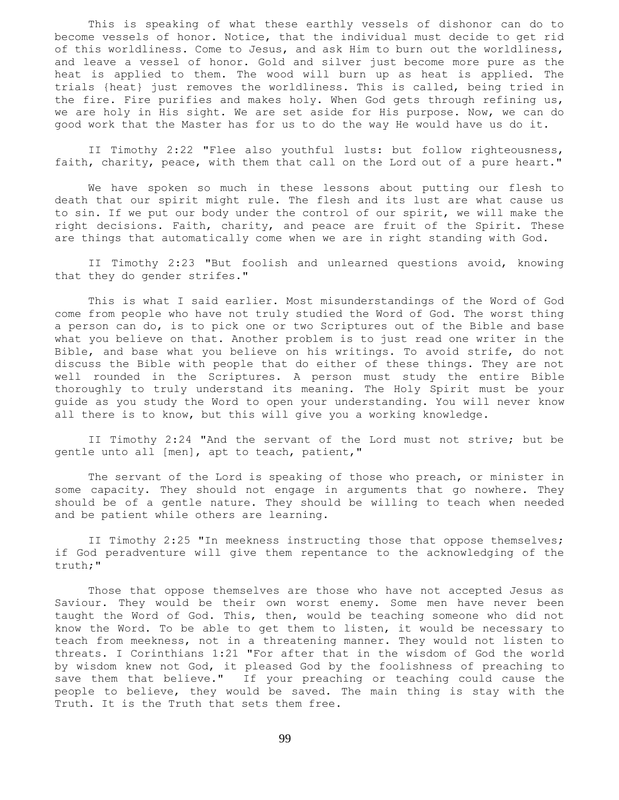This is speaking of what these earthly vessels of dishonor can do to become vessels of honor. Notice, that the individual must decide to get rid of this worldliness. Come to Jesus, and ask Him to burn out the worldliness, and leave a vessel of honor. Gold and silver just become more pure as the heat is applied to them. The wood will burn up as heat is applied. The trials {heat} just removes the worldliness. This is called, being tried in the fire. Fire purifies and makes holy. When God gets through refining us, we are holy in His sight. We are set aside for His purpose. Now, we can do good work that the Master has for us to do the way He would have us do it.

 II Timothy 2:22 "Flee also youthful lusts: but follow righteousness, faith, charity, peace, with them that call on the Lord out of a pure heart."

 We have spoken so much in these lessons about putting our flesh to death that our spirit might rule. The flesh and its lust are what cause us to sin. If we put our body under the control of our spirit, we will make the right decisions. Faith, charity, and peace are fruit of the Spirit. These are things that automatically come when we are in right standing with God.

 II Timothy 2:23 "But foolish and unlearned questions avoid, knowing that they do gender strifes."

 This is what I said earlier. Most misunderstandings of the Word of God come from people who have not truly studied the Word of God. The worst thing a person can do, is to pick one or two Scriptures out of the Bible and base what you believe on that. Another problem is to just read one writer in the Bible, and base what you believe on his writings. To avoid strife, do not discuss the Bible with people that do either of these things. They are not well rounded in the Scriptures. A person must study the entire Bible thoroughly to truly understand its meaning. The Holy Spirit must be your guide as you study the Word to open your understanding. You will never know all there is to know, but this will give you a working knowledge.

 II Timothy 2:24 "And the servant of the Lord must not strive; but be gentle unto all [men], apt to teach, patient,"

 The servant of the Lord is speaking of those who preach, or minister in some capacity. They should not engage in arguments that go nowhere. They should be of a gentle nature. They should be willing to teach when needed and be patient while others are learning.

 II Timothy 2:25 "In meekness instructing those that oppose themselves; if God peradventure will give them repentance to the acknowledging of the truth;"

 Those that oppose themselves are those who have not accepted Jesus as Saviour. They would be their own worst enemy. Some men have never been taught the Word of God. This, then, would be teaching someone who did not know the Word. To be able to get them to listen, it would be necessary to teach from meekness, not in a threatening manner. They would not listen to threats. I Corinthians 1:21 "For after that in the wisdom of God the world by wisdom knew not God, it pleased God by the foolishness of preaching to save them that believe." If your preaching or teaching could cause the people to believe, they would be saved. The main thing is stay with the Truth. It is the Truth that sets them free.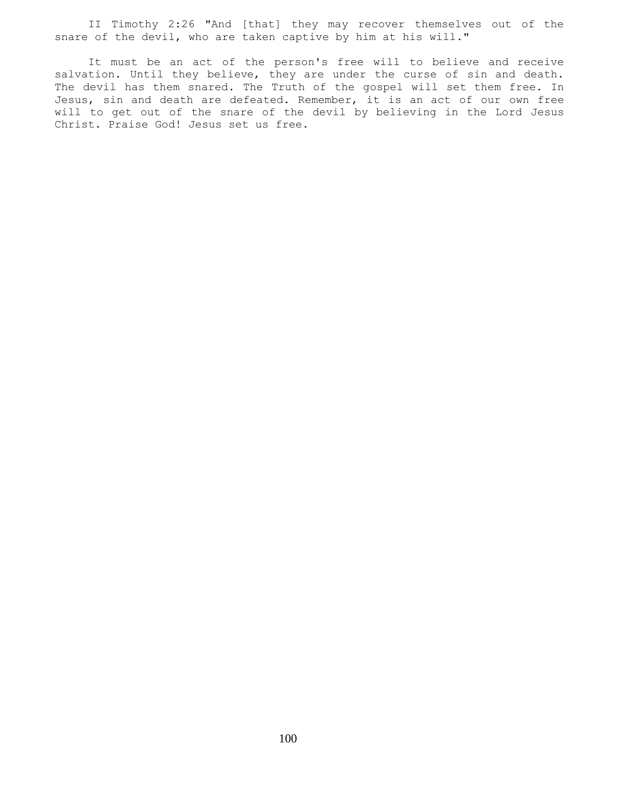II Timothy 2:26 "And [that] they may recover themselves out of the snare of the devil, who are taken captive by him at his will."

 It must be an act of the person's free will to believe and receive salvation. Until they believe, they are under the curse of sin and death. The devil has them snared. The Truth of the gospel will set them free. In Jesus, sin and death are defeated. Remember, it is an act of our own free will to get out of the snare of the devil by believing in the Lord Jesus Christ. Praise God! Jesus set us free.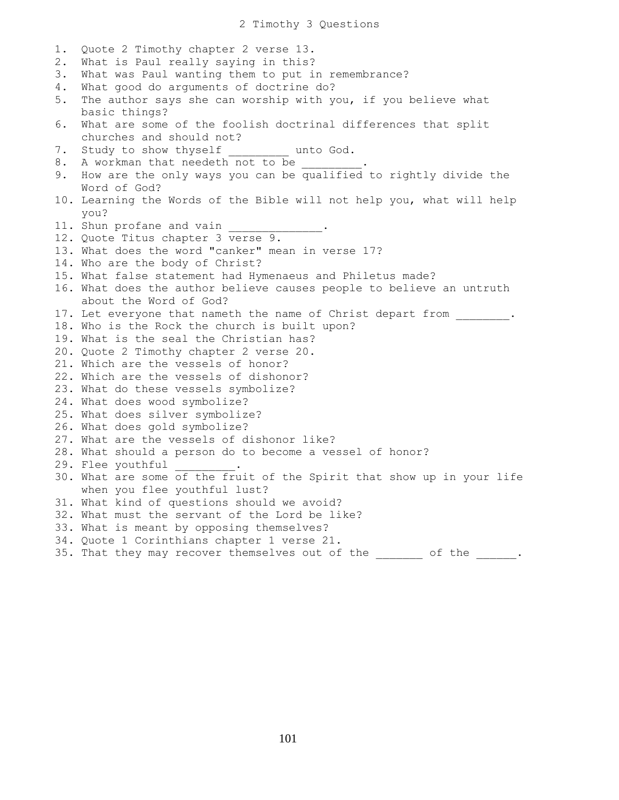2 Timothy 3 Questions 1. Quote 2 Timothy chapter 2 verse 13. 2. What is Paul really saying in this? 3. What was Paul wanting them to put in remembrance? 4. What good do arguments of doctrine do? 5. The author says she can worship with you, if you believe what basic things? 6. What are some of the foolish doctrinal differences that split churches and should not? 7. Study to show thyself and unto God. 8. A workman that needeth not to be 9. How are the only ways you can be qualified to rightly divide the Word of God? 10. Learning the Words of the Bible will not help you, what will help you? 11. Shun profane and vain 12. Quote Titus chapter 3 verse 9. 13. What does the word "canker" mean in verse 17? 14. Who are the body of Christ? 15. What false statement had Hymenaeus and Philetus made? 16. What does the author believe causes people to believe an untruth about the Word of God? 17. Let everyone that nameth the name of Christ depart from  $\ldots$ 18. Who is the Rock the church is built upon? 19. What is the seal the Christian has? 20. Quote 2 Timothy chapter 2 verse 20. 21. Which are the vessels of honor? 22. Which are the vessels of dishonor? 23. What do these vessels symbolize? 24. What does wood symbolize? 25. What does silver symbolize? 26. What does gold symbolize? 27. What are the vessels of dishonor like? 28. What should a person do to become a vessel of honor? 29. Flee youthful 30. What are some of the fruit of the Spirit that show up in your life when you flee youthful lust? 31. What kind of questions should we avoid? 32. What must the servant of the Lord be like? 33. What is meant by opposing themselves? 34. Quote 1 Corinthians chapter 1 verse 21. 35. That they may recover themselves out of the  $\qquad \qquad$  of the  $\qquad \qquad$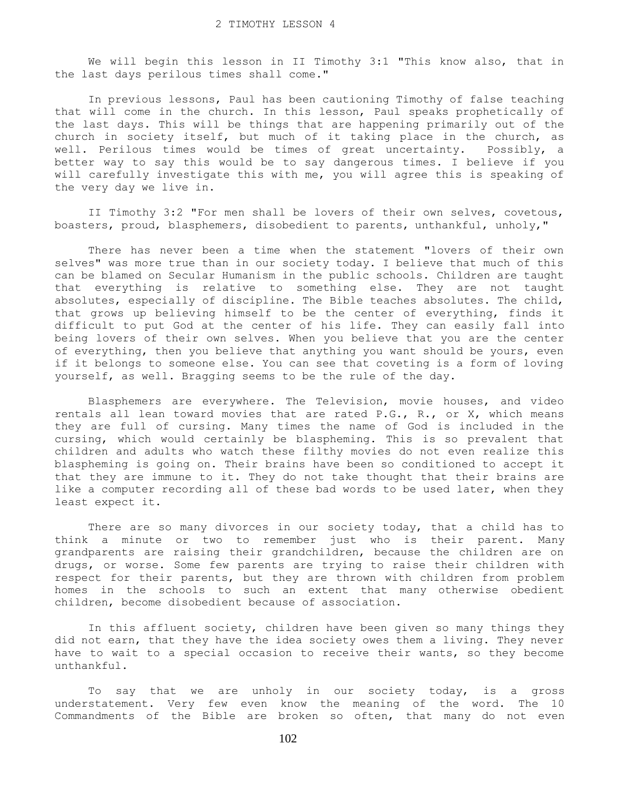We will begin this lesson in II Timothy 3:1 "This know also, that in the last days perilous times shall come."

 In previous lessons, Paul has been cautioning Timothy of false teaching that will come in the church. In this lesson, Paul speaks prophetically of the last days. This will be things that are happening primarily out of the church in society itself, but much of it taking place in the church, as well. Perilous times would be times of great uncertainty. Possibly, a better way to say this would be to say dangerous times. I believe if you will carefully investigate this with me, you will agree this is speaking of the very day we live in.

 II Timothy 3:2 "For men shall be lovers of their own selves, covetous, boasters, proud, blasphemers, disobedient to parents, unthankful, unholy,"

 There has never been a time when the statement "lovers of their own selves" was more true than in our society today. I believe that much of this can be blamed on Secular Humanism in the public schools. Children are taught that everything is relative to something else. They are not taught absolutes, especially of discipline. The Bible teaches absolutes. The child, that grows up believing himself to be the center of everything, finds it difficult to put God at the center of his life. They can easily fall into being lovers of their own selves. When you believe that you are the center of everything, then you believe that anything you want should be yours, even if it belongs to someone else. You can see that coveting is a form of loving yourself, as well. Bragging seems to be the rule of the day.

 Blasphemers are everywhere. The Television, movie houses, and video rentals all lean toward movies that are rated P.G., R., or X, which means they are full of cursing. Many times the name of God is included in the cursing, which would certainly be blaspheming. This is so prevalent that children and adults who watch these filthy movies do not even realize this blaspheming is going on. Their brains have been so conditioned to accept it that they are immune to it. They do not take thought that their brains are like a computer recording all of these bad words to be used later, when they least expect it.

There are so many divorces in our society today, that a child has to think a minute or two to remember just who is their parent. Many grandparents are raising their grandchildren, because the children are on drugs, or worse. Some few parents are trying to raise their children with respect for their parents, but they are thrown with children from problem homes in the schools to such an extent that many otherwise obedient children, become disobedient because of association.

 In this affluent society, children have been given so many things they did not earn, that they have the idea society owes them a living. They never have to wait to a special occasion to receive their wants, so they become unthankful.

 To say that we are unholy in our society today, is a gross understatement. Very few even know the meaning of the word. The 10 Commandments of the Bible are broken so often, that many do not even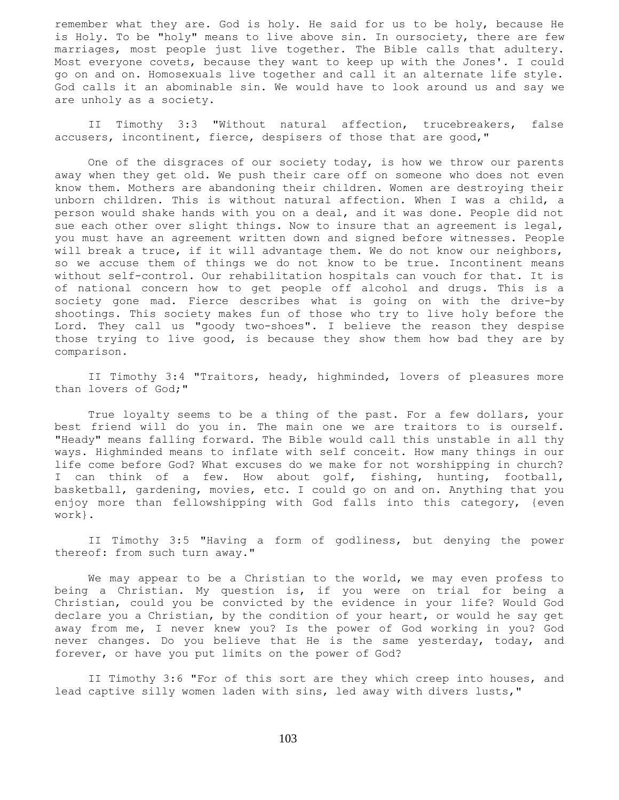remember what they are. God is holy. He said for us to be holy, because He is Holy. To be "holy" means to live above sin. In oursociety, there are few marriages, most people just live together. The Bible calls that adultery. Most everyone covets, because they want to keep up with the Jones'. I could go on and on. Homosexuals live together and call it an alternate life style. God calls it an abominable sin. We would have to look around us and say we are unholy as a society.

 II Timothy 3:3 "Without natural affection, trucebreakers, false accusers, incontinent, fierce, despisers of those that are good,"

 One of the disgraces of our society today, is how we throw our parents away when they get old. We push their care off on someone who does not even know them. Mothers are abandoning their children. Women are destroying their unborn children. This is without natural affection. When I was a child, a person would shake hands with you on a deal, and it was done. People did not sue each other over slight things. Now to insure that an agreement is legal, you must have an agreement written down and signed before witnesses. People will break a truce, if it will advantage them. We do not know our neighbors, so we accuse them of things we do not know to be true. Incontinent means without self-control. Our rehabilitation hospitals can vouch for that. It is of national concern how to get people off alcohol and drugs. This is a society gone mad. Fierce describes what is going on with the drive-by shootings. This society makes fun of those who try to live holy before the Lord. They call us "goody two-shoes". I believe the reason they despise those trying to live good, is because they show them how bad they are by comparison.

 II Timothy 3:4 "Traitors, heady, highminded, lovers of pleasures more than lovers of God;"

 True loyalty seems to be a thing of the past. For a few dollars, your best friend will do you in. The main one we are traitors to is ourself. "Heady" means falling forward. The Bible would call this unstable in all thy ways. Highminded means to inflate with self conceit. How many things in our life come before God? What excuses do we make for not worshipping in church? I can think of a few. How about golf, fishing, hunting, football, basketball, gardening, movies, etc. I could go on and on. Anything that you enjoy more than fellowshipping with God falls into this category, {even work}.

 II Timothy 3:5 "Having a form of godliness, but denying the power thereof: from such turn away."

 We may appear to be a Christian to the world, we may even profess to being a Christian. My question is, if you were on trial for being a Christian, could you be convicted by the evidence in your life? Would God declare you a Christian, by the condition of your heart, or would he say get away from me, I never knew you? Is the power of God working in you? God never changes. Do you believe that He is the same yesterday, today, and forever, or have you put limits on the power of God?

 II Timothy 3:6 "For of this sort are they which creep into houses, and lead captive silly women laden with sins, led away with divers lusts,"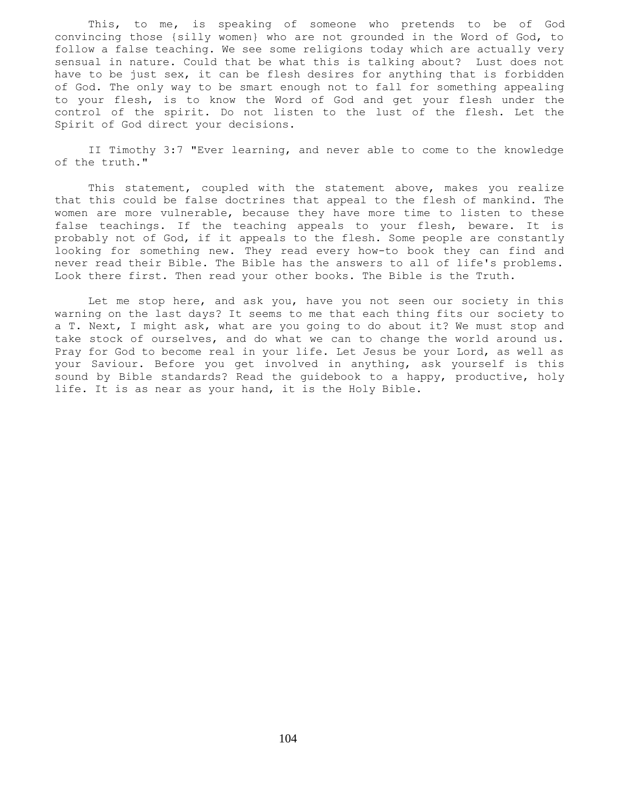This, to me, is speaking of someone who pretends to be of God convincing those {silly women} who are not grounded in the Word of God, to follow a false teaching. We see some religions today which are actually very sensual in nature. Could that be what this is talking about? Lust does not have to be just sex, it can be flesh desires for anything that is forbidden of God. The only way to be smart enough not to fall for something appealing to your flesh, is to know the Word of God and get your flesh under the control of the spirit. Do not listen to the lust of the flesh. Let the Spirit of God direct your decisions.

 II Timothy 3:7 "Ever learning, and never able to come to the knowledge of the truth."

 This statement, coupled with the statement above, makes you realize that this could be false doctrines that appeal to the flesh of mankind. The women are more vulnerable, because they have more time to listen to these false teachings. If the teaching appeals to your flesh, beware. It is probably not of God, if it appeals to the flesh. Some people are constantly looking for something new. They read every how-to book they can find and never read their Bible. The Bible has the answers to all of life's problems. Look there first. Then read your other books. The Bible is the Truth.

 Let me stop here, and ask you, have you not seen our society in this warning on the last days? It seems to me that each thing fits our society to a T. Next, I might ask, what are you going to do about it? We must stop and take stock of ourselves, and do what we can to change the world around us. Pray for God to become real in your life. Let Jesus be your Lord, as well as your Saviour. Before you get involved in anything, ask yourself is this sound by Bible standards? Read the guidebook to a happy, productive, holy life. It is as near as your hand, it is the Holy Bible.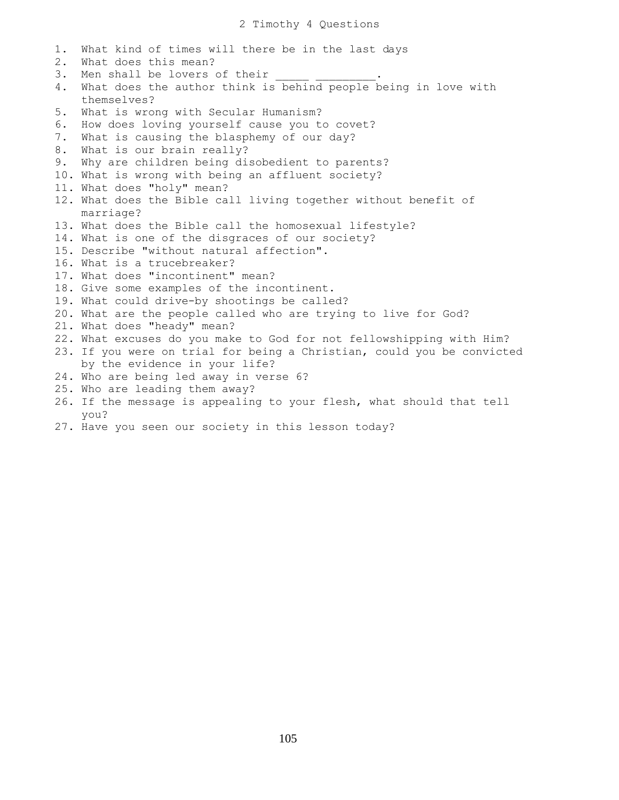1. What kind of times will there be in the last days 2. What does this mean? 3. Men shall be lovers of their 4. What does the author think is behind people being in love with themselves? 5. What is wrong with Secular Humanism? 6. How does loving yourself cause you to covet? 7. What is causing the blasphemy of our day? 8. What is our brain really? 9. Why are children being disobedient to parents? 10. What is wrong with being an affluent society? 11. What does "holy" mean? 12. What does the Bible call living together without benefit of marriage? 13. What does the Bible call the homosexual lifestyle? 14. What is one of the disgraces of our society? 15. Describe "without natural affection". 16. What is a trucebreaker? 17. What does "incontinent" mean? 18. Give some examples of the incontinent. 19. What could drive-by shootings be called? 20. What are the people called who are trying to live for God? 21. What does "heady" mean? 22. What excuses do you make to God for not fellowshipping with Him? 23. If you were on trial for being a Christian, could you be convicted by the evidence in your life? 24. Who are being led away in verse 6? 25. Who are leading them away? 26. If the message is appealing to your flesh, what should that tell you?

27. Have you seen our society in this lesson today?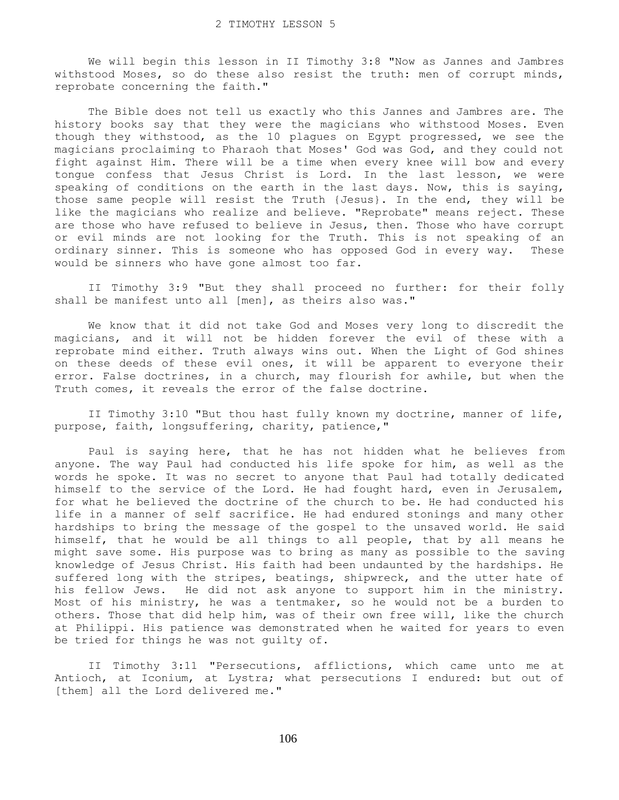We will begin this lesson in II Timothy 3:8 "Now as Jannes and Jambres withstood Moses, so do these also resist the truth: men of corrupt minds, reprobate concerning the faith."

 The Bible does not tell us exactly who this Jannes and Jambres are. The history books say that they were the magicians who withstood Moses. Even though they withstood, as the 10 plagues on Egypt progressed, we see the magicians proclaiming to Pharaoh that Moses' God was God, and they could not fight against Him. There will be a time when every knee will bow and every tongue confess that Jesus Christ is Lord. In the last lesson, we were speaking of conditions on the earth in the last days. Now, this is saying, those same people will resist the Truth {Jesus}. In the end, they will be like the magicians who realize and believe. "Reprobate" means reject. These are those who have refused to believe in Jesus, then. Those who have corrupt or evil minds are not looking for the Truth. This is not speaking of an ordinary sinner. This is someone who has opposed God in every way. These would be sinners who have gone almost too far.

 II Timothy 3:9 "But they shall proceed no further: for their folly shall be manifest unto all [men], as theirs also was."

 We know that it did not take God and Moses very long to discredit the magicians, and it will not be hidden forever the evil of these with a reprobate mind either. Truth always wins out. When the Light of God shines on these deeds of these evil ones, it will be apparent to everyone their error. False doctrines, in a church, may flourish for awhile, but when the Truth comes, it reveals the error of the false doctrine.

 II Timothy 3:10 "But thou hast fully known my doctrine, manner of life, purpose, faith, longsuffering, charity, patience,"

 Paul is saying here, that he has not hidden what he believes from anyone. The way Paul had conducted his life spoke for him, as well as the words he spoke. It was no secret to anyone that Paul had totally dedicated himself to the service of the Lord. He had fought hard, even in Jerusalem, for what he believed the doctrine of the church to be. He had conducted his life in a manner of self sacrifice. He had endured stonings and many other hardships to bring the message of the gospel to the unsaved world. He said himself, that he would be all things to all people, that by all means he might save some. His purpose was to bring as many as possible to the saving knowledge of Jesus Christ. His faith had been undaunted by the hardships. He suffered long with the stripes, beatings, shipwreck, and the utter hate of his fellow Jews. He did not ask anyone to support him in the ministry. Most of his ministry, he was a tentmaker, so he would not be a burden to others. Those that did help him, was of their own free will, like the church at Philippi. His patience was demonstrated when he waited for years to even be tried for things he was not guilty of.

 II Timothy 3:11 "Persecutions, afflictions, which came unto me at Antioch, at Iconium, at Lystra; what persecutions I endured: but out of [them] all the Lord delivered me."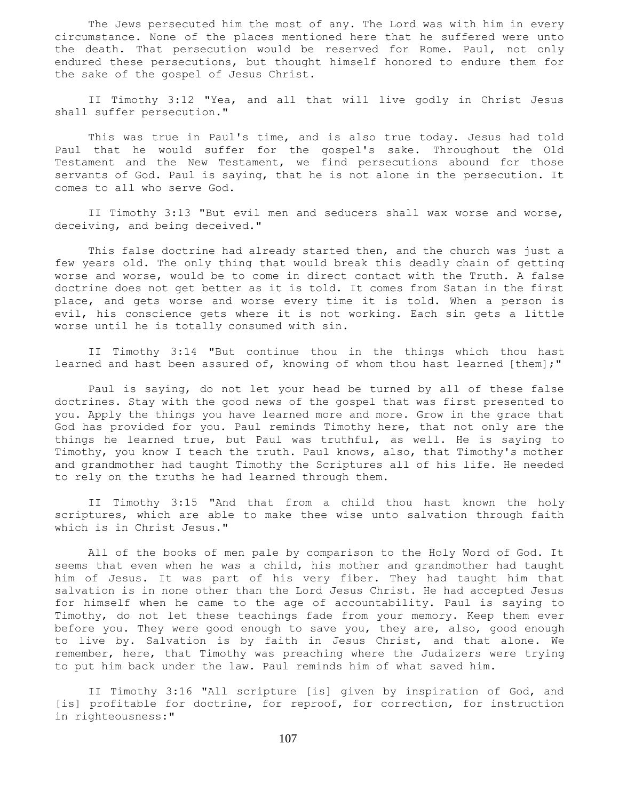The Jews persecuted him the most of any. The Lord was with him in every circumstance. None of the places mentioned here that he suffered were unto the death. That persecution would be reserved for Rome. Paul, not only endured these persecutions, but thought himself honored to endure them for the sake of the gospel of Jesus Christ.

 II Timothy 3:12 "Yea, and all that will live godly in Christ Jesus shall suffer persecution."

 This was true in Paul's time, and is also true today. Jesus had told Paul that he would suffer for the gospel's sake. Throughout the Old Testament and the New Testament, we find persecutions abound for those servants of God. Paul is saying, that he is not alone in the persecution. It comes to all who serve God.

 II Timothy 3:13 "But evil men and seducers shall wax worse and worse, deceiving, and being deceived."

 This false doctrine had already started then, and the church was just a few years old. The only thing that would break this deadly chain of getting worse and worse, would be to come in direct contact with the Truth. A false doctrine does not get better as it is told. It comes from Satan in the first place, and gets worse and worse every time it is told. When a person is evil, his conscience gets where it is not working. Each sin gets a little worse until he is totally consumed with sin.

 II Timothy 3:14 "But continue thou in the things which thou hast learned and hast been assured of, knowing of whom thou hast learned [them];"

 Paul is saying, do not let your head be turned by all of these false doctrines. Stay with the good news of the gospel that was first presented to you. Apply the things you have learned more and more. Grow in the grace that God has provided for you. Paul reminds Timothy here, that not only are the things he learned true, but Paul was truthful, as well. He is saying to Timothy, you know I teach the truth. Paul knows, also, that Timothy's mother and grandmother had taught Timothy the Scriptures all of his life. He needed to rely on the truths he had learned through them.

 II Timothy 3:15 "And that from a child thou hast known the holy scriptures, which are able to make thee wise unto salvation through faith which is in Christ Jesus."

 All of the books of men pale by comparison to the Holy Word of God. It seems that even when he was a child, his mother and grandmother had taught him of Jesus. It was part of his very fiber. They had taught him that salvation is in none other than the Lord Jesus Christ. He had accepted Jesus for himself when he came to the age of accountability. Paul is saying to Timothy, do not let these teachings fade from your memory. Keep them ever before you. They were good enough to save you, they are, also, good enough to live by. Salvation is by faith in Jesus Christ, and that alone. We remember, here, that Timothy was preaching where the Judaizers were trying to put him back under the law. Paul reminds him of what saved him.

 II Timothy 3:16 "All scripture [is] given by inspiration of God, and [is] profitable for doctrine, for reproof, for correction, for instruction in righteousness:"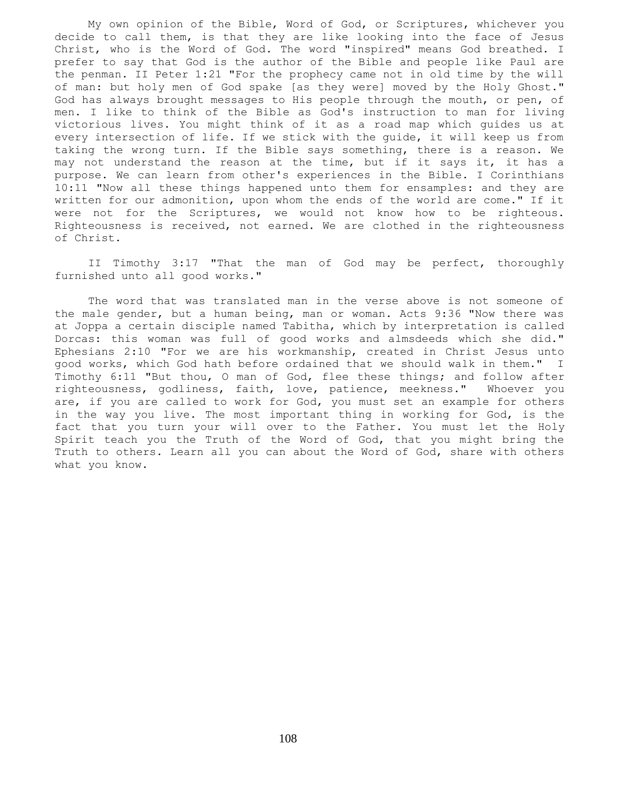My own opinion of the Bible, Word of God, or Scriptures, whichever you decide to call them, is that they are like looking into the face of Jesus Christ, who is the Word of God. The word "inspired" means God breathed. I prefer to say that God is the author of the Bible and people like Paul are the penman. II Peter 1:21 "For the prophecy came not in old time by the will of man: but holy men of God spake [as they were] moved by the Holy Ghost." God has always brought messages to His people through the mouth, or pen, of men. I like to think of the Bible as God's instruction to man for living victorious lives. You might think of it as a road map which guides us at every intersection of life. If we stick with the guide, it will keep us from taking the wrong turn. If the Bible says something, there is a reason. We may not understand the reason at the time, but if it says it, it has a purpose. We can learn from other's experiences in the Bible. I Corinthians 10:11 "Now all these things happened unto them for ensamples: and they are written for our admonition, upon whom the ends of the world are come." If it were not for the Scriptures, we would not know how to be righteous. Righteousness is received, not earned. We are clothed in the righteousness of Christ.

 II Timothy 3:17 "That the man of God may be perfect, thoroughly furnished unto all good works."

 The word that was translated man in the verse above is not someone of the male gender, but a human being, man or woman. Acts 9:36 "Now there was at Joppa a certain disciple named Tabitha, which by interpretation is called Dorcas: this woman was full of good works and almsdeeds which she did." Ephesians 2:10 "For we are his workmanship, created in Christ Jesus unto good works, which God hath before ordained that we should walk in them." I Timothy 6:11 "But thou, O man of God, flee these things; and follow after righteousness, godliness, faith, love, patience, meekness." Whoever you are, if you are called to work for God, you must set an example for others in the way you live. The most important thing in working for God, is the fact that you turn your will over to the Father. You must let the Holy Spirit teach you the Truth of the Word of God, that you might bring the Truth to others. Learn all you can about the Word of God, share with others what you know.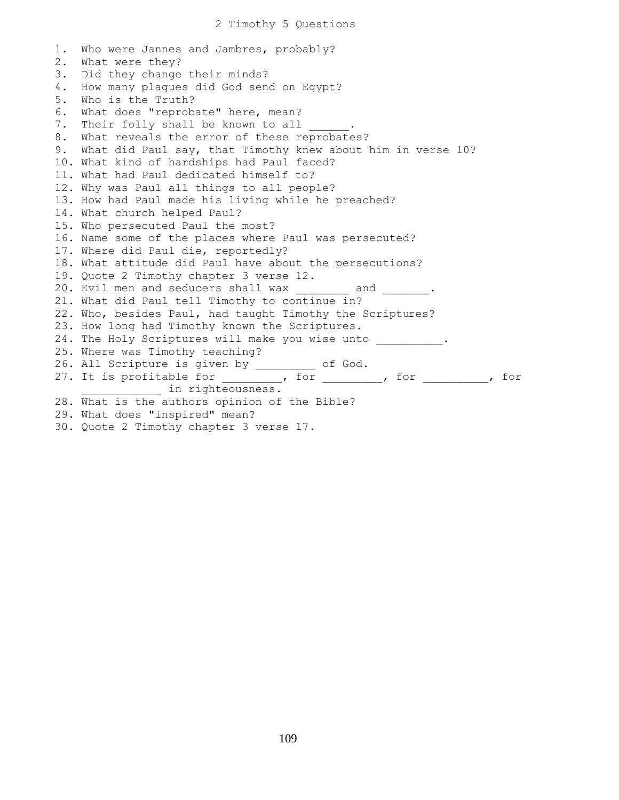1. Who were Jannes and Jambres, probably? 2. What were they? 3. Did they change their minds? 4. How many plagues did God send on Egypt? 5. Who is the Truth? 6. What does "reprobate" here, mean? 7. Their folly shall be known to all 8. What reveals the error of these reprobates? 9. What did Paul say, that Timothy knew about him in verse 10? 10. What kind of hardships had Paul faced? 11. What had Paul dedicated himself to? 12. Why was Paul all things to all people? 13. How had Paul made his living while he preached? 14. What church helped Paul? 15. Who persecuted Paul the most? 16. Name some of the places where Paul was persecuted? 17. Where did Paul die, reportedly? 18. What attitude did Paul have about the persecutions? 19. Quote 2 Timothy chapter 3 verse 12. 20. Evil men and seducers shall wax \_\_\_\_\_\_\_\_ and \_\_\_\_\_\_\_. 21. What did Paul tell Timothy to continue in? 22. Who, besides Paul, had taught Timothy the Scriptures? 23. How long had Timothy known the Scriptures. 24. The Holy Scriptures will make you wise unto \_\_\_\_\_\_\_\_. 25. Where was Timothy teaching? 26. All Scripture is given by \_\_\_\_\_\_\_\_\_ of God. 27. It is profitable for \_\_\_\_\_\_\_\_\_, for \_\_\_\_\_\_\_, for \_\_\_\_\_\_\_\_, for **\_\_\_\_\_\_** in righteousness. 28. What is the authors opinion of the Bible? 29. What does "inspired" mean? 30. Quote 2 Timothy chapter 3 verse 17.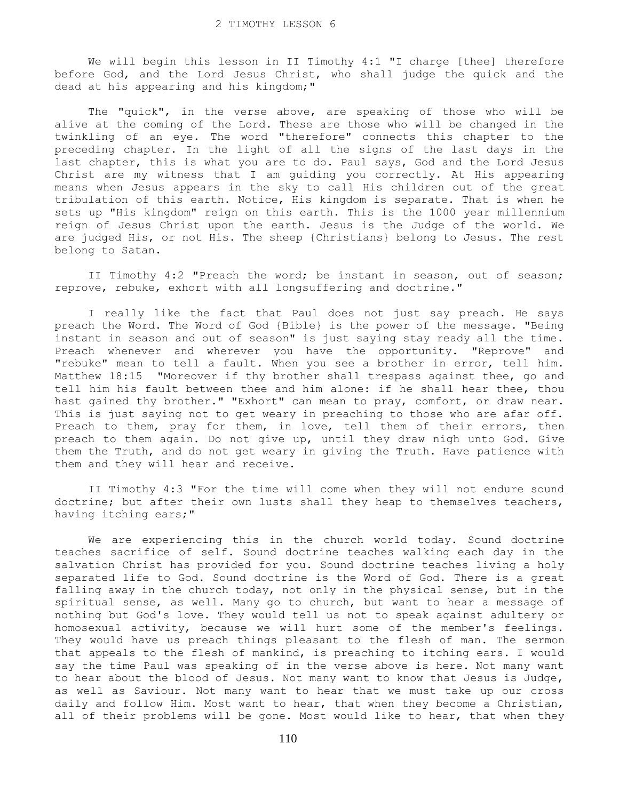We will begin this lesson in II Timothy 4:1 "I charge [thee] therefore before God, and the Lord Jesus Christ, who shall judge the quick and the dead at his appearing and his kingdom;"

 The "quick", in the verse above, are speaking of those who will be alive at the coming of the Lord. These are those who will be changed in the twinkling of an eye. The word "therefore" connects this chapter to the preceding chapter. In the light of all the signs of the last days in the last chapter, this is what you are to do. Paul says, God and the Lord Jesus Christ are my witness that I am guiding you correctly. At His appearing means when Jesus appears in the sky to call His children out of the great tribulation of this earth. Notice, His kingdom is separate. That is when he sets up "His kingdom" reign on this earth. This is the 1000 year millennium reign of Jesus Christ upon the earth. Jesus is the Judge of the world. We are judged His, or not His. The sheep {Christians} belong to Jesus. The rest belong to Satan.

 II Timothy 4:2 "Preach the word; be instant in season, out of season; reprove, rebuke, exhort with all longsuffering and doctrine."

 I really like the fact that Paul does not just say preach. He says preach the Word. The Word of God {Bible} is the power of the message. "Being instant in season and out of season" is just saying stay ready all the time. Preach whenever and wherever you have the opportunity. "Reprove" and "rebuke" mean to tell a fault. When you see a brother in error, tell him. Matthew 18:15 "Moreover if thy brother shall trespass against thee, go and tell him his fault between thee and him alone: if he shall hear thee, thou hast gained thy brother." "Exhort" can mean to pray, comfort, or draw near. This is just saying not to get weary in preaching to those who are afar off. Preach to them, pray for them, in love, tell them of their errors, then preach to them again. Do not give up, until they draw nigh unto God. Give them the Truth, and do not get weary in giving the Truth. Have patience with them and they will hear and receive.

 II Timothy 4:3 "For the time will come when they will not endure sound doctrine; but after their own lusts shall they heap to themselves teachers, having itching ears;"

 We are experiencing this in the church world today. Sound doctrine teaches sacrifice of self. Sound doctrine teaches walking each day in the salvation Christ has provided for you. Sound doctrine teaches living a holy separated life to God. Sound doctrine is the Word of God. There is a great falling away in the church today, not only in the physical sense, but in the spiritual sense, as well. Many go to church, but want to hear a message of nothing but God's love. They would tell us not to speak against adultery or homosexual activity, because we will hurt some of the member's feelings. They would have us preach things pleasant to the flesh of man. The sermon that appeals to the flesh of mankind, is preaching to itching ears. I would say the time Paul was speaking of in the verse above is here. Not many want to hear about the blood of Jesus. Not many want to know that Jesus is Judge, as well as Saviour. Not many want to hear that we must take up our cross daily and follow Him. Most want to hear, that when they become a Christian, all of their problems will be gone. Most would like to hear, that when they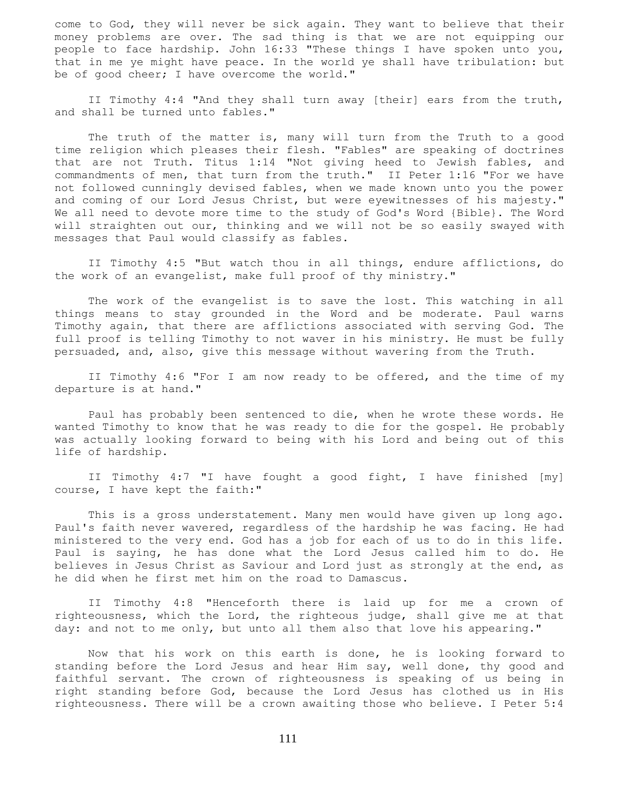come to God, they will never be sick again. They want to believe that their money problems are over. The sad thing is that we are not equipping our people to face hardship. John 16:33 "These things I have spoken unto you, that in me ye might have peace. In the world ye shall have tribulation: but be of good cheer; I have overcome the world."

 II Timothy 4:4 "And they shall turn away [their] ears from the truth, and shall be turned unto fables."

 The truth of the matter is, many will turn from the Truth to a good time religion which pleases their flesh. "Fables" are speaking of doctrines that are not Truth. Titus 1:14 "Not giving heed to Jewish fables, and commandments of men, that turn from the truth." II Peter 1:16 "For we have not followed cunningly devised fables, when we made known unto you the power and coming of our Lord Jesus Christ, but were eyewitnesses of his majesty." We all need to devote more time to the study of God's Word {Bible}. The Word will straighten out our, thinking and we will not be so easily swayed with messages that Paul would classify as fables.

 II Timothy 4:5 "But watch thou in all things, endure afflictions, do the work of an evangelist, make full proof of thy ministry."

 The work of the evangelist is to save the lost. This watching in all things means to stay grounded in the Word and be moderate. Paul warns Timothy again, that there are afflictions associated with serving God. The full proof is telling Timothy to not waver in his ministry. He must be fully persuaded, and, also, give this message without wavering from the Truth.

 II Timothy 4:6 "For I am now ready to be offered, and the time of my departure is at hand."

 Paul has probably been sentenced to die, when he wrote these words. He wanted Timothy to know that he was ready to die for the gospel. He probably was actually looking forward to being with his Lord and being out of this life of hardship.

 II Timothy 4:7 "I have fought a good fight, I have finished [my] course, I have kept the faith:"

 This is a gross understatement. Many men would have given up long ago. Paul's faith never wavered, regardless of the hardship he was facing. He had ministered to the very end. God has a job for each of us to do in this life. Paul is saying, he has done what the Lord Jesus called him to do. He believes in Jesus Christ as Saviour and Lord just as strongly at the end, as he did when he first met him on the road to Damascus.

 II Timothy 4:8 "Henceforth there is laid up for me a crown of righteousness, which the Lord, the righteous judge, shall give me at that day: and not to me only, but unto all them also that love his appearing."

 Now that his work on this earth is done, he is looking forward to standing before the Lord Jesus and hear Him say, well done, thy good and faithful servant. The crown of righteousness is speaking of us being in right standing before God, because the Lord Jesus has clothed us in His righteousness. There will be a crown awaiting those who believe. I Peter 5:4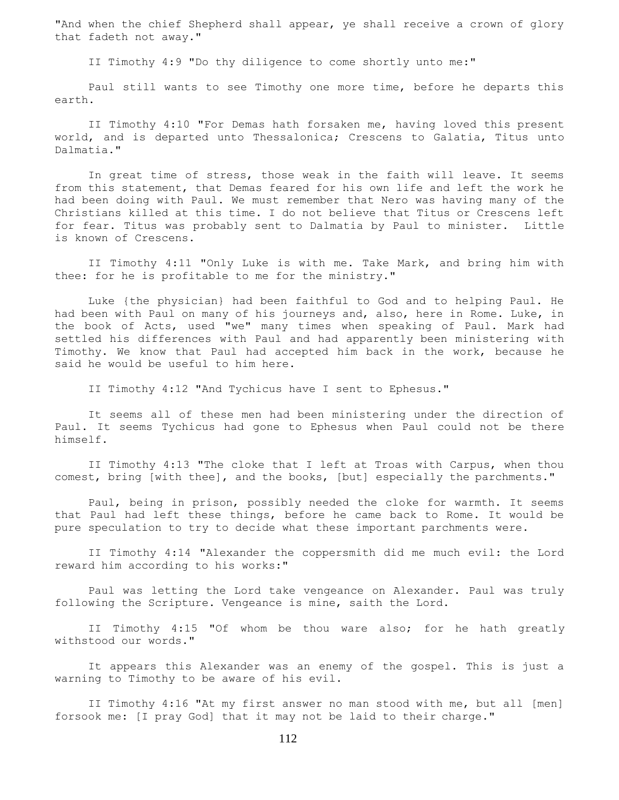"And when the chief Shepherd shall appear, ye shall receive a crown of glory that fadeth not away."

II Timothy 4:9 "Do thy diligence to come shortly unto me:"

 Paul still wants to see Timothy one more time, before he departs this earth.

 II Timothy 4:10 "For Demas hath forsaken me, having loved this present world, and is departed unto Thessalonica; Crescens to Galatia, Titus unto Dalmatia."

 In great time of stress, those weak in the faith will leave. It seems from this statement, that Demas feared for his own life and left the work he had been doing with Paul. We must remember that Nero was having many of the Christians killed at this time. I do not believe that Titus or Crescens left for fear. Titus was probably sent to Dalmatia by Paul to minister. Little is known of Crescens.

 II Timothy 4:11 "Only Luke is with me. Take Mark, and bring him with thee: for he is profitable to me for the ministry."

 Luke {the physician} had been faithful to God and to helping Paul. He had been with Paul on many of his journeys and, also, here in Rome. Luke, in the book of Acts, used "we" many times when speaking of Paul. Mark had settled his differences with Paul and had apparently been ministering with Timothy. We know that Paul had accepted him back in the work, because he said he would be useful to him here.

II Timothy 4:12 "And Tychicus have I sent to Ephesus."

 It seems all of these men had been ministering under the direction of Paul. It seems Tychicus had gone to Ephesus when Paul could not be there himself.

 II Timothy 4:13 "The cloke that I left at Troas with Carpus, when thou comest, bring [with thee], and the books, [but] especially the parchments."

 Paul, being in prison, possibly needed the cloke for warmth. It seems that Paul had left these things, before he came back to Rome. It would be pure speculation to try to decide what these important parchments were.

 II Timothy 4:14 "Alexander the coppersmith did me much evil: the Lord reward him according to his works:"

 Paul was letting the Lord take vengeance on Alexander. Paul was truly following the Scripture. Vengeance is mine, saith the Lord.

 II Timothy 4:15 "Of whom be thou ware also; for he hath greatly withstood our words."

 It appears this Alexander was an enemy of the gospel. This is just a warning to Timothy to be aware of his evil.

 II Timothy 4:16 "At my first answer no man stood with me, but all [men] forsook me: [I pray God] that it may not be laid to their charge."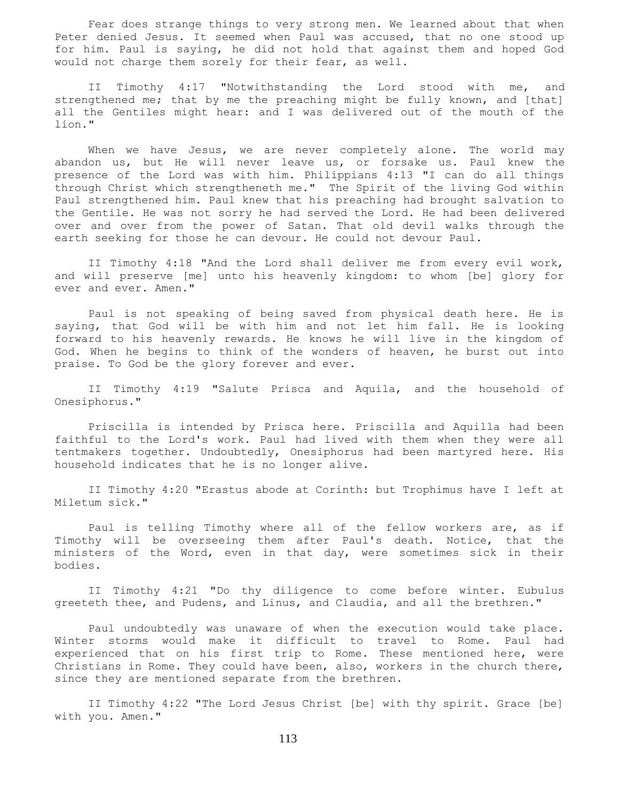Fear does strange things to very strong men. We learned about that when Peter denied Jesus. It seemed when Paul was accused, that no one stood up for him. Paul is saying, he did not hold that against them and hoped God would not charge them sorely for their fear, as well.

 II Timothy 4:17 "Notwithstanding the Lord stood with me, and strengthened me; that by me the preaching might be fully known, and [that] all the Gentiles might hear: and I was delivered out of the mouth of the lion."

When we have Jesus, we are never completely alone. The world may abandon us, but He will never leave us, or forsake us. Paul knew the presence of the Lord was with him. Philippians 4:13 "I can do all things through Christ which strengtheneth me." The Spirit of the living God within Paul strengthened him. Paul knew that his preaching had brought salvation to the Gentile. He was not sorry he had served the Lord. He had been delivered over and over from the power of Satan. That old devil walks through the earth seeking for those he can devour. He could not devour Paul.

 II Timothy 4:18 "And the Lord shall deliver me from every evil work, and will preserve [me] unto his heavenly kingdom: to whom [be] glory for ever and ever. Amen."

 Paul is not speaking of being saved from physical death here. He is saying, that God will be with him and not let him fall. He is looking forward to his heavenly rewards. He knows he will live in the kingdom of God. When he begins to think of the wonders of heaven, he burst out into praise. To God be the glory forever and ever.

 II Timothy 4:19 "Salute Prisca and Aquila, and the household of Onesiphorus."

 Priscilla is intended by Prisca here. Priscilla and Aquilla had been faithful to the Lord's work. Paul had lived with them when they were all tentmakers together. Undoubtedly, Onesiphorus had been martyred here. His household indicates that he is no longer alive.

 II Timothy 4:20 "Erastus abode at Corinth: but Trophimus have I left at Miletum sick."

 Paul is telling Timothy where all of the fellow workers are, as if Timothy will be overseeing them after Paul's death. Notice, that the ministers of the Word, even in that day, were sometimes sick in their bodies.

 II Timothy 4:21 "Do thy diligence to come before winter. Eubulus greeteth thee, and Pudens, and Linus, and Claudia, and all the brethren."

 Paul undoubtedly was unaware of when the execution would take place. Winter storms would make it difficult to travel to Rome. Paul had experienced that on his first trip to Rome. These mentioned here, were Christians in Rome. They could have been, also, workers in the church there, since they are mentioned separate from the brethren.

 II Timothy 4:22 "The Lord Jesus Christ [be] with thy spirit. Grace [be] with you. Amen."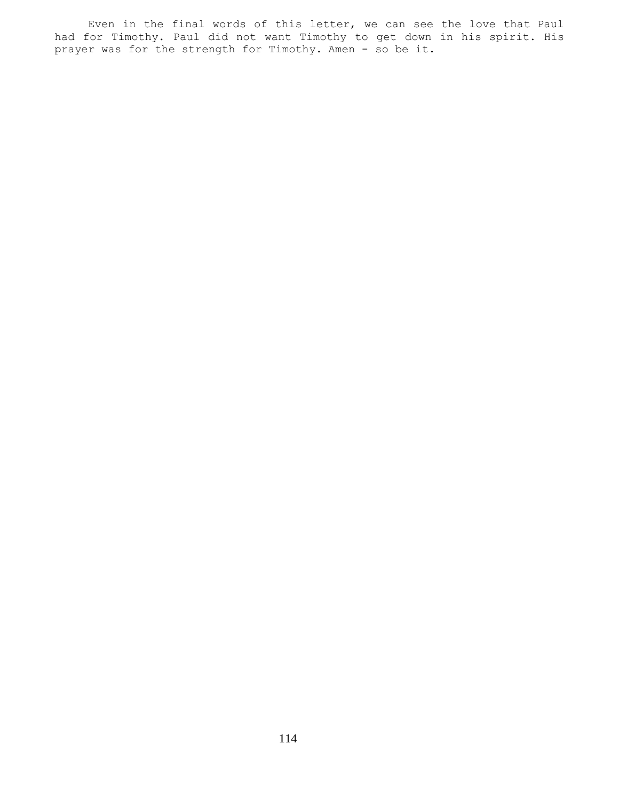Even in the final words of this letter, we can see the love that Paul had for Timothy. Paul did not want Timothy to get down in his spirit. His prayer was for the strength for Timothy. Amen - so be it.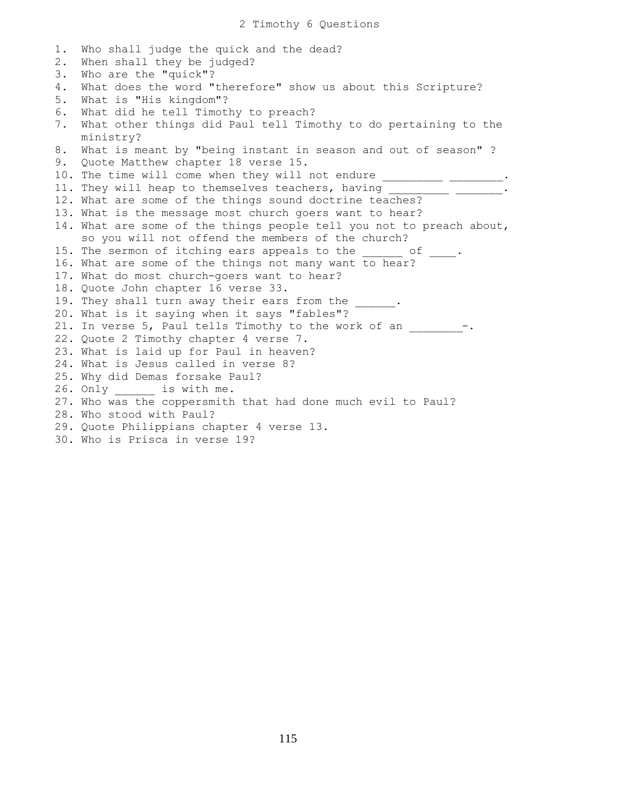```
1. Who shall judge the quick and the dead?
2. When shall they be judged?
3. Who are the "quick"?
4. What does the word "therefore" show us about this Scripture?
5. What is "His kingdom"?
6. What did he tell Timothy to preach?
7. What other things did Paul tell Timothy to do pertaining to the
    ministry?
8. What is meant by "being instant in season and out of season" ?
9. Quote Matthew chapter 18 verse 15.
10. The time will come when they will not endure ____________________.
11. They will heap to themselves teachers, having _________ _______.
12. What are some of the things sound doctrine teaches?
13. What is the message most church goers want to hear?
14. What are some of the things people tell you not to preach about,
     so you will not offend the members of the church?
15. The sermon of itching ears appeals to the \qquad \qquad of \qquad \, .16. What are some of the things not many want to hear?
17. What do most church-goers want to hear?
18. Quote John chapter 16 verse 33.
19. They shall turn away their ears from the
20. What is it saying when it says "fables"?
21. In verse 5, Paul tells Timothy to the work of an -.
22. Quote 2 Timothy chapter 4 verse 7.
23. What is laid up for Paul in heaven?
24. What is Jesus called in verse 8?
25. Why did Demas forsake Paul?
26. Only ______ is with me.
27. Who was the coppersmith that had done much evil to Paul?
28. Who stood with Paul?
29. Quote Philippians chapter 4 verse 13.
30. Who is Prisca in verse 19?
```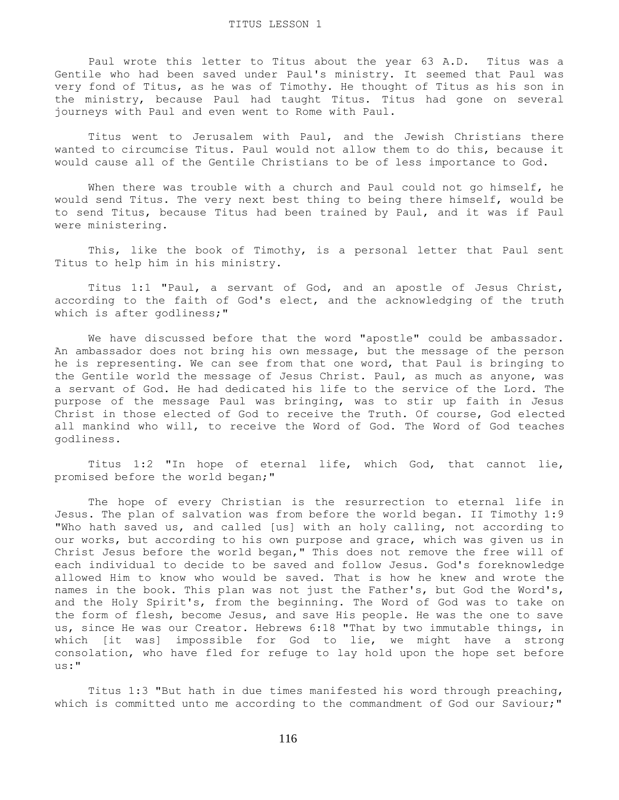Paul wrote this letter to Titus about the year 63 A.D. Titus was a Gentile who had been saved under Paul's ministry. It seemed that Paul was very fond of Titus, as he was of Timothy. He thought of Titus as his son in the ministry, because Paul had taught Titus. Titus had gone on several journeys with Paul and even went to Rome with Paul.

 Titus went to Jerusalem with Paul, and the Jewish Christians there wanted to circumcise Titus. Paul would not allow them to do this, because it would cause all of the Gentile Christians to be of less importance to God.

When there was trouble with a church and Paul could not go himself, he would send Titus. The very next best thing to being there himself, would be to send Titus, because Titus had been trained by Paul, and it was if Paul were ministering.

 This, like the book of Timothy, is a personal letter that Paul sent Titus to help him in his ministry.

 Titus 1:1 "Paul, a servant of God, and an apostle of Jesus Christ, according to the faith of God's elect, and the acknowledging of the truth which is after godliness;"

 We have discussed before that the word "apostle" could be ambassador. An ambassador does not bring his own message, but the message of the person he is representing. We can see from that one word, that Paul is bringing to the Gentile world the message of Jesus Christ. Paul, as much as anyone, was a servant of God. He had dedicated his life to the service of the Lord. The purpose of the message Paul was bringing, was to stir up faith in Jesus Christ in those elected of God to receive the Truth. Of course, God elected all mankind who will, to receive the Word of God. The Word of God teaches godliness.

 Titus 1:2 "In hope of eternal life, which God, that cannot lie, promised before the world began;"

 The hope of every Christian is the resurrection to eternal life in Jesus. The plan of salvation was from before the world began. II Timothy 1:9 "Who hath saved us, and called [us] with an holy calling, not according to our works, but according to his own purpose and grace, which was given us in Christ Jesus before the world began," This does not remove the free will of each individual to decide to be saved and follow Jesus. God's foreknowledge allowed Him to know who would be saved. That is how he knew and wrote the names in the book. This plan was not just the Father's, but God the Word's, and the Holy Spirit's, from the beginning. The Word of God was to take on the form of flesh, become Jesus, and save His people. He was the one to save us, since He was our Creator. Hebrews 6:18 "That by two immutable things, in which [it was] impossible for God to lie, we might have a strong consolation, who have fled for refuge to lay hold upon the hope set before us:"

 Titus 1:3 "But hath in due times manifested his word through preaching, which is committed unto me according to the commandment of God our Saviour;"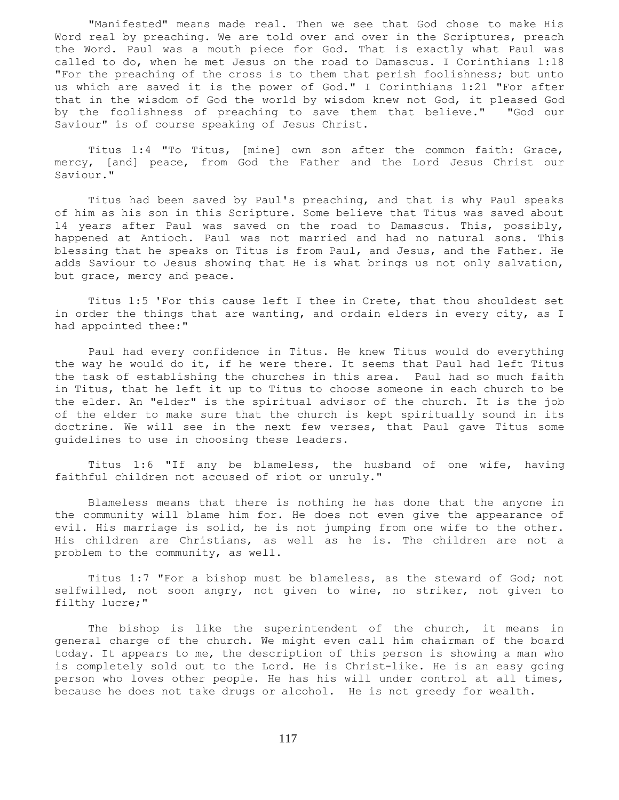"Manifested" means made real. Then we see that God chose to make His Word real by preaching. We are told over and over in the Scriptures, preach the Word. Paul was a mouth piece for God. That is exactly what Paul was called to do, when he met Jesus on the road to Damascus. I Corinthians 1:18 "For the preaching of the cross is to them that perish foolishness; but unto us which are saved it is the power of God." I Corinthians 1:21 "For after that in the wisdom of God the world by wisdom knew not God, it pleased God by the foolishness of preaching to save them that believe." "God our Saviour" is of course speaking of Jesus Christ.

 Titus 1:4 "To Titus, [mine] own son after the common faith: Grace, mercy, [and] peace, from God the Father and the Lord Jesus Christ our Saviour."

 Titus had been saved by Paul's preaching, and that is why Paul speaks of him as his son in this Scripture. Some believe that Titus was saved about 14 years after Paul was saved on the road to Damascus. This, possibly, happened at Antioch. Paul was not married and had no natural sons. This blessing that he speaks on Titus is from Paul, and Jesus, and the Father. He adds Saviour to Jesus showing that He is what brings us not only salvation, but grace, mercy and peace.

 Titus 1:5 'For this cause left I thee in Crete, that thou shouldest set in order the things that are wanting, and ordain elders in every city, as I had appointed thee:"

 Paul had every confidence in Titus. He knew Titus would do everything the way he would do it, if he were there. It seems that Paul had left Titus the task of establishing the churches in this area. Paul had so much faith in Titus, that he left it up to Titus to choose someone in each church to be the elder. An "elder" is the spiritual advisor of the church. It is the job of the elder to make sure that the church is kept spiritually sound in its doctrine. We will see in the next few verses, that Paul gave Titus some guidelines to use in choosing these leaders.

 Titus 1:6 "If any be blameless, the husband of one wife, having faithful children not accused of riot or unruly."

 Blameless means that there is nothing he has done that the anyone in the community will blame him for. He does not even give the appearance of evil. His marriage is solid, he is not jumping from one wife to the other. His children are Christians, as well as he is. The children are not a problem to the community, as well.

 Titus 1:7 "For a bishop must be blameless, as the steward of God; not selfwilled, not soon angry, not given to wine, no striker, not given to filthy lucre;"

 The bishop is like the superintendent of the church, it means in general charge of the church. We might even call him chairman of the board today. It appears to me, the description of this person is showing a man who is completely sold out to the Lord. He is Christ-like. He is an easy going person who loves other people. He has his will under control at all times, because he does not take drugs or alcohol. He is not greedy for wealth.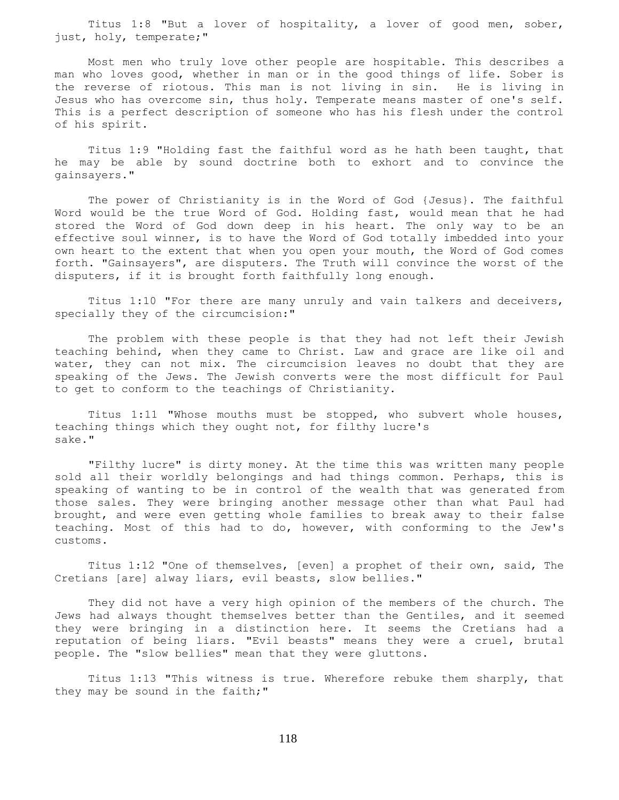Titus 1:8 "But a lover of hospitality, a lover of good men, sober, just, holy, temperate;"

 Most men who truly love other people are hospitable. This describes a man who loves good, whether in man or in the good things of life. Sober is the reverse of riotous. This man is not living in sin. He is living in Jesus who has overcome sin, thus holy. Temperate means master of one's self. This is a perfect description of someone who has his flesh under the control of his spirit.

 Titus 1:9 "Holding fast the faithful word as he hath been taught, that he may be able by sound doctrine both to exhort and to convince the gainsayers."

 The power of Christianity is in the Word of God {Jesus}. The faithful Word would be the true Word of God. Holding fast, would mean that he had stored the Word of God down deep in his heart. The only way to be an effective soul winner, is to have the Word of God totally imbedded into your own heart to the extent that when you open your mouth, the Word of God comes forth. "Gainsayers", are disputers. The Truth will convince the worst of the disputers, if it is brought forth faithfully long enough.

 Titus 1:10 "For there are many unruly and vain talkers and deceivers, specially they of the circumcision:"

 The problem with these people is that they had not left their Jewish teaching behind, when they came to Christ. Law and grace are like oil and water, they can not mix. The circumcision leaves no doubt that they are speaking of the Jews. The Jewish converts were the most difficult for Paul to get to conform to the teachings of Christianity.

 Titus 1:11 "Whose mouths must be stopped, who subvert whole houses, teaching things which they ought not, for filthy lucre's sake."

 "Filthy lucre" is dirty money. At the time this was written many people sold all their worldly belongings and had things common. Perhaps, this is speaking of wanting to be in control of the wealth that was generated from those sales. They were bringing another message other than what Paul had brought, and were even getting whole families to break away to their false teaching. Most of this had to do, however, with conforming to the Jew's customs.

 Titus 1:12 "One of themselves, [even] a prophet of their own, said, The Cretians [are] alway liars, evil beasts, slow bellies."

 They did not have a very high opinion of the members of the church. The Jews had always thought themselves better than the Gentiles, and it seemed they were bringing in a distinction here. It seems the Cretians had a reputation of being liars. "Evil beasts" means they were a cruel, brutal people. The "slow bellies" mean that they were gluttons.

 Titus 1:13 "This witness is true. Wherefore rebuke them sharply, that they may be sound in the faith;"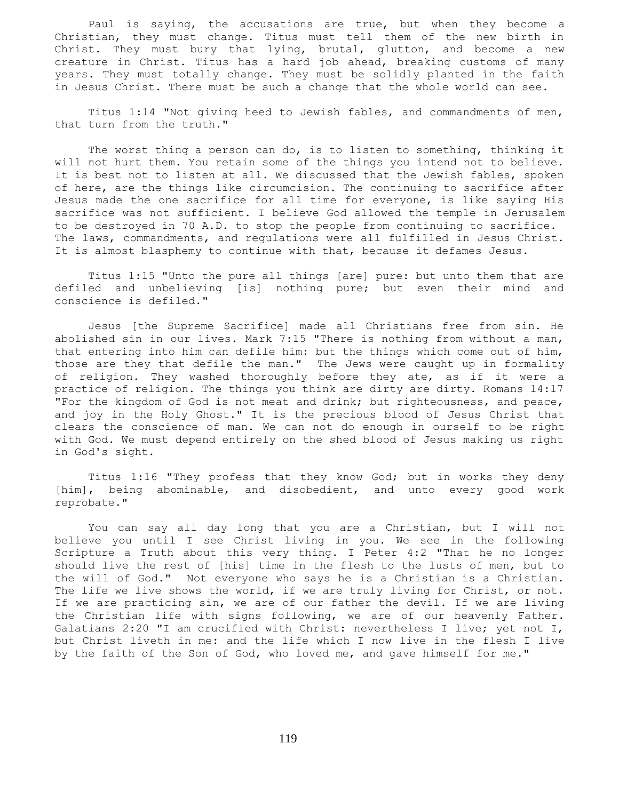Paul is saying, the accusations are true, but when they become a Christian, they must change. Titus must tell them of the new birth in Christ. They must bury that lying, brutal, glutton, and become a new creature in Christ. Titus has a hard job ahead, breaking customs of many years. They must totally change. They must be solidly planted in the faith in Jesus Christ. There must be such a change that the whole world can see.

 Titus 1:14 "Not giving heed to Jewish fables, and commandments of men, that turn from the truth."

 The worst thing a person can do, is to listen to something, thinking it will not hurt them. You retain some of the things you intend not to believe. It is best not to listen at all. We discussed that the Jewish fables, spoken of here, are the things like circumcision. The continuing to sacrifice after Jesus made the one sacrifice for all time for everyone, is like saying His sacrifice was not sufficient. I believe God allowed the temple in Jerusalem to be destroyed in 70 A.D. to stop the people from continuing to sacrifice. The laws, commandments, and regulations were all fulfilled in Jesus Christ. It is almost blasphemy to continue with that, because it defames Jesus.

 Titus 1:15 "Unto the pure all things [are] pure: but unto them that are defiled and unbelieving [is] nothing pure; but even their mind and conscience is defiled."

 Jesus [the Supreme Sacrifice] made all Christians free from sin. He abolished sin in our lives. Mark 7:15 "There is nothing from without a man, that entering into him can defile him: but the things which come out of him, those are they that defile the man." The Jews were caught up in formality of religion. They washed thoroughly before they ate, as if it were a practice of religion. The things you think are dirty are dirty. Romans 14:17 "For the kingdom of God is not meat and drink; but righteousness, and peace, and joy in the Holy Ghost." It is the precious blood of Jesus Christ that clears the conscience of man. We can not do enough in ourself to be right with God. We must depend entirely on the shed blood of Jesus making us right in God's sight.

 Titus 1:16 "They profess that they know God; but in works they deny [him], being abominable, and disobedient, and unto every good work reprobate."

 You can say all day long that you are a Christian, but I will not believe you until I see Christ living in you. We see in the following Scripture a Truth about this very thing. I Peter 4:2 "That he no longer should live the rest of [his] time in the flesh to the lusts of men, but to the will of God." Not everyone who says he is a Christian is a Christian. The life we live shows the world, if we are truly living for Christ, or not. If we are practicing sin, we are of our father the devil. If we are living the Christian life with signs following, we are of our heavenly Father. Galatians 2:20 "I am crucified with Christ: nevertheless I live; yet not I, but Christ liveth in me: and the life which I now live in the flesh I live by the faith of the Son of God, who loved me, and gave himself for me."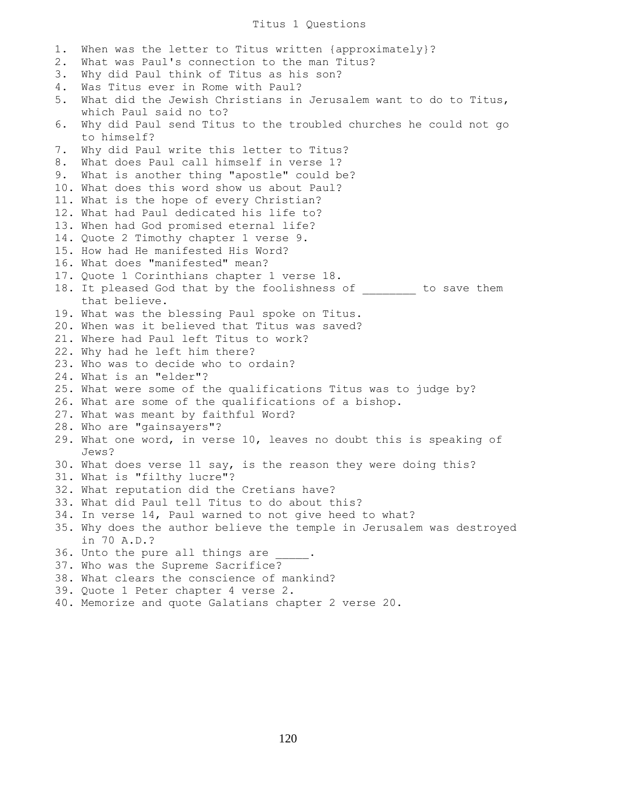## Titus 1 Questions

1. When was the letter to Titus written {approximately}? 2. What was Paul's connection to the man Titus? 3. Why did Paul think of Titus as his son? 4. Was Titus ever in Rome with Paul? 5. What did the Jewish Christians in Jerusalem want to do to Titus, which Paul said no to? 6. Why did Paul send Titus to the troubled churches he could not go to himself? 7. Why did Paul write this letter to Titus? 8. What does Paul call himself in verse 1? 9. What is another thing "apostle" could be? 10. What does this word show us about Paul? 11. What is the hope of every Christian? 12. What had Paul dedicated his life to? 13. When had God promised eternal life? 14. Quote 2 Timothy chapter 1 verse 9. 15. How had He manifested His Word? 16. What does "manifested" mean? 17. Quote 1 Corinthians chapter 1 verse 18. 18. It pleased God that by the foolishness of to save them that believe. 19. What was the blessing Paul spoke on Titus. 20. When was it believed that Titus was saved? 21. Where had Paul left Titus to work? 22. Why had he left him there? 23. Who was to decide who to ordain? 24. What is an "elder"? 25. What were some of the qualifications Titus was to judge by? 26. What are some of the qualifications of a bishop. 27. What was meant by faithful Word? 28. Who are "gainsayers"? 29. What one word, in verse 10, leaves no doubt this is speaking of Jews? 30. What does verse 11 say, is the reason they were doing this? 31. What is "filthy lucre"? 32. What reputation did the Cretians have? 33. What did Paul tell Titus to do about this? 34. In verse 14, Paul warned to not give heed to what? 35. Why does the author believe the temple in Jerusalem was destroyed in 70 A.D.? 36. Unto the pure all things are 37. Who was the Supreme Sacrifice? 38. What clears the conscience of mankind? 39. Quote 1 Peter chapter 4 verse 2. 40. Memorize and quote Galatians chapter 2 verse 20.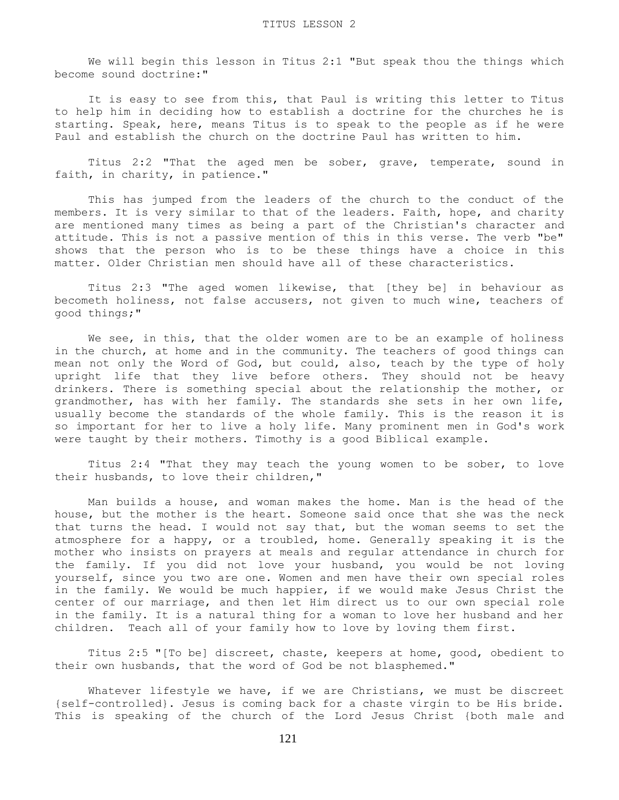We will begin this lesson in Titus 2:1 "But speak thou the things which become sound doctrine:"

 It is easy to see from this, that Paul is writing this letter to Titus to help him in deciding how to establish a doctrine for the churches he is starting. Speak, here, means Titus is to speak to the people as if he were Paul and establish the church on the doctrine Paul has written to him.

 Titus 2:2 "That the aged men be sober, grave, temperate, sound in faith, in charity, in patience."

 This has jumped from the leaders of the church to the conduct of the members. It is very similar to that of the leaders. Faith, hope, and charity are mentioned many times as being a part of the Christian's character and attitude. This is not a passive mention of this in this verse. The verb "be" shows that the person who is to be these things have a choice in this matter. Older Christian men should have all of these characteristics.

 Titus 2:3 "The aged women likewise, that [they be] in behaviour as becometh holiness, not false accusers, not given to much wine, teachers of good things;"

We see, in this, that the older women are to be an example of holiness in the church, at home and in the community. The teachers of good things can mean not only the Word of God, but could, also, teach by the type of holy upright life that they live before others. They should not be heavy drinkers. There is something special about the relationship the mother, or grandmother, has with her family. The standards she sets in her own life, usually become the standards of the whole family. This is the reason it is so important for her to live a holy life. Many prominent men in God's work were taught by their mothers. Timothy is a good Biblical example.

 Titus 2:4 "That they may teach the young women to be sober, to love their husbands, to love their children,"

 Man builds a house, and woman makes the home. Man is the head of the house, but the mother is the heart. Someone said once that she was the neck that turns the head. I would not say that, but the woman seems to set the atmosphere for a happy, or a troubled, home. Generally speaking it is the mother who insists on prayers at meals and regular attendance in church for the family. If you did not love your husband, you would be not loving yourself, since you two are one. Women and men have their own special roles in the family. We would be much happier, if we would make Jesus Christ the center of our marriage, and then let Him direct us to our own special role in the family. It is a natural thing for a woman to love her husband and her children. Teach all of your family how to love by loving them first.

 Titus 2:5 "[To be] discreet, chaste, keepers at home, good, obedient to their own husbands, that the word of God be not blasphemed."

 Whatever lifestyle we have, if we are Christians, we must be discreet {self-controlled}. Jesus is coming back for a chaste virgin to be His bride. This is speaking of the church of the Lord Jesus Christ {both male and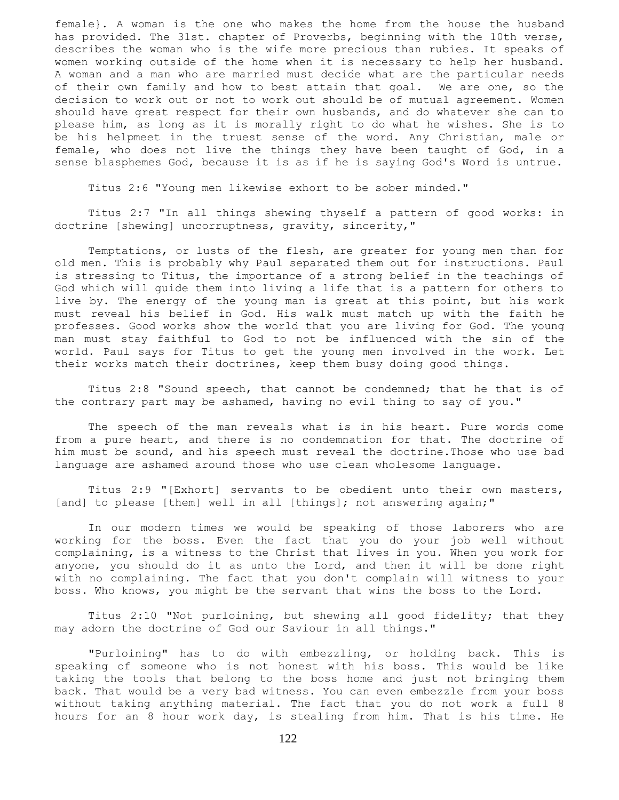female}. A woman is the one who makes the home from the house the husband has provided. The 31st. chapter of Proverbs, beginning with the 10th verse, describes the woman who is the wife more precious than rubies. It speaks of women working outside of the home when it is necessary to help her husband. A woman and a man who are married must decide what are the particular needs of their own family and how to best attain that goal. We are one, so the decision to work out or not to work out should be of mutual agreement. Women should have great respect for their own husbands, and do whatever she can to please him, as long as it is morally right to do what he wishes. She is to be his helpmeet in the truest sense of the word. Any Christian, male or female, who does not live the things they have been taught of God, in a sense blasphemes God, because it is as if he is saying God's Word is untrue.

Titus 2:6 "Young men likewise exhort to be sober minded."

 Titus 2:7 "In all things shewing thyself a pattern of good works: in doctrine [shewing] uncorruptness, gravity, sincerity,"

 Temptations, or lusts of the flesh, are greater for young men than for old men. This is probably why Paul separated them out for instructions. Paul is stressing to Titus, the importance of a strong belief in the teachings of God which will guide them into living a life that is a pattern for others to live by. The energy of the young man is great at this point, but his work must reveal his belief in God. His walk must match up with the faith he professes. Good works show the world that you are living for God. The young man must stay faithful to God to not be influenced with the sin of the world. Paul says for Titus to get the young men involved in the work. Let their works match their doctrines, keep them busy doing good things.

 Titus 2:8 "Sound speech, that cannot be condemned; that he that is of the contrary part may be ashamed, having no evil thing to say of you."

 The speech of the man reveals what is in his heart. Pure words come from a pure heart, and there is no condemnation for that. The doctrine of him must be sound, and his speech must reveal the doctrine.Those who use bad language are ashamed around those who use clean wholesome language.

 Titus 2:9 "[Exhort] servants to be obedient unto their own masters, [and] to please [them] well in all [things]; not answering again;"

 In our modern times we would be speaking of those laborers who are working for the boss. Even the fact that you do your job well without complaining, is a witness to the Christ that lives in you. When you work for anyone, you should do it as unto the Lord, and then it will be done right with no complaining. The fact that you don't complain will witness to your boss. Who knows, you might be the servant that wins the boss to the Lord.

 Titus 2:10 "Not purloining, but shewing all good fidelity; that they may adorn the doctrine of God our Saviour in all things."

 "Purloining" has to do with embezzling, or holding back. This is speaking of someone who is not honest with his boss. This would be like taking the tools that belong to the boss home and just not bringing them back. That would be a very bad witness. You can even embezzle from your boss without taking anything material. The fact that you do not work a full 8 hours for an 8 hour work day, is stealing from him. That is his time. He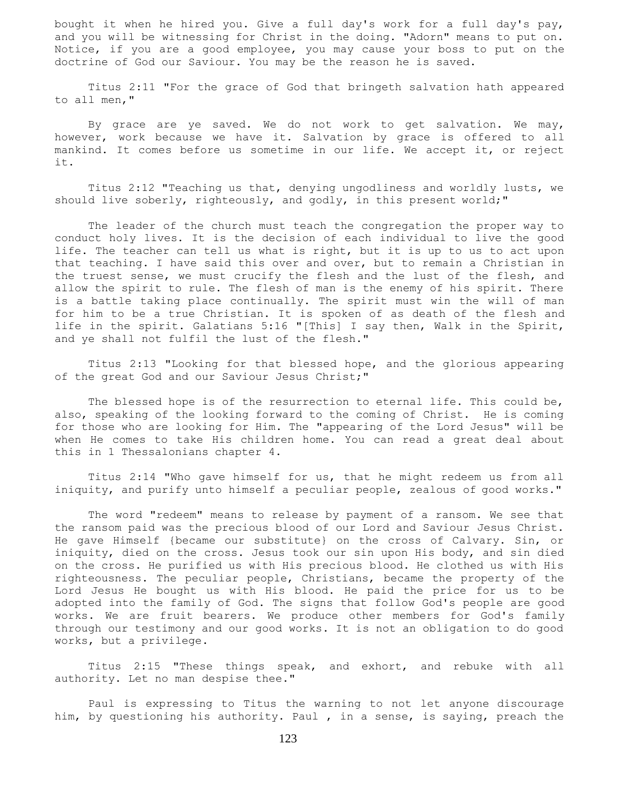bought it when he hired you. Give a full day's work for a full day's pay, and you will be witnessing for Christ in the doing. "Adorn" means to put on. Notice, if you are a good employee, you may cause your boss to put on the doctrine of God our Saviour. You may be the reason he is saved.

 Titus 2:11 "For the grace of God that bringeth salvation hath appeared to all men,"

 By grace are ye saved. We do not work to get salvation. We may, however, work because we have it. Salvation by grace is offered to all mankind. It comes before us sometime in our life. We accept it, or reject it.

 Titus 2:12 "Teaching us that, denying ungodliness and worldly lusts, we should live soberly, righteously, and godly, in this present world;"

 The leader of the church must teach the congregation the proper way to conduct holy lives. It is the decision of each individual to live the good life. The teacher can tell us what is right, but it is up to us to act upon that teaching. I have said this over and over, but to remain a Christian in the truest sense, we must crucify the flesh and the lust of the flesh, and allow the spirit to rule. The flesh of man is the enemy of his spirit. There is a battle taking place continually. The spirit must win the will of man for him to be a true Christian. It is spoken of as death of the flesh and life in the spirit. Galatians 5:16 "[This] I say then, Walk in the Spirit, and ye shall not fulfil the lust of the flesh."

 Titus 2:13 "Looking for that blessed hope, and the glorious appearing of the great God and our Saviour Jesus Christ;"

 The blessed hope is of the resurrection to eternal life. This could be, also, speaking of the looking forward to the coming of Christ. He is coming for those who are looking for Him. The "appearing of the Lord Jesus" will be when He comes to take His children home. You can read a great deal about this in 1 Thessalonians chapter 4.

 Titus 2:14 "Who gave himself for us, that he might redeem us from all iniquity, and purify unto himself a peculiar people, zealous of good works."

 The word "redeem" means to release by payment of a ransom. We see that the ransom paid was the precious blood of our Lord and Saviour Jesus Christ. He gave Himself {became our substitute} on the cross of Calvary. Sin, or iniquity, died on the cross. Jesus took our sin upon His body, and sin died on the cross. He purified us with His precious blood. He clothed us with His righteousness. The peculiar people, Christians, became the property of the Lord Jesus He bought us with His blood. He paid the price for us to be adopted into the family of God. The signs that follow God's people are good works. We are fruit bearers. We produce other members for God's family through our testimony and our good works. It is not an obligation to do good works, but a privilege.

 Titus 2:15 "These things speak, and exhort, and rebuke with all authority. Let no man despise thee."

 Paul is expressing to Titus the warning to not let anyone discourage him, by questioning his authority. Paul , in a sense, is saying, preach the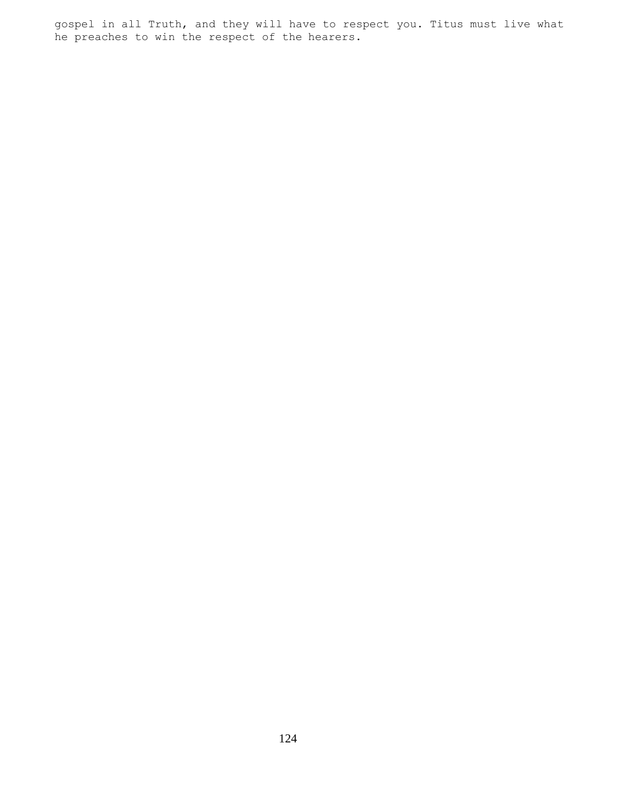gospel in all Truth, and they will have to respect you. Titus must live what he preaches to win the respect of the hearers.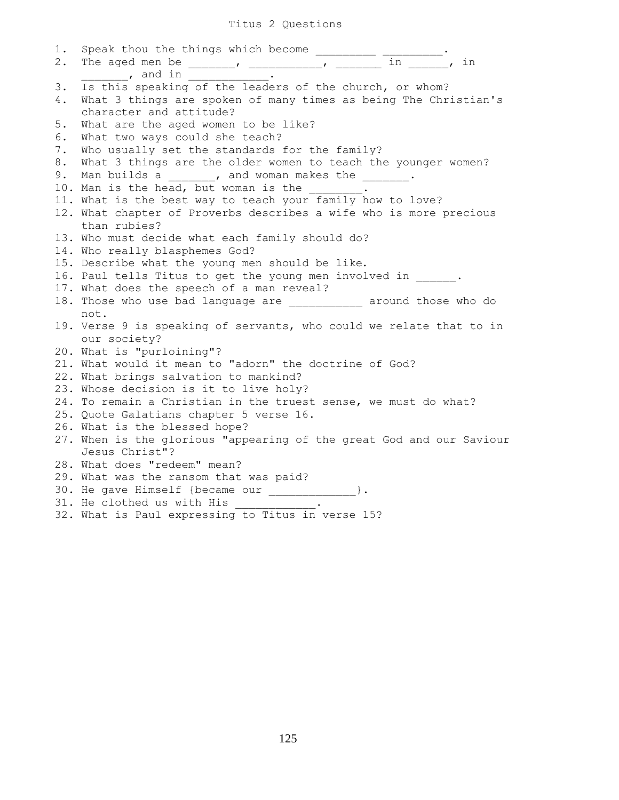## Titus 2 Questions

| 1. |                                                                                                                                                                                                                                                                                                                                                                                                              |
|----|--------------------------------------------------------------------------------------------------------------------------------------------------------------------------------------------------------------------------------------------------------------------------------------------------------------------------------------------------------------------------------------------------------------|
| 2. | Speak thou the things which become $\frac{1}{\sqrt{1-\frac{1}{n}}}\cdot\frac{1}{\sqrt{1-\frac{1}{n}}}\cdot\frac{1}{\sqrt{1-\frac{1}{n}}}\cdot\frac{1}{\sqrt{1-\frac{1}{n}}}\cdot\frac{1}{\sqrt{1-\frac{1}{n}}}\cdot\frac{1}{\sqrt{1-\frac{1}{n}}}\cdot\frac{1}{\sqrt{1-\frac{1}{n}}}\cdot\frac{1}{\sqrt{1-\frac{1}{n}}}\cdot\frac{1}{\sqrt{1-\frac{1}{n}}}\cdot\frac{1}{\sqrt{1-\frac{1}{n}}}\cdot\frac{1}{$ |
|    | __________, and in ______________                                                                                                                                                                                                                                                                                                                                                                            |
| 3. | Is this speaking of the leaders of the church, or whom?                                                                                                                                                                                                                                                                                                                                                      |
| 4. | What 3 things are spoken of many times as being The Christian's                                                                                                                                                                                                                                                                                                                                              |
|    | character and attitude?                                                                                                                                                                                                                                                                                                                                                                                      |
| 5. | What are the aged women to be like?                                                                                                                                                                                                                                                                                                                                                                          |
| 6. | What two ways could she teach?                                                                                                                                                                                                                                                                                                                                                                               |
| 7. | Who usually set the standards for the family?                                                                                                                                                                                                                                                                                                                                                                |
| 8. | What 3 things are the older women to teach the younger women?                                                                                                                                                                                                                                                                                                                                                |
| 9. | Man builds a (a) y and woman makes the same set of the set of the set of the set of the set of the set of the s                                                                                                                                                                                                                                                                                              |
|    | 10. Man is the head, but woman is the ______.                                                                                                                                                                                                                                                                                                                                                                |
|    | 11. What is the best way to teach your family how to love?                                                                                                                                                                                                                                                                                                                                                   |
|    | 12. What chapter of Proverbs describes a wife who is more precious                                                                                                                                                                                                                                                                                                                                           |
|    | than rubies?                                                                                                                                                                                                                                                                                                                                                                                                 |
|    | 13. Who must decide what each family should do?                                                                                                                                                                                                                                                                                                                                                              |
|    | 14. Who really blasphemes God?                                                                                                                                                                                                                                                                                                                                                                               |
|    | 15. Describe what the young men should be like.                                                                                                                                                                                                                                                                                                                                                              |
|    | 16. Paul tells Titus to get the young men involved in .                                                                                                                                                                                                                                                                                                                                                      |
|    | 17. What does the speech of a man reveal?                                                                                                                                                                                                                                                                                                                                                                    |
|    | 18. Those who use bad language are ___________ around those who do                                                                                                                                                                                                                                                                                                                                           |
|    | not.                                                                                                                                                                                                                                                                                                                                                                                                         |
|    | 19. Verse 9 is speaking of servants, who could we relate that to in                                                                                                                                                                                                                                                                                                                                          |
|    | our society?                                                                                                                                                                                                                                                                                                                                                                                                 |
|    | 20. What is "purloining"?                                                                                                                                                                                                                                                                                                                                                                                    |
|    | 21. What would it mean to "adorn" the doctrine of God?                                                                                                                                                                                                                                                                                                                                                       |
|    | 22. What brings salvation to mankind?                                                                                                                                                                                                                                                                                                                                                                        |
|    | 23. Whose decision is it to live holy?                                                                                                                                                                                                                                                                                                                                                                       |
|    | 24. To remain a Christian in the truest sense, we must do what?                                                                                                                                                                                                                                                                                                                                              |
|    | 25. Quote Galatians chapter 5 verse 16.                                                                                                                                                                                                                                                                                                                                                                      |
|    | 26. What is the blessed hope?                                                                                                                                                                                                                                                                                                                                                                                |
|    | 27. When is the glorious "appearing of the great God and our Saviour                                                                                                                                                                                                                                                                                                                                         |
|    | Jesus Christ"?                                                                                                                                                                                                                                                                                                                                                                                               |
|    | 28. What does "redeem" mean?                                                                                                                                                                                                                                                                                                                                                                                 |
|    | 29. What was the ransom that was paid?                                                                                                                                                                                                                                                                                                                                                                       |
|    | 30. He gave Himself {became our _____________}.                                                                                                                                                                                                                                                                                                                                                              |
|    | 31. He clothed us with His ___________                                                                                                                                                                                                                                                                                                                                                                       |
|    | 32. What is Paul expressing to Titus in verse 15?                                                                                                                                                                                                                                                                                                                                                            |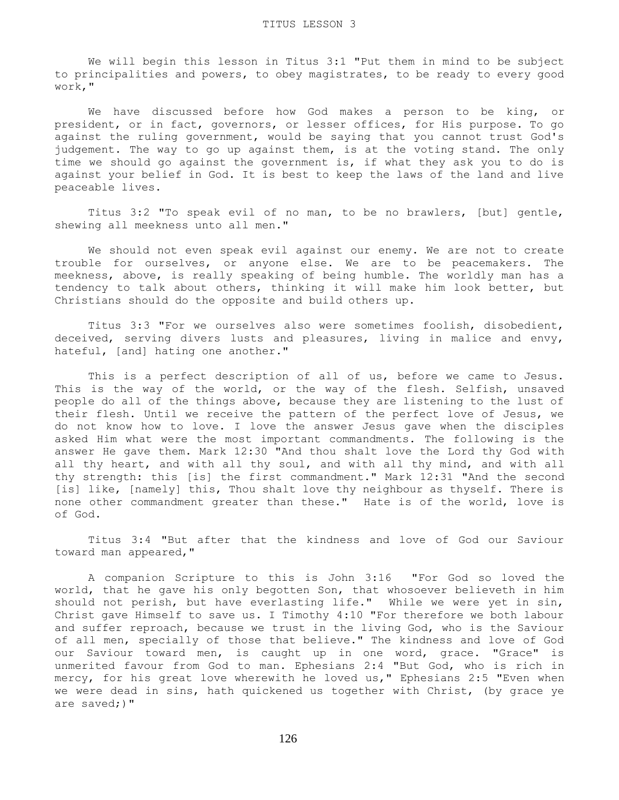We will begin this lesson in Titus 3:1 "Put them in mind to be subject to principalities and powers, to obey magistrates, to be ready to every good work,"

 We have discussed before how God makes a person to be king, or president, or in fact, governors, or lesser offices, for His purpose. To go against the ruling government, would be saying that you cannot trust God's judgement. The way to go up against them, is at the voting stand. The only time we should go against the government is, if what they ask you to do is against your belief in God. It is best to keep the laws of the land and live peaceable lives.

 Titus 3:2 "To speak evil of no man, to be no brawlers, [but] gentle, shewing all meekness unto all men."

 We should not even speak evil against our enemy. We are not to create trouble for ourselves, or anyone else. We are to be peacemakers. The meekness, above, is really speaking of being humble. The worldly man has a tendency to talk about others, thinking it will make him look better, but Christians should do the opposite and build others up.

 Titus 3:3 "For we ourselves also were sometimes foolish, disobedient, deceived, serving divers lusts and pleasures, living in malice and envy, hateful, [and] hating one another."

This is a perfect description of all of us, before we came to Jesus. This is the way of the world, or the way of the flesh. Selfish, unsaved people do all of the things above, because they are listening to the lust of their flesh. Until we receive the pattern of the perfect love of Jesus, we do not know how to love. I love the answer Jesus gave when the disciples asked Him what were the most important commandments. The following is the answer He gave them. Mark 12:30 "And thou shalt love the Lord thy God with all thy heart, and with all thy soul, and with all thy mind, and with all thy strength: this [is] the first commandment." Mark 12:31 "And the second [is] like, [namely] this, Thou shalt love thy neighbour as thyself. There is none other commandment greater than these." Hate is of the world, love is of God.

 Titus 3:4 "But after that the kindness and love of God our Saviour toward man appeared,"

 A companion Scripture to this is John 3:16 "For God so loved the world, that he gave his only begotten Son, that whosoever believeth in him should not perish, but have everlasting life." While we were yet in sin, Christ gave Himself to save us. I Timothy 4:10 "For therefore we both labour and suffer reproach, because we trust in the living God, who is the Saviour of all men, specially of those that believe." The kindness and love of God our Saviour toward men, is caught up in one word, grace. "Grace" is unmerited favour from God to man. Ephesians 2:4 "But God, who is rich in mercy, for his great love wherewith he loved us," Ephesians 2:5 "Even when we were dead in sins, hath quickened us together with Christ, (by grace ye are saved;)"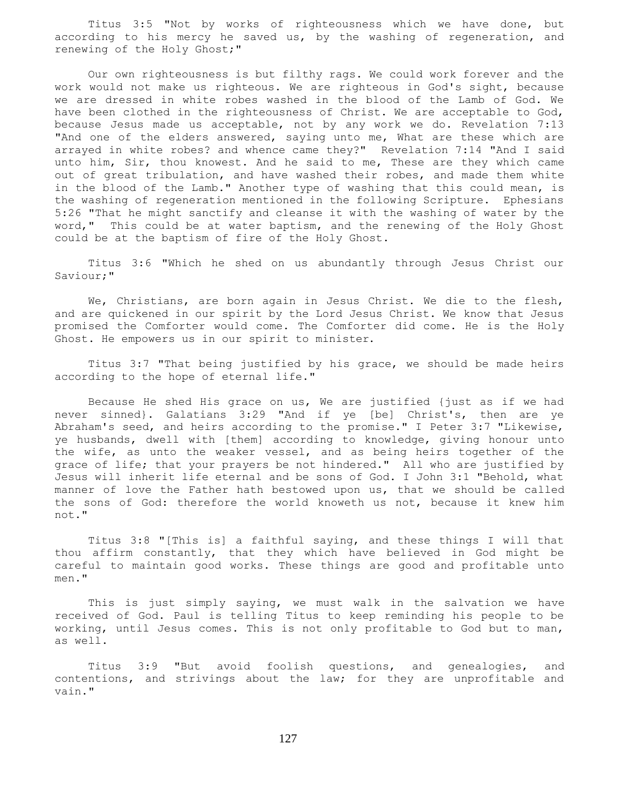Titus 3:5 "Not by works of righteousness which we have done, but according to his mercy he saved us, by the washing of regeneration, and renewing of the Holy Ghost;"

 Our own righteousness is but filthy rags. We could work forever and the work would not make us righteous. We are righteous in God's sight, because we are dressed in white robes washed in the blood of the Lamb of God. We have been clothed in the righteousness of Christ. We are acceptable to God, because Jesus made us acceptable, not by any work we do. Revelation 7:13 "And one of the elders answered, saying unto me, What are these which are arrayed in white robes? and whence came they?" Revelation 7:14 "And I said unto him, Sir, thou knowest. And he said to me, These are they which came out of great tribulation, and have washed their robes, and made them white in the blood of the Lamb." Another type of washing that this could mean, is the washing of regeneration mentioned in the following Scripture. Ephesians 5:26 "That he might sanctify and cleanse it with the washing of water by the word," This could be at water baptism, and the renewing of the Holy Ghost could be at the baptism of fire of the Holy Ghost.

 Titus 3:6 "Which he shed on us abundantly through Jesus Christ our Saviour;"

 We, Christians, are born again in Jesus Christ. We die to the flesh, and are quickened in our spirit by the Lord Jesus Christ. We know that Jesus promised the Comforter would come. The Comforter did come. He is the Holy Ghost. He empowers us in our spirit to minister.

 Titus 3:7 "That being justified by his grace, we should be made heirs according to the hope of eternal life."

 Because He shed His grace on us, We are justified {just as if we had never sinned}. Galatians 3:29 "And if ye [be] Christ's, then are ye Abraham's seed, and heirs according to the promise." I Peter 3:7 "Likewise, ye husbands, dwell with [them] according to knowledge, giving honour unto the wife, as unto the weaker vessel, and as being heirs together of the grace of life; that your prayers be not hindered." All who are justified by Jesus will inherit life eternal and be sons of God. I John 3:1 "Behold, what manner of love the Father hath bestowed upon us, that we should be called the sons of God: therefore the world knoweth us not, because it knew him not."

 Titus 3:8 "[This is] a faithful saying, and these things I will that thou affirm constantly, that they which have believed in God might be careful to maintain good works. These things are good and profitable unto men."

This is just simply saying, we must walk in the salvation we have received of God. Paul is telling Titus to keep reminding his people to be working, until Jesus comes. This is not only profitable to God but to man, as well.

 Titus 3:9 "But avoid foolish questions, and genealogies, and contentions, and strivings about the law; for they are unprofitable and vain."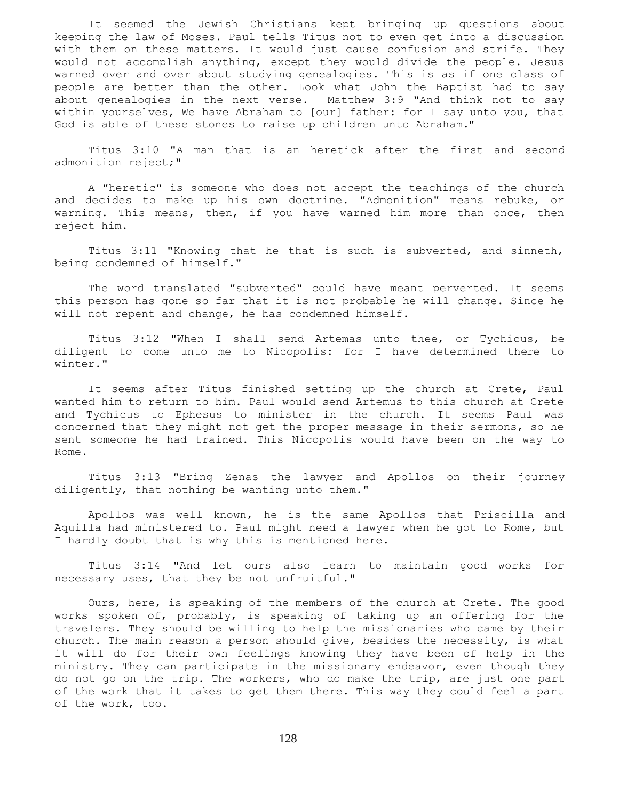It seemed the Jewish Christians kept bringing up questions about keeping the law of Moses. Paul tells Titus not to even get into a discussion with them on these matters. It would just cause confusion and strife. They would not accomplish anything, except they would divide the people. Jesus warned over and over about studying genealogies. This is as if one class of people are better than the other. Look what John the Baptist had to say about genealogies in the next verse. Matthew 3:9 "And think not to say within yourselves, We have Abraham to [our] father: for I say unto you, that God is able of these stones to raise up children unto Abraham."

 Titus 3:10 "A man that is an heretick after the first and second admonition reject;"

 A "heretic" is someone who does not accept the teachings of the church and decides to make up his own doctrine. "Admonition" means rebuke, or warning. This means, then, if you have warned him more than once, then reject him.

 Titus 3:11 "Knowing that he that is such is subverted, and sinneth, being condemned of himself."

 The word translated "subverted" could have meant perverted. It seems this person has gone so far that it is not probable he will change. Since he will not repent and change, he has condemned himself.

 Titus 3:12 "When I shall send Artemas unto thee, or Tychicus, be diligent to come unto me to Nicopolis: for I have determined there to winter."

 It seems after Titus finished setting up the church at Crete, Paul wanted him to return to him. Paul would send Artemus to this church at Crete and Tychicus to Ephesus to minister in the church. It seems Paul was concerned that they might not get the proper message in their sermons, so he sent someone he had trained. This Nicopolis would have been on the way to Rome.

 Titus 3:13 "Bring Zenas the lawyer and Apollos on their journey diligently, that nothing be wanting unto them."

 Apollos was well known, he is the same Apollos that Priscilla and Aquilla had ministered to. Paul might need a lawyer when he got to Rome, but I hardly doubt that is why this is mentioned here.

 Titus 3:14 "And let ours also learn to maintain good works for necessary uses, that they be not unfruitful."

 Ours, here, is speaking of the members of the church at Crete. The good works spoken of, probably, is speaking of taking up an offering for the travelers. They should be willing to help the missionaries who came by their church. The main reason a person should give, besides the necessity, is what it will do for their own feelings knowing they have been of help in the ministry. They can participate in the missionary endeavor, even though they do not go on the trip. The workers, who do make the trip, are just one part of the work that it takes to get them there. This way they could feel a part of the work, too.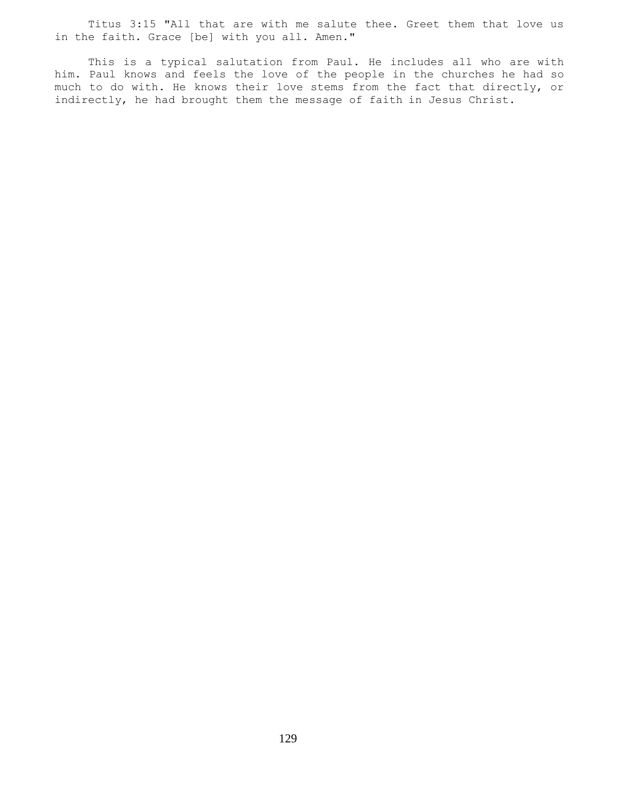Titus 3:15 "All that are with me salute thee. Greet them that love us in the faith. Grace [be] with you all. Amen."

 This is a typical salutation from Paul. He includes all who are with him. Paul knows and feels the love of the people in the churches he had so much to do with. He knows their love stems from the fact that directly, or indirectly, he had brought them the message of faith in Jesus Christ.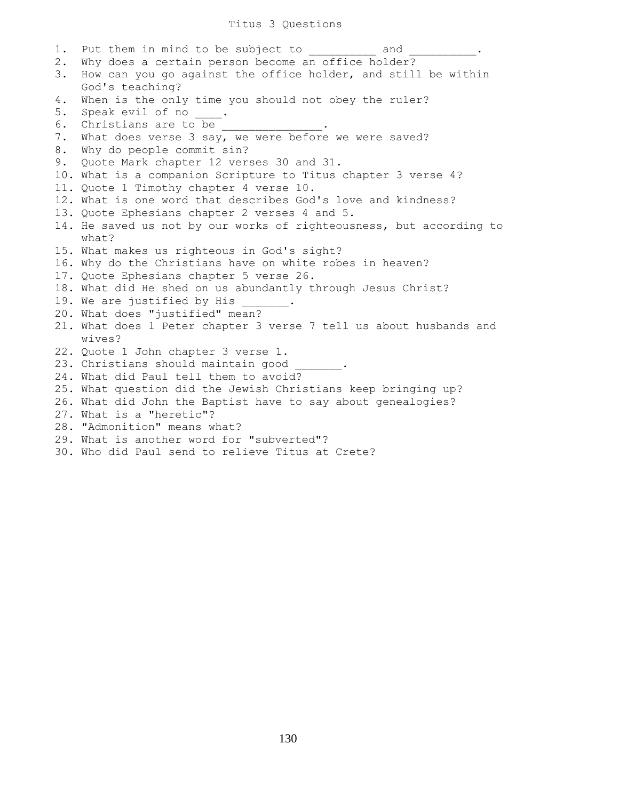1. Put them in mind to be subject to and 2. Why does a certain person become an office holder? 3. How can you go against the office holder, and still be within God's teaching? 4. When is the only time you should not obey the ruler? 5. Speak evil of no \_\_\_\_. 6. Christians are to be 7. What does verse 3 say, we were before we were saved? 8. Why do people commit sin? 9. Quote Mark chapter 12 verses 30 and 31. 10. What is a companion Scripture to Titus chapter 3 verse 4? 11. Quote 1 Timothy chapter 4 verse 10. 12. What is one word that describes God's love and kindness? 13. Quote Ephesians chapter 2 verses 4 and 5. 14. He saved us not by our works of righteousness, but according to what? 15. What makes us righteous in God's sight? 16. Why do the Christians have on white robes in heaven? 17. Quote Ephesians chapter 5 verse 26. 18. What did He shed on us abundantly through Jesus Christ? 19. We are justified by His 20. What does "justified" mean? 21. What does 1 Peter chapter 3 verse 7 tell us about husbands and wives? 22. Quote 1 John chapter 3 verse 1. 23. Christians should maintain good 24. What did Paul tell them to avoid? 25. What question did the Jewish Christians keep bringing up? 26. What did John the Baptist have to say about genealogies? 27. What is a "heretic"? 28. "Admonition" means what? 29. What is another word for "subverted"? 30. Who did Paul send to relieve Titus at Crete?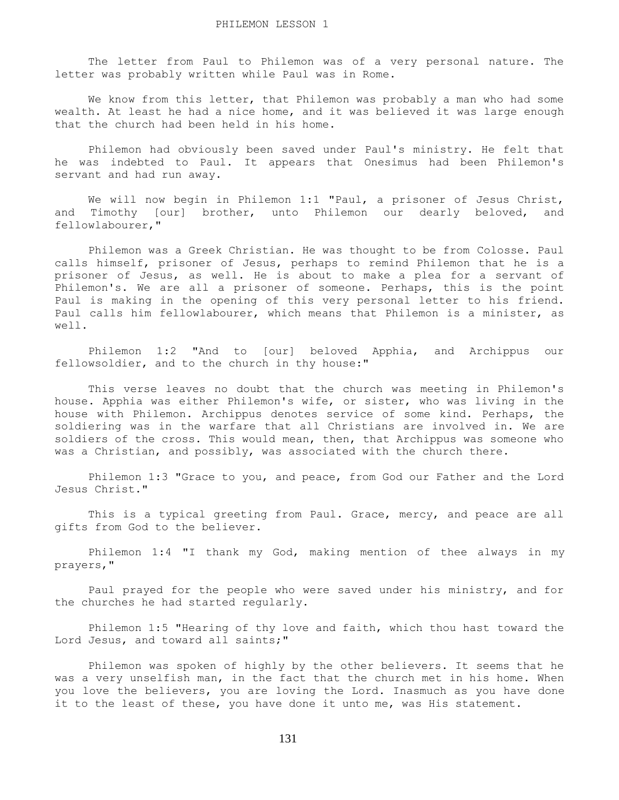The letter from Paul to Philemon was of a very personal nature. The letter was probably written while Paul was in Rome.

We know from this letter, that Philemon was probably a man who had some wealth. At least he had a nice home, and it was believed it was large enough that the church had been held in his home.

 Philemon had obviously been saved under Paul's ministry. He felt that he was indebted to Paul. It appears that Onesimus had been Philemon's servant and had run away.

 We will now begin in Philemon 1:1 "Paul, a prisoner of Jesus Christ, and Timothy [our] brother, unto Philemon our dearly beloved, and fellowlabourer,"

 Philemon was a Greek Christian. He was thought to be from Colosse. Paul calls himself, prisoner of Jesus, perhaps to remind Philemon that he is a prisoner of Jesus, as well. He is about to make a plea for a servant of Philemon's. We are all a prisoner of someone. Perhaps, this is the point Paul is making in the opening of this very personal letter to his friend. Paul calls him fellowlabourer, which means that Philemon is a minister, as well.

 Philemon 1:2 "And to [our] beloved Apphia, and Archippus our fellowsoldier, and to the church in thy house:"

 This verse leaves no doubt that the church was meeting in Philemon's house. Apphia was either Philemon's wife, or sister, who was living in the house with Philemon. Archippus denotes service of some kind. Perhaps, the soldiering was in the warfare that all Christians are involved in. We are soldiers of the cross. This would mean, then, that Archippus was someone who was a Christian, and possibly, was associated with the church there.

 Philemon 1:3 "Grace to you, and peace, from God our Father and the Lord Jesus Christ."

 This is a typical greeting from Paul. Grace, mercy, and peace are all gifts from God to the believer.

 Philemon 1:4 "I thank my God, making mention of thee always in my prayers,"

 Paul prayed for the people who were saved under his ministry, and for the churches he had started regularly.

 Philemon 1:5 "Hearing of thy love and faith, which thou hast toward the Lord Jesus, and toward all saints;"

 Philemon was spoken of highly by the other believers. It seems that he was a very unselfish man, in the fact that the church met in his home. When you love the believers, you are loving the Lord. Inasmuch as you have done it to the least of these, you have done it unto me, was His statement.

131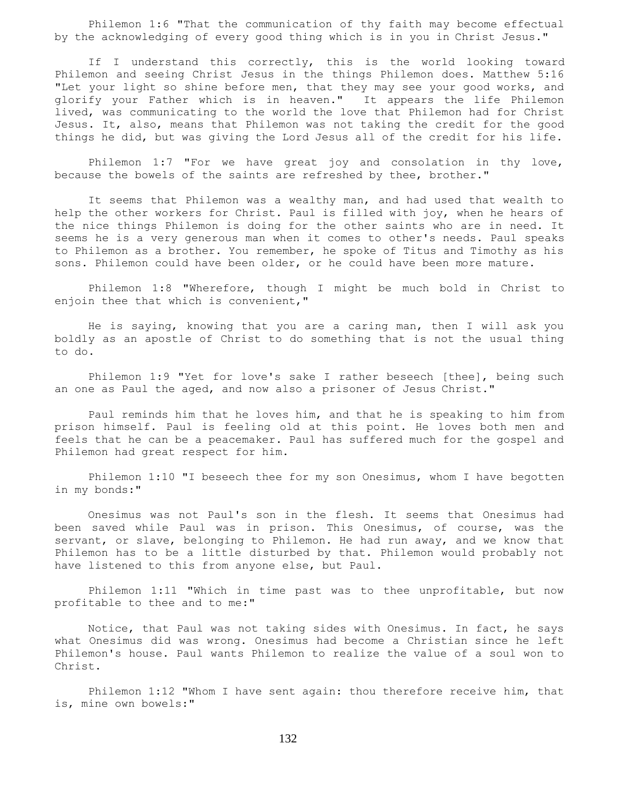Philemon 1:6 "That the communication of thy faith may become effectual by the acknowledging of every good thing which is in you in Christ Jesus."

 If I understand this correctly, this is the world looking toward Philemon and seeing Christ Jesus in the things Philemon does. Matthew 5:16 "Let your light so shine before men, that they may see your good works, and glorify your Father which is in heaven." It appears the life Philemon lived, was communicating to the world the love that Philemon had for Christ Jesus. It, also, means that Philemon was not taking the credit for the good things he did, but was giving the Lord Jesus all of the credit for his life.

 Philemon 1:7 "For we have great joy and consolation in thy love, because the bowels of the saints are refreshed by thee, brother."

 It seems that Philemon was a wealthy man, and had used that wealth to help the other workers for Christ. Paul is filled with joy, when he hears of the nice things Philemon is doing for the other saints who are in need. It seems he is a very generous man when it comes to other's needs. Paul speaks to Philemon as a brother. You remember, he spoke of Titus and Timothy as his sons. Philemon could have been older, or he could have been more mature.

 Philemon 1:8 "Wherefore, though I might be much bold in Christ to enjoin thee that which is convenient,"

 He is saying, knowing that you are a caring man, then I will ask you boldly as an apostle of Christ to do something that is not the usual thing to do.

 Philemon 1:9 "Yet for love's sake I rather beseech [thee], being such an one as Paul the aged, and now also a prisoner of Jesus Christ."

 Paul reminds him that he loves him, and that he is speaking to him from prison himself. Paul is feeling old at this point. He loves both men and feels that he can be a peacemaker. Paul has suffered much for the gospel and Philemon had great respect for him.

 Philemon 1:10 "I beseech thee for my son Onesimus, whom I have begotten in my bonds:"

 Onesimus was not Paul's son in the flesh. It seems that Onesimus had been saved while Paul was in prison. This Onesimus, of course, was the servant, or slave, belonging to Philemon. He had run away, and we know that Philemon has to be a little disturbed by that. Philemon would probably not have listened to this from anyone else, but Paul.

 Philemon 1:11 "Which in time past was to thee unprofitable, but now profitable to thee and to me:"

 Notice, that Paul was not taking sides with Onesimus. In fact, he says what Onesimus did was wrong. Onesimus had become a Christian since he left Philemon's house. Paul wants Philemon to realize the value of a soul won to Christ.

 Philemon 1:12 "Whom I have sent again: thou therefore receive him, that is, mine own bowels:"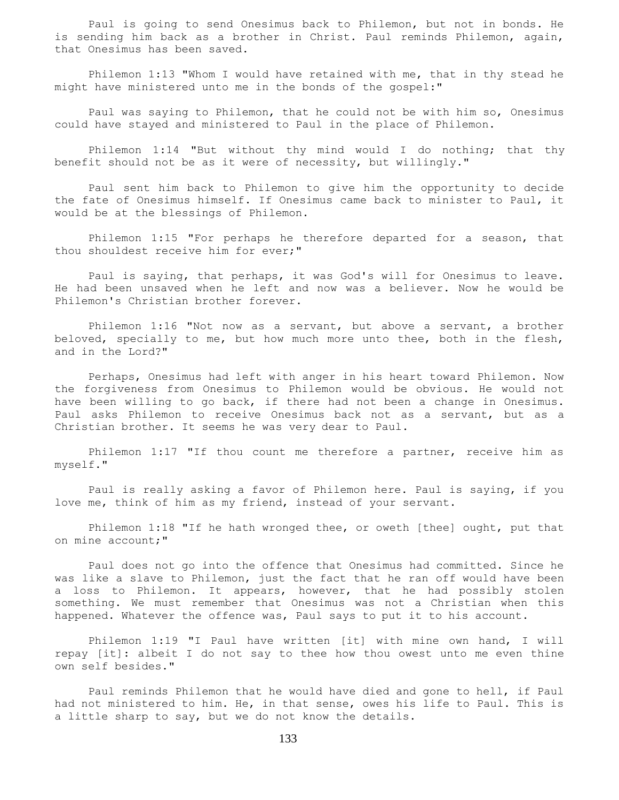Paul is going to send Onesimus back to Philemon, but not in bonds. He is sending him back as a brother in Christ. Paul reminds Philemon, again, that Onesimus has been saved.

 Philemon 1:13 "Whom I would have retained with me, that in thy stead he might have ministered unto me in the bonds of the gospel:"

 Paul was saying to Philemon, that he could not be with him so, Onesimus could have stayed and ministered to Paul in the place of Philemon.

Philemon 1:14 "But without thy mind would I do nothing; that thy benefit should not be as it were of necessity, but willingly."

 Paul sent him back to Philemon to give him the opportunity to decide the fate of Onesimus himself. If Onesimus came back to minister to Paul, it would be at the blessings of Philemon.

 Philemon 1:15 "For perhaps he therefore departed for a season, that thou shouldest receive him for ever;"

 Paul is saying, that perhaps, it was God's will for Onesimus to leave. He had been unsaved when he left and now was a believer. Now he would be Philemon's Christian brother forever.

 Philemon 1:16 "Not now as a servant, but above a servant, a brother beloved, specially to me, but how much more unto thee, both in the flesh, and in the Lord?"

 Perhaps, Onesimus had left with anger in his heart toward Philemon. Now the forgiveness from Onesimus to Philemon would be obvious. He would not have been willing to go back, if there had not been a change in Onesimus. Paul asks Philemon to receive Onesimus back not as a servant, but as a Christian brother. It seems he was very dear to Paul.

 Philemon 1:17 "If thou count me therefore a partner, receive him as myself."

 Paul is really asking a favor of Philemon here. Paul is saying, if you love me, think of him as my friend, instead of your servant.

 Philemon 1:18 "If he hath wronged thee, or oweth [thee] ought, put that on mine account;"

 Paul does not go into the offence that Onesimus had committed. Since he was like a slave to Philemon, just the fact that he ran off would have been a loss to Philemon. It appears, however, that he had possibly stolen something. We must remember that Onesimus was not a Christian when this happened. Whatever the offence was, Paul says to put it to his account.

 Philemon 1:19 "I Paul have written [it] with mine own hand, I will repay [it]: albeit I do not say to thee how thou owest unto me even thine own self besides."

 Paul reminds Philemon that he would have died and gone to hell, if Paul had not ministered to him. He, in that sense, owes his life to Paul. This is a little sharp to say, but we do not know the details.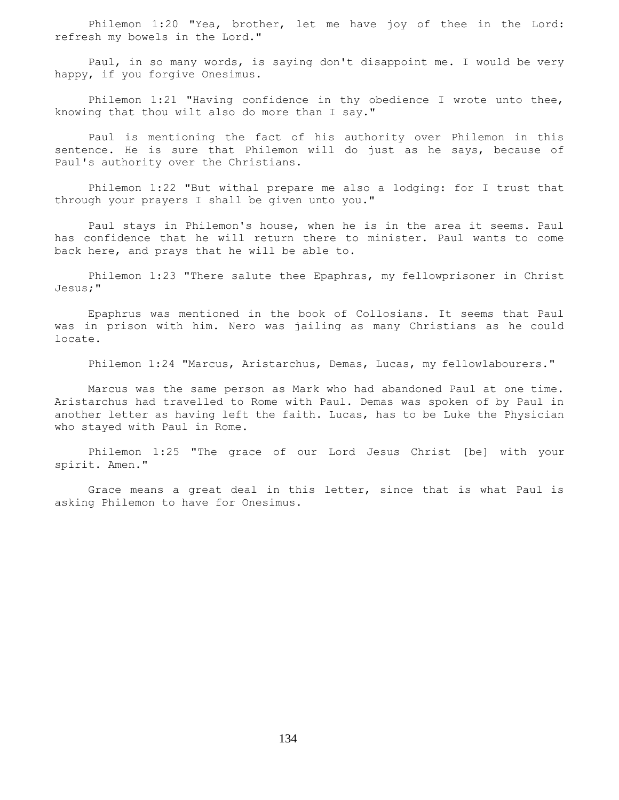Philemon 1:20 "Yea, brother, let me have joy of thee in the Lord: refresh my bowels in the Lord."

 Paul, in so many words, is saying don't disappoint me. I would be very happy, if you forgive Onesimus.

Philemon 1:21 "Having confidence in thy obedience I wrote unto thee, knowing that thou wilt also do more than I say."

 Paul is mentioning the fact of his authority over Philemon in this sentence. He is sure that Philemon will do just as he says, because of Paul's authority over the Christians.

 Philemon 1:22 "But withal prepare me also a lodging: for I trust that through your prayers I shall be given unto you."

 Paul stays in Philemon's house, when he is in the area it seems. Paul has confidence that he will return there to minister. Paul wants to come back here, and prays that he will be able to.

 Philemon 1:23 "There salute thee Epaphras, my fellowprisoner in Christ Jesus;"

 Epaphrus was mentioned in the book of Collosians. It seems that Paul was in prison with him. Nero was jailing as many Christians as he could locate.

Philemon 1:24 "Marcus, Aristarchus, Demas, Lucas, my fellowlabourers."

 Marcus was the same person as Mark who had abandoned Paul at one time. Aristarchus had travelled to Rome with Paul. Demas was spoken of by Paul in another letter as having left the faith. Lucas, has to be Luke the Physician who stayed with Paul in Rome.

 Philemon 1:25 "The grace of our Lord Jesus Christ [be] with your spirit. Amen."

 Grace means a great deal in this letter, since that is what Paul is asking Philemon to have for Onesimus.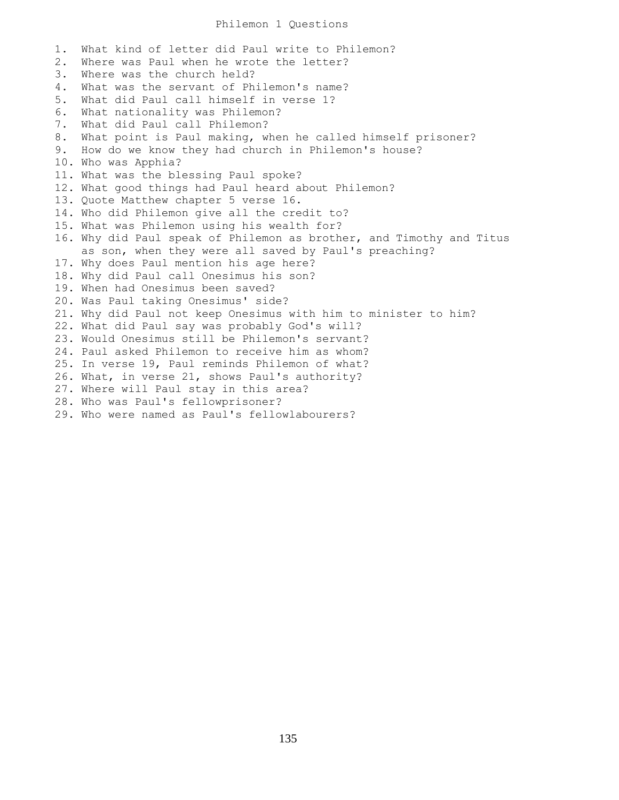## Philemon 1 Questions

1. What kind of letter did Paul write to Philemon? 2. Where was Paul when he wrote the letter? 3. Where was the church held? 4. What was the servant of Philemon's name? 5. What did Paul call himself in verse 1? 6. What nationality was Philemon? 7. What did Paul call Philemon? 8. What point is Paul making, when he called himself prisoner? 9. How do we know they had church in Philemon's house? 10. Who was Apphia? 11. What was the blessing Paul spoke? 12. What good things had Paul heard about Philemon? 13. Quote Matthew chapter 5 verse 16. 14. Who did Philemon give all the credit to? 15. What was Philemon using his wealth for? 16. Why did Paul speak of Philemon as brother, and Timothy and Titus as son, when they were all saved by Paul's preaching? 17. Why does Paul mention his age here? 18. Why did Paul call Onesimus his son? 19. When had Onesimus been saved? 20. Was Paul taking Onesimus' side? 21. Why did Paul not keep Onesimus with him to minister to him? 22. What did Paul say was probably God's will? 23. Would Onesimus still be Philemon's servant? 24. Paul asked Philemon to receive him as whom? 25. In verse 19, Paul reminds Philemon of what? 26. What, in verse 21, shows Paul's authority? 27. Where will Paul stay in this area? 28. Who was Paul's fellowprisoner? 29. Who were named as Paul's fellowlabourers?